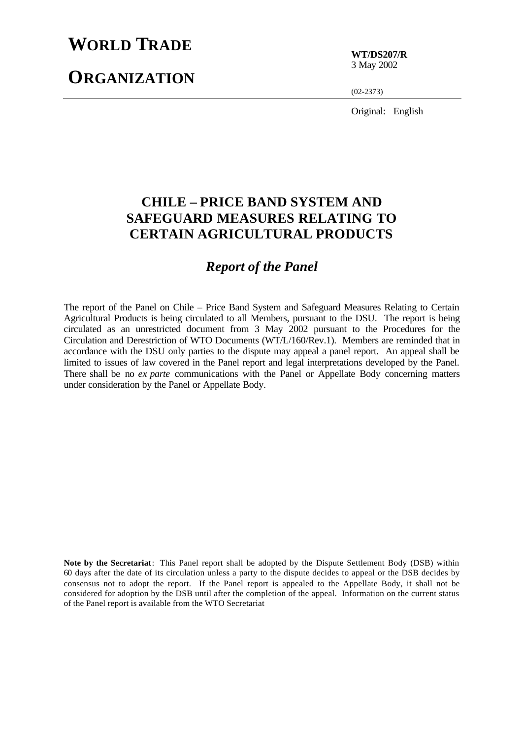## **WORLD TRADE**

# **ORGANIZATION**

**WT/DS207/R** 3 May 2002

(02-2373)

Original: English

## **CHILE – PRICE BAND SYSTEM AND SAFEGUARD MEASURES RELATING TO CERTAIN AGRICULTURAL PRODUCTS**

### *Report of the Panel*

The report of the Panel on Chile – Price Band System and Safeguard Measures Relating to Certain Agricultural Products is being circulated to all Members, pursuant to the DSU. The report is being circulated as an unrestricted document from 3 May 2002 pursuant to the Procedures for the Circulation and Derestriction of WTO Documents (WT/L/160/Rev.1). Members are reminded that in accordance with the DSU only parties to the dispute may appeal a panel report. An appeal shall be limited to issues of law covered in the Panel report and legal interpretations developed by the Panel. There shall be no *ex parte* communications with the Panel or Appellate Body concerning matters under consideration by the Panel or Appellate Body.

**Note by the Secretariat**: This Panel report shall be adopted by the Dispute Settlement Body (DSB) within 60 days after the date of its circulation unless a party to the dispute decides to appeal or the DSB decides by consensus not to adopt the report. If the Panel report is appealed to the Appellate Body, it shall not be considered for adoption by the DSB until after the completion of the appeal. Information on the current status of the Panel report is available from the WTO Secretariat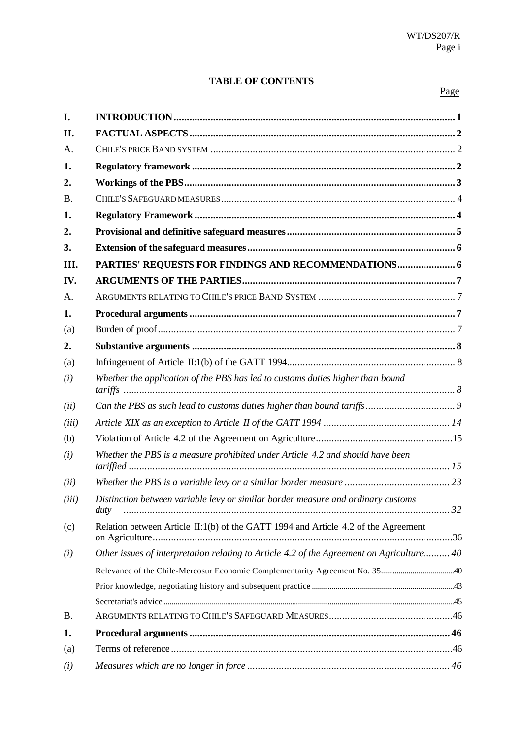### **TABLE OF CONTENTS**

#### Page

| I.        |                                                                                           |  |
|-----------|-------------------------------------------------------------------------------------------|--|
| II.       |                                                                                           |  |
| A.        |                                                                                           |  |
| 1.        |                                                                                           |  |
| 2.        |                                                                                           |  |
| <b>B.</b> |                                                                                           |  |
| 1.        |                                                                                           |  |
| 2.        |                                                                                           |  |
| 3.        |                                                                                           |  |
| III.      |                                                                                           |  |
| IV.       |                                                                                           |  |
| A.        |                                                                                           |  |
| 1.        |                                                                                           |  |
| (a)       |                                                                                           |  |
| 2.        |                                                                                           |  |
| (a)       |                                                                                           |  |
| (i)       | Whether the application of the PBS has led to customs duties higher than bound            |  |
| (ii)      |                                                                                           |  |
| (iii)     |                                                                                           |  |
| (b)       |                                                                                           |  |
| (i)       | Whether the PBS is a measure prohibited under Article 4.2 and should have been            |  |
| (ii)      |                                                                                           |  |
| (iii)     | Distinction between variable levy or similar border measure and ordinary customs          |  |
| (c)       | Relation between Article II:1(b) of the GATT 1994 and Article 4.2 of the Agreement        |  |
| (i)       | Other issues of interpretation relating to Article 4.2 of the Agreement on Agriculture 40 |  |
|           |                                                                                           |  |
|           |                                                                                           |  |
|           |                                                                                           |  |
| <b>B.</b> |                                                                                           |  |
| 1.        |                                                                                           |  |
| (a)       |                                                                                           |  |
| (i)       |                                                                                           |  |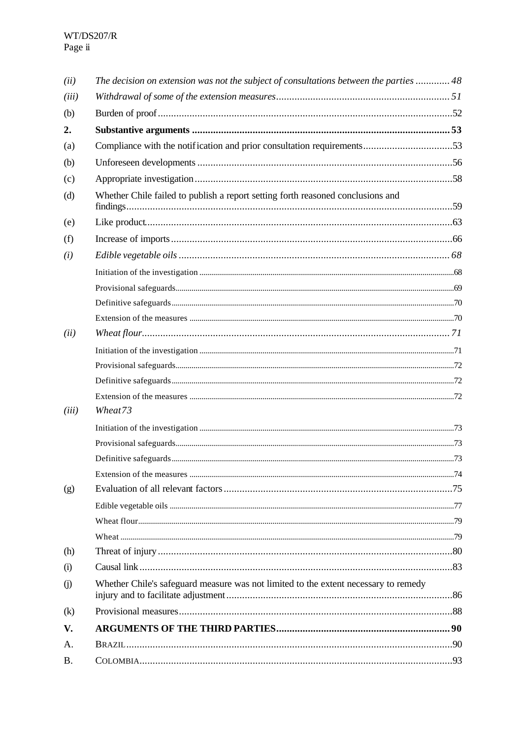| (ii)              | The decision on extension was not the subject of consultations between the parties  48 |  |
|-------------------|----------------------------------------------------------------------------------------|--|
| (iii)             |                                                                                        |  |
| (b)               |                                                                                        |  |
| 2.                |                                                                                        |  |
| (a)               | Compliance with the notification and prior consultation requirements53                 |  |
| (b)               |                                                                                        |  |
| (c)               |                                                                                        |  |
| (d)               | Whether Chile failed to publish a report setting forth reasoned conclusions and        |  |
| (e)               |                                                                                        |  |
| (f)               |                                                                                        |  |
| (i)               |                                                                                        |  |
|                   |                                                                                        |  |
|                   |                                                                                        |  |
|                   |                                                                                        |  |
|                   |                                                                                        |  |
| (ii)              |                                                                                        |  |
|                   |                                                                                        |  |
|                   |                                                                                        |  |
|                   |                                                                                        |  |
|                   |                                                                                        |  |
| (iii)             | Wheat73                                                                                |  |
|                   |                                                                                        |  |
|                   |                                                                                        |  |
|                   |                                                                                        |  |
|                   |                                                                                        |  |
| (g)               |                                                                                        |  |
|                   |                                                                                        |  |
|                   |                                                                                        |  |
|                   |                                                                                        |  |
| (h)               |                                                                                        |  |
| (i)               |                                                                                        |  |
| $\circ$           | Whether Chile's safeguard measure was not limited to the extent necessary to remedy    |  |
| $\left( k\right)$ |                                                                                        |  |
| V.                |                                                                                        |  |
| А.                |                                                                                        |  |
| <b>B.</b>         |                                                                                        |  |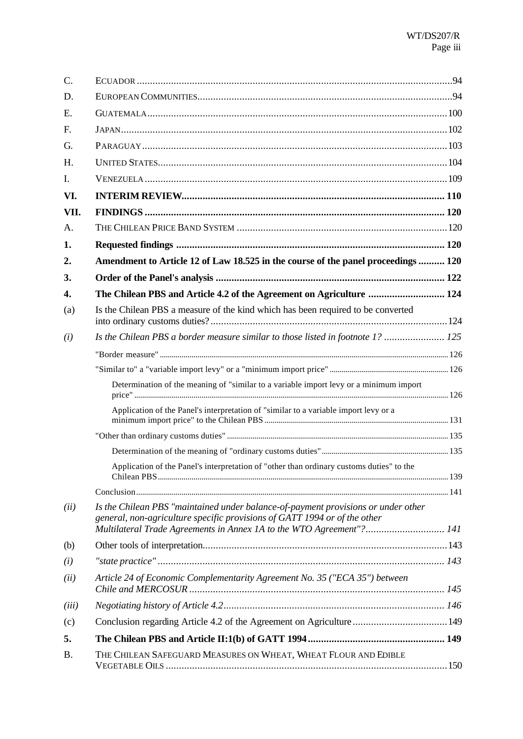| C.        |                                                                                                                                                                                                                                        |  |
|-----------|----------------------------------------------------------------------------------------------------------------------------------------------------------------------------------------------------------------------------------------|--|
| D.        |                                                                                                                                                                                                                                        |  |
| Ε.        |                                                                                                                                                                                                                                        |  |
| F.        |                                                                                                                                                                                                                                        |  |
| G.        |                                                                                                                                                                                                                                        |  |
| H.        |                                                                                                                                                                                                                                        |  |
| I.        |                                                                                                                                                                                                                                        |  |
| VI.       |                                                                                                                                                                                                                                        |  |
| VII.      |                                                                                                                                                                                                                                        |  |
| А.        |                                                                                                                                                                                                                                        |  |
| 1.        |                                                                                                                                                                                                                                        |  |
| 2.        | Amendment to Article 12 of Law 18.525 in the course of the panel proceedings  120                                                                                                                                                      |  |
| 3.        |                                                                                                                                                                                                                                        |  |
| 4.        | The Chilean PBS and Article 4.2 of the Agreement on Agriculture  124                                                                                                                                                                   |  |
| (a)       | Is the Chilean PBS a measure of the kind which has been required to be converted                                                                                                                                                       |  |
| (i)       | Is the Chilean PBS a border measure similar to those listed in footnote 1?  125                                                                                                                                                        |  |
|           |                                                                                                                                                                                                                                        |  |
|           |                                                                                                                                                                                                                                        |  |
|           | Determination of the meaning of "similar to a variable import levy or a minimum import                                                                                                                                                 |  |
|           | Application of the Panel's interpretation of "similar to a variable import levy or a                                                                                                                                                   |  |
|           |                                                                                                                                                                                                                                        |  |
|           |                                                                                                                                                                                                                                        |  |
|           | Application of the Panel's interpretation of "other than ordinary customs duties" to the                                                                                                                                               |  |
|           |                                                                                                                                                                                                                                        |  |
| (ii)      | Is the Chilean PBS "maintained under balance-of-payment provisions or under other<br>general, non-agriculture specific provisions of GATT 1994 or of the other<br>Multilateral Trade Agreements in Annex 1A to the WTO Agreement"? 141 |  |
| (b)       |                                                                                                                                                                                                                                        |  |
| (i)       |                                                                                                                                                                                                                                        |  |
| (ii)      | Article 24 of Economic Complementarity Agreement No. 35 ("ECA 35") between                                                                                                                                                             |  |
|           |                                                                                                                                                                                                                                        |  |
| (iii)     |                                                                                                                                                                                                                                        |  |
| (c)       | Conclusion regarding Article 4.2 of the Agreement on Agriculture 149                                                                                                                                                                   |  |
| 5.        |                                                                                                                                                                                                                                        |  |
| <b>B.</b> | THE CHILEAN SAFEGUARD MEASURES ON WHEAT, WHEAT FLOUR AND EDIBLE                                                                                                                                                                        |  |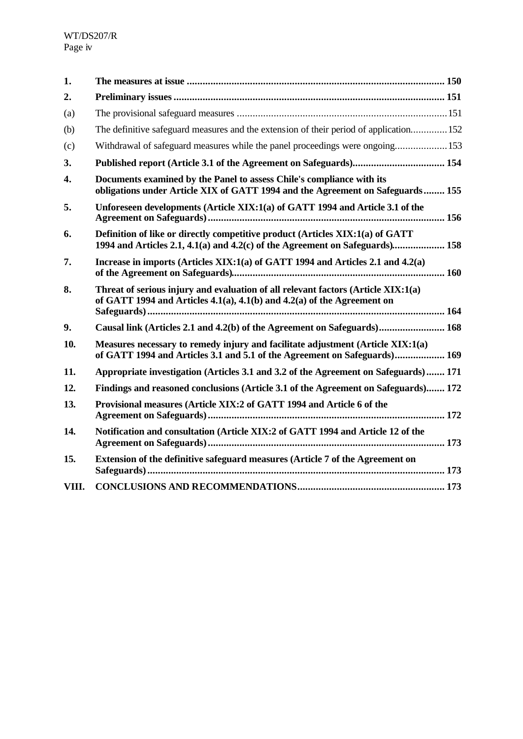| 1.    |                                                                                                                                                               |  |
|-------|---------------------------------------------------------------------------------------------------------------------------------------------------------------|--|
| 2.    |                                                                                                                                                               |  |
| (a)   |                                                                                                                                                               |  |
| (b)   | The definitive safeguard measures and the extension of their period of application 152                                                                        |  |
| (c)   | Withdrawal of safeguard measures while the panel proceedings were ongoing153                                                                                  |  |
| 3.    |                                                                                                                                                               |  |
| 4.    | Documents examined by the Panel to assess Chile's compliance with its<br>obligations under Article XIX of GATT 1994 and the Agreement on Safeguards 155       |  |
| 5.    | Unforeseen developments (Article XIX:1(a) of GATT 1994 and Article 3.1 of the                                                                                 |  |
| 6.    | Definition of like or directly competitive product (Articles XIX:1(a) of GATT<br>1994 and Articles 2.1, 4.1(a) and 4.2(c) of the Agreement on Safeguards) 158 |  |
| 7.    | Increase in imports (Articles XIX:1(a) of GATT 1994 and Articles 2.1 and 4.2(a)                                                                               |  |
| 8.    | Threat of serious injury and evaluation of all relevant factors (Article XIX:1(a)<br>of GATT 1994 and Articles 4.1(a), 4.1(b) and 4.2(a) of the Agreement on  |  |
| 9.    | Causal link (Articles 2.1 and 4.2(b) of the Agreement on Safeguards) 168                                                                                      |  |
| 10.   | Measures necessary to remedy injury and facilitate adjustment (Article XIX:1(a)<br>of GATT 1994 and Articles 3.1 and 5.1 of the Agreement on Safeguards) 169  |  |
| 11.   | Appropriate investigation (Articles 3.1 and 3.2 of the Agreement on Safeguards) 171                                                                           |  |
| 12.   | Findings and reasoned conclusions (Article 3.1 of the Agreement on Safeguards) 172                                                                            |  |
| 13.   | Provisional measures (Article XIX:2 of GATT 1994 and Article 6 of the                                                                                         |  |
| 14.   | Notification and consultation (Article XIX:2 of GATT 1994 and Article 12 of the                                                                               |  |
| 15.   | Extension of the definitive safeguard measures (Article 7 of the Agreement on                                                                                 |  |
| VIII. |                                                                                                                                                               |  |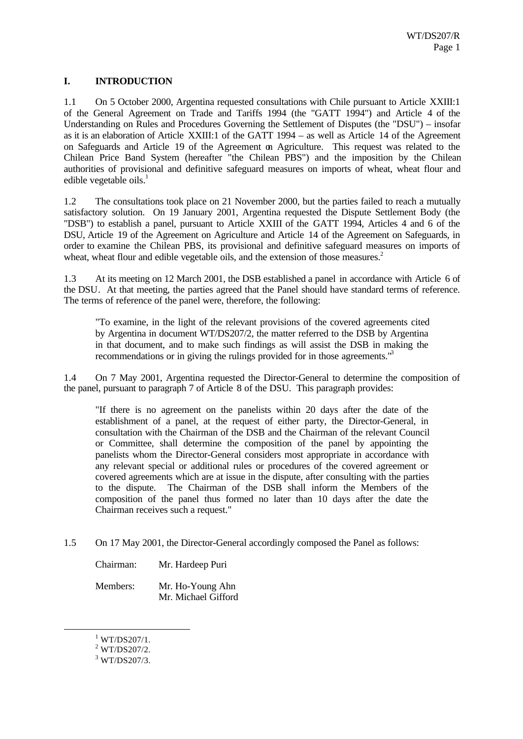#### **I. INTRODUCTION**

1.1 On 5 October 2000, Argentina requested consultations with Chile pursuant to Article XXIII:1 of the General Agreement on Trade and Tariffs 1994 (the "GATT 1994") and Article 4 of the Understanding on Rules and Procedures Governing the Settlement of Disputes (the "DSU") – insofar as it is an elaboration of Article XXIII:1 of the GATT 1994 – as well as Article 14 of the Agreement on Safeguards and Article 19 of the Agreement on Agriculture. This request was related to the Chilean Price Band System (hereafter "the Chilean PBS") and the imposition by the Chilean authorities of provisional and definitive safeguard measures on imports of wheat, wheat flour and edible vegetable oils. $<sup>1</sup>$ </sup>

1.2 The consultations took place on 21 November 2000, but the parties failed to reach a mutually satisfactory solution. On 19 January 2001, Argentina requested the Dispute Settlement Body (the "DSB") to establish a panel, pursuant to Article XXIII of the GATT 1994, Articles 4 and 6 of the DSU, Article 19 of the Agreement on Agriculture and Article 14 of the Agreement on Safeguards, in order to examine the Chilean PBS, its provisional and definitive safeguard measures on imports of wheat, wheat flour and edible vegetable oils, and the extension of those measures.<sup>2</sup>

1.3 At its meeting on 12 March 2001, the DSB established a panel in accordance with Article 6 of the DSU. At that meeting, the parties agreed that the Panel should have standard terms of reference. The terms of reference of the panel were, therefore, the following:

"To examine, in the light of the relevant provisions of the covered agreements cited by Argentina in document WT/DS207/2, the matter referred to the DSB by Argentina in that document, and to make such findings as will assist the DSB in making the recommendations or in giving the rulings provided for in those agreements."<sup>3</sup>

1.4 On 7 May 2001, Argentina requested the Director-General to determine the composition of the panel, pursuant to paragraph 7 of Article 8 of the DSU. This paragraph provides:

"If there is no agreement on the panelists within 20 days after the date of the establishment of a panel, at the request of either party, the Director-General, in consultation with the Chairman of the DSB and the Chairman of the relevant Council or Committee, shall determine the composition of the panel by appointing the panelists whom the Director-General considers most appropriate in accordance with any relevant special or additional rules or procedures of the covered agreement or covered agreements which are at issue in the dispute, after consulting with the parties to the dispute. The Chairman of the DSB shall inform the Members of the composition of the panel thus formed no later than 10 days after the date the Chairman receives such a request."

1.5 On 17 May 2001, the Director-General accordingly composed the Panel as follows:

Chairman: Mr. Hardeep Puri

Members: Mr. Ho-Young Ahn Mr. Michael Gifford

 $1$  WT/DS207/1.

 $2$  WT/DS207/2.

<sup>3</sup> WT/DS207/3.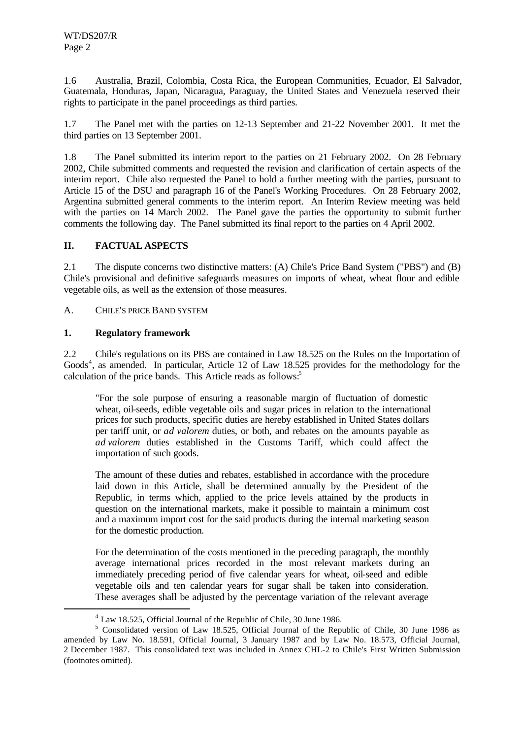1.6 Australia, Brazil, Colombia, Costa Rica, the European Communities, Ecuador, El Salvador, Guatemala, Honduras, Japan, Nicaragua, Paraguay, the United States and Venezuela reserved their rights to participate in the panel proceedings as third parties.

1.7 The Panel met with the parties on 12-13 September and 21-22 November 2001. It met the third parties on 13 September 2001.

1.8 The Panel submitted its interim report to the parties on 21 February 2002. On 28 February 2002, Chile submitted comments and requested the revision and clarification of certain aspects of the interim report. Chile also requested the Panel to hold a further meeting with the parties, pursuant to Article 15 of the DSU and paragraph 16 of the Panel's Working Procedures. On 28 February 2002, Argentina submitted general comments to the interim report. An Interim Review meeting was held with the parties on 14 March 2002. The Panel gave the parties the opportunity to submit further comments the following day. The Panel submitted its final report to the parties on 4 April 2002.

#### **II. FACTUAL ASPECTS**

2.1 The dispute concerns two distinctive matters: (A) Chile's Price Band System ("PBS") and (B) Chile's provisional and definitive safeguards measures on imports of wheat, wheat flour and edible vegetable oils, as well as the extension of those measures.

A. CHILE'S PRICE BAND SYSTEM

#### **1. Regulatory framework**

l

2.2 Chile's regulations on its PBS are contained in Law 18.525 on the Rules on the Importation of Goods<sup>4</sup>, as amended. In particular, Article 12 of Law 18.525 provides for the methodology for the calculation of the price bands. This Article reads as follows:<sup>5</sup>

"For the sole purpose of ensuring a reasonable margin of fluctuation of domestic wheat, oil-seeds, edible vegetable oils and sugar prices in relation to the international prices for such products, specific duties are hereby established in United States dollars per tariff unit, or *ad valorem* duties, or both, and rebates on the amounts payable as *ad valorem* duties established in the Customs Tariff, which could affect the importation of such goods.

The amount of these duties and rebates, established in accordance with the procedure laid down in this Article, shall be determined annually by the President of the Republic, in terms which, applied to the price levels attained by the products in question on the international markets, make it possible to maintain a minimum cost and a maximum import cost for the said products during the internal marketing season for the domestic production.

For the determination of the costs mentioned in the preceding paragraph, the monthly average international prices recorded in the most relevant markets during an immediately preceding period of five calendar years for wheat, oil-seed and edible vegetable oils and ten calendar years for sugar shall be taken into consideration. These averages shall be adjusted by the percentage variation of the relevant average

<sup>&</sup>lt;sup>4</sup> Law 18.525, Official Journal of the Republic of Chile, 30 June 1986.

<sup>&</sup>lt;sup>5</sup> Consolidated version of Law 18.525, Official Journal of the Republic of Chile, 30 June 1986 as amended by Law No. 18.591, Official Journal, 3 January 1987 and by Law No. 18.573, Official Journal, 2 December 1987. This consolidated text was included in Annex CHL-2 to Chile's First Written Submission (footnotes omitted).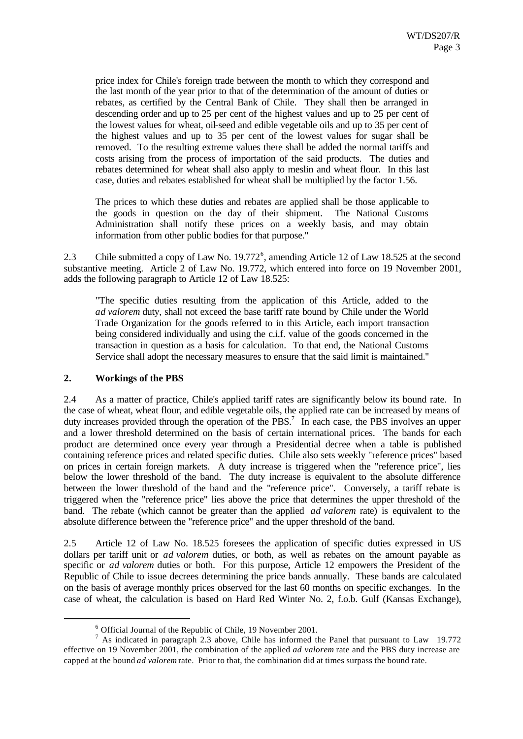price index for Chile's foreign trade between the month to which they correspond and the last month of the year prior to that of the determination of the amount of duties or rebates, as certified by the Central Bank of Chile. They shall then be arranged in descending order and up to 25 per cent of the highest values and up to 25 per cent of the lowest values for wheat, oil-seed and edible vegetable oils and up to 35 per cent of the highest values and up to 35 per cent of the lowest values for sugar shall be removed. To the resulting extreme values there shall be added the normal tariffs and costs arising from the process of importation of the said products. The duties and rebates determined for wheat shall also apply to meslin and wheat flour. In this last case, duties and rebates established for wheat shall be multiplied by the factor 1.56.

The prices to which these duties and rebates are applied shall be those applicable to the goods in question on the day of their shipment. The National Customs Administration shall notify these prices on a weekly basis, and may obtain information from other public bodies for that purpose."

2.3 Chile submitted a copy of Law No.  $19.772^6$ , amending Article 12 of Law 18.525 at the second substantive meeting. Article 2 of Law No. 19.772, which entered into force on 19 November 2001, adds the following paragraph to Article 12 of Law 18.525:

"The specific duties resulting from the application of this Article, added to the *ad valorem* duty, shall not exceed the base tariff rate bound by Chile under the World Trade Organization for the goods referred to in this Article, each import transaction being considered individually and using the c.i.f. value of the goods concerned in the transaction in question as a basis for calculation. To that end, the National Customs Service shall adopt the necessary measures to ensure that the said limit is maintained."

#### **2. Workings of the PBS**

l

2.4 As a matter of practice, Chile's applied tariff rates are significantly below its bound rate. In the case of wheat, wheat flour, and edible vegetable oils, the applied rate can be increased by means of duty increases provided through the operation of the PBS.<sup>7</sup> In each case, the PBS involves an upper and a lower threshold determined on the basis of certain international prices. The bands for each product are determined once every year through a Presidential decree when a table is published containing reference prices and related specific duties. Chile also sets weekly "reference prices" based on prices in certain foreign markets. A duty increase is triggered when the "reference price", lies below the lower threshold of the band. The duty increase is equivalent to the absolute difference between the lower threshold of the band and the "reference price". Conversely, a tariff rebate is triggered when the "reference price" lies above the price that determines the upper threshold of the band. The rebate (which cannot be greater than the applied *ad valorem* rate) is equivalent to the absolute difference between the "reference price" and the upper threshold of the band.

2.5 Article 12 of Law No. 18.525 foresees the application of specific duties expressed in US dollars per tariff unit or *ad valorem* duties, or both, as well as rebates on the amount payable as specific or *ad valorem* duties or both. For this purpose, Article 12 empowers the President of the Republic of Chile to issue decrees determining the price bands annually. These bands are calculated on the basis of average monthly prices observed for the last 60 months on specific exchanges. In the case of wheat, the calculation is based on Hard Red Winter No. 2, f.o.b. Gulf (Kansas Exchange),

<sup>&</sup>lt;sup>6</sup> Official Journal of the Republic of Chile, 19 November 2001.

<sup>&</sup>lt;sup>7</sup> As indicated in paragraph 2.3 above, Chile has informed the Panel that pursuant to Law 19.772 effective on 19 November 2001, the combination of the applied *ad valorem* rate and the PBS duty increase are capped at the bound *ad valorem* rate. Prior to that, the combination did at times surpass the bound rate.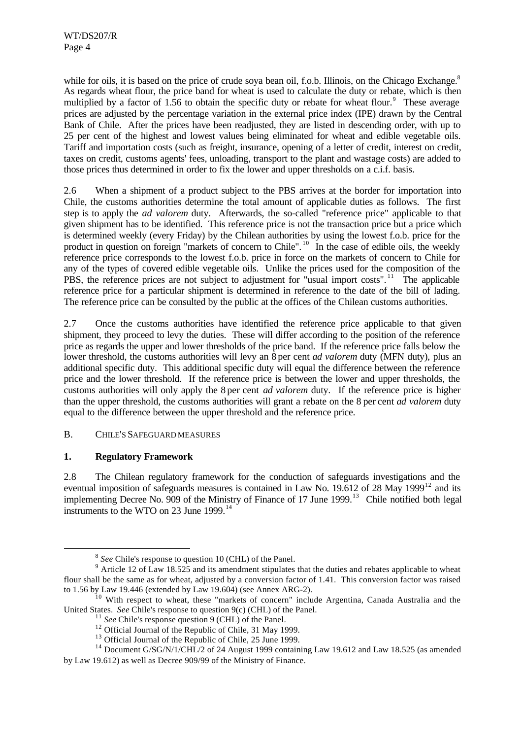while for oils, it is based on the price of crude soya bean oil, f.o.b. Illinois, on the Chicago Exchange.<sup>8</sup> As regards wheat flour, the price band for wheat is used to calculate the duty or rebate, which is then multiplied by a factor of 1.56 to obtain the specific duty or rebate for wheat flour. $\degree$  These average prices are adjusted by the percentage variation in the external price index (IPE) drawn by the Central Bank of Chile. After the prices have been readjusted, they are listed in descending order, with up to 25 per cent of the highest and lowest values being eliminated for wheat and edible vegetable oils. Tariff and importation costs (such as freight, insurance, opening of a letter of credit, interest on credit, taxes on credit, customs agents' fees, unloading, transport to the plant and wastage costs) are added to those prices thus determined in order to fix the lower and upper thresholds on a c.i.f. basis.

2.6 When a shipment of a product subject to the PBS arrives at the border for importation into Chile, the customs authorities determine the total amount of applicable duties as follows. The first step is to apply the *ad valorem* duty. Afterwards, the so-called "reference price" applicable to that given shipment has to be identified. This reference price is not the transaction price but a price which is determined weekly (every Friday) by the Chilean authorities by using the lowest f.o.b. price for the product in question on foreign "markets of concern to Chile".<sup>10</sup> In the case of edible oils, the weekly reference price corresponds to the lowest f.o.b. price in force on the markets of concern to Chile for any of the types of covered edible vegetable oils. Unlike the prices used for the composition of the PBS, the reference prices are not subject to adjustment for "usual import costs".<sup>11</sup> The applicable reference price for a particular shipment is determined in reference to the date of the bill of lading. The reference price can be consulted by the public at the offices of the Chilean customs authorities.

2.7 Once the customs authorities have identified the reference price applicable to that given shipment, they proceed to levy the duties. These will differ according to the position of the reference price as regards the upper and lower thresholds of the price band. If the reference price falls below the lower threshold, the customs authorities will levy an 8 per cent *ad valorem* duty (MFN duty), plus an additional specific duty. This additional specific duty will equal the difference between the reference price and the lower threshold. If the reference price is between the lower and upper thresholds, the customs authorities will only apply the 8 per cent *ad valorem* duty. If the reference price is higher than the upper threshold, the customs authorities will grant a rebate on the 8 per cent *ad valorem* duty equal to the difference between the upper threshold and the reference price.

#### B. CHILE'S SAFEGUARD MEASURES

#### **1. Regulatory Framework**

l

2.8 The Chilean regulatory framework for the conduction of safeguards investigations and the eventual imposition of safeguards measures is contained in Law No. 19.612 of 28 May 1999<sup>12</sup> and its implementing Decree No.  $909$  of the Ministry of Finance of 17 June 1999.<sup>13</sup> Chile notified both legal instruments to the WTO on 23 June  $1999$ .<sup>14</sup>

<sup>&</sup>lt;sup>8</sup> See Chile's response to question 10 (CHL) of the Panel.

 $9$  Article 12 of Law 18.525 and its amendment stipulates that the duties and rebates applicable to wheat flour shall be the same as for wheat, adjusted by a conversion factor of 1.41. This conversion factor was raised to 1.56 by Law 19.446 (extended by Law 19.604) (see Annex ARG-2).

<sup>&</sup>lt;sup>10</sup> With respect to wheat, these "markets of concern" include Argentina, Canada Australia and the United States. *See* Chile's response to question 9(c) (CHL) of the Panel.

<sup>&</sup>lt;sup>11</sup> *See* Chile's response question 9 (CHL) of the Panel.

<sup>&</sup>lt;sup>12</sup> Official Journal of the Republic of Chile, 31 May 1999.

<sup>&</sup>lt;sup>13</sup> Official Journal of the Republic of Chile, 25 June 1999.

<sup>&</sup>lt;sup>14</sup> Document G/SG/N/1/CHL/2 of 24 August 1999 containing Law 19.612 and Law 18.525 (as amended by Law 19.612) as well as Decree 909/99 of the Ministry of Finance.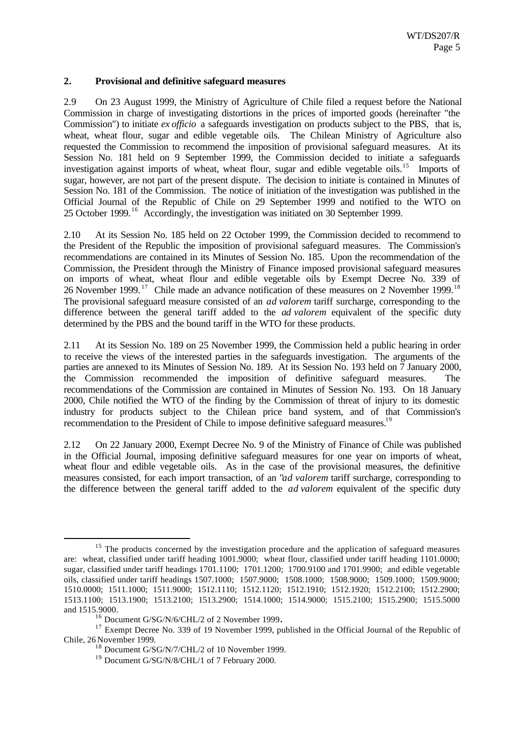#### **2. Provisional and definitive safeguard measures**

2.9 On 23 August 1999, the Ministry of Agriculture of Chile filed a request before the National Commission in charge of investigating distortions in the prices of imported goods (hereinafter "the Commission") to initiate *ex officio* a safeguards investigation on products subject to the PBS, that is, wheat, wheat flour, sugar and edible vegetable oils. The Chilean Ministry of Agriculture also requested the Commission to recommend the imposition of provisional safeguard measures. At its Session No. 181 held on 9 September 1999, the Commission decided to initiate a safeguards investigation against imports of wheat, wheat flour, sugar and edible vegetable oils.<sup>15</sup> Imports of sugar, however, are not part of the present dispute. The decision to initiate is contained in Minutes of Session No. 181 of the Commission. The notice of initiation of the investigation was published in the Official Journal of the Republic of Chile on 29 September 1999 and notified to the WTO on 25 October 1999.<sup>16</sup> Accordingly, the investigation was initiated on 30 September 1999.

2.10 At its Session No. 185 held on 22 October 1999, the Commission decided to recommend to the President of the Republic the imposition of provisional safeguard measures. The Commission's recommendations are contained in its Minutes of Session No. 185. Upon the recommendation of the Commission, the President through the Ministry of Finance imposed provisional safeguard measures on imports of wheat, wheat flour and edible vegetable oils by Exempt Decree No. 339 of 26 November 1999.<sup>17</sup> Chile made an advance notification of these measures on 2 November 1999.<sup>18</sup> The provisional safeguard measure consisted of an *ad valorem* tariff surcharge, corresponding to the difference between the general tariff added to the *ad valorem* equivalent of the specific duty determined by the PBS and the bound tariff in the WTO for these products.

2.11 At its Session No. 189 on 25 November 1999, the Commission held a public hearing in order to receive the views of the interested parties in the safeguards investigation. The arguments of the parties are annexed to its Minutes of Session No. 189. At its Session No. 193 held on 7 January 2000, the Commission recommended the imposition of definitive safeguard measures. The recommendations of the Commission are contained in Minutes of Session No. 193. On 18 January 2000, Chile notified the WTO of the finding by the Commission of threat of injury to its domestic industry for products subject to the Chilean price band system, and of that Commission's recommendation to the President of Chile to impose definitive safeguard measures.<sup>19</sup>

2.12 On 22 January 2000, Exempt Decree No. 9 of the Ministry of Finance of Chile was published in the Official Journal, imposing definitive safeguard measures for one year on imports of wheat, wheat flour and edible vegetable oils. As in the case of the provisional measures, the definitive measures consisted, for each import transaction, of an "*ad valorem* tariff surcharge, corresponding to the difference between the general tariff added to the *ad valorem* equivalent of the specific duty

<sup>&</sup>lt;sup>15</sup> The products concerned by the investigation procedure and the application of safeguard measures are: wheat, classified under tariff heading 1001.9000; wheat flour, classified under tariff heading 1101.0000; sugar, classified under tariff headings 1701.1100; 1701.1200; 1700.9100 and 1701.9900; and edible vegetable oils, classified under tariff headings 1507.1000; 1507.9000; 1508.1000; 1508.9000; 1509.1000; 1509.9000; 1510.0000; 1511.1000; 1511.9000; 1512.1110; 1512.1120; 1512.1910; 1512.1920; 1512.2100; 1512.2900; 1513.1100; 1513.1900; 1513.2100; 1513.2900; 1514.1000; 1514.9000; 1515.2100; 1515.2900; 1515.5000 and 1515.9000.

<sup>16</sup> Document G/SG/N/6/CHL/2 of 2 November 1999**.**

<sup>&</sup>lt;sup>17</sup> Exempt Decree No. 339 of 19 November 1999, published in the Official Journal of the Republic of Chile, 26 November 1999.

<sup>&</sup>lt;sup>18</sup> Document G/SG/N/7/CHL/2 of 10 November 1999.

<sup>19</sup> Document G/SG/N/8/CHL/1 of 7 February 2000.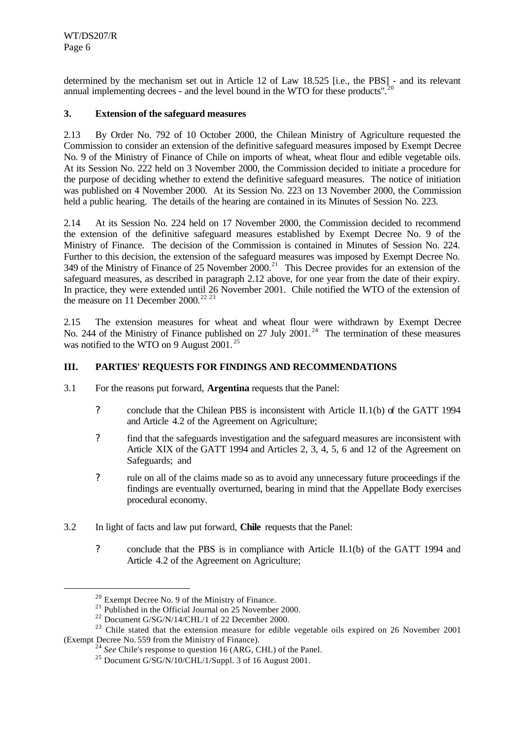determined by the mechanism set out in Article 12 of Law 18.525 [i.e., the PBS] - and its relevant annual implementing decrees - and the level bound in the WTO for these products".<sup>20</sup>

#### **3. Extension of the safeguard measures**

2.13 By Order No. 792 of 10 October 2000, the Chilean Ministry of Agriculture requested the Commission to consider an extension of the definitive safeguard measures imposed by Exempt Decree No. 9 of the Ministry of Finance of Chile on imports of wheat, wheat flour and edible vegetable oils. At its Session No. 222 held on 3 November 2000, the Commission decided to initiate a procedure for the purpose of deciding whether to extend the definitive safeguard measures. The notice of initiation was published on 4 November 2000. At its Session No. 223 on 13 November 2000, the Commission held a public hearing. The details of the hearing are contained in its Minutes of Session No. 223.

2.14 At its Session No. 224 held on 17 November 2000, the Commission decided to recommend the extension of the definitive safeguard measures established by Exempt Decree No. 9 of the Ministry of Finance. The decision of the Commission is contained in Minutes of Session No. 224. Further to this decision, the extension of the safeguard measures was imposed by Exempt Decree No. 349 of the Ministry of Finance of 25 November 2000.<sup>21</sup> This Decree provides for an extension of the safeguard measures, as described in paragraph 2.12 above, for one year from the date of their expiry. In practice, they were extended until 26 November 2001. Chile notified the WTO of the extension of the measure on 11 December 2000.<sup>22 23</sup>

2.15 The extension measures for wheat and wheat flour were withdrawn by Exempt Decree No. 244 of the Ministry of Finance published on 27 July 2001.<sup>24</sup> The termination of these measures was notified to the WTO on 9 August 2001.<sup>25</sup>

#### **III. PARTIES' REQUESTS FOR FINDINGS AND RECOMMENDATIONS**

- 3.1 For the reasons put forward, **Argentina** requests that the Panel:
	- ? conclude that the Chilean PBS is inconsistent with Article II.1(b) of the GATT 1994 and Article 4.2 of the Agreement on Agriculture;
	- ? find that the safeguards investigation and the safeguard measures are inconsistent with Article XIX of the GATT 1994 and Articles 2, 3, 4, 5, 6 and 12 of the Agreement on Safeguards; and
	- ? rule on all of the claims made so as to avoid any unnecessary future proceedings if the findings are eventually overturned, bearing in mind that the Appellate Body exercises procedural economy.
- 3.2 In light of facts and law put forward, **Chile** requests that the Panel:
	- ? conclude that the PBS is in compliance with Article II.1(b) of the GATT 1994 and Article 4.2 of the Agreement on Agriculture;

<sup>20</sup> Exempt Decree No. 9 of the Ministry of Finance.

<sup>&</sup>lt;sup>21</sup> Published in the Official Journal on  $25$  November 2000.

<sup>22</sup> Document G/SG/N/14/CHL/1 of 22 December 2000.

<sup>&</sup>lt;sup>23</sup> Chile stated that the extension measure for edible vegetable oils expired on 26 November 2001 (Exempt Decree No. 559 from the Ministry of Finance).

<sup>24</sup> *See* Chile's response to question 16 (ARG, CHL) of the Panel.

<sup>25</sup> Document G/SG/N/10/CHL/1/Suppl. 3 of 16 August 2001.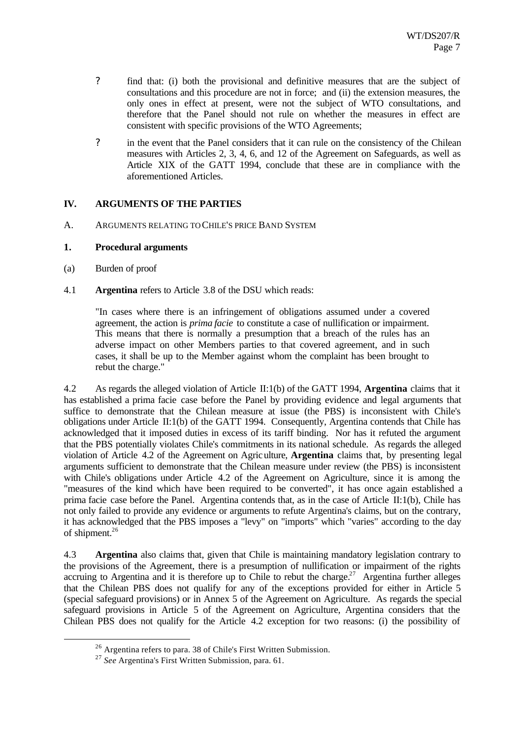- ? find that: (i) both the provisional and definitive measures that are the subject of consultations and this procedure are not in force; and (ii) the extension measures, the only ones in effect at present, were not the subject of WTO consultations, and therefore that the Panel should not rule on whether the measures in effect are consistent with specific provisions of the WTO Agreements;
- ? in the event that the Panel considers that it can rule on the consistency of the Chilean measures with Articles 2, 3, 4, 6, and 12 of the Agreement on Safeguards, as well as Article XIX of the GATT 1994, conclude that these are in compliance with the aforementioned Articles.

#### **IV. ARGUMENTS OF THE PARTIES**

A. ARGUMENTS RELATING TO CHILE'S PRICE BAND SYSTEM

#### **1. Procedural arguments**

(a) Burden of proof

l

4.1 **Argentina** refers to Article 3.8 of the DSU which reads:

"In cases where there is an infringement of obligations assumed under a covered agreement, the action is *prima facie* to constitute a case of nullification or impairment. This means that there is normally a presumption that a breach of the rules has an adverse impact on other Members parties to that covered agreement, and in such cases, it shall be up to the Member against whom the complaint has been brought to rebut the charge."

4.2 As regards the alleged violation of Article II:1(b) of the GATT 1994, **Argentina** claims that it has established a prima facie case before the Panel by providing evidence and legal arguments that suffice to demonstrate that the Chilean measure at issue (the PBS) is inconsistent with Chile's obligations under Article II:1(b) of the GATT 1994. Consequently, Argentina contends that Chile has acknowledged that it imposed duties in excess of its tariff binding. Nor has it refuted the argument that the PBS potentially violates Chile's commitments in its national schedule. As regards the alleged violation of Article 4.2 of the Agreement on Agriculture, **Argentina** claims that, by presenting legal arguments sufficient to demonstrate that the Chilean measure under review (the PBS) is inconsistent with Chile's obligations under Article 4.2 of the Agreement on Agriculture, since it is among the "measures of the kind which have been required to be converted", it has once again established a prima facie case before the Panel. Argentina contends that, as in the case of Article II:1(b), Chile has not only failed to provide any evidence or arguments to refute Argentina's claims, but on the contrary, it has acknowledged that the PBS imposes a "levy" on "imports" which "varies" according to the day of shipment.<sup>26</sup>

4.3 **Argentina** also claims that, given that Chile is maintaining mandatory legislation contrary to the provisions of the Agreement, there is a presumption of nullification or impairment of the rights accruing to Argentina and it is therefore up to Chile to rebut the charge.<sup>27</sup> Argentina further alleges that the Chilean PBS does not qualify for any of the exceptions provided for either in Article 5 (special safeguard provisions) or in Annex 5 of the Agreement on Agriculture. As regards the special safeguard provisions in Article 5 of the Agreement on Agriculture, Argentina considers that the Chilean PBS does not qualify for the Article 4.2 exception for two reasons: (i) the possibility of

<sup>26</sup> Argentina refers to para. 38 of Chile's First Written Submission.

<sup>27</sup> *See* Argentina's First Written Submission, para. 61.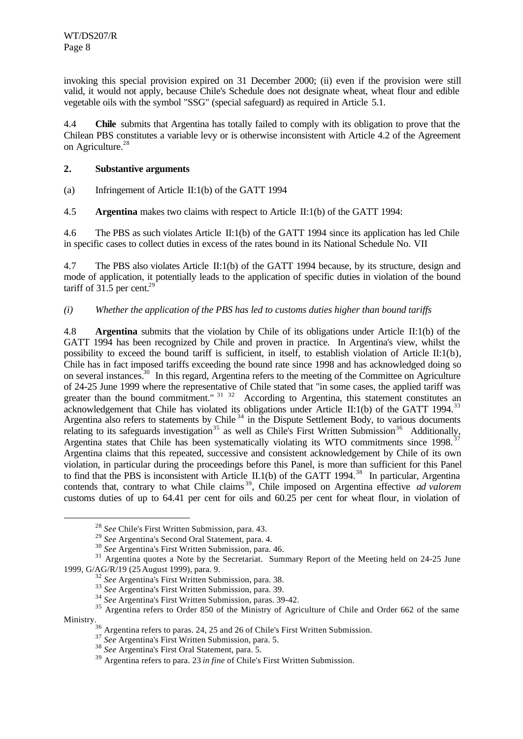invoking this special provision expired on 31 December 2000; (ii) even if the provision were still valid, it would not apply, because Chile's Schedule does not designate wheat, wheat flour and edible vegetable oils with the symbol "SSG" (special safeguard) as required in Article 5.1.

4.4 **Chile** submits that Argentina has totally failed to comply with its obligation to prove that the Chilean PBS constitutes a variable levy or is otherwise inconsistent with Article 4.2 of the Agreement on Agriculture.<sup>28</sup>

#### **2. Substantive arguments**

(a) Infringement of Article II:1(b) of the GATT 1994

4.5 **Argentina** makes two claims with respect to Article II:1(b) of the GATT 1994:

4.6 The PBS as such violates Article II:1(b) of the GATT 1994 since its application has led Chile in specific cases to collect duties in excess of the rates bound in its National Schedule No. VII

4.7 The PBS also violates Article II:1(b) of the GATT 1994 because, by its structure, design and mode of application, it potentially leads to the application of specific duties in violation of the bound tariff of  $31.5$  per cent.<sup>29</sup>

#### *(i) Whether the application of the PBS has led to customs duties higher than bound tariffs*

4.8 **Argentina** submits that the violation by Chile of its obligations under Article II:1(b) of the GATT 1994 has been recognized by Chile and proven in practice. In Argentina's view, whilst the possibility to exceed the bound tariff is sufficient, in itself, to establish violation of Article II:1(b), Chile has in fact imposed tariffs exceeding the bound rate since 1998 and has acknowledged doing so on several instances.<sup>30</sup> In this regard, Argentina refers to the meeting of the Committee on Agriculture of 24-25 June 1999 where the representative of Chile stated that "in some cases, the applied tariff was greater than the bound commitment."  $31\frac{32}{2}$  According to Argentina, this statement constitutes an acknowledgement that Chile has violated its obligations under Article II:1(b) of the GATT 1994.<sup>33</sup> Argentina also refers to statements by Chile  $34$  in the Dispute Settlement Body, to various documents relating to its safeguards investigation<sup>35</sup> as well as Chile's First Written Submission<sup>36</sup> Additionally, Argentina states that Chile has been systematically violating its WTO commitments since 1998.<sup>37</sup> Argentina claims that this repeated, successive and consistent acknowledgement by Chile of its own violation, in particular during the proceedings before this Panel, is more than sufficient for this Panel to find that the PBS is inconsistent with Article II.1(b) of the GATT 1994.<sup>38</sup> In particular, Argentina contends that, contrary to what Chile claims<sup>39</sup>, Chile imposed on Argentina effective *ad valorem* customs duties of up to 64.41 per cent for oils and 60.25 per cent for wheat flour, in violation of

<sup>28</sup> *See* Chile's First Written Submission, para. 43.

<sup>29</sup> *See* Argentina's Second Oral Statement, para. 4.

<sup>30</sup> *See* Argentina's First Written Submission, para. 46.

<sup>&</sup>lt;sup>31</sup> Argentina quotes a Note by the Secretariat. Summary Report of the Meeting held on 24-25 June 1999, G/AG/R/19 (25 August 1999), para. 9.

<sup>32</sup> *See* Argentina's First Written Submission, para. 38.

<sup>33</sup> *See* Argentina's First Written Submission, para. 39.

<sup>34</sup> *See* Argentina's First Written Submission, paras. 39-42.

<sup>&</sup>lt;sup>35</sup> Argentina refers to Order 850 of the Ministry of Agriculture of Chile and Order 662 of the same Ministry.

 $36$  Argentina refers to paras. 24, 25 and 26 of Chile's First Written Submission.

<sup>37</sup> *See* Argentina's First Written Submission, para. 5. <sup>37</sup> See Argentina's First Written Submission, para. 5.<br><sup>38</sup> See Argentina's First Oral Statement, para. 5.

<sup>39</sup> Argentina refers to para. 23 *in fine* of Chile's First Written Submission.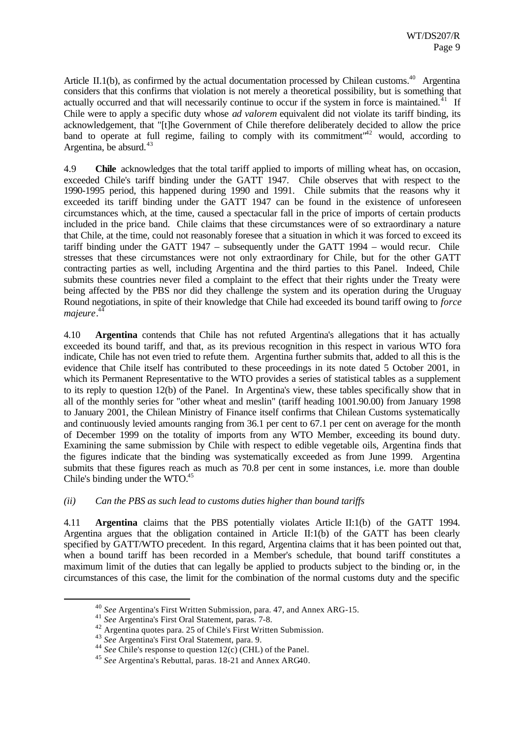Article II.1(b), as confirmed by the actual documentation processed by Chilean customs.<sup>40</sup> Argentina considers that this confirms that violation is not merely a theoretical possibility, but is something that actually occurred and that will necessarily continue to occur if the system in force is maintained.<sup> $41$ </sup> If Chile were to apply a specific duty whose *ad valorem* equivalent did not violate its tariff binding, its acknowledgement, that "[t]he Government of Chile therefore deliberately decided to allow the price band to operate at full regime, failing to comply with its commitment<sup>"42</sup> would, according to Argentina, be absurd. $43$ 

4.9 **Chile** acknowledges that the total tariff applied to imports of milling wheat has, on occasion, exceeded Chile's tariff binding under the GATT 1947. Chile observes that with respect to the 1990-1995 period, this happened during 1990 and 1991. Chile submits that the reasons why it exceeded its tariff binding under the GATT 1947 can be found in the existence of unforeseen circumstances which, at the time, caused a spectacular fall in the price of imports of certain products included in the price band. Chile claims that these circumstances were of so extraordinary a nature that Chile, at the time, could not reasonably foresee that a situation in which it was forced to exceed its tariff binding under the GATT 1947 – subsequently under the GATT 1994 – would recur. Chile stresses that these circumstances were not only extraordinary for Chile, but for the other GATT contracting parties as well, including Argentina and the third parties to this Panel. Indeed, Chile submits these countries never filed a complaint to the effect that their rights under the Treaty were being affected by the PBS nor did they challenge the system and its operation during the Uruguay Round negotiations, in spite of their knowledge that Chile had exceeded its bound tariff owing to *force majeure*. 44

4.10 **Argentina** contends that Chile has not refuted Argentina's allegations that it has actually exceeded its bound tariff, and that, as its previous recognition in this respect in various WTO fora indicate, Chile has not even tried to refute them. Argentina further submits that, added to all this is the evidence that Chile itself has contributed to these proceedings in its note dated 5 October 2001, in which its Permanent Representative to the WTO provides a series of statistical tables as a supplement to its reply to question 12(b) of the Panel. In Argentina's view, these tables specifically show that in all of the monthly series for "other wheat and meslin" (tariff heading 1001.90.00) from January 1998 to January 2001, the Chilean Ministry of Finance itself confirms that Chilean Customs systematically and continuously levied amounts ranging from 36.1 per cent to 67.1 per cent on average for the month of December 1999 on the totality of imports from any WTO Member, exceeding its bound duty. Examining the same submission by Chile with respect to edible vegetable oils, Argentina finds that the figures indicate that the binding was systematically exceeded as from June 1999. Argentina submits that these figures reach as much as 70.8 per cent in some instances, i.e. more than double Chile's binding under the WTO.<sup>45</sup>

#### *(ii) Can the PBS as such lead to customs duties higher than bound tariffs*

4.11 **Argentina** claims that the PBS potentially violates Article II:1(b) of the GATT 1994. Argentina argues that the obligation contained in Article II:1(b) of the GATT has been clearly specified by GATT/WTO precedent. In this regard, Argentina claims that it has been pointed out that, when a bound tariff has been recorded in a Member's schedule, that bound tariff constitutes a maximum limit of the duties that can legally be applied to products subject to the binding or, in the circumstances of this case, the limit for the combination of the normal customs duty and the specific

<sup>40</sup> *See* Argentina's First Written Submission, para. 47, and Annex ARG-15.

<sup>41</sup> *See* Argentina's First Oral Statement, paras. 7-8.

<sup>42</sup> Argentina quotes para. 25 of Chile's First Written Submission.

<sup>43</sup> *See* Argentina's First Oral Statement, para. 9.

<sup>44</sup> *See* Chile's response to question 12(c) (CHL) of the Panel.

<sup>45</sup> *See* Argentina's Rebuttal, paras. 18-21 and Annex ARG40.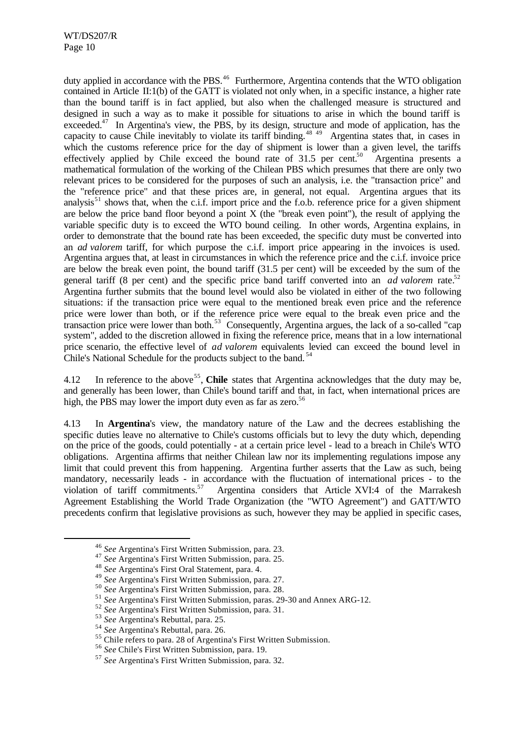duty applied in accordance with the PBS.<sup>46</sup> Furthermore, Argentina contends that the WTO obligation contained in Article II:1(b) of the GATT is violated not only when, in a specific instance, a higher rate than the bound tariff is in fact applied, but also when the challenged measure is structured and designed in such a way as to make it possible for situations to arise in which the bound tariff is exceeded. $47$  In Argentina's view, the PBS, by its design, structure and mode of application, has the capacity to cause Chile inevitably to violate its tariff binding.<sup>48 49</sup> Argentina states that, in cases in which the customs reference price for the day of shipment is lower than a given level, the tariffs effectively applied by Chile exceed the bound rate of  $31.5$  per cent.<sup>50</sup> Argentina presents a mathematical formulation of the working of the Chilean PBS which presumes that there are only two relevant prices to be considered for the purposes of such an analysis, i.e. the "transaction price" and the "reference price" and that these prices are, in general, not equal. Argentina argues that its analysis<sup>51</sup> shows that, when the c.i.f. import price and the f.o.b. reference price for a given shipment are below the price band floor beyond a point  $X$  (the "break even point"), the result of applying the variable specific duty is to exceed the WTO bound ceiling. In other words, Argentina explains, in order to demonstrate that the bound rate has been exceeded, the specific duty must be converted into an *ad valorem* tariff, for which purpose the c.i.f. import price appearing in the invoices is used. Argentina argues that, at least in circumstances in which the reference price and the c.i.f. invoice price are below the break even point, the bound tariff (31.5 per cent) will be exceeded by the sum of the general tariff (8 per cent) and the specific price band tariff converted into an *ad valorem* rate.<sup>52</sup> Argentina further submits that the bound level would also be violated in either of the two following situations: if the transaction price were equal to the mentioned break even price and the reference price were lower than both, or if the reference price were equal to the break even price and the transaction price were lower than both.<sup>53</sup> Consequently, Argentina argues, the lack of a so-called "cap system", added to the discretion allowed in fixing the reference price, means that in a low international price scenario, the effective level of *ad valorem* equivalents levied can exceed the bound level in Chile's National Schedule for the products subject to the band.<sup>54</sup>

4.12 In reference to the above<sup>55</sup>, **Chile** states that Argentina acknowledges that the duty may be, and generally has been lower, than Chile's bound tariff and that, in fact, when international prices are high, the PBS may lower the import duty even as far as zero.<sup>56</sup>

4.13 In **Argentina**'s view, the mandatory nature of the Law and the decrees establishing the specific duties leave no alternative to Chile's customs officials but to levy the duty which, depending on the price of the goods, could potentially - at a certain price level - lead to a breach in Chile's WTO obligations. Argentina affirms that neither Chilean law nor its implementing regulations impose any limit that could prevent this from happening. Argentina further asserts that the Law as such, being mandatory, necessarily leads - in accordance with the fluctuation of international prices - to the violation of tariff commitments.<sup>57</sup> Argentina considers that Article XVI:4 of the Marrakesh Agreement Establishing the World Trade Organization (the "WTO Agreement") and GATT/WTO precedents confirm that legislative provisions as such, however they may be applied in specific cases,

<sup>46</sup> *See* Argentina's First Written Submission, para. 23.

<sup>47</sup> *See* Argentina's First Written Submission, para. 25.

<sup>48</sup> *See* Argentina's First Oral Statement, para. 4.

<sup>49</sup> *See* Argentina's First Written Submission, para. 27.

<sup>50</sup> *See* Argentina's First Written Submission, para. 28.

<sup>51</sup> *See* Argentina's First Written Submission, paras. 29-30 and Annex ARG-12.

<sup>52</sup> *See* Argentina's First Written Submission, para. 31.

<sup>53</sup> *See* Argentina's Rebuttal, para. 25.

<sup>54</sup> *See* Argentina's Rebuttal, para. 26.

 $\frac{55}{5}$  Chile refers to para. 28 of Argentina's First Written Submission.

<sup>56</sup> *See* Chile's First Written Submission, para. 19.

<sup>57</sup> *See* Argentina's First Written Submission, para. 32.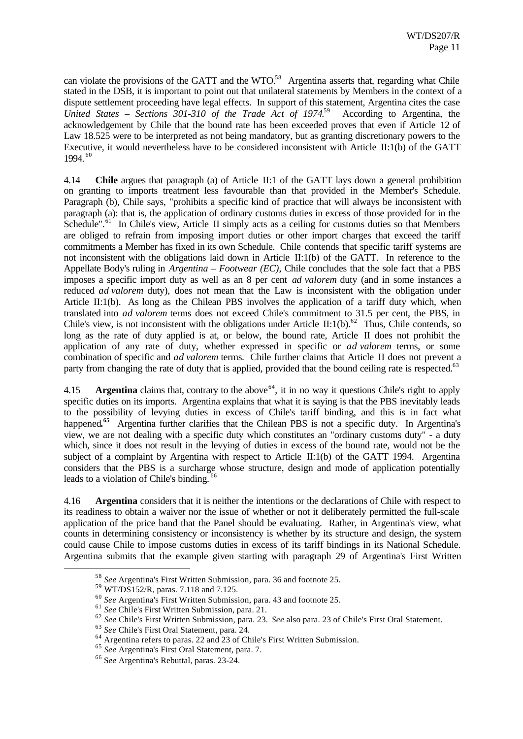can violate the provisions of the GATT and the WTO.<sup>58</sup> Argentina asserts that, regarding what Chile stated in the DSB, it is important to point out that unilateral statements by Members in the context of a dispute settlement proceeding have legal effects. In support of this statement, Argentina cites the case *United States – Sections 301-310 of the Trade Act of 1974*. <sup>59</sup> According to Argentina, the acknowledgement by Chile that the bound rate has been exceeded proves that even if Article 12 of Law 18.525 were to be interpreted as not being mandatory, but as granting discretionary powers to the Executive, it would nevertheless have to be considered inconsistent with Article II:1(b) of the GATT 1994. <sup>60</sup>

4.14 **Chile** argues that paragraph (a) of Article II:1 of the GATT lays down a general prohibition on granting to imports treatment less favourable than that provided in the Member's Schedule. Paragraph (b), Chile says, "prohibits a specific kind of practice that will always be inconsistent with paragraph (a): that is, the application of ordinary customs duties in excess of those provided for in the Schedule".<sup>61</sup> In Chile's view, Article II simply acts as a ceiling for customs duties so that Members are obliged to refrain from imposing import duties or other import charges that exceed the tariff commitments a Member has fixed in its own Schedule. Chile contends that specific tariff systems are not inconsistent with the obligations laid down in Article II:1(b) of the GATT. In reference to the Appellate Body's ruling in *Argentina – Footwear (EC)*, Chile concludes that the sole fact that a PBS imposes a specific import duty as well as an 8 per cent *ad valorem* duty (and in some instances a reduced *ad valorem* duty), does not mean that the Law is inconsistent with the obligation under Article II:1(b). As long as the Chilean PBS involves the application of a tariff duty which, when translated into *ad valorem* terms does not exceed Chile's commitment to 31.5 per cent, the PBS, in Chile's view, is not inconsistent with the obligations under Article II:1(b).<sup>62</sup> Thus, Chile contends, so long as the rate of duty applied is at, or below, the bound rate, Article II does not prohibit the application of any rate of duty, whether expressed in specific or *ad valorem* terms, or some combination of specific and *ad valorem* terms. Chile further claims that Article II does not prevent a party from changing the rate of duty that is applied, provided that the bound ceiling rate is respected.<sup>63</sup>

4.15 **Argentina** claims that, contrary to the above  $64$ , it in no way it questions Chile's right to apply specific duties on its imports. Argentina explains that what it is saying is that the PBS inevitably leads to the possibility of levying duties in excess of Chile's tariff binding, and this is in fact what happened**. <sup>65</sup>** Argentina further clarifies that the Chilean PBS is not a specific duty. In Argentina's view, we are not dealing with a specific duty which constitutes an "ordinary customs duty" - a duty which, since it does not result in the levying of duties in excess of the bound rate, would not be the subject of a complaint by Argentina with respect to Article II:1(b) of the GATT 1994. Argentina considers that the PBS is a surcharge whose structure, design and mode of application potentially leads to a violation of Chile's binding.<sup>66</sup>

4.16 **Argentina** considers that it is neither the intentions or the declarations of Chile with respect to its readiness to obtain a waiver nor the issue of whether or not it deliberately permitted the full-scale application of the price band that the Panel should be evaluating. Rather, in Argentina's view, what counts in determining consistency or inconsistency is whether by its structure and design, the system could cause Chile to impose customs duties in excess of its tariff bindings in its National Schedule. Argentina submits that the example given starting with paragraph 29 of Argentina's First Written

<sup>58</sup> *See* Argentina's First Written Submission, para. 36 and footnote 25.

<sup>59</sup> WT/DS152/R, paras. 7.118 and 7.125.

<sup>60</sup> *See* Argentina's First Written Submission, para. 43 and footnote 25.

<sup>61</sup> *See* Chile's First Written Submission, para. 21.

<sup>62</sup> *See* Chile's First Written Submission, para. 23. *See* also para. 23 of Chile's First Oral Statement.

<sup>63</sup> *See* Chile's First Oral Statement, para. 24.

<sup>64</sup> Argentina refers to paras. 22 and 23 of Chile's First Written Submission.

<sup>65</sup> *See* Argentina's First Oral Statement, para. 7.

<sup>66</sup> S*ee* Argentina's Rebuttal, paras. 23-24.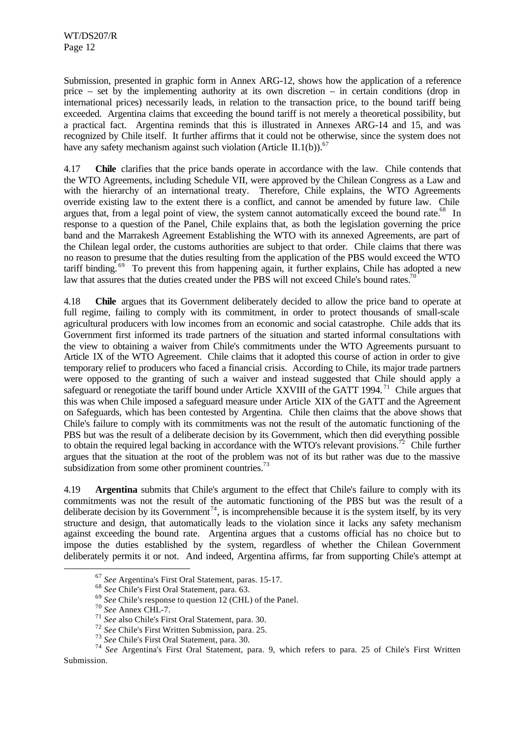Submission, presented in graphic form in Annex ARG-12, shows how the application of a reference price – set by the implementing authority at its own discretion – in certain conditions (drop in international prices) necessarily leads, in relation to the transaction price, to the bound tariff being exceeded. Argentina claims that exceeding the bound tariff is not merely a theoretical possibility, but a practical fact. Argentina reminds that this is illustrated in Annexes ARG-14 and 15, and was recognized by Chile itself. It further affirms that it could not be otherwise, since the system does not have any safety mechanism against such violation (Article II.1(b)).<sup>67</sup>

4.17 **Chile** clarifies that the price bands operate in accordance with the law. Chile contends that the WTO Agreements, including Schedule VII, were approved by the Chilean Congress as a Law and with the hierarchy of an international treaty. Therefore, Chile explains, the WTO Agreements override existing law to the extent there is a conflict, and cannot be amended by future law. Chile argues that, from a legal point of view, the system cannot automatically exceed the bound rate.<sup>68</sup> In response to a question of the Panel, Chile explains that, as both the legislation governing the price band and the Marrakesh Agreement Establishing the WTO with its annexed Agreements, are part of the Chilean legal order, the customs authorities are subject to that order. Chile claims that there was no reason to presume that the duties resulting from the application of the PBS would exceed the WTO tariff binding.<sup>69</sup> To prevent this from happening again, it further explains, Chile has adopted a new law that assures that the duties created under the PBS will not exceed Chile's bound rates.<sup>70</sup>

4.18 **Chile** argues that its Government deliberately decided to allow the price band to operate at full regime, failing to comply with its commitment, in order to protect thousands of small-scale agricultural producers with low incomes from an economic and social catastrophe. Chile adds that its Government first informed its trade partners of the situation and started informal consultations with the view to obtaining a waiver from Chile's commitments under the WTO Agreements pursuant to Article IX of the WTO Agreement. Chile claims that it adopted this course of action in order to give temporary relief to producers who faced a financial crisis. According to Chile, its major trade partners were opposed to the granting of such a waiver and instead suggested that Chile should apply a safeguard or renegotiate the tariff bound under Article XXVIII of the GATT 1994.<sup>71</sup> Chile argues that this was when Chile imposed a safeguard measure under Article XIX of the GATT and the Agreement on Safeguards, which has been contested by Argentina. Chile then claims that the above shows that Chile's failure to comply with its commitments was not the result of the automatic functioning of the PBS but was the result of a deliberate decision by its Government, which then did everything possible to obtain the required legal backing in accordance with the WTO's relevant provisions.<sup>72</sup> Chile further argues that the situation at the root of the problem was not of its but rather was due to the massive subsidization from some other prominent countries.<sup>73</sup>

4.19 **Argentina** submits that Chile's argument to the effect that Chile's failure to comply with its commitments was not the result of the automatic functioning of the PBS but was the result of a deliberate decision by its Government<sup>74</sup>, is incomprehensible because it is the system itself, by its very structure and design, that automatically leads to the violation since it lacks any safety mechanism against exceeding the bound rate. Argentina argues that a customs official has no choice but to impose the duties established by the system, regardless of whether the Chilean Government deliberately permits it or not. And indeed, Argentina affirms, far from supporting Chile's attempt at

<sup>67</sup> *See* Argentina's First Oral Statement, paras. 15-17.

<sup>68</sup> *See* Chile's First Oral Statement, para. 63.

<sup>69</sup> *See* Chile's response to question 12 (CHL) of the Panel.

<sup>70</sup> *See* Annex CHL-7.

<sup>71</sup> *See* also Chile's First Oral Statement, para. 30.

<sup>72</sup> *See* Chile's First Written Submission, para. 25.

<sup>73</sup> *See* Chile's First Oral Statement, para. 30.

<sup>74</sup> *See* Argentina's First Oral Statement, para. 9, which refers to para. 25 of Chile's First Written Submission.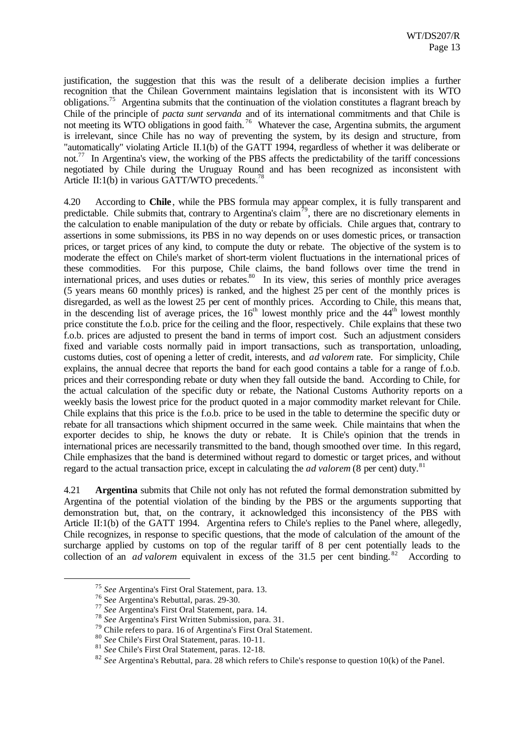justification, the suggestion that this was the result of a deliberate decision implies a further recognition that the Chilean Government maintains legislation that is inconsistent with its WTO obligations.<sup>75</sup> Argentina submits that the continuation of the violation constitutes a flagrant breach by Chile of the principle of *pacta sunt servanda* and of its international commitments and that Chile is not meeting its WTO obligations in good faith.<sup>76</sup> Whatever the case, Argentina submits, the argument is irrelevant, since Chile has no way of preventing the system, by its design and structure, from "automatically" violating Article II.1(b) of the GATT 1994, regardless of whether it was deliberate or not.<sup>77</sup> In Argentina's view, the working of the PBS affects the predictability of the tariff concessions negotiated by Chile during the Uruguay Round and has been recognized as inconsistent with Article II:1(b) in various GATT/WTO precedents.<sup>78</sup>

4.20 According to **Chile**, while the PBS formula may appear complex, it is fully transparent and predictable. Chile submits that, contrary to Argentina's claim<sup> $\bar{7}^9$ </sup>, there are no discretionary elements in the calculation to enable manipulation of the duty or rebate by officials. Chile argues that, contrary to assertions in some submissions, its PBS in no way depends on or uses domestic prices, or transaction prices, or target prices of any kind, to compute the duty or rebate. The objective of the system is to moderate the effect on Chile's market of short-term violent fluctuations in the international prices of these commodities. For this purpose, Chile claims, the band follows over time the trend in international prices, and uses duties or rebates.<sup>80</sup> In its view, this series of monthly price averages (5 years means 60 monthly prices) is ranked, and the highest 25 per cent of the monthly prices is disregarded, as well as the lowest 25 per cent of monthly prices. According to Chile, this means that, in the descending list of average prices, the  $16<sup>th</sup>$  lowest monthly price and the  $44<sup>th</sup>$  lowest monthly price constitute the f.o.b. price for the ceiling and the floor, respectively. Chile explains that these two f.o.b. prices are adjusted to present the band in terms of import cost. Such an adjustment considers fixed and variable costs normally paid in import transactions, such as transportation, unloading, customs duties, cost of opening a letter of credit, interests, and *ad valorem* rate. For simplicity, Chile explains, the annual decree that reports the band for each good contains a table for a range of f.o.b. prices and their corresponding rebate or duty when they fall outside the band. According to Chile, for the actual calculation of the specific duty or rebate, the National Customs Authority reports on a weekly basis the lowest price for the product quoted in a major commodity market relevant for Chile. Chile explains that this price is the f.o.b. price to be used in the table to determine the specific duty or rebate for all transactions which shipment occurred in the same week. Chile maintains that when the exporter decides to ship, he knows the duty or rebate. It is Chile's opinion that the trends in international prices are necessarily transmitted to the band, though smoothed over time. In this regard, Chile emphasizes that the band is determined without regard to domestic or target prices, and without regard to the actual transaction price, except in calculating the *ad valorem* (8 per cent) duty.<sup>81</sup>

4.21 **Argentina** submits that Chile not only has not refuted the formal demonstration submitted by Argentina of the potential violation of the binding by the PBS or the arguments supporting that demonstration but, that, on the contrary, it acknowledged this inconsistency of the PBS with Article II:1(b) of the GATT 1994. Argentina refers to Chile's replies to the Panel where, allegedly, Chile recognizes, in response to specific questions, that the mode of calculation of the amount of the surcharge applied by customs on top of the regular tariff of 8 per cent potentially leads to the collection of an *ad valorem* equivalent in excess of the 31.5 per cent binding.<sup>82</sup> According to

<sup>75</sup> *See* Argentina's First Oral Statement, para. 13.

<sup>76</sup> S*ee* Argentina's Rebuttal, paras. 29-30.

<sup>77</sup> *See* Argentina's First Oral Statement, para. 14.

<sup>78</sup> *See* Argentina's First Written Submission, para. 31.

<sup>79</sup> Chile refers to para. 16 of Argentina's First Oral Statement.

<sup>80</sup> *See* Chile's First Oral Statement, paras. 10-11.

<sup>81</sup> *See* Chile's First Oral Statement, paras. 12-18.

<sup>82</sup> *See* Argentina's Rebuttal, para. 28 which refers to Chile's response to question 10(k) of the Panel.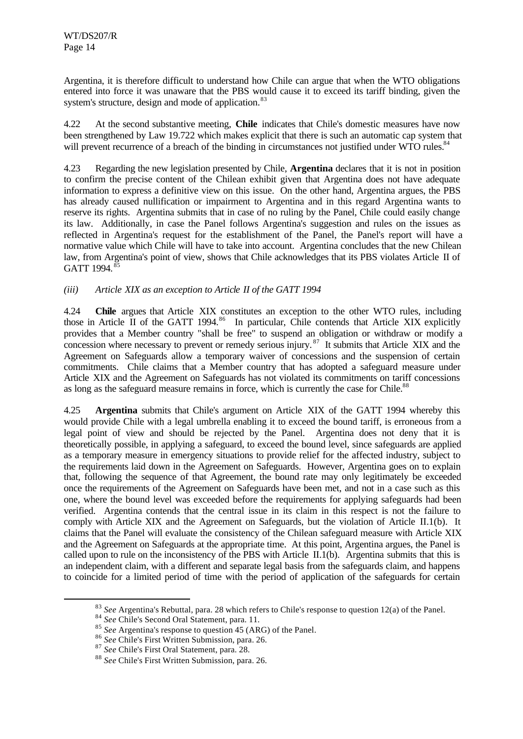Argentina, it is therefore difficult to understand how Chile can argue that when the WTO obligations entered into force it was unaware that the PBS would cause it to exceed its tariff binding, given the system's structure, design and mode of application.<sup>83</sup>

4.22 At the second substantive meeting, **Chile** indicates that Chile's domestic measures have now been strengthened by Law 19.722 which makes explicit that there is such an automatic cap system that will prevent recurrence of a breach of the binding in circumstances not justified under WTO rules.<sup>84</sup>

4.23 Regarding the new legislation presented by Chile, **Argentina** declares that it is not in position to confirm the precise content of the Chilean exhibit given that Argentina does not have adequate information to express a definitive view on this issue. On the other hand, Argentina argues, the PBS has already caused nullification or impairment to Argentina and in this regard Argentina wants to reserve its rights. Argentina submits that in case of no ruling by the Panel, Chile could easily change its law. Additionally, in case the Panel follows Argentina's suggestion and rules on the issues as reflected in Argentina's request for the establishment of the Panel, the Panel's report will have a normative value which Chile will have to take into account. Argentina concludes that the new Chilean law, from Argentina's point of view, shows that Chile acknowledges that its PBS violates Article II of GATT 1994.<sup>85</sup>

#### *(iii) Article XIX as an exception to Article II of the GATT 1994*

4.24 **Chile** argues that Article XIX constitutes an exception to the other WTO rules, including those in Article II of the GATT 1994.<sup>86</sup> In particular, Chile contends that Article XIX explicitly provides that a Member country "shall be free" to suspend an obligation or withdraw or modify a concession where necessary to prevent or remedy serious injury.<sup>87</sup> It submits that Article XIX and the Agreement on Safeguards allow a temporary waiver of concessions and the suspension of certain commitments. Chile claims that a Member country that has adopted a safeguard measure under Article XIX and the Agreement on Safeguards has not violated its commitments on tariff concessions as long as the safeguard measure remains in force, which is currently the case for Chile.<sup>88</sup>

4.25 **Argentina** submits that Chile's argument on Article XIX of the GATT 1994 whereby this would provide Chile with a legal umbrella enabling it to exceed the bound tariff, is erroneous from a legal point of view and should be rejected by the Panel. Argentina does not deny that it is theoretically possible, in applying a safeguard, to exceed the bound level, since safeguards are applied as a temporary measure in emergency situations to provide relief for the affected industry, subject to the requirements laid down in the Agreement on Safeguards. However, Argentina goes on to explain that, following the sequence of that Agreement, the bound rate may only legitimately be exceeded once the requirements of the Agreement on Safeguards have been met, and not in a case such as this one, where the bound level was exceeded before the requirements for applying safeguards had been verified. Argentina contends that the central issue in its claim in this respect is not the failure to comply with Article XIX and the Agreement on Safeguards, but the violation of Article II.1(b). It claims that the Panel will evaluate the consistency of the Chilean safeguard measure with Article XIX and the Agreement on Safeguards at the appropriate time. At this point, Argentina argues, the Panel is called upon to rule on the inconsistency of the PBS with Article II.1(b). Argentina submits that this is an independent claim, with a different and separate legal basis from the safeguards claim, and happens to coincide for a limited period of time with the period of application of the safeguards for certain

<sup>83</sup> *See* Argentina's Rebuttal, para. 28 which refers to Chile's response to question 12(a) of the Panel.

<sup>84</sup> *See* Chile's Second Oral Statement, para. 11.

<sup>85</sup> *See* Argentina's response to question 45 (ARG) of the Panel.

<sup>86</sup> *See* Chile's First Written Submission, para. 26.

<sup>87</sup> *See* Chile's First Oral Statement, para. 28.

<sup>88</sup> *See* Chile's First Written Submission, para. 26.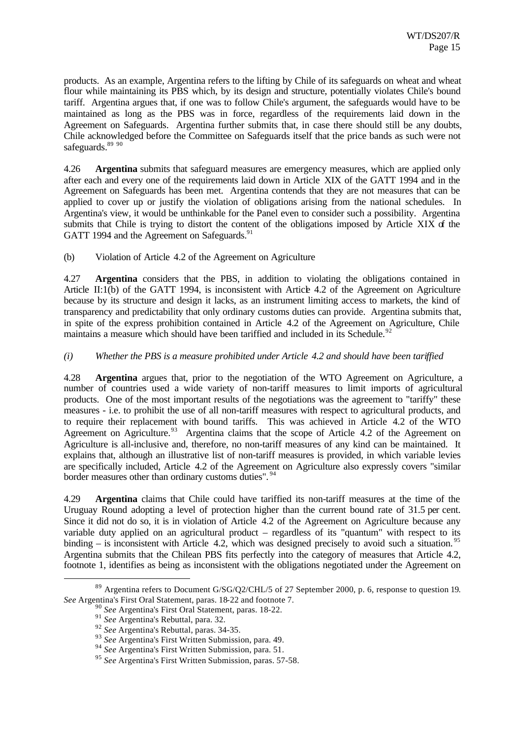products. As an example, Argentina refers to the lifting by Chile of its safeguards on wheat and wheat flour while maintaining its PBS which, by its design and structure, potentially violates Chile's bound tariff. Argentina argues that, if one was to follow Chile's argument, the safeguards would have to be maintained as long as the PBS was in force, regardless of the requirements laid down in the Agreement on Safeguards. Argentina further submits that, in case there should still be any doubts, Chile acknowledged before the Committee on Safeguards itself that the price bands as such were not safeguards.<sup>89 90</sup>

4.26 **Argentina** submits that safeguard measures are emergency measures, which are applied only after each and every one of the requirements laid down in Article XIX of the GATT 1994 and in the Agreement on Safeguards has been met. Argentina contends that they are not measures that can be applied to cover up or justify the violation of obligations arising from the national schedules. In Argentina's view, it would be unthinkable for the Panel even to consider such a possibility. Argentina submits that Chile is trying to distort the content of the obligations imposed by Article XIX of the GATT 1994 and the Agreement on Safeguards.<sup>91</sup>

(b) Violation of Article 4.2 of the Agreement on Agriculture

4.27 **Argentina** considers that the PBS, in addition to violating the obligations contained in Article II:1(b) of the GATT 1994, is inconsistent with Article 4.2 of the Agreement on Agriculture because by its structure and design it lacks, as an instrument limiting access to markets, the kind of transparency and predictability that only ordinary customs duties can provide. Argentina submits that, in spite of the express prohibition contained in Article 4.2 of the Agreement on Agriculture, Chile maintains a measure which should have been tariffied and included in its Schedule.<sup>92</sup>

#### *(i) Whether the PBS is a measure prohibited under Article 4.2 and should have been tariffied*

4.28 **Argentina** argues that, prior to the negotiation of the WTO Agreement on Agriculture, a number of countries used a wide variety of non-tariff measures to limit imports of agricultural products. One of the most important results of the negotiations was the agreement to "tariffy" these measures - i.e. to prohibit the use of all non-tariff measures with respect to agricultural products, and to require their replacement with bound tariffs. This was achieved in Article 4.2 of the WTO Agreement on Agriculture.<sup>93</sup> Argentina claims that the scope of Article 4.2 of the Agreement on Agriculture is all-inclusive and, therefore, no non-tariff measures of any kind can be maintained. It explains that, although an illustrative list of non-tariff measures is provided, in which variable levies are specifically included, Article 4.2 of the Agreement on Agriculture also expressly covers "similar border measures other than ordinary customs duties". <sup>94</sup>

4.29 **Argentina** claims that Chile could have tariffied its non-tariff measures at the time of the Uruguay Round adopting a level of protection higher than the current bound rate of 31.5 per cent. Since it did not do so, it is in violation of Article 4.2 of the Agreement on Agriculture because any variable duty applied on an agricultural product – regardless of its "quantum" with respect to its binding – is inconsistent with Article 4.2, which was designed precisely to avoid such a situation.<sup>95</sup> Argentina submits that the Chilean PBS fits perfectly into the category of measures that Article 4.2, footnote 1, identifies as being as inconsistent with the obligations negotiated under the Agreement on

<sup>&</sup>lt;sup>89</sup> Argentina refers to Document G/SG/Q2/CHL/5 of 27 September 2000, p. 6, response to question 19. *See* Argentina's First Oral Statement, paras. 18-22 and footnote 7.

<sup>90</sup> *See* Argentina's First Oral Statement, paras. 18-22.

<sup>91</sup> *See* Argentina's Rebuttal, para. 32.

<sup>92</sup> *See* Argentina's Rebuttal, paras. 34-35.

<sup>93</sup> *See* Argentina's First Written Submission, para. 49.

<sup>94</sup> *See* Argentina's First Written Submission, para. 51.

<sup>95</sup> *See* Argentina's First Written Submission, paras. 57-58.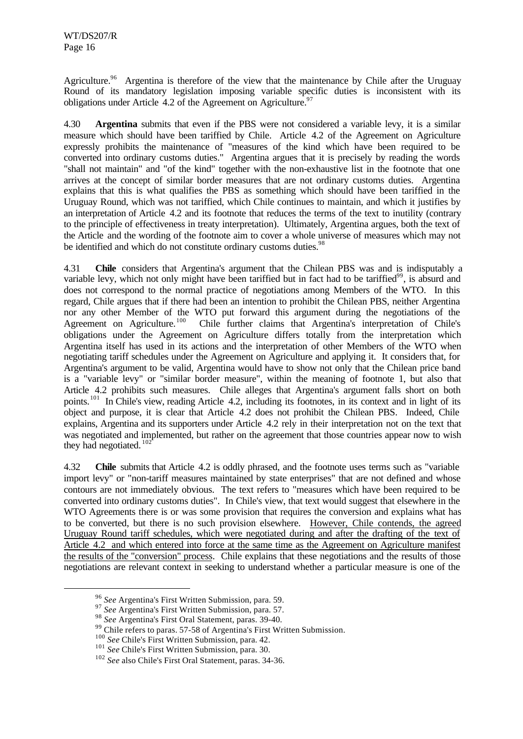Agriculture.<sup>96</sup> Argentina is therefore of the view that the maintenance by Chile after the Uruguay Round of its mandatory legislation imposing variable specific duties is inconsistent with its obligations under Article 4.2 of the Agreement on Agriculture.<sup>97</sup>

4.30 **Argentina** submits that even if the PBS were not considered a variable levy, it is a similar measure which should have been tariffied by Chile. Article 4.2 of the Agreement on Agriculture expressly prohibits the maintenance of "measures of the kind which have been required to be converted into ordinary customs duties." Argentina argues that it is precisely by reading the words "shall not maintain" and "of the kind" together with the non-exhaustive list in the footnote that one arrives at the concept of similar border measures that are not ordinary customs duties. Argentina explains that this is what qualifies the PBS as something which should have been tariffied in the Uruguay Round, which was not tariffied, which Chile continues to maintain, and which it justifies by an interpretation of Article 4.2 and its footnote that reduces the terms of the text to inutility (contrary to the principle of effectiveness in treaty interpretation). Ultimately, Argentina argues, both the text of the Article and the wording of the footnote aim to cover a whole universe of measures which may not be identified and which do not constitute ordinary customs duties. $98$ 

4.31 **Chile** considers that Argentina's argument that the Chilean PBS was and is indisputably a variable levy, which not only might have been tariffied but in fact had to be tariffied<sup>99</sup>, is absurd and does not correspond to the normal practice of negotiations among Members of the WTO. In this regard, Chile argues that if there had been an intention to prohibit the Chilean PBS, neither Argentina nor any other Member of the WTO put forward this argument during the negotiations of the Agreement on Agriculture.<sup>100</sup> Chile further claims that Argentina's interpretation of Chile's Chile further claims that Argentina's interpretation of Chile's obligations under the Agreement on Agriculture differs totally from the interpretation which Argentina itself has used in its actions and the interpretation of other Members of the WTO when negotiating tariff schedules under the Agreement on Agriculture and applying it. It considers that, for Argentina's argument to be valid, Argentina would have to show not only that the Chilean price band is a "variable levy" or "similar border measure", within the meaning of footnote 1, but also that Article 4.2 prohibits such measures. Chile alleges that Argentina's argument falls short on both points.<sup>101</sup> In Chile's view, reading Article 4.2, including its footnotes, in its context and in light of its object and purpose, it is clear that Article 4.2 does not prohibit the Chilean PBS. Indeed, Chile explains, Argentina and its supporters under Article 4.2 rely in their interpretation not on the text that was negotiated and implemented, but rather on the agreement that those countries appear now to wish they had negotiated.<sup>10</sup>

4.32 **Chile** submits that Article 4.2 is oddly phrased, and the footnote uses terms such as "variable import levy" or "non-tariff measures maintained by state enterprises" that are not defined and whose contours are not immediately obvious. The text refers to "measures which have been required to be converted into ordinary customs duties". In Chile's view, that text would suggest that elsewhere in the WTO Agreements there is or was some provision that requires the conversion and explains what has to be converted, but there is no such provision elsewhere. However, Chile contends, the agreed Uruguay Round tariff schedules, which were negotiated during and after the drafting of the text of Article 4.2 and which entered into force at the same time as the Agreement on Agriculture manifest the results of the "conversion" process. Chile explains that these negotiations and the results of those negotiations are relevant context in seeking to understand whether a particular measure is one of the

<sup>96</sup> *See* Argentina's First Written Submission, para. 59.

<sup>97</sup> *See* Argentina's First Written Submission, para. 57.

<sup>98</sup> *See* Argentina's First Oral Statement, paras. 39-40.

<sup>&</sup>lt;sup>99</sup> Chile refers to paras. 57-58 of Argentina's First Written Submission.

<sup>100</sup> *See* Chile's First Written Submission, para. 42.

<sup>101</sup> *See* Chile's First Written Submission, para. 30.

<sup>102</sup> *See* also Chile's First Oral Statement, paras. 34-36.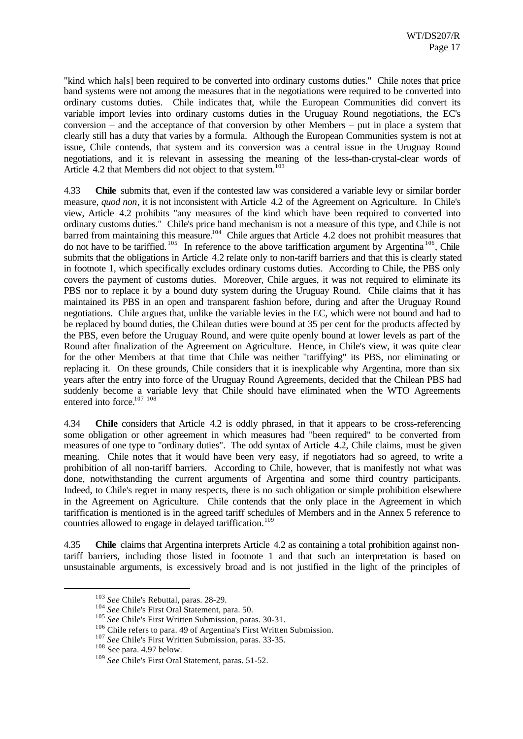"kind which ha[s] been required to be converted into ordinary customs duties." Chile notes that price band systems were not among the measures that in the negotiations were required to be converted into ordinary customs duties. Chile indicates that, while the European Communities did convert its variable import levies into ordinary customs duties in the Uruguay Round negotiations, the EC's conversion – and the acceptance of that conversion by other Members – put in place a system that clearly still has a duty that varies by a formula. Although the European Communities system is not at issue, Chile contends, that system and its conversion was a central issue in the Uruguay Round negotiations, and it is relevant in assessing the meaning of the less-than-crystal-clear words of Article 4.2 that Members did not object to that system.<sup>103</sup>

4.33 **Chile** submits that, even if the contested law was considered a variable levy or similar border measure, *quod non*, it is not inconsistent with Article 4.2 of the Agreement on Agriculture. In Chile's view, Article 4.2 prohibits "any measures of the kind which have been required to converted into ordinary customs duties." Chile's price band mechanism is not a measure of this type, and Chile is not barred from maintaining this measure.<sup>104</sup> Chile argues that Article 4.2 does not prohibit measures that do not have to be tariffied.  $^{105}$  In reference to the above tariffication argument by Argentina  $^{106}$ , Chile submits that the obligations in Article 4.2 relate only to non-tariff barriers and that this is clearly stated in footnote 1, which specifically excludes ordinary customs duties. According to Chile, the PBS only covers the payment of customs duties. Moreover, Chile argues, it was not required to eliminate its PBS nor to replace it by a bound duty system during the Uruguay Round. Chile claims that it has maintained its PBS in an open and transparent fashion before, during and after the Uruguay Round negotiations. Chile argues that, unlike the variable levies in the EC, which were not bound and had to be replaced by bound duties, the Chilean duties were bound at 35 per cent for the products affected by the PBS, even before the Uruguay Round, and were quite openly bound at lower levels as part of the Round after finalization of the Agreement on Agriculture. Hence, in Chile's view, it was quite clear for the other Members at that time that Chile was neither "tariffying" its PBS, nor eliminating or replacing it. On these grounds, Chile considers that it is inexplicable why Argentina, more than six years after the entry into force of the Uruguay Round Agreements, decided that the Chilean PBS had suddenly become a variable levy that Chile should have eliminated when the WTO Agreements entered into force.<sup>107 108</sup>

4.34 **Chile** considers that Article 4.2 is oddly phrased, in that it appears to be cross-referencing some obligation or other agreement in which measures had "been required" to be converted from measures of one type to "ordinary duties". The odd syntax of Article 4.2, Chile claims, must be given meaning. Chile notes that it would have been very easy, if negotiators had so agreed, to write a prohibition of all non-tariff barriers. According to Chile, however, that is manifestly not what was done, notwithstanding the current arguments of Argentina and some third country participants. Indeed, to Chile's regret in many respects, there is no such obligation or simple prohibition elsewhere in the Agreement on Agriculture. Chile contends that the only place in the Agreement in which tariffication is mentioned is in the agreed tariff schedules of Members and in the Annex 5 reference to countries allowed to engage in delayed tariffication.<sup>109</sup>

4.35 **Chile** claims that Argentina interprets Article 4.2 as containing a total prohibition against nontariff barriers, including those listed in footnote 1 and that such an interpretation is based on unsustainable arguments, is excessively broad and is not justified in the light of the principles of

<sup>103</sup> *See* Chile's Rebuttal, paras. 28-29.

<sup>104</sup> *See* Chile's First Oral Statement, para. 50.

<sup>105</sup> *See* Chile's First Written Submission, paras. 30-31.

<sup>106</sup> Chile refers to para. 49 of Argentina's First Written Submission.

<sup>107</sup> *See* Chile's First Written Submission, paras. 33-35.

<sup>108</sup> See para. 4.97 below.

<sup>109</sup> *See* Chile's First Oral Statement, paras. 51-52.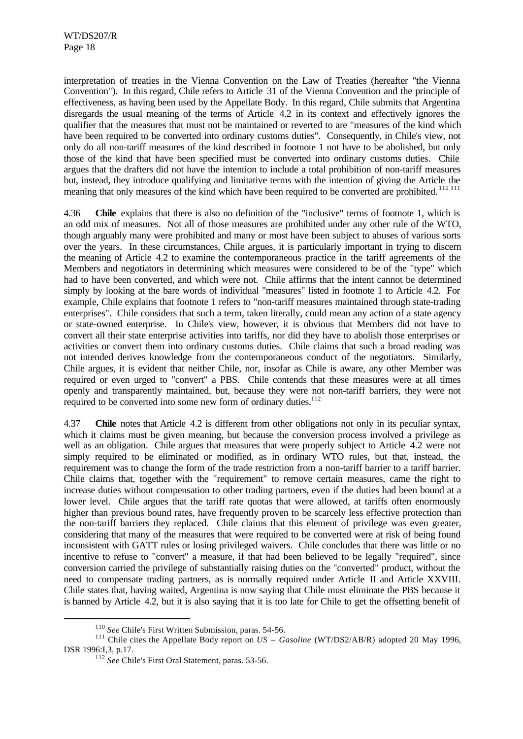interpretation of treaties in the Vienna Convention on the Law of Treaties (hereafter "the Vienna Convention"). In this regard, Chile refers to Article 31 of the Vienna Convention and the principle of effectiveness, as having been used by the Appellate Body. In this regard, Chile submits that Argentina disregards the usual meaning of the terms of Article 4.2 in its context and effectively ignores the qualifier that the measures that must not be maintained or reverted to are "measures of the kind which have been required to be converted into ordinary customs duties". Consequently, in Chile's view, not only do all non-tariff measures of the kind described in footnote 1 not have to be abolished, but only those of the kind that have been specified must be converted into ordinary customs duties. Chile argues that the drafters did not have the intention to include a total prohibition of non-tariff measures but, instead, they introduce qualifying and limitative terms with the intention of giving the Article the meaning that only measures of the kind which have been required to be converted are prohibited.<sup>110 111</sup>

4.36 **Chile** explains that there is also no definition of the "inclusive" terms of footnote 1, which is an odd mix of measures. Not all of those measures are prohibited under any other rule of the WTO, though arguably many were prohibited and many or most have been subject to abuses of various sorts over the years. In these circumstances, Chile argues, it is particularly important in trying to discern the meaning of Article 4.2 to examine the contemporaneous practice in the tariff agreements of the Members and negotiators in determining which measures were considered to be of the "type" which had to have been converted, and which were not. Chile affirms that the intent cannot be determined simply by looking at the bare words of individual "measures" listed in footnote 1 to Article 4.2. For example, Chile explains that footnote 1 refers to "non-tariff measures maintained through state-trading enterprises". Chile considers that such a term, taken literally, could mean any action of a state agency or state-owned enterprise. In Chile's view, however, it is obvious that Members did not have to convert all their state enterprise activities into tariffs, nor did they have to abolish those enterprises or activities or convert them into ordinary customs duties. Chile claims that such a broad reading was not intended derives knowledge from the contemporaneous conduct of the negotiators. Similarly, Chile argues, it is evident that neither Chile, nor, insofar as Chile is aware, any other Member was required or even urged to "convert" a PBS. Chile contends that these measures were at all times openly and transparently maintained, but, because they were not non-tariff barriers, they were not required to be converted into some new form of ordinary duties.<sup>112</sup>

4.37 **Chile** notes that Article 4.2 is different from other obligations not only in its peculiar syntax, which it claims must be given meaning, but because the conversion process involved a privilege as well as an obligation. Chile argues that measures that were properly subject to Article 4.2 were not simply required to be eliminated or modified, as in ordinary WTO rules, but that, instead, the requirement was to change the form of the trade restriction from a non-tariff barrier to a tariff barrier. Chile claims that, together with the "requirement" to remove certain measures, came the right to increase duties without compensation to other trading partners, even if the duties had been bound at a lower level. Chile argues that the tariff rate quotas that were allowed, at tariffs often enormously higher than previous bound rates, have frequently proven to be scarcely less effective protection than the non-tariff barriers they replaced. Chile claims that this element of privilege was even greater, considering that many of the measures that were required to be converted were at risk of being found inconsistent with GATT rules or losing privileged waivers. Chile concludes that there was little or no incentive to refuse to "convert" a measure, if that had been believed to be legally "required", since conversion carried the privilege of substantially raising duties on the "converted" product, without the need to compensate trading partners, as is normally required under Article II and Article XXVIII. Chile states that, having waited, Argentina is now saying that Chile must eliminate the PBS because it is banned by Article 4.2, but it is also saying that it is too late for Chile to get the offsetting benefit of

<sup>110</sup> *See* Chile's First Written Submission, paras. 54-56.

<sup>&</sup>lt;sup>111</sup> Chile cites the Appellate Body report on *US – Gasoline* (WT/DS2/AB/R) adopted 20 May 1996, DSR 1996:I,3, p.17.

<sup>112</sup> *See* Chile's First Oral Statement, paras. 53-56.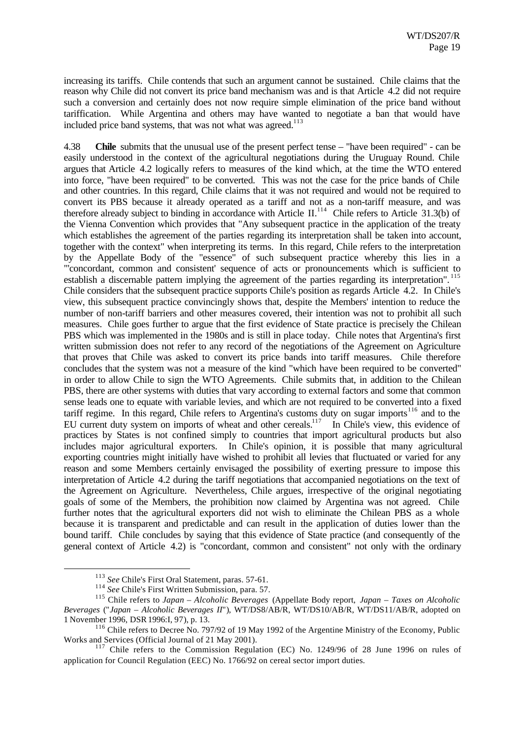increasing its tariffs. Chile contends that such an argument cannot be sustained. Chile claims that the reason why Chile did not convert its price band mechanism was and is that Article 4.2 did not require such a conversion and certainly does not now require simple elimination of the price band without tariffication. While Argentina and others may have wanted to negotiate a ban that would have included price band systems, that was not what was agreed.<sup>113</sup>

4.38 **Chile** submits that the unusual use of the present perfect tense – "have been required" - can be easily understood in the context of the agricultural negotiations during the Uruguay Round. Chile argues that Article 4.2 logically refers to measures of the kind which, at the time the WTO entered into force, "have been required" to be converted. This was not the case for the price bands of Chile and other countries. In this regard, Chile claims that it was not required and would not be required to convert its PBS because it already operated as a tariff and not as a non-tariff measure, and was therefore already subject to binding in accordance with Article II.<sup>114</sup> Chile refers to Article 31.3(b) of the Vienna Convention which provides that "Any subsequent practice in the application of the treaty which establishes the agreement of the parties regarding its interpretation shall be taken into account, together with the context" when interpreting its terms. In this regard, Chile refers to the interpretation by the Appellate Body of the "essence" of such subsequent practice whereby this lies in a "'concordant, common and consistent' sequence of acts or pronouncements which is sufficient to establish a discernable pattern implying the agreement of the parties regarding its interpretation". <sup>115</sup> Chile considers that the subsequent practice supports Chile's position as regards Article 4.2. In Chile's view, this subsequent practice convincingly shows that, despite the Members' intention to reduce the number of non-tariff barriers and other measures covered, their intention was not to prohibit all such measures. Chile goes further to argue that the first evidence of State practice is precisely the Chilean PBS which was implemented in the 1980s and is still in place today. Chile notes that Argentina's first written submission does not refer to any record of the negotiations of the Agreement on Agriculture that proves that Chile was asked to convert its price bands into tariff measures. Chile therefore concludes that the system was not a measure of the kind "which have been required to be converted" in order to allow Chile to sign the WTO Agreements. Chile submits that, in addition to the Chilean PBS, there are other systems with duties that vary according to external factors and some that common sense leads one to equate with variable levies, and which are not required to be converted into a fixed tariff regime. In this regard, Chile refers to Argentina's customs duty on sugar imports<sup>116</sup> and to the EU current duty system on imports of wheat and other cereals.<sup>117</sup> In Chile's view, this evidence of practices by States is not confined simply to countries that import agricultural products but also includes major agricultural exporters. In Chile's opinion, it is possible that many agricultural exporting countries might initially have wished to prohibit all levies that fluctuated or varied for any reason and some Members certainly envisaged the possibility of exerting pressure to impose this interpretation of Article 4.2 during the tariff negotiations that accompanied negotiations on the text of the Agreement on Agriculture. Nevertheless, Chile argues, irrespective of the original negotiating goals of some of the Members, the prohibition now claimed by Argentina was not agreed. Chile further notes that the agricultural exporters did not wish to eliminate the Chilean PBS as a whole because it is transparent and predictable and can result in the application of duties lower than the bound tariff. Chile concludes by saying that this evidence of State practice (and consequently of the general context of Article 4.2) is "concordant, common and consistent" not only with the ordinary

<sup>113</sup> *See* Chile's First Oral Statement, paras. 57-61.

<sup>114</sup> *See* Chile's First Written Submission, para. 57.

<sup>115</sup> Chile refers to *Japan – Alcoholic Beverages* (Appellate Body report, *Japan – Taxes on Alcoholic Beverages* ("*Japan – Alcoholic Beverages II*")*,* WT/DS8/AB/R, WT/DS10/AB/R, WT/DS11/AB/R, adopted on 1 November 1996, DSR 1996:I, 97), p. 13.

<sup>&</sup>lt;sup>116</sup> Chile refers to Decree No. 797/92 of 19 May 1992 of the Argentine Ministry of the Economy, Public Works and Services (Official Journal of 21 May 2001).

<sup>117</sup> Chile refers to the Commission Regulation (EC) No. 1249/96 of 28 June 1996 on rules of application for Council Regulation (EEC) No. 1766/92 on cereal sector import duties.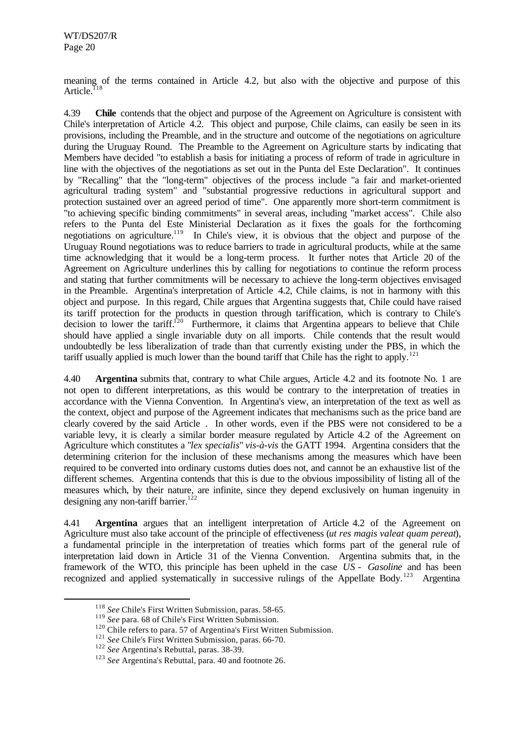meaning of the terms contained in Article 4.2, but also with the objective and purpose of this Article.<sup>11</sup>

4.39 **Chile** contends that the object and purpose of the Agreement on Agriculture is consistent with Chile's interpretation of Article 4.2. This object and purpose, Chile claims, can easily be seen in its provisions, including the Preamble, and in the structure and outcome of the negotiations on agriculture during the Uruguay Round. The Preamble to the Agreement on Agriculture starts by indicating that Members have decided "to establish a basis for initiating a process of reform of trade in agriculture in line with the objectives of the negotiations as set out in the Punta del Este Declaration". It continues by "Recalling" that the "long-term" objectives of the process include "a fair and market-oriented agricultural trading system" and "substantial progressive reductions in agricultural support and protection sustained over an agreed period of time". One apparently more short-term commitment is "to achieving specific binding commitments" in several areas, including "market access". Chile also refers to the Punta del Este Ministerial Declaration as it fixes the goals for the forthcoming negotiations on agriculture.<sup>119</sup> In Chile's view, it is obvious that the object and purpose of the Uruguay Round negotiations was to reduce barriers to trade in agricultural products, while at the same time acknowledging that it would be a long-term process. It further notes that Article 20 of the Agreement on Agriculture underlines this by calling for negotiations to continue the reform process and stating that further commitments will be necessary to achieve the long-term objectives envisaged in the Preamble. Argentina's interpretation of Article 4.2, Chile claims, is not in harmony with this object and purpose. In this regard, Chile argues that Argentina suggests that, Chile could have raised its tariff protection for the products in question through tariffication, which is contrary to Chile's decision to lower the tariff.<sup>120</sup> Furthermore, it claims that Argentina appears to believe that Chile should have applied a single invariable duty on all imports. Chile contends that the result would undoubtedly be less liberalization of trade than that currently existing under the PBS, in which the tariff usually applied is much lower than the bound tariff that Chile has the right to apply.<sup>121</sup>

4.40 **Argentina** submits that, contrary to what Chile argues, Article 4.2 and its footnote No. 1 are not open to different interpretations, as this would be contrary to the interpretation of treaties in accordance with the Vienna Convention. In Argentina's view, an interpretation of the text as well as the context, object and purpose of the Agreement indicates that mechanisms such as the price band are clearly covered by the said Article . In other words, even if the PBS were not considered to be a variable levy, it is clearly a similar border measure regulated by Article 4.2 of the Agreement on Agriculture which constitutes a "*lex specialis*" *vis-à-vis* the GATT 1994. Argentina considers that the determining criterion for the inclusion of these mechanisms among the measures which have been required to be converted into ordinary customs duties does not, and cannot be an exhaustive list of the different schemes. Argentina contends that this is due to the obvious impossibility of listing all of the measures which, by their nature, are infinite, since they depend exclusively on human ingenuity in designing any non-tariff barrier.<sup>122</sup>

4.41 **Argentina** argues that an intelligent interpretation of Article 4.2 of the Agreement on Agriculture must also take account of the principle of effectiveness (*ut res magis valeat quam pereat*), a fundamental principle in the interpretation of treaties which forms part of the general rule of interpretation laid down in Article 31 of the Vienna Convention. Argentina submits that, in the framework of the WTO, this principle has been upheld in the case *US - Gasoline* and has been recognized and applied systematically in successive rulings of the Appellate Body.<sup>123</sup> Argentina

<sup>118</sup> *See* Chile's First Written Submission, paras. 58-65.

<sup>119</sup> *See* para. 68 of Chile's First Written Submission.

<sup>&</sup>lt;sup>120</sup> Chile refers to para. 57 of Argentina's First Written Submission.

<sup>&</sup>lt;sup>121</sup> See Chile's First Written Submission, paras. 66-70.

<sup>122</sup> *See* Argentina's Rebuttal, paras. 38-39.

<sup>123</sup> *See* Argentina's Rebuttal, para. 40 and footnote 26.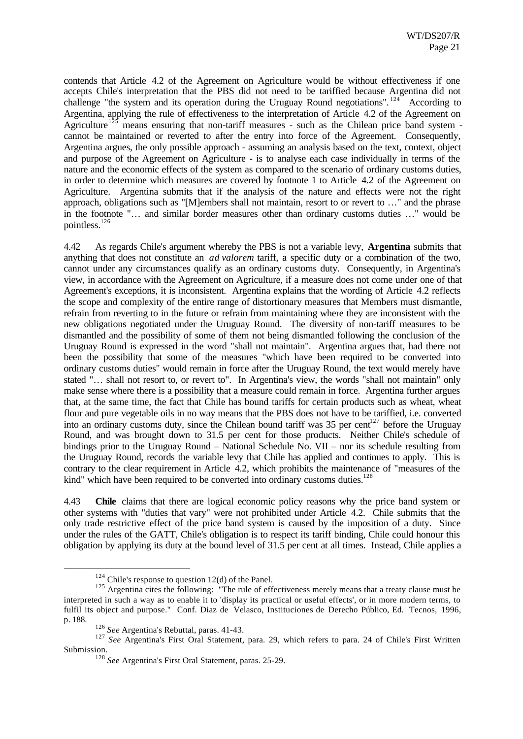contends that Article 4.2 of the Agreement on Agriculture would be without effectiveness if one accepts Chile's interpretation that the PBS did not need to be tariffied because Argentina did not challenge "the system and its operation during the Uruguay Round negotiations". <sup>124</sup> According to Argentina, applying the rule of effectiveness to the interpretation of Article 4.2 of the Agreement on Agriculture<sup>125</sup> means ensuring that non-tariff measures - such as the Chilean price band system cannot be maintained or reverted to after the entry into force of the Agreement. Consequently, Argentina argues, the only possible approach - assuming an analysis based on the text, context, object and purpose of the Agreement on Agriculture - is to analyse each case individually in terms of the nature and the economic effects of the system as compared to the scenario of ordinary customs duties, in order to determine which measures are covered by footnote 1 to Article 4.2 of the Agreement on Agriculture. Argentina submits that if the analysis of the nature and effects were not the right approach, obligations such as "[M]embers shall not maintain, resort to or revert to …" and the phrase in the footnote "… and similar border measures other than ordinary customs duties …" would be pointless.<sup>126</sup>

4.42 As regards Chile's argument whereby the PBS is not a variable levy, **Argentina** submits that anything that does not constitute an *ad valorem* tariff, a specific duty or a combination of the two, cannot under any circumstances qualify as an ordinary customs duty. Consequently, in Argentina's view, in accordance with the Agreement on Agriculture, if a measure does not come under one of that Agreement's exceptions, it is inconsistent. Argentina explains that the wording of Article 4.2 reflects the scope and complexity of the entire range of distortionary measures that Members must dismantle, refrain from reverting to in the future or refrain from maintaining where they are inconsistent with the new obligations negotiated under the Uruguay Round. The diversity of non-tariff measures to be dismantled and the possibility of some of them not being dismantled following the conclusion of the Uruguay Round is expressed in the word "shall not maintain". Argentina argues that, had there not been the possibility that some of the measures "which have been required to be converted into ordinary customs duties" would remain in force after the Uruguay Round, the text would merely have stated "… shall not resort to, or revert to". In Argentina's view, the words "shall not maintain" only make sense where there is a possibility that a measure could remain in force. Argentina further argues that, at the same time, the fact that Chile has bound tariffs for certain products such as wheat, wheat flour and pure vegetable oils in no way means that the PBS does not have to be tariffied, i.e. converted into an ordinary customs duty, since the Chilean bound tariff was  $35$  per cent<sup>127</sup> before the Uruguay Round, and was brought down to 31.5 per cent for those products. Neither Chile's schedule of bindings prior to the Uruguay Round – National Schedule No. VII – nor its schedule resulting from the Uruguay Round, records the variable levy that Chile has applied and continues to apply. This is contrary to the clear requirement in Article 4.2, which prohibits the maintenance of "measures of the kind" which have been required to be converted into ordinary customs duties.<sup>128</sup>

4.43 **Chile** claims that there are logical economic policy reasons why the price band system or other systems with "duties that vary" were not prohibited under Article 4.2. Chile submits that the only trade restrictive effect of the price band system is caused by the imposition of a duty. Since under the rules of the GATT, Chile's obligation is to respect its tariff binding, Chile could honour this obligation by applying its duty at the bound level of 31.5 per cent at all times. Instead, Chile applies a

 $124$  Chile's response to question 12(d) of the Panel.

<sup>&</sup>lt;sup>125</sup> Argentina cites the following: "The rule of effectiveness merely means that a treaty clause must be interpreted in such a way as to enable it to 'display its practical or useful effects', or in more modern terms, to fulfil its object and purpose." Conf. Diaz de Velasco, Instituciones de Derecho Público, Ed. Tecnos, 1996, p. 188.

<sup>126</sup> *See* Argentina's Rebuttal, paras. 41-43.

<sup>127</sup> *See* Argentina's First Oral Statement, para. 29, which refers to para. 24 of Chile's First Written Submission.

<sup>128</sup> *See* Argentina's First Oral Statement, paras. 25-29.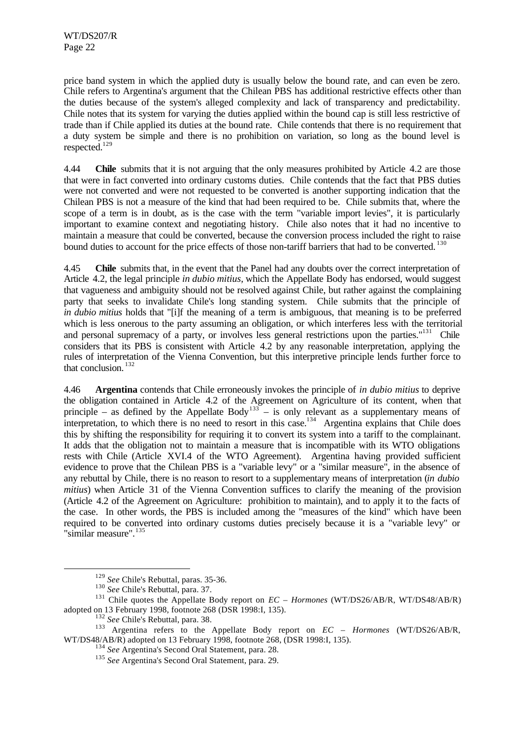price band system in which the applied duty is usually below the bound rate, and can even be zero. Chile refers to Argentina's argument that the Chilean PBS has additional restrictive effects other than the duties because of the system's alleged complexity and lack of transparency and predictability. Chile notes that its system for varying the duties applied within the bound cap is still less restrictive of trade than if Chile applied its duties at the bound rate. Chile contends that there is no requirement that a duty system be simple and there is no prohibition on variation, so long as the bound level is respected.<sup>129</sup>

4.44 **Chile** submits that it is not arguing that the only measures prohibited by Article 4.2 are those that were in fact converted into ordinary customs duties. Chile contends that the fact that PBS duties were not converted and were not requested to be converted is another supporting indication that the Chilean PBS is not a measure of the kind that had been required to be. Chile submits that, where the scope of a term is in doubt, as is the case with the term "variable import levies", it is particularly important to examine context and negotiating history. Chile also notes that it had no incentive to maintain a measure that could be converted, because the conversion process included the right to raise bound duties to account for the price effects of those non-tariff barriers that had to be converted. <sup>130</sup>

4.45 **Chile** submits that, in the event that the Panel had any doubts over the correct interpretation of Article 4.2, the legal principle *in dubio mitius,* which the Appellate Body has endorsed, would suggest that vagueness and ambiguity should not be resolved against Chile, but rather against the complaining party that seeks to invalidate Chile's long standing system. Chile submits that the principle of *in dubio mitius* holds that "[i]f the meaning of a term is ambiguous, that meaning is to be preferred which is less onerous to the party assuming an obligation, or which interferes less with the territorial and personal supremacy of a party, or involves less general restrictions upon the parties."<sup>131</sup> Chile considers that its PBS is consistent with Article 4.2 by any reasonable interpretation, applying the rules of interpretation of the Vienna Convention, but this interpretive principle lends further force to that conclusion.<sup>132</sup>

4.46 **Argentina** contends that Chile erroneously invokes the principle of *in dubio mitius* to deprive the obligation contained in Article 4.2 of the Agreement on Agriculture of its content, when that principle – as defined by the Appellate Body<sup>133</sup> – is only relevant as a supplementary means of interpretation, to which there is no need to resort in this case.<sup>134</sup> Argentina explains that Chile does this by shifting the responsibility for requiring it to convert its system into a tariff to the complainant. It adds that the obligation not to maintain a measure that is incompatible with its WTO obligations rests with Chile (Article XVI.4 of the WTO Agreement). Argentina having provided sufficient evidence to prove that the Chilean PBS is a "variable levy" or a "similar measure", in the absence of any rebuttal by Chile, there is no reason to resort to a supplementary means of interpretation (*in dubio mitius*) when Article 31 of the Vienna Convention suffices to clarify the meaning of the provision (Article 4.2 of the Agreement on Agriculture: prohibition to maintain), and to apply it to the facts of the case. In other words, the PBS is included among the "measures of the kind" which have been required to be converted into ordinary customs duties precisely because it is a "variable levy" or "similar measure".<sup>135</sup>

<sup>129</sup> *See* Chile's Rebuttal, paras. 35-36.

<sup>130</sup> *See* Chile's Rebuttal, para. 37.

<sup>131</sup> Chile quotes the Appellate Body report on *EC – Hormones* (WT/DS26/AB/R, WT/DS48/AB/R) adopted on 13 February 1998, footnote 268 (DSR 1998:I, 135).

<sup>&</sup>lt;sup>132</sup> See Chile's Rebuttal, para. 38.

<sup>133</sup> Argentina refers to the Appellate Body report on *EC – Hormones* (WT/DS26/AB/R, WT/DS48/AB/R) adopted on 13 February 1998, footnote 268, (DSR 1998:I, 135).

<sup>134</sup> *See* Argentina's Second Oral Statement, para. 28.

<sup>135</sup> *See* Argentina's Second Oral Statement, para. 29.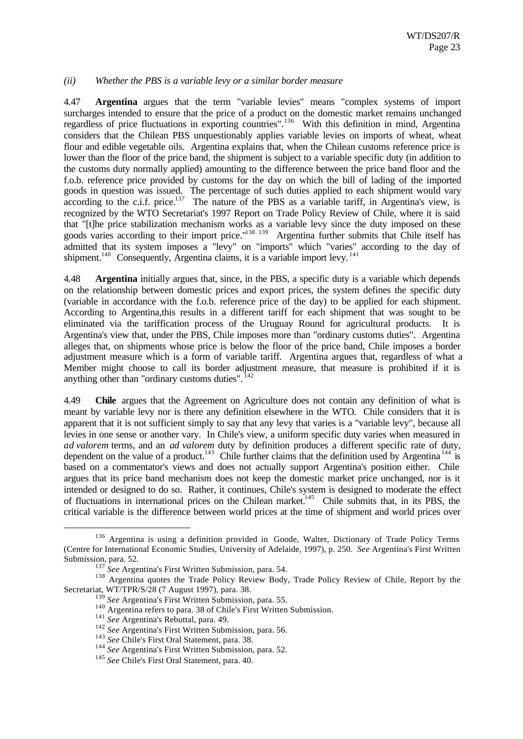#### *(ii) Whether the PBS is a variable levy or a similar border measure*

4.47 **Argentina** argues that the term "variable levies" means "complex systems of import surcharges intended to ensure that the price of a product on the domestic market remains unchanged regardless of price fluctuations in exporting countries".<sup>136</sup> With this definition in mind, Argentina considers that the Chilean PBS unquestionably applies variable levies on imports of wheat, wheat flour and edible vegetable oils. Argentina explains that, when the Chilean customs reference price is lower than the floor of the price band, the shipment is subject to a variable specific duty (in addition to the customs duty normally applied) amounting to the difference between the price band floor and the f.o.b. reference price provided by customs for the day on which the bill of lading of the imported goods in question was issued. The percentage of such duties applied to each shipment would vary according to the c.i.f. price. $137$  The nature of the PBS as a variable tariff, in Argentina's view, is recognized by the WTO Secretariat's 1997 Report on Trade Policy Review of Chile, where it is said that "[t]he price stabilization mechanism works as a variable levy since the duty imposed on these goods varies according to their import price."<sup>138 139</sup> Argentina further submits that Chile itself has admitted that its system imposes a "levy" on "imports" which "varies" according to the day of shipment.<sup>140</sup> Consequently, Argentina claims, it is a variable import levy.<sup>141</sup>

4.48 **Argentina** initially argues that, since, in the PBS, a specific duty is a variable which depends on the relationship between domestic prices and export prices, the system defines the specific duty (variable in accordance with the f.o.b. reference price of the day) to be applied for each shipment. According to Argentina,this results in a different tariff for each shipment that was sought to be eliminated via the tariffication process of the Uruguay Round for agricultural products. It is Argentina's view that, under the PBS, Chile imposes more than "ordinary customs duties". Argentina alleges that, on shipments whose price is below the floor of the price band, Chile imposes a border adjustment measure which is a form of variable tariff. Argentina argues that, regardless of what a Member might choose to call its border adjustment measure, that measure is prohibited if it is anything other than "ordinary customs duties".  $142$ 

4.49 **Chile** argues that the Agreement on Agriculture does not contain any definition of what is meant by variable levy nor is there any definition elsewhere in the WTO. Chile considers that it is apparent that it is not sufficient simply to say that any levy that varies is a "variable levy", because all levies in one sense or another vary. In Chile's view, a uniform specific duty varies when measured in *ad valorem* terms, and an *ad valorem* duty by definition produces a different specific rate of duty, dependent on the value of a product.<sup>143</sup> Chile further claims that the definition used by Argentina<sup>144</sup> is based on a commentator's views and does not actually support Argentina's position either. Chile argues that its price band mechanism does not keep the domestic market price unchanged, nor is it intended or designed to do so. Rather, it continues, Chile's system is designed to moderate the effect of fluctuations in international prices on the Chilean market.<sup>145</sup> Chile submits that, in its PBS, the critical variable is the difference between world prices at the time of shipment and world prices over

<sup>&</sup>lt;sup>136</sup> Argentina is using a definition provided in Goode, Walter, Dictionary of Trade Policy Terms (Centre for International Economic Studies, University of Adelaide, 1997), p. 250. *See* Argentina's First Written Submission, para. 52.

<sup>&</sup>lt;sup>137</sup> See Argentina's First Written Submission, para. 54.

<sup>&</sup>lt;sup>138</sup> Argentina quotes the Trade Policy Review Body, Trade Policy Review of Chile, Report by the Secretariat, WT/TPR/S/28 (7 August 1997), para. 38.

<sup>139</sup> *See* Argentina's First Written Submission, para. 55.

<sup>&</sup>lt;sup>140</sup> Argentina refers to para. 38 of Chile's First Written Submission.

<sup>141</sup> *See* Argentina's Rebuttal, para. 49.

<sup>142</sup> *See* Argentina's First Written Submission, para. 56.

<sup>&</sup>lt;sup>143</sup> See Chile's First Oral Statement, para. 38.

<sup>144</sup> *See* Argentina's First Written Submission, para. 52.

<sup>145</sup> *See* Chile's First Oral Statement, para. 40.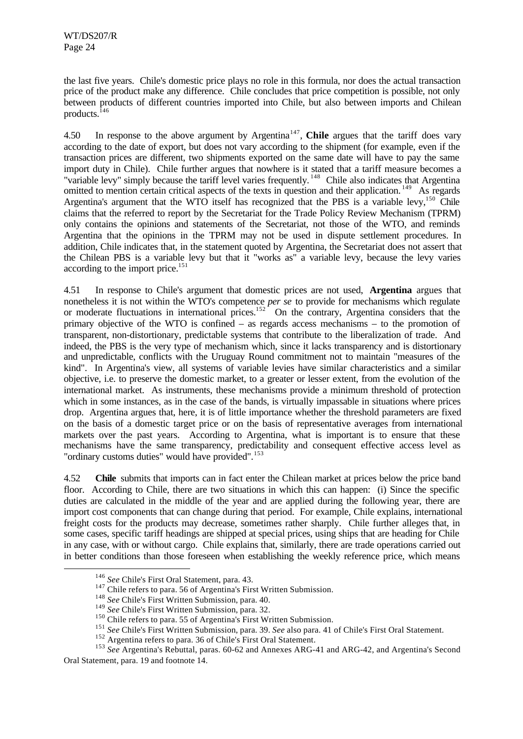the last five years. Chile's domestic price plays no role in this formula, nor does the actual transaction price of the product make any difference. Chile concludes that price competition is possible, not only between products of different countries imported into Chile, but also between imports and Chilean products.<sup>146</sup>

4.50 In response to the above argument by Argentina<sup>147</sup>, Chile argues that the tariff does vary according to the date of export, but does not vary according to the shipment (for example, even if the transaction prices are different, two shipments exported on the same date will have to pay the same import duty in Chile). Chile further argues that nowhere is it stated that a tariff measure becomes a "variable levy" simply because the tariff level varies frequently.<sup>148</sup> Chile also indicates that Argentina omitted to mention certain critical aspects of the texts in question and their application.<sup>149</sup> As regards Argentina's argument that the WTO itself has recognized that the PBS is a variable levy,<sup>150</sup> Chile claims that the referred to report by the Secretariat for the Trade Policy Review Mechanism (TPRM) only contains the opinions and statements of the Secretariat, not those of the WTO, and reminds Argentina that the opinions in the TPRM may not be used in dispute settlement procedures. In addition, Chile indicates that, in the statement quoted by Argentina, the Secretariat does not assert that the Chilean PBS is a variable levy but that it "works as" a variable levy, because the levy varies according to the import price.<sup>151</sup>

4.51 In response to Chile's argument that domestic prices are not used, **Argentina** argues that nonetheless it is not within the WTO's competence *per se* to provide for mechanisms which regulate or moderate fluctuations in international prices.<sup>152</sup> On the contrary, Argentina considers that the primary objective of the WTO is confined – as regards access mechanisms – to the promotion of transparent, non-distortionary, predictable systems that contribute to the liberalization of trade. And indeed, the PBS is the very type of mechanism which, since it lacks transparency and is distortionary and unpredictable, conflicts with the Uruguay Round commitment not to maintain "measures of the kind". In Argentina's view, all systems of variable levies have similar characteristics and a similar objective, i.e. to preserve the domestic market, to a greater or lesser extent, from the evolution of the international market. As instruments, these mechanisms provide a minimum threshold of protection which in some instances, as in the case of the bands, is virtually impassable in situations where prices drop. Argentina argues that, here, it is of little importance whether the threshold parameters are fixed on the basis of a domestic target price or on the basis of representative averages from international markets over the past years. According to Argentina, what is important is to ensure that these mechanisms have the same transparency, predictability and consequent effective access level as "ordinary customs duties" would have provided".<sup>153</sup>

4.52 **Chile** submits that imports can in fact enter the Chilean market at prices below the price band floor. According to Chile, there are two situations in which this can happen: (i) Since the specific duties are calculated in the middle of the year and are applied during the following year, there are import cost components that can change during that period. For example, Chile explains, international freight costs for the products may decrease, sometimes rather sharply. Chile further alleges that, in some cases, specific tariff headings are shipped at special prices, using ships that are heading for Chile in any case, with or without cargo. Chile explains that, similarly, there are trade operations carried out in better conditions than those foreseen when establishing the weekly reference price, which means

<sup>146</sup> *See* Chile's First Oral Statement, para. 43.

<sup>&</sup>lt;sup>147</sup> Chile refers to para. 56 of Argentina's First Written Submission.

<sup>148</sup> *See* Chile's First Written Submission, para. 40.

<sup>149</sup> *See* Chile's First Written Submission, para. 32.

<sup>&</sup>lt;sup>150</sup> Chile refers to para. 55 of Argentina's First Written Submission.

<sup>151</sup> *See* Chile's First Written Submission, para. 39. *See* also para. 41 of Chile's First Oral Statement.

<sup>&</sup>lt;sup>152</sup> Argentina refers to para. 36 of Chile's First Oral Statement.

<sup>153</sup> *See* Argentina's Rebuttal, paras. 60-62 and Annexes ARG-41 and ARG-42, and Argentina's Second Oral Statement, para. 19 and footnote 14.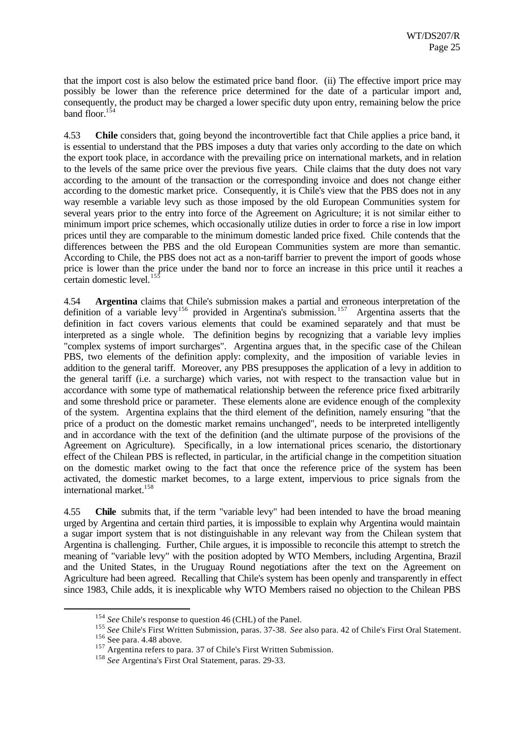that the import cost is also below the estimated price band floor. (ii) The effective import price may possibly be lower than the reference price determined for the date of a particular import and, consequently, the product may be charged a lower specific duty upon entry, remaining below the price band floor. $154$ 

4.53 **Chile** considers that, going beyond the incontrovertible fact that Chile applies a price band, it is essential to understand that the PBS imposes a duty that varies only according to the date on which the export took place, in accordance with the prevailing price on international markets, and in relation to the levels of the same price over the previous five years. Chile claims that the duty does not vary according to the amount of the transaction or the corresponding invoice and does not change either according to the domestic market price. Consequently, it is Chile's view that the PBS does not in any way resemble a variable levy such as those imposed by the old European Communities system for several years prior to the entry into force of the Agreement on Agriculture; it is not similar either to minimum import price schemes, which occasionally utilize duties in order to force a rise in low import prices until they are comparable to the minimum domestic landed price fixed. Chile contends that the differences between the PBS and the old European Communities system are more than semantic. According to Chile, the PBS does not act as a non-tariff barrier to prevent the import of goods whose price is lower than the price under the band nor to force an increase in this price until it reaches a certain domestic level.<sup>155</sup>

4.54 **Argentina** claims that Chile's submission makes a partial and erroneous interpretation of the definition of a variable levy<sup>156</sup> provided in Argentina's submission.<sup>157</sup> Argentina asserts that the definition in fact covers various elements that could be examined separately and that must be interpreted as a single whole. The definition begins by recognizing that a variable levy implies "complex systems of import surcharges". Argentina argues that, in the specific case of the Chilean PBS, two elements of the definition apply: complexity, and the imposition of variable levies in addition to the general tariff. Moreover, any PBS presupposes the application of a levy in addition to the general tariff (i.e. a surcharge) which varies, not with respect to the transaction value but in accordance with some type of mathematical relationship between the reference price fixed arbitrarily and some threshold price or parameter. These elements alone are evidence enough of the complexity of the system. Argentina explains that the third element of the definition, namely ensuring "that the price of a product on the domestic market remains unchanged", needs to be interpreted intelligently and in accordance with the text of the definition (and the ultimate purpose of the provisions of the Agreement on Agriculture). Specifically, in a low international prices scenario, the distortionary effect of the Chilean PBS is reflected, in particular, in the artificial change in the competition situation on the domestic market owing to the fact that once the reference price of the system has been activated, the domestic market becomes, to a large extent, impervious to price signals from the international market.<sup>158</sup>

4.55 **Chile** submits that, if the term "variable levy" had been intended to have the broad meaning urged by Argentina and certain third parties, it is impossible to explain why Argentina would maintain a sugar import system that is not distinguishable in any relevant way from the Chilean system that Argentina is challenging. Further, Chile argues, it is impossible to reconcile this attempt to stretch the meaning of "variable levy" with the position adopted by WTO Members, including Argentina, Brazil and the United States, in the Uruguay Round negotiations after the text on the Agreement on Agriculture had been agreed. Recalling that Chile's system has been openly and transparently in effect since 1983, Chile adds, it is inexplicable why WTO Members raised no objection to the Chilean PBS

<sup>154</sup> *See* Chile's response to question 46 (CHL) of the Panel.

<sup>155</sup> *See* Chile's First Written Submission, paras. 37-38. *See* also para. 42 of Chile's First Oral Statement.

<sup>&</sup>lt;sup>156</sup> See para. 4.48 above.

<sup>&</sup>lt;sup>157</sup> Argentina refers to para. 37 of Chile's First Written Submission.

<sup>&</sup>lt;sup>158</sup> See Argentina's First Oral Statement, paras. 29-33.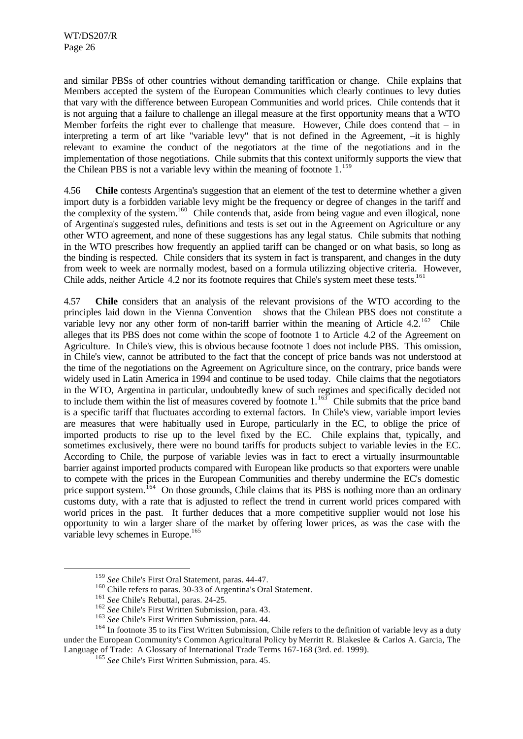and similar PBSs of other countries without demanding tariffication or change. Chile explains that Members accepted the system of the European Communities which clearly continues to levy duties that vary with the difference between European Communities and world prices. Chile contends that it is not arguing that a failure to challenge an illegal measure at the first opportunity means that a WTO Member forfeits the right ever to challenge that measure. However, Chile does contend that  $-$  in interpreting a term of art like "variable levy" that is not defined in the Agreement, –it is highly relevant to examine the conduct of the negotiators at the time of the negotiations and in the implementation of those negotiations. Chile submits that this context uniformly supports the view that the Chilean PBS is not a variable levy within the meaning of footnote  $1<sup>159</sup>$ 

4.56 **Chile** contests Argentina's suggestion that an element of the test to determine whether a given import duty is a forbidden variable levy might be the frequency or degree of changes in the tariff and the complexity of the system.<sup>160</sup> Chile contends that, aside from being vague and even illogical, none of Argentina's suggested rules, definitions and tests is set out in the Agreement on Agriculture or any other WTO agreement, and none of these suggestions has any legal status. Chile submits that nothing in the WTO prescribes how frequently an applied tariff can be changed or on what basis, so long as the binding is respected. Chile considers that its system in fact is transparent, and changes in the duty from week to week are normally modest, based on a formula utilizzing objective criteria. However, Chile adds, neither Article 4.2 nor its footnote requires that Chile's system meet these tests.<sup>161</sup>

4.57 **Chile** considers that an analysis of the relevant provisions of the WTO according to the principles laid down in the Vienna Convention shows that the Chilean PBS does not constitute a variable levy nor any other form of non-tariff barrier within the meaning of Article  $4.2^{162}$  Chile alleges that its PBS does not come within the scope of footnote 1 to Article 4.2 of the Agreement on Agriculture. In Chile's view, this is obvious because footnote 1 does not include PBS. This omission, in Chile's view, cannot be attributed to the fact that the concept of price bands was not understood at the time of the negotiations on the Agreement on Agriculture since, on the contrary, price bands were widely used in Latin America in 1994 and continue to be used today. Chile claims that the negotiators in the WTO, Argentina in particular, undoubtedly knew of such regimes and specifically decided not to include them within the list of measures covered by footnote  $1.^{163}$  Chile submits that the price band is a specific tariff that fluctuates according to external factors. In Chile's view, variable import levies are measures that were habitually used in Europe, particularly in the EC, to oblige the price of imported products to rise up to the level fixed by the EC. Chile explains that, typically, and sometimes exclusively, there were no bound tariffs for products subject to variable levies in the EC. According to Chile, the purpose of variable levies was in fact to erect a virtually insurmountable barrier against imported products compared with European like products so that exporters were unable to compete with the prices in the European Communities and thereby undermine the EC's domestic price support system.<sup>164</sup> On those grounds, Chile claims that its PBS is nothing more than an ordinary customs duty, with a rate that is adjusted to reflect the trend in current world prices compared with world prices in the past. It further deduces that a more competitive supplier would not lose his opportunity to win a larger share of the market by offering lower prices, as was the case with the variable levy schemes in Europe.<sup>165</sup>

<sup>159</sup> *See* Chile's First Oral Statement, paras. 44-47.

<sup>160</sup> Chile refers to paras. 30-33 of Argentina's Oral Statement.

<sup>161</sup> *See* Chile's Rebuttal, paras. 24-25.

<sup>162</sup> *See* Chile's First Written Submission, para. 43.

<sup>&</sup>lt;sup>163</sup> See Chile's First Written Submission, para. 44.

<sup>&</sup>lt;sup>164</sup> In footnote 35 to its First Written Submission, Chile refers to the definition of variable levy as a duty under the European Community's Common Agricultural Policy by Merritt R. Blakeslee & Carlos A. Garcia, The Language of Trade: A Glossary of International Trade Terms 167-168 (3rd. ed. 1999).

<sup>165</sup> *See* Chile's First Written Submission, para. 45.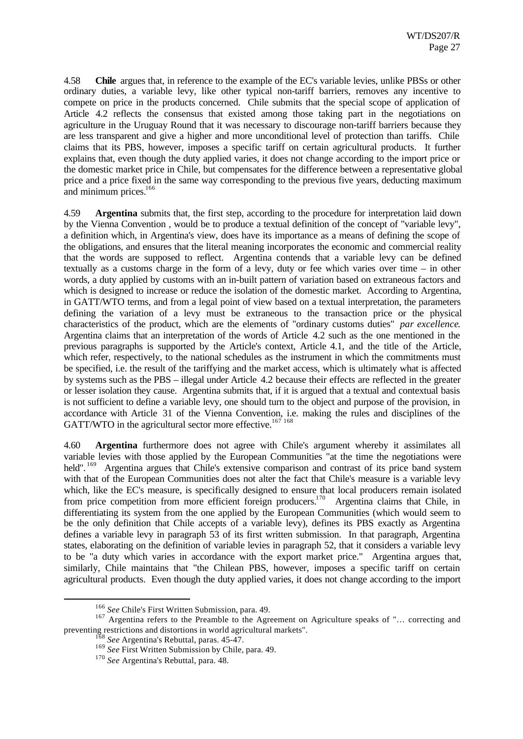4.58 **Chile** argues that, in reference to the example of the EC's variable levies, unlike PBSs or other ordinary duties, a variable levy, like other typical non-tariff barriers, removes any incentive to compete on price in the products concerned. Chile submits that the special scope of application of Article 4.2 reflects the consensus that existed among those taking part in the negotiations on agriculture in the Uruguay Round that it was necessary to discourage non-tariff barriers because they are less transparent and give a higher and more unconditional level of protection than tariffs. Chile claims that its PBS, however, imposes a specific tariff on certain agricultural products. It further explains that, even though the duty applied varies, it does not change according to the import price or the domestic market price in Chile, but compensates for the difference between a representative global price and a price fixed in the same way corresponding to the previous five years, deducting maximum and minimum prices.<sup>166</sup>

4.59 **Argentina** submits that, the first step, according to the procedure for interpretation laid down by the Vienna Convention , would be to produce a textual definition of the concept of "variable levy", a definition which, in Argentina's view, does have its importance as a means of defining the scope of the obligations, and ensures that the literal meaning incorporates the economic and commercial reality that the words are supposed to reflect. Argentina contends that a variable levy can be defined textually as a customs charge in the form of a levy, duty or fee which varies over time – in other words, a duty applied by customs with an in-built pattern of variation based on extraneous factors and which is designed to increase or reduce the isolation of the domestic market. According to Argentina, in GATT/WTO terms, and from a legal point of view based on a textual interpretation, the parameters defining the variation of a levy must be extraneous to the transaction price or the physical characteristics of the product, which are the elements of "ordinary customs duties" *par excellence*. Argentina claims that an interpretation of the words of Article 4.2 such as the one mentioned in the previous paragraphs is supported by the Article's context, Article 4.1, and the title of the Article, which refer, respectively, to the national schedules as the instrument in which the commitments must be specified, i.e. the result of the tariffying and the market access, which is ultimately what is affected by systems such as the PBS – illegal under Article 4.2 because their effects are reflected in the greater or lesser isolation they cause. Argentina submits that, if it is argued that a textual and contextual basis is not sufficient to define a variable levy, one should turn to the object and purpose of the provision, in accordance with Article 31 of the Vienna Convention, i.e. making the rules and disciplines of the GATT/WTO in the agricultural sector more effective.<sup>167 168</sup>

4.60 **Argentina** furthermore does not agree with Chile's argument whereby it assimilates all variable levies with those applied by the European Communities "at the time the negotiations were held".<sup>169</sup> Argentina argues that Chile's extensive comparison and contrast of its price band system with that of the European Communities does not alter the fact that Chile's measure is a variable levy which, like the EC's measure, is specifically designed to ensure that local producers remain isolated from price competition from more efficient foreign producers.<sup>170</sup> Argentina claims that Chile, in differentiating its system from the one applied by the European Communities (which would seem to be the only definition that Chile accepts of a variable levy), defines its PBS exactly as Argentina defines a variable levy in paragraph 53 of its first written submission. In that paragraph, Argentina states, elaborating on the definition of variable levies in paragraph 52, that it considers a variable levy to be "a duty which varies in accordance with the export market price." Argentina argues that, similarly, Chile maintains that "the Chilean PBS, however, imposes a specific tariff on certain agricultural products. Even though the duty applied varies, it does not change according to the import

<sup>166</sup> *See* Chile's First Written Submission, para. 49.

<sup>&</sup>lt;sup>167</sup> Argentina refers to the Preamble to the Agreement on Agriculture speaks of "... correcting and preventing restrictions and distortions in world agricultural markets".

<sup>168</sup> *See* Argentina's Rebuttal, paras. 45-47.

<sup>169</sup> *See* First Written Submission by Chile, para. 49.

<sup>170</sup> *See* Argentina's Rebuttal, para. 48.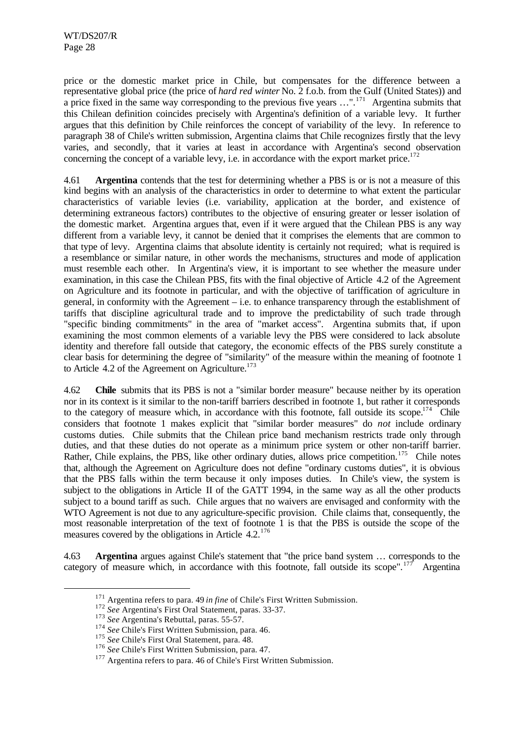price or the domestic market price in Chile, but compensates for the difference between a representative global price (the price of *hard red winter* No. 2 f.o.b. from the Gulf (United States)) and a price fixed in the same way corresponding to the previous five years ...".<sup>171</sup> Argentina submits that this Chilean definition coincides precisely with Argentina's definition of a variable levy. It further argues that this definition by Chile reinforces the concept of variability of the levy. In reference to paragraph 38 of Chile's written submission, Argentina claims that Chile recognizes firstly that the levy varies, and secondly, that it varies at least in accordance with Argentina's second observation concerning the concept of a variable levy, i.e. in accordance with the export market price.<sup>172</sup>

4.61 **Argentina** contends that the test for determining whether a PBS is or is not a measure of this kind begins with an analysis of the characteristics in order to determine to what extent the particular characteristics of variable levies (i.e. variability, application at the border, and existence of determining extraneous factors) contributes to the objective of ensuring greater or lesser isolation of the domestic market. Argentina argues that, even if it were argued that the Chilean PBS is any way different from a variable levy, it cannot be denied that it comprises the elements that are common to that type of levy. Argentina claims that absolute identity is certainly not required; what is required is a resemblance or similar nature, in other words the mechanisms, structures and mode of application must resemble each other. In Argentina's view, it is important to see whether the measure under examination, in this case the Chilean PBS, fits with the final objective of Article 4.2 of the Agreement on Agriculture and its footnote in particular, and with the objective of tariffication of agriculture in general, in conformity with the Agreement – i.e. to enhance transparency through the establishment of tariffs that discipline agricultural trade and to improve the predictability of such trade through "specific binding commitments" in the area of "market access". Argentina submits that, if upon examining the most common elements of a variable levy the PBS were considered to lack absolute identity and therefore fall outside that category, the economic effects of the PBS surely constitute a clear basis for determining the degree of "similarity" of the measure within the meaning of footnote 1 to Article 4.2 of the Agreement on Agriculture.<sup>173</sup>

4.62 **Chile** submits that its PBS is not a "similar border measure" because neither by its operation nor in its context is it similar to the non-tariff barriers described in footnote 1, but rather it corresponds to the category of measure which, in accordance with this footnote, fall outside its scope.<sup>174</sup> Chile considers that footnote 1 makes explicit that "similar border measures" do *not* include ordinary customs duties. Chile submits that the Chilean price band mechanism restricts trade only through duties, and that these duties do not operate as a minimum price system or other non-tariff barrier. Rather, Chile explains, the PBS, like other ordinary duties, allows price competition.<sup>175</sup> Chile notes that, although the Agreement on Agriculture does not define "ordinary customs duties", it is obvious that the PBS falls within the term because it only imposes duties. In Chile's view, the system is subject to the obligations in Article II of the GATT 1994, in the same way as all the other products subject to a bound tariff as such. Chile argues that no waivers are envisaged and conformity with the WTO Agreement is not due to any agriculture-specific provision. Chile claims that, consequently, the most reasonable interpretation of the text of footnote 1 is that the PBS is outside the scope of the measures covered by the obligations in Article 4.2.<sup>176</sup>

4.63 **Argentina** argues against Chile's statement that "the price band system … corresponds to the category of measure which, in accordance with this footnote, fall outside its scope".<sup>177</sup> Argentina

<sup>171</sup> Argentina refers to para. 49 *in fine* of Chile's First Written Submission.

<sup>172</sup> *See* Argentina's First Oral Statement, paras. 33-37.

<sup>&</sup>lt;sup>173</sup> See Argentina's Rebuttal, paras. 55-57.

<sup>&</sup>lt;sup>174</sup> See Chile's First Written Submission, para. 46.

<sup>&</sup>lt;sup>175</sup> See Chile's First Oral Statement, para. 48.

<sup>176</sup> *See* Chile's First Written Submission, para. 47.

<sup>&</sup>lt;sup>177</sup> Argentina refers to para. 46 of Chile's First Written Submission.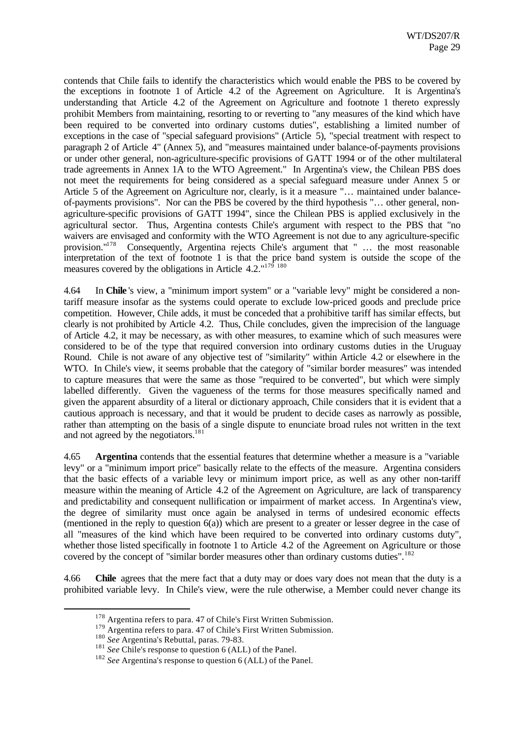contends that Chile fails to identify the characteristics which would enable the PBS to be covered by the exceptions in footnote 1 of Article 4.2 of the Agreement on Agriculture. It is Argentina's understanding that Article 4.2 of the Agreement on Agriculture and footnote 1 thereto expressly prohibit Members from maintaining, resorting to or reverting to "any measures of the kind which have been required to be converted into ordinary customs duties", establishing a limited number of exceptions in the case of "special safeguard provisions" (Article 5), "special treatment with respect to paragraph 2 of Article 4" (Annex 5), and "measures maintained under balance-of-payments provisions or under other general, non-agriculture-specific provisions of GATT 1994 or of the other multilateral trade agreements in Annex 1A to the WTO Agreement." In Argentina's view, the Chilean PBS does not meet the requirements for being considered as a special safeguard measure under Annex 5 or Article 5 of the Agreement on Agriculture nor, clearly, is it a measure "… maintained under balanceof-payments provisions". Nor can the PBS be covered by the third hypothesis "… other general, nonagriculture-specific provisions of GATT 1994", since the Chilean PBS is applied exclusively in the agricultural sector. Thus, Argentina contests Chile's argument with respect to the PBS that "no waivers are envisaged and conformity with the WTO Agreement is not due to any agriculture-specific provision."<sup>178</sup> Consequently, Argentina rejects Chile's argument that " ... the most reasonable interpretation of the text of footnote 1 is that the price band system is outside the scope of the measures covered by the obligations in Article  $4.2.^{179}$  180

4.64 In **Chile** 's view, a "minimum import system" or a "variable levy" might be considered a nontariff measure insofar as the systems could operate to exclude low-priced goods and preclude price competition. However, Chile adds, it must be conceded that a prohibitive tariff has similar effects, but clearly is not prohibited by Article 4.2. Thus, Chile concludes, given the imprecision of the language of Article 4.2, it may be necessary, as with other measures, to examine which of such measures were considered to be of the type that required conversion into ordinary customs duties in the Uruguay Round. Chile is not aware of any objective test of "similarity" within Article 4.2 or elsewhere in the WTO. In Chile's view, it seems probable that the category of "similar border measures" was intended to capture measures that were the same as those "required to be converted", but which were simply labelled differently. Given the vagueness of the terms for those measures specifically named and given the apparent absurdity of a literal or dictionary approach, Chile considers that it is evident that a cautious approach is necessary, and that it would be prudent to decide cases as narrowly as possible, rather than attempting on the basis of a single dispute to enunciate broad rules not written in the text and not agreed by the negotiators.<sup>181</sup>

4.65 **Argentina** contends that the essential features that determine whether a measure is a "variable levy" or a "minimum import price" basically relate to the effects of the measure. Argentina considers that the basic effects of a variable levy or minimum import price, as well as any other non-tariff measure within the meaning of Article 4.2 of the Agreement on Agriculture, are lack of transparency and predictability and consequent nullification or impairment of market access. In Argentina's view, the degree of similarity must once again be analysed in terms of undesired economic effects (mentioned in the reply to question 6(a)) which are present to a greater or lesser degree in the case of all "measures of the kind which have been required to be converted into ordinary customs duty", whether those listed specifically in footnote 1 to Article 4.2 of the Agreement on Agriculture or those covered by the concept of "similar border measures other than ordinary customs duties".<sup>182</sup>

4.66 **Chile** agrees that the mere fact that a duty may or does vary does not mean that the duty is a prohibited variable levy. In Chile's view, were the rule otherwise, a Member could never change its

<sup>178</sup> Argentina refers to para. 47 of Chile's First Written Submission.

<sup>&</sup>lt;sup>179</sup> Argentina refers to para. 47 of Chile's First Written Submission.

<sup>180</sup> *See* Argentina's Rebuttal, paras. 79-83.

<sup>&</sup>lt;sup>181</sup> *See* Chile's response to question 6 (ALL) of the Panel.

<sup>182</sup> *See* Argentina's response to question 6 (ALL) of the Panel.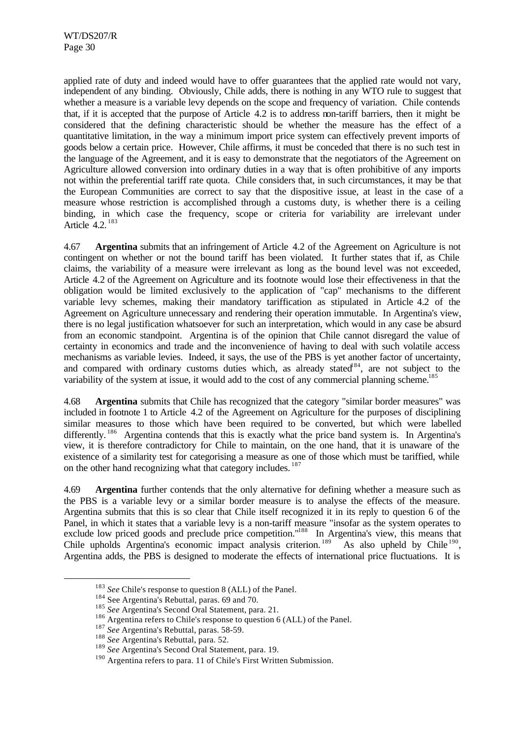applied rate of duty and indeed would have to offer guarantees that the applied rate would not vary, independent of any binding. Obviously, Chile adds, there is nothing in any WTO rule to suggest that whether a measure is a variable levy depends on the scope and frequency of variation. Chile contends that, if it is accepted that the purpose of Article 4.2 is to address non-tariff barriers, then it might be considered that the defining characteristic should be whether the measure has the effect of a quantitative limitation, in the way a minimum import price system can effectively prevent imports of goods below a certain price. However, Chile affirms, it must be conceded that there is no such test in the language of the Agreement, and it is easy to demonstrate that the negotiators of the Agreement on Agriculture allowed conversion into ordinary duties in a way that is often prohibitive of any imports not within the preferential tariff rate quota. Chile considers that, in such circumstances, it may be that the European Communities are correct to say that the dispositive issue, at least in the case of a measure whose restriction is accomplished through a customs duty, is whether there is a ceiling binding, in which case the frequency, scope or criteria for variability are irrelevant under Article 4.2. <sup>183</sup>

4.67 **Argentina** submits that an infringement of Article 4.2 of the Agreement on Agriculture is not contingent on whether or not the bound tariff has been violated. It further states that if, as Chile claims, the variability of a measure were irrelevant as long as the bound level was not exceeded, Article 4.2 of the Agreement on Agriculture and its footnote would lose their effectiveness in that the obligation would be limited exclusively to the application of "cap" mechanisms to the different variable levy schemes, making their mandatory tariffication as stipulated in Article 4.2 of the Agreement on Agriculture unnecessary and rendering their operation immutable. In Argentina's view, there is no legal justification whatsoever for such an interpretation, which would in any case be absurd from an economic standpoint. Argentina is of the opinion that Chile cannot disregard the value of certainty in economics and trade and the inconvenience of having to deal with such volatile access mechanisms as variable levies. Indeed, it says, the use of the PBS is yet another factor of uncertainty, and compared with ordinary customs duties which, as already stated<sup>184</sup>, are not subject to the variability of the system at issue, it would add to the cost of any commercial planning scheme.<sup>185</sup>

4.68 **Argentina** submits that Chile has recognized that the category "similar border measures" was included in footnote 1 to Article 4.2 of the Agreement on Agriculture for the purposes of disciplining similar measures to those which have been required to be converted, but which were labelled differently.<sup>186</sup> Argentina contends that this is exactly what the price band system is. In Argentina's view, it is therefore contradictory for Chile to maintain, on the one hand, that it is unaware of the existence of a similarity test for categorising a measure as one of those which must be tariffied, while on the other hand recognizing what that category includes. <sup>187</sup>

4.69 **Argentina** further contends that the only alternative for defining whether a measure such as the PBS is a variable levy or a similar border measure is to analyse the effects of the measure. Argentina submits that this is so clear that Chile itself recognized it in its reply to question 6 of the Panel, in which it states that a variable levy is a non-tariff measure "insofar as the system operates to exclude low priced goods and preclude price competition."<sup>188</sup> In Argentina's view, this means that Chile upholds Argentina's economic impact analysis criterion.<sup>189</sup> As also upheld by Chile<sup>190</sup>, Argentina adds, the PBS is designed to moderate the effects of international price fluctuations. It is

<sup>183</sup> *See* Chile's response to question 8 (ALL) of the Panel.

<sup>&</sup>lt;sup>184</sup> See Argentina's Rebuttal, paras. 69 and 70.

<sup>185</sup> *See* Argentina's Second Oral Statement, para. 21.

<sup>&</sup>lt;sup>186</sup> Argentina refers to Chile's response to question 6 (ALL) of the Panel.

<sup>187</sup> *See* Argentina's Rebuttal, paras. 58-59.

<sup>188</sup> *See* Argentina's Rebuttal, para. 52.

<sup>189</sup> *See* Argentina's Second Oral Statement, para. 19.

<sup>&</sup>lt;sup>190</sup> Argentina refers to para. 11 of Chile's First Written Submission.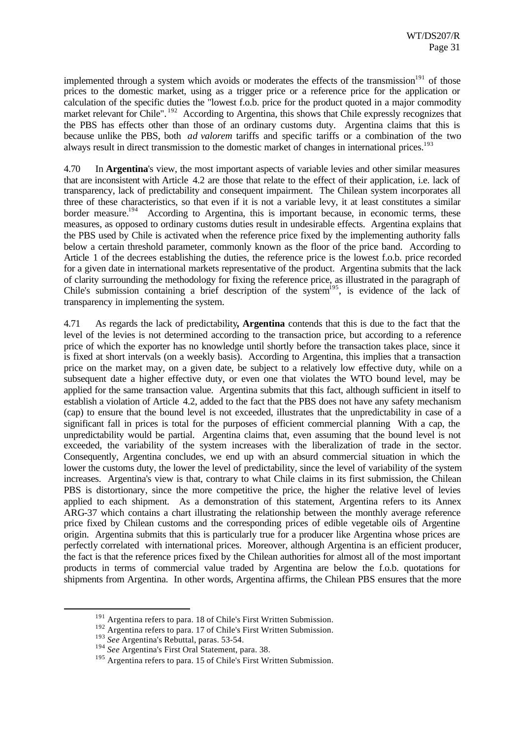implemented through a system which avoids or moderates the effects of the transmission $191$  of those prices to the domestic market, using as a trigger price or a reference price for the application or calculation of the specific duties the "lowest f.o.b. price for the product quoted in a major commodity market relevant for Chile". <sup>192</sup> According to Argentina, this shows that Chile expressly recognizes that the PBS has effects other than those of an ordinary customs duty. Argentina claims that this is because unlike the PBS, both *ad valorem* tariffs and specific tariffs or a combination of the two always result in direct transmission to the domestic market of changes in international prices.<sup>193</sup>

4.70 In **Argentina**'s view, the most important aspects of variable levies and other similar measures that are inconsistent with Article 4.2 are those that relate to the effect of their application, i.e. lack of transparency, lack of predictability and consequent impairment. The Chilean system incorporates all three of these characteristics, so that even if it is not a variable levy, it at least constitutes a similar border measure.<sup>194</sup> According to Argentina, this is important because, in economic terms, these measures, as opposed to ordinary customs duties result in undesirable effects. Argentina explains that the PBS used by Chile is activated when the reference price fixed by the implementing authority falls below a certain threshold parameter, commonly known as the floor of the price band. According to Article 1 of the decrees establishing the duties, the reference price is the lowest f.o.b. price recorded for a given date in international markets representative of the product. Argentina submits that the lack of clarity surrounding the methodology for fixing the reference price, as illustrated in the paragraph of Chile's submission containing a brief description of the system<sup>195</sup>, is evidence of the lack of transparency in implementing the system.

4.71 As regards the lack of predictability**, Argentina** contends that this is due to the fact that the level of the levies is not determined according to the transaction price, but according to a reference price of which the exporter has no knowledge until shortly before the transaction takes place, since it is fixed at short intervals (on a weekly basis). According to Argentina, this implies that a transaction price on the market may, on a given date, be subject to a relatively low effective duty, while on a subsequent date a higher effective duty, or even one that violates the WTO bound level, may be applied for the same transaction value. Argentina submits that this fact, although sufficient in itself to establish a violation of Article 4.2, added to the fact that the PBS does not have any safety mechanism (cap) to ensure that the bound level is not exceeded, illustrates that the unpredictability in case of a significant fall in prices is total for the purposes of efficient commercial planning With a cap, the unpredictability would be partial. Argentina claims that, even assuming that the bound level is not exceeded, the variability of the system increases with the liberalization of trade in the sector. Consequently, Argentina concludes, we end up with an absurd commercial situation in which the lower the customs duty, the lower the level of predictability, since the level of variability of the system increases. Argentina's view is that, contrary to what Chile claims in its first submission, the Chilean PBS is distortionary, since the more competitive the price, the higher the relative level of levies applied to each shipment. As a demonstration of this statement, Argentina refers to its Annex ARG-37 which contains a chart illustrating the relationship between the monthly average reference price fixed by Chilean customs and the corresponding prices of edible vegetable oils of Argentine origin. Argentina submits that this is particularly true for a producer like Argentina whose prices are perfectly correlated with international prices. Moreover, although Argentina is an efficient producer, the fact is that the reference prices fixed by the Chilean authorities for almost all of the most important products in terms of commercial value traded by Argentina are below the f.o.b. quotations for shipments from Argentina. In other words, Argentina affirms, the Chilean PBS ensures that the more

<sup>191</sup> Argentina refers to para. 18 of Chile's First Written Submission.

<sup>192</sup> Argentina refers to para. 17 of Chile's First Written Submission.

<sup>193</sup> *See* Argentina's Rebuttal, paras. 53-54.

<sup>194</sup> *See* Argentina's First Oral Statement, para. 38.

<sup>&</sup>lt;sup>195</sup> Argentina refers to para. 15 of Chile's First Written Submission.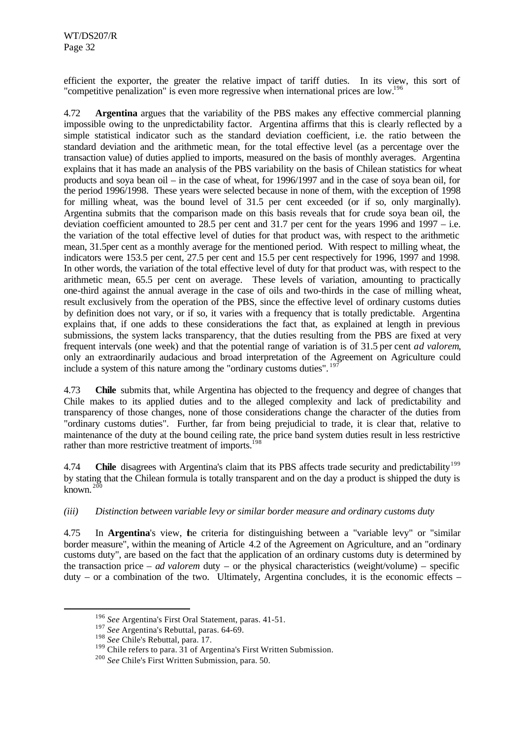efficient the exporter, the greater the relative impact of tariff duties. In its view, this sort of "competitive penalization" is even more regressive when international prices are low.<sup>196</sup>

4.72 **Argentina** argues that the variability of the PBS makes any effective commercial planning impossible owing to the unpredictability factor. Argentina affirms that this is clearly reflected by a simple statistical indicator such as the standard deviation coefficient, i.e. the ratio between the standard deviation and the arithmetic mean, for the total effective level (as a percentage over the transaction value) of duties applied to imports, measured on the basis of monthly averages. Argentina explains that it has made an analysis of the PBS variability on the basis of Chilean statistics for wheat products and soya bean oil – in the case of wheat, for 1996/1997 and in the case of soya bean oil, for the period 1996/1998. These years were selected because in none of them, with the exception of 1998 for milling wheat, was the bound level of 31.5 per cent exceeded (or if so, only marginally). Argentina submits that the comparison made on this basis reveals that for crude soya bean oil, the deviation coefficient amounted to 28.5 per cent and 31.7 per cent for the years 1996 and 1997 – i.e. the variation of the total effective level of duties for that product was, with respect to the arithmetic mean, 31.5per cent as a monthly average for the mentioned period. With respect to milling wheat, the indicators were 153.5 per cent, 27.5 per cent and 15.5 per cent respectively for 1996, 1997 and 1998. In other words, the variation of the total effective level of duty for that product was, with respect to the arithmetic mean, 65.5 per cent on average. These levels of variation, amounting to practically one-third against the annual average in the case of oils and two-thirds in the case of milling wheat, result exclusively from the operation of the PBS, since the effective level of ordinary customs duties by definition does not vary, or if so, it varies with a frequency that is totally predictable. Argentina explains that, if one adds to these considerations the fact that, as explained at length in previous submissions, the system lacks transparency, that the duties resulting from the PBS are fixed at very frequent intervals (one week) and that the potential range of variation is of 31.5 per cent *ad valorem*, only an extraordinarily audacious and broad interpretation of the Agreement on Agriculture could include a system of this nature among the "ordinary customs duties".<sup>19</sup>

4.73 **Chile** submits that, while Argentina has objected to the frequency and degree of changes that Chile makes to its applied duties and to the alleged complexity and lack of predictability and transparency of those changes, none of those considerations change the character of the duties from "ordinary customs duties". Further, far from being prejudicial to trade, it is clear that, relative to maintenance of the duty at the bound ceiling rate, the price band system duties result in less restrictive rather than more restrictive treatment of imports.<sup>198</sup>

4.74 **Chile** disagrees with Argentina's claim that its PBS affects trade security and predictability<sup>199</sup> by stating that the Chilean formula is totally transparent and on the day a product is shipped the duty is known.  $200$ 

# *(iii) Distinction between variable levy or similar border measure and ordinary customs duty*

4.75 In **Argentina**'s view, the criteria for distinguishing between a "variable levy" or "similar border measure", within the meaning of Article 4.2 of the Agreement on Agriculture, and an "ordinary customs duty", are based on the fact that the application of an ordinary customs duty is determined by the transaction price – *ad valorem* duty – or the physical characteristics (weight/volume) – specific duty – or a combination of the two. Ultimately, Argentina concludes, it is the economic effects –

<sup>196</sup> *See* Argentina's First Oral Statement, paras. 41-51.

<sup>197</sup> *See* Argentina's Rebuttal, paras. 64-69.

<sup>198</sup> *See* Chile's Rebuttal, para. 17.

 $199$  Chile refers to para. 31 of Argentina's First Written Submission.

<sup>200</sup> *See* Chile's First Written Submission, para. 50.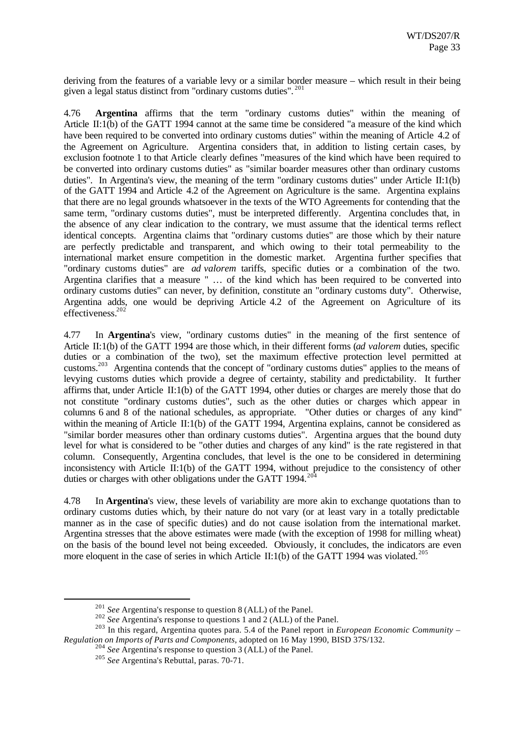deriving from the features of a variable levy or a similar border measure – which result in their being given a legal status distinct from "ordinary customs duties". <sup>201</sup>

4.76 **Argentina** affirms that the term "ordinary customs duties" within the meaning of Article II:1(b) of the GATT 1994 cannot at the same time be considered "a measure of the kind which have been required to be converted into ordinary customs duties" within the meaning of Article 4.2 of the Agreement on Agriculture. Argentina considers that, in addition to listing certain cases, by exclusion footnote 1 to that Article clearly defines "measures of the kind which have been required to be converted into ordinary customs duties" as "similar boarder measures other than ordinary customs duties". In Argentina's view, the meaning of the term "ordinary customs duties" under Article II:1(b) of the GATT 1994 and Article 4.2 of the Agreement on Agriculture is the same. Argentina explains that there are no legal grounds whatsoever in the texts of the WTO Agreements for contending that the same term, "ordinary customs duties", must be interpreted differently. Argentina concludes that, in the absence of any clear indication to the contrary, we must assume that the identical terms reflect identical concepts. Argentina claims that "ordinary customs duties" are those which by their nature are perfectly predictable and transparent, and which owing to their total permeability to the international market ensure competition in the domestic market. Argentina further specifies that "ordinary customs duties" are *ad valorem* tariffs, specific duties or a combination of the two. Argentina clarifies that a measure " … of the kind which has been required to be converted into ordinary customs duties" can never, by definition, constitute an "ordinary customs duty". Otherwise, Argentina adds, one would be depriving Article 4.2 of the Agreement on Agriculture of its effectiveness.<sup>202</sup>

4.77 In **Argentina**'s view, "ordinary customs duties" in the meaning of the first sentence of Article II:1(b) of the GATT 1994 are those which, in their different forms (*ad valorem* duties, specific duties or a combination of the two), set the maximum effective protection level permitted at customs.<sup>203</sup> Argentina contends that the concept of "ordinary customs duties" applies to the means of levying customs duties which provide a degree of certainty, stability and predictability. It further affirms that, under Article II:1(b) of the GATT 1994, other duties or charges are merely those that do not constitute "ordinary customs duties", such as the other duties or charges which appear in columns 6 and 8 of the national schedules, as appropriate. "Other duties or charges of any kind" within the meaning of Article II:1(b) of the GATT 1994, Argentina explains, cannot be considered as "similar border measures other than ordinary customs duties". Argentina argues that the bound duty level for what is considered to be "other duties and charges of any kind" is the rate registered in that column. Consequently, Argentina concludes, that level is the one to be considered in determining inconsistency with Article II:1(b) of the GATT 1994, without prejudice to the consistency of other duties or charges with other obligations under the GATT 1994. $^{204}$ 

4.78 In **Argentina**'s view, these levels of variability are more akin to exchange quotations than to ordinary customs duties which, by their nature do not vary (or at least vary in a totally predictable manner as in the case of specific duties) and do not cause isolation from the international market. Argentina stresses that the above estimates were made (with the exception of 1998 for milling wheat) on the basis of the bound level not being exceeded. Obviously, it concludes, the indicators are even more eloquent in the case of series in which Article II:1(b) of the GATT 1994 was violated.<sup>205</sup>

<sup>201</sup> *See* Argentina's response to question 8 (ALL) of the Panel.

<sup>&</sup>lt;sup>202</sup> *See* Argentina's response to questions 1 and 2 (ALL) of the Panel.

<sup>203</sup> In this regard, Argentina quotes para. 5.4 of the Panel report in *European Economic Community – Regulation on Imports of Parts and Components*, adopted on 16 May 1990, BISD 37S/132.

<sup>204</sup> *See* Argentina's response to question 3 (ALL) of the Panel.

<sup>205</sup> *See* Argentina's Rebuttal, paras. 70-71.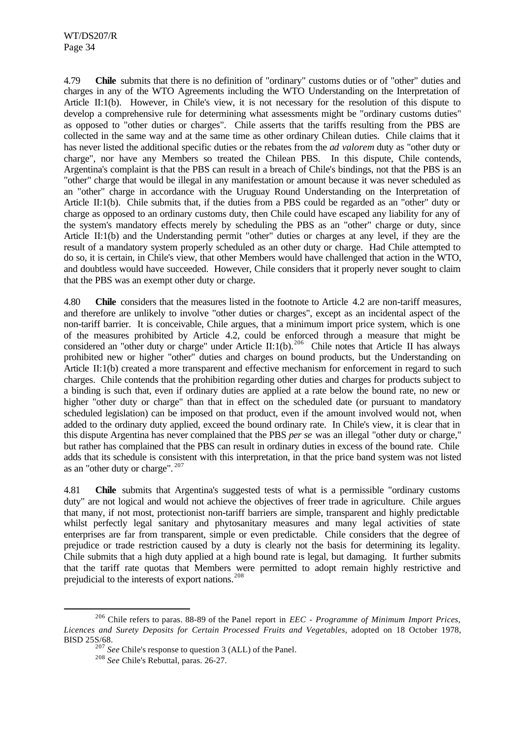4.79 **Chile** submits that there is no definition of "ordinary" customs duties or of "other" duties and charges in any of the WTO Agreements including the WTO Understanding on the Interpretation of Article II:1(b). However, in Chile's view, it is not necessary for the resolution of this dispute to develop a comprehensive rule for determining what assessments might be "ordinary customs duties" as opposed to "other duties or charges". Chile asserts that the tariffs resulting from the PBS are collected in the same way and at the same time as other ordinary Chilean duties. Chile claims that it has never listed the additional specific duties or the rebates from the *ad valorem* duty as "other duty or charge", nor have any Members so treated the Chilean PBS. In this dispute, Chile contends, Argentina's complaint is that the PBS can result in a breach of Chile's bindings, not that the PBS is an "other" charge that would be illegal in any manifestation or amount because it was never scheduled as an "other" charge in accordance with the Uruguay Round Understanding on the Interpretation of Article II:1(b). Chile submits that, if the duties from a PBS could be regarded as an "other" duty or charge as opposed to an ordinary customs duty, then Chile could have escaped any liability for any of the system's mandatory effects merely by scheduling the PBS as an "other" charge or duty, since Article II:1(b) and the Understanding permit "other" duties or charges at any level, if they are the result of a mandatory system properly scheduled as an other duty or charge. Had Chile attempted to do so, it is certain, in Chile's view, that other Members would have challenged that action in the WTO, and doubtless would have succeeded. However, Chile considers that it properly never sought to claim that the PBS was an exempt other duty or charge.

4.80 **Chile** considers that the measures listed in the footnote to Article 4.2 are non-tariff measures, and therefore are unlikely to involve "other duties or charges", except as an incidental aspect of the non-tariff barrier. It is conceivable, Chile argues, that a minimum import price system, which is one of the measures prohibited by Article 4.2, could be enforced through a measure that might be considered an "other duty or charge" under Article II:1(b).<sup>206</sup> Chile notes that Article II has always prohibited new or higher "other" duties and charges on bound products, but the Understanding on Article II:1(b) created a more transparent and effective mechanism for enforcement in regard to such charges. Chile contends that the prohibition regarding other duties and charges for products subject to a binding is such that, even if ordinary duties are applied at a rate below the bound rate, no new or higher "other duty or charge" than that in effect on the scheduled date (or pursuant to mandatory scheduled legislation) can be imposed on that product, even if the amount involved would not, when added to the ordinary duty applied, exceed the bound ordinary rate. In Chile's view, it is clear that in this dispute Argentina has never complained that the PBS *per se* was an illegal "other duty or charge," but rather has complained that the PBS can result in ordinary duties in excess of the bound rate. Chile adds that its schedule is consistent with this interpretation, in that the price band system was not listed as an "other duty or charge". <sup>207</sup>

4.81 **Chile** submits that Argentina's suggested tests of what is a permissible "ordinary customs duty" are not logical and would not achieve the objectives of freer trade in agriculture. Chile argues that many, if not most, protectionist non-tariff barriers are simple, transparent and highly predictable whilst perfectly legal sanitary and phytosanitary measures and many legal activities of state enterprises are far from transparent, simple or even predictable. Chile considers that the degree of prejudice or trade restriction caused by a duty is clearly not the basis for determining its legality. Chile submits that a high duty applied at a high bound rate is legal, but damaging. It further submits that the tariff rate quotas that Members were permitted to adopt remain highly restrictive and prejudicial to the interests of export nations.<sup>208</sup>

<sup>206</sup> Chile refers to paras. 88-89 of the Panel report in *EEC - Programme of Minimum Import Prices, Licences and Surety Deposits for Certain Processed Fruits and Vegetables,* adopted on 18 October 1978, BISD 25S/68.

<sup>207</sup> *See* Chile's response to question 3 (ALL) of the Panel.

<sup>208</sup> *See* Chile's Rebuttal, paras. 26-27.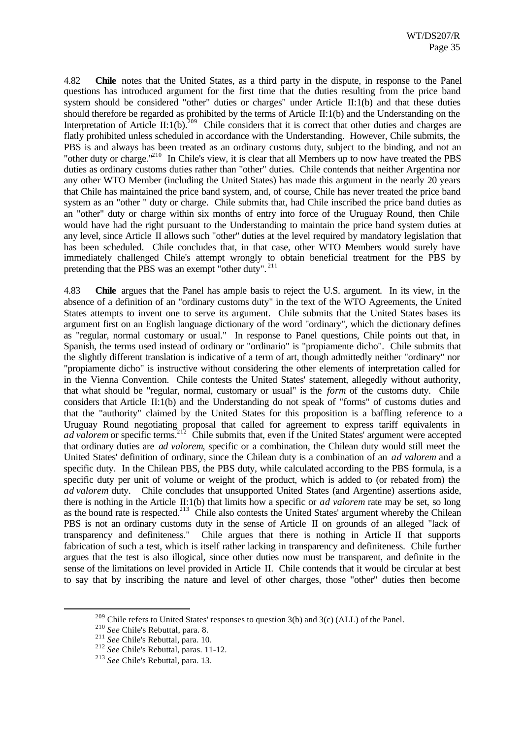4.82 **Chile** notes that the United States, as a third party in the dispute, in response to the Panel questions has introduced argument for the first time that the duties resulting from the price band system should be considered "other" duties or charges" under Article II:1(b) and that these duties should therefore be regarded as prohibited by the terms of Article II:1(b) and the Understanding on the Interpretation of Article II:1(b).<sup>209</sup> Chile considers that it is correct that other duties and charges are flatly prohibited unless scheduled in accordance with the Understanding. However, Chile submits, the PBS is and always has been treated as an ordinary customs duty, subject to the binding, and not an "other duty or charge."<sup>210</sup> In Chile's view, it is clear that all Members up to now have treated the PBS duties as ordinary customs duties rather than "other" duties. Chile contends that neither Argentina nor any other WTO Member (including the United States) has made this argument in the nearly 20 years that Chile has maintained the price band system, and, of course, Chile has never treated the price band system as an "other " duty or charge. Chile submits that, had Chile inscribed the price band duties as an "other" duty or charge within six months of entry into force of the Uruguay Round, then Chile would have had the right pursuant to the Understanding to maintain the price band system duties at any level, since Article II allows such "other" duties at the level required by mandatory legislation that has been scheduled. Chile concludes that, in that case, other WTO Members would surely have immediately challenged Chile's attempt wrongly to obtain beneficial treatment for the PBS by pretending that the PBS was an exempt "other duty".<sup>211</sup>

4.83 **Chile** argues that the Panel has ample basis to reject the U.S. argument. In its view, in the absence of a definition of an "ordinary customs duty" in the text of the WTO Agreements, the United States attempts to invent one to serve its argument. Chile submits that the United States bases its argument first on an English language dictionary of the word "ordinary", which the dictionary defines as "regular, normal customary or usual." In response to Panel questions, Chile points out that, in Spanish, the terms used instead of ordinary or "ordinario" is "propiamente dicho". Chile submits that the slightly different translation is indicative of a term of art, though admittedly neither "ordinary" nor "propiamente dicho" is instructive without considering the other elements of interpretation called for in the Vienna Convention. Chile contests the United States' statement, allegedly without authority, that what should be "regular, normal, customary or usual" is the *form* of the customs duty. Chile considers that Article II:1(b) and the Understanding do not speak of "forms" of customs duties and that the "authority" claimed by the United States for this proposition is a baffling reference to a Uruguay Round negotiating proposal that called for agreement to express tariff equivalents in *ad valorem* or specific terms.<sup>212</sup> Chile submits that, even if the United States' argument were accepted that ordinary duties are *ad valorem*, specific or a combination, the Chilean duty would still meet the United States' definition of ordinary, since the Chilean duty is a combination of an *ad valorem* and a specific duty. In the Chilean PBS, the PBS duty, while calculated according to the PBS formula, is a specific duty per unit of volume or weight of the product, which is added to (or rebated from) the *ad valorem* duty. Chile concludes that unsupported United States (and Argentine) assertions aside, there is nothing in the Article II:1(b) that limits how a specific or *ad valorem* rate may be set, so long as the bound rate is respected.<sup>213</sup> Chile also contests the United States' argument whereby the Chilean PBS is not an ordinary customs duty in the sense of Article II on grounds of an alleged "lack of transparency and definiteness." Chile argues that there is nothing in Article II that supports fabrication of such a test, which is itself rather lacking in transparency and definiteness. Chile further argues that the test is also illogical, since other duties now must be transparent, and definite in the sense of the limitations on level provided in Article II. Chile contends that it would be circular at best to say that by inscribing the nature and level of other charges, those "other" duties then become

 $209$  Chile refers to United States' responses to question 3(b) and 3(c) (ALL) of the Panel.

<sup>210</sup> *See* Chile's Rebuttal, para. 8.

<sup>211</sup> *See* Chile's Rebuttal, para. 10.

<sup>212</sup> *See* Chile's Rebuttal, paras. 11-12.

<sup>213</sup> *See* Chile's Rebuttal, para. 13.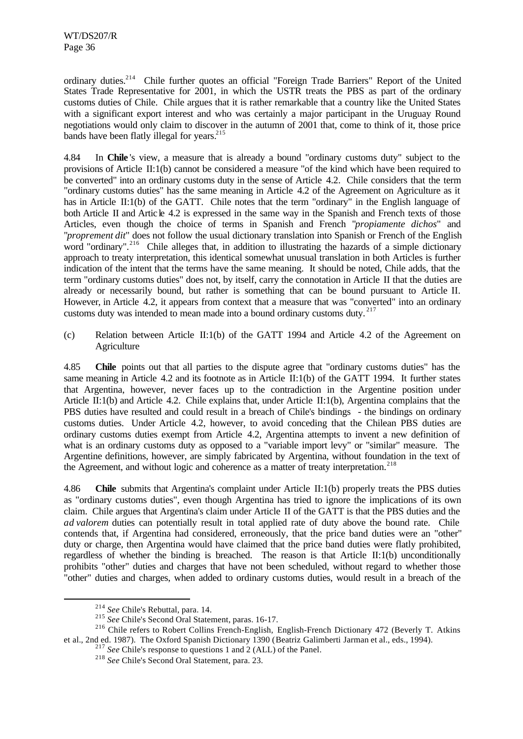ordinary duties.<sup>214</sup> Chile further quotes an official "Foreign Trade Barriers" Report of the United States Trade Representative for 2001, in which the USTR treats the PBS as part of the ordinary customs duties of Chile. Chile argues that it is rather remarkable that a country like the United States with a significant export interest and who was certainly a major participant in the Uruguay Round negotiations would only claim to discover in the autumn of 2001 that, come to think of it, those price bands have been flatly illegal for years. $^{215}$ 

4.84 In **Chile** 's view, a measure that is already a bound "ordinary customs duty" subject to the provisions of Article II:1(b) cannot be considered a measure "of the kind which have been required to be converted" into an ordinary customs duty in the sense of Article 4.2. Chile considers that the term "ordinary customs duties" has the same meaning in Article 4.2 of the Agreement on Agriculture as it has in Article II:1(b) of the GATT. Chile notes that the term "ordinary" in the English language of both Article II and Article 4.2 is expressed in the same way in the Spanish and French texts of those Articles, even though the choice of terms in Spanish and French "*propiamente dichos*" and "*proprement dit*" does not follow the usual dictionary translation into Spanish or French of the English word "ordinary".<sup>216</sup> Chile alleges that, in addition to illustrating the hazards of a simple dictionary approach to treaty interpretation, this identical somewhat unusual translation in both Articles is further indication of the intent that the terms have the same meaning. It should be noted, Chile adds, that the term "ordinary customs duties" does not, by itself, carry the connotation in Article II that the duties are already or necessarily bound, but rather is something that can be bound pursuant to Article II. However, in Article 4.2, it appears from context that a measure that was "converted" into an ordinary customs duty was intended to mean made into a bound ordinary customs duty.  $2^{17}$ 

(c) Relation between Article II:1(b) of the GATT 1994 and Article 4.2 of the Agreement on **Agriculture** 

4.85 **Chile** points out that all parties to the dispute agree that "ordinary customs duties" has the same meaning in Article 4.2 and its footnote as in Article II:1(b) of the GATT 1994. It further states that Argentina, however, never faces up to the contradiction in the Argentine position under Article II:1(b) and Article 4.2. Chile explains that, under Article II:1(b), Argentina complains that the PBS duties have resulted and could result in a breach of Chile's bindings - the bindings on ordinary customs duties. Under Article 4.2, however, to avoid conceding that the Chilean PBS duties are ordinary customs duties exempt from Article 4.2, Argentina attempts to invent a new definition of what is an ordinary customs duty as opposed to a "variable import levy" or "similar" measure. The Argentine definitions, however, are simply fabricated by Argentina, without foundation in the text of the Agreement, and without logic and coherence as a matter of treaty interpretation.<sup>218</sup>

4.86 **Chile** submits that Argentina's complaint under Article II:1(b) properly treats the PBS duties as "ordinary customs duties", even though Argentina has tried to ignore the implications of its own claim. Chile argues that Argentina's claim under Article II of the GATT is that the PBS duties and the *ad valorem* duties can potentially result in total applied rate of duty above the bound rate. Chile contends that, if Argentina had considered, erroneously, that the price band duties were an "other" duty or charge, then Argentina would have claimed that the price band duties were flatly prohibited, regardless of whether the binding is breached. The reason is that Article II:1(b) unconditionally prohibits "other" duties and charges that have not been scheduled, without regard to whether those "other" duties and charges, when added to ordinary customs duties, would result in a breach of the

<sup>214</sup> *See* Chile's Rebuttal, para. 14.

<sup>215</sup> *See* Chile's Second Oral Statement, paras. 16-17.

<sup>&</sup>lt;sup>216</sup> Chile refers to Robert Collins French-English, English-French Dictionary 472 (Beverly T. Atkins et al., 2nd ed. 1987). The Oxford Spanish Dictionary 1390 (Beatriz Galimberti Jarman et al., eds., 1994).

<sup>&</sup>lt;sup>217</sup> *See* Chile's response to questions 1 and 2 (ALL) of the Panel.

<sup>218</sup> *See* Chile's Second Oral Statement, para. 23.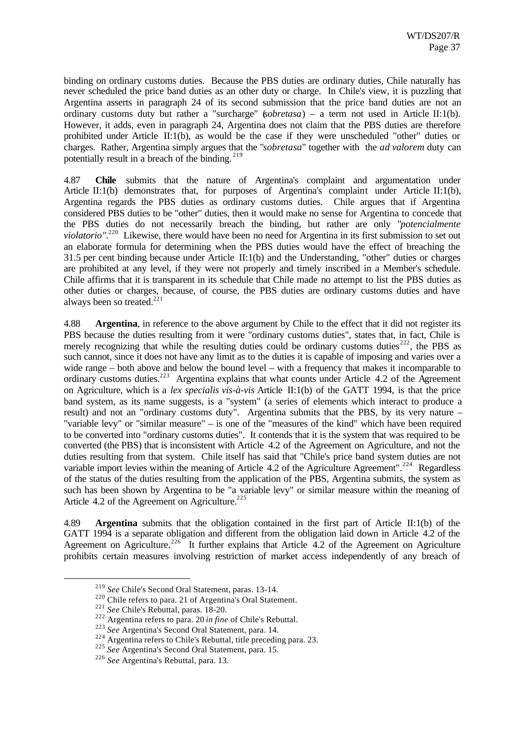binding on ordinary customs duties. Because the PBS duties are ordinary duties, Chile naturally has never scheduled the price band duties as an other duty or charge. In Chile's view, it is puzzling that Argentina asserts in paragraph 24 of its second submission that the price band duties are not an ordinary customs duty but rather a "surcharge" (*sobretasa*) – a term not used in Article II:1(b). However, it adds, even in paragraph 24, Argentina does not claim that the PBS duties are therefore prohibited under Article II:1(b), as would be the case if they were unscheduled "other" duties or charges. Rather, Argentina simply argues that the "*sobretasa*" together with the *ad valorem* duty can potentially result in a breach of the binding. <sup>219</sup>

4.87 **Chile** submits that the nature of Argentina's complaint and argumentation under Article II:1(b) demonstrates that, for purposes of Argentina's complaint under Article II:1(b), Argentina regards the PBS duties as ordinary customs duties. Chile argues that if Argentina considered PBS duties to be "other" duties, then it would make no sense for Argentina to concede that the PBS duties do not necessarily breach the binding, but rather are only "*potencialmente violatorio*".<sup>220</sup> Likewise, there would have been no need for Argentina in its first submission to set out an elaborate formula for determining when the PBS duties would have the effect of breaching the 31.5 per cent binding because under Article II:1(b) and the Understanding, "other" duties or charges are prohibited at any level, if they were not properly and timely inscribed in a Member's schedule. Chile affirms that it is transparent in its schedule that Chile made no attempt to list the PBS duties as other duties or charges, because, of course, the PBS duties are ordinary customs duties and have always been so treated. $^{221}$ 

4.88 **Argentina**, in reference to the above argument by Chile to the effect that it did not register its PBS because the duties resulting from it were "ordinary customs duties", states that, in fact, Chile is merely recognizing that while the resulting duties could be ordinary customs duties<sup>222</sup>, the PBS as such cannot, since it does not have any limit as to the duties it is capable of imposing and varies over a wide range – both above and below the bound level – with a frequency that makes it incomparable to ordinary customs duties.<sup>223</sup> Argentina explains that what counts under Article 4.2 of the Agreement on Agriculture, which is a *lex specialis vis-à-vis* Article II:1(b) of the GATT 1994, is that the price band system, as its name suggests, is a "system" (a series of elements which interact to produce a result) and not an "ordinary customs duty". Argentina submits that the PBS, by its very nature – "variable levy" or "similar measure" – is one of the "measures of the kind" which have been required to be converted into "ordinary customs duties". It contends that it is the system that was required to be converted (the PBS) that is inconsistent with Article 4.2 of the Agreement on Agriculture, and not the duties resulting from that system. Chile itself has said that "Chile's price band system duties are not variable import levies within the meaning of Article 4.2 of the Agriculture Agreement".<sup>224</sup> Regardless of the status of the duties resulting from the application of the PBS, Argentina submits, the system as such has been shown by Argentina to be "a variable levy" or similar measure within the meaning of Article 4.2 of the Agreement on Agriculture.<sup>225</sup>

4.89 **Argentina** submits that the obligation contained in the first part of Article II:1(b) of the GATT 1994 is a separate obligation and different from the obligation laid down in Article 4.2 of the Agreement on Agriculture.<sup>226</sup> It further explains that Article 4.2 of the Agreement on Agriculture prohibits certain measures involving restriction of market access independently of any breach of

<sup>219</sup> *See* Chile's Second Oral Statement, paras. 13-14.

<sup>220</sup> Chile refers to para. 21 of Argentina's Oral Statement.

<sup>&</sup>lt;sup>221</sup> See Chile's Rebuttal, paras. 18-20.

<sup>222</sup> Argentina refers to para. 20 *in fine* of Chile's Rebuttal.

<sup>223</sup> *See* Argentina's Second Oral Statement, para. 14.

<sup>&</sup>lt;sup>224</sup> Argentina refers to Chile's Rebuttal, title preceding para. 23.

<sup>225</sup> *See* Argentina's Second Oral Statement, para. 15.

<sup>226</sup> *See* Argentina's Rebuttal, para. 13.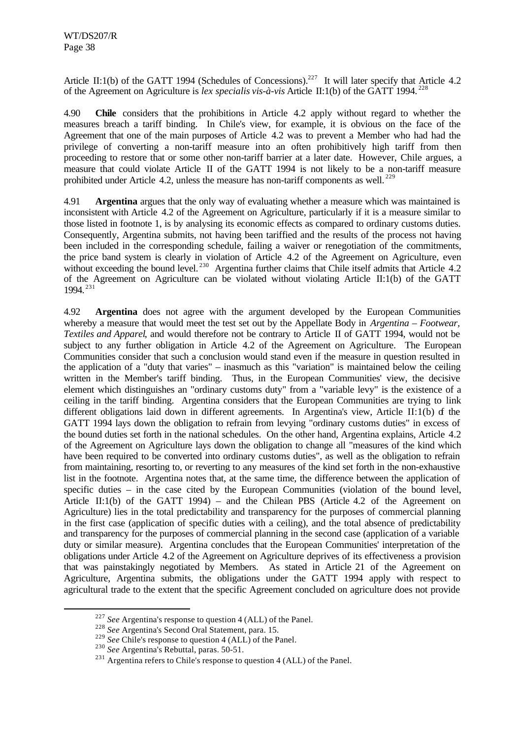Article II:1(b) of the GATT 1994 (Schedules of Concessions).<sup>227</sup> It will later specify that Article 4.2 of the Agreement on Agriculture is *lex specialis vis-à-vis* Article II:1(b) of the GATT 1994. <sup>228</sup>

4.90 **Chile** considers that the prohibitions in Article 4.2 apply without regard to whether the measures breach a tariff binding. In Chile's view, for example, it is obvious on the face of the Agreement that one of the main purposes of Article 4.2 was to prevent a Member who had had the privilege of converting a non-tariff measure into an often prohibitively high tariff from then proceeding to restore that or some other non-tariff barrier at a later date. However, Chile argues, a measure that could violate Article II of the GATT 1994 is not likely to be a non-tariff measure prohibited under Article 4.2, unless the measure has non-tariff components as well.<sup>229</sup>

4.91 **Argentina** argues that the only way of evaluating whether a measure which was maintained is inconsistent with Article 4.2 of the Agreement on Agriculture, particularly if it is a measure similar to those listed in footnote 1, is by analysing its economic effects as compared to ordinary customs duties. Consequently, Argentina submits, not having been tariffied and the results of the process not having been included in the corresponding schedule, failing a waiver or renegotiation of the commitments, the price band system is clearly in violation of Article 4.2 of the Agreement on Agriculture, even without exceeding the bound level.<sup>230</sup> Argentina further claims that Chile itself admits that Article 4.2 of the Agreement on Agriculture can be violated without violating Article II:1(b) of the GATT 1994. <sup>231</sup>

4.92 **Argentina** does not agree with the argument developed by the European Communities whereby a measure that would meet the test set out by the Appellate Body in *Argentina – Footwear, Textiles and Apparel*, and would therefore not be contrary to Article II of GATT 1994, would not be subject to any further obligation in Article 4.2 of the Agreement on Agriculture. The European Communities consider that such a conclusion would stand even if the measure in question resulted in the application of a "duty that varies" – inasmuch as this "variation" is maintained below the ceiling written in the Member's tariff binding. Thus, in the European Communities' view, the decisive element which distinguishes an "ordinary customs duty" from a "variable levy" is the existence of a ceiling in the tariff binding. Argentina considers that the European Communities are trying to link different obligations laid down in different agreements. In Argentina's view, Article II:1(b) of the GATT 1994 lays down the obligation to refrain from levying "ordinary customs duties" in excess of the bound duties set forth in the national schedules. On the other hand, Argentina explains, Article 4.2 of the Agreement on Agriculture lays down the obligation to change all "measures of the kind which have been required to be converted into ordinary customs duties", as well as the obligation to refrain from maintaining, resorting to, or reverting to any measures of the kind set forth in the non-exhaustive list in the footnote. Argentina notes that, at the same time, the difference between the application of specific duties – in the case cited by the European Communities (violation of the bound level, Article II:1(b) of the GATT 1994) – and the Chilean PBS (Article 4.2 of the Agreement on Agriculture) lies in the total predictability and transparency for the purposes of commercial planning in the first case (application of specific duties with a ceiling), and the total absence of predictability and transparency for the purposes of commercial planning in the second case (application of a variable duty or similar measure). Argentina concludes that the European Communities' interpretation of the obligations under Article 4.2 of the Agreement on Agriculture deprives of its effectiveness a provision that was painstakingly negotiated by Members. As stated in Article 21 of the Agreement on Agriculture, Argentina submits, the obligations under the GATT 1994 apply with respect to agricultural trade to the extent that the specific Agreement concluded on agriculture does not provide

<sup>227</sup> *See* Argentina's response to question 4 (ALL) of the Panel.

<sup>228</sup> *See* Argentina's Second Oral Statement, para. 15.

<sup>&</sup>lt;sup>229</sup> *See* Chile's response to question 4 (ALL) of the Panel.

<sup>230</sup> *See* Argentina's Rebuttal, paras. 50-51.

 $231$  Argentina refers to Chile's response to question 4 (ALL) of the Panel.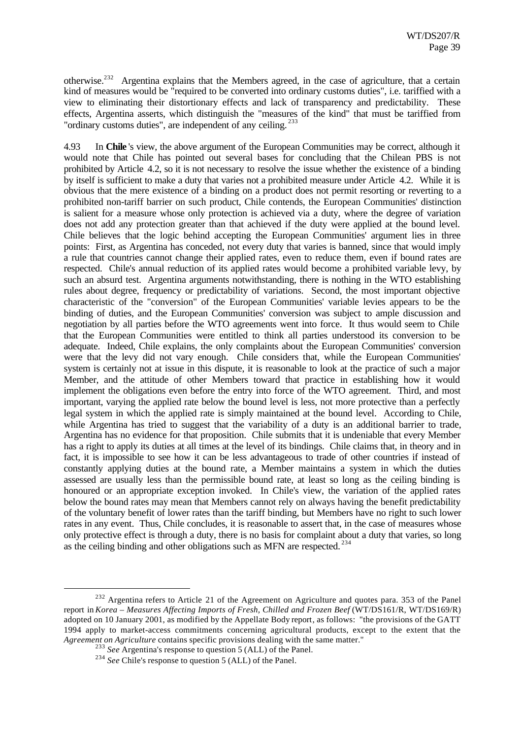otherwise.<sup>232</sup> Argentina explains that the Members agreed, in the case of agriculture, that a certain kind of measures would be "required to be converted into ordinary customs duties", i.e. tariffied with a view to eliminating their distortionary effects and lack of transparency and predictability. These effects, Argentina asserts, which distinguish the "measures of the kind" that must be tariffied from "ordinary customs duties", are independent of any ceiling.<sup>233</sup>

4.93 In **Chile** 's view, the above argument of the European Communities may be correct, although it would note that Chile has pointed out several bases for concluding that the Chilean PBS is not prohibited by Article 4.2, so it is not necessary to resolve the issue whether the existence of a binding by itself is sufficient to make a duty that varies not a prohibited measure under Article 4.2. While it is obvious that the mere existence of a binding on a product does not permit resorting or reverting to a prohibited non-tariff barrier on such product, Chile contends, the European Communities' distinction is salient for a measure whose only protection is achieved via a duty, where the degree of variation does not add any protection greater than that achieved if the duty were applied at the bound level. Chile believes that the logic behind accepting the European Communities' argument lies in three points: First, as Argentina has conceded, not every duty that varies is banned, since that would imply a rule that countries cannot change their applied rates, even to reduce them, even if bound rates are respected. Chile's annual reduction of its applied rates would become a prohibited variable levy, by such an absurd test. Argentina arguments notwithstanding, there is nothing in the WTO establishing rules about degree, frequency or predictability of variations. Second, the most important objective characteristic of the "conversion" of the European Communities' variable levies appears to be the binding of duties, and the European Communities' conversion was subject to ample discussion and negotiation by all parties before the WTO agreements went into force. It thus would seem to Chile that the European Communities were entitled to think all parties understood its conversion to be adequate. Indeed, Chile explains, the only complaints about the European Communities' conversion were that the levy did not vary enough. Chile considers that, while the European Communities' system is certainly not at issue in this dispute, it is reasonable to look at the practice of such a major Member, and the attitude of other Members toward that practice in establishing how it would implement the obligations even before the entry into force of the WTO agreement. Third, and most important, varying the applied rate below the bound level is less, not more protective than a perfectly legal system in which the applied rate is simply maintained at the bound level. According to Chile, while Argentina has tried to suggest that the variability of a duty is an additional barrier to trade, Argentina has no evidence for that proposition. Chile submits that it is undeniable that every Member has a right to apply its duties at all times at the level of its bindings. Chile claims that, in theory and in fact, it is impossible to see how it can be less advantageous to trade of other countries if instead of constantly applying duties at the bound rate, a Member maintains a system in which the duties assessed are usually less than the permissible bound rate, at least so long as the ceiling binding is honoured or an appropriate exception invoked. In Chile's view, the variation of the applied rates below the bound rates may mean that Members cannot rely on always having the benefit predictability of the voluntary benefit of lower rates than the tariff binding, but Members have no right to such lower rates in any event. Thus, Chile concludes, it is reasonable to assert that, in the case of measures whose only protective effect is through a duty, there is no basis for complaint about a duty that varies, so long as the ceiling binding and other obligations such as MFN are respected. <sup>234</sup>

<sup>&</sup>lt;sup>232</sup> Argentina refers to Article 21 of the Agreement on Agriculture and quotes para. 353 of the Panel report in *Korea – Measures Affecting Imports of Fresh, Chilled and Frozen Beef* (WT/DS161/R, WT/DS169/R) adopted on 10 January 2001, as modified by the Appellate Body report, as follows: "the provisions of the GATT 1994 apply to market-access commitments concerning agricultural products, except to the extent that the *Agreement on Agriculture* contains specific provisions dealing with the same matter."

<sup>&</sup>lt;sup>233</sup> See Argentina's response to question 5 (ALL) of the Panel.

<sup>&</sup>lt;sup>234</sup> See Chile's response to question 5 (ALL) of the Panel.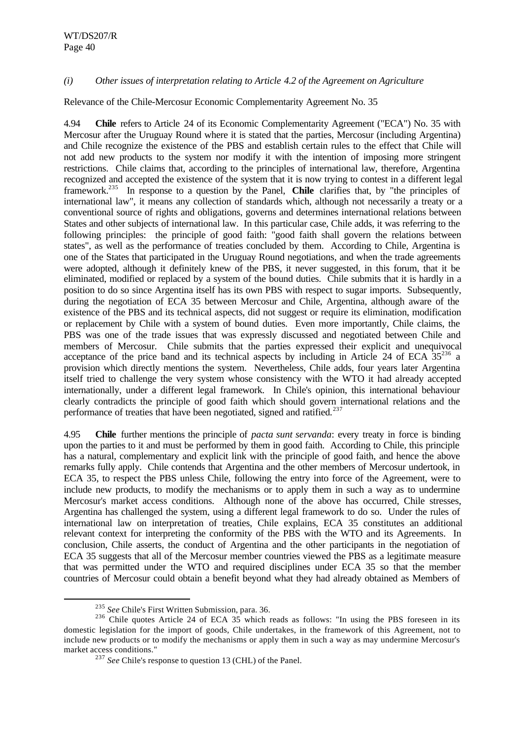# *(i) Other issues of interpretation relating to Article 4.2 of the Agreement on Agriculture*

Relevance of the Chile-Mercosur Economic Complementarity Agreement No. 35

4.94 **Chile** refers to Article 24 of its Economic Complementarity Agreement ("ECA") No. 35 with Mercosur after the Uruguay Round where it is stated that the parties, Mercosur (including Argentina) and Chile recognize the existence of the PBS and establish certain rules to the effect that Chile will not add new products to the system nor modify it with the intention of imposing more stringent restrictions. Chile claims that, according to the principles of international law, therefore, Argentina recognized and accepted the existence of the system that it is now trying to contest in a different legal framework.<sup>235</sup> In response to a question by the Panel, **Chile** clarifies that, by "the principles of international law", it means any collection of standards which, although not necessarily a treaty or a conventional source of rights and obligations, governs and determines international relations between States and other subjects of international law. In this particular case, Chile adds, it was referring to the following principles: the principle of good faith: "good faith shall govern the relations between states", as well as the performance of treaties concluded by them. According to Chile, Argentina is one of the States that participated in the Uruguay Round negotiations, and when the trade agreements were adopted, although it definitely knew of the PBS, it never suggested, in this forum, that it be eliminated, modified or replaced by a system of the bound duties. Chile submits that it is hardly in a position to do so since Argentina itself has its own PBS with respect to sugar imports. Subsequently, during the negotiation of ECA 35 between Mercosur and Chile, Argentina, although aware of the existence of the PBS and its technical aspects, did not suggest or require its elimination, modification or replacement by Chile with a system of bound duties. Even more importantly, Chile claims, the PBS was one of the trade issues that was expressly discussed and negotiated between Chile and members of Mercosur. Chile submits that the parties expressed their explicit and unequivocal acceptance of the price band and its technical aspects by including in Article 24 of ECA  $35^{236}$  a provision which directly mentions the system. Nevertheless, Chile adds, four years later Argentina itself tried to challenge the very system whose consistency with the WTO it had already accepted internationally, under a different legal framework. In Chile's opinion, this international behaviour clearly contradicts the principle of good faith which should govern international relations and the performance of treaties that have been negotiated, signed and ratified.<sup>237</sup>

4.95 **Chile** further mentions the principle of *pacta sunt servanda*: every treaty in force is binding upon the parties to it and must be performed by them in good faith. According to Chile, this principle has a natural, complementary and explicit link with the principle of good faith, and hence the above remarks fully apply. Chile contends that Argentina and the other members of Mercosur undertook, in ECA 35, to respect the PBS unless Chile, following the entry into force of the Agreement, were to include new products, to modify the mechanisms or to apply them in such a way as to undermine Mercosur's market access conditions. Although none of the above has occurred, Chile stresses, Argentina has challenged the system, using a different legal framework to do so. Under the rules of international law on interpretation of treaties, Chile explains, ECA 35 constitutes an additional relevant context for interpreting the conformity of the PBS with the WTO and its Agreements. In conclusion, Chile asserts, the conduct of Argentina and the other participants in the negotiation of ECA 35 suggests that all of the Mercosur member countries viewed the PBS as a legitimate measure that was permitted under the WTO and required disciplines under ECA 35 so that the member countries of Mercosur could obtain a benefit beyond what they had already obtained as Members of

<sup>235</sup> *See* Chile's First Written Submission, para. 36.

<sup>&</sup>lt;sup>236</sup> Chile quotes Article 24 of ECA 35 which reads as follows: "In using the PBS foreseen in its domestic legislation for the import of goods, Chile undertakes, in the framework of this Agreement, not to include new products or to modify the mechanisms or apply them in such a way as may undermine Mercosur's market access conditions."

<sup>&</sup>lt;sup>237</sup> See Chile's response to question 13 (CHL) of the Panel.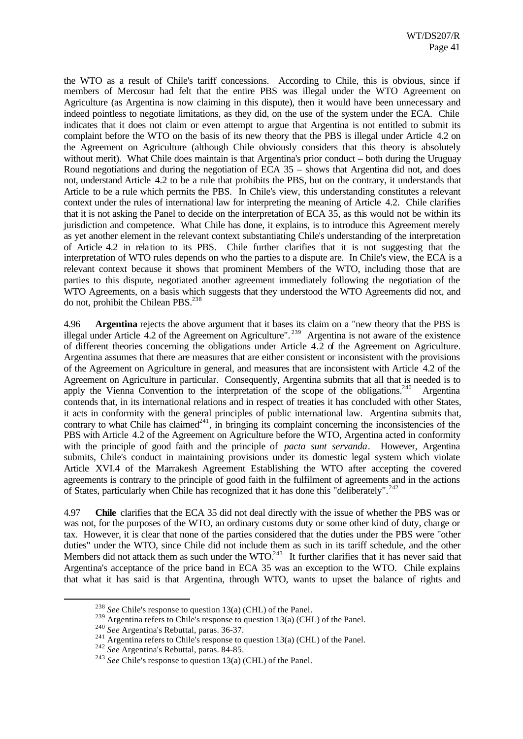the WTO as a result of Chile's tariff concessions. According to Chile, this is obvious, since if members of Mercosur had felt that the entire PBS was illegal under the WTO Agreement on Agriculture (as Argentina is now claiming in this dispute), then it would have been unnecessary and indeed pointless to negotiate limitations, as they did, on the use of the system under the ECA. Chile indicates that it does not claim or even attempt to argue that Argentina is not entitled to submit its complaint before the WTO on the basis of its new theory that the PBS is illegal under Article 4.2 on the Agreement on Agriculture (although Chile obviously considers that this theory is absolutely without merit). What Chile does maintain is that Argentina's prior conduct – both during the Uruguay Round negotiations and during the negotiation of ECA 35 – shows that Argentina did not, and does not, understand Article 4.2 to be a rule that prohibits the PBS, but on the contrary, it understands that Article to be a rule which permits the PBS. In Chile's view, this understanding constitutes a relevant context under the rules of international law for interpreting the meaning of Article 4.2. Chile clarifies that it is not asking the Panel to decide on the interpretation of ECA 35, as this would not be within its jurisdiction and competence. What Chile has done, it explains, is to introduce this Agreement merely as yet another element in the relevant context substantiating Chile's understanding of the interpretation of Article 4.2 in relation to its PBS. Chile further clarifies that it is not suggesting that the interpretation of WTO rules depends on who the parties to a dispute are. In Chile's view, the ECA is a relevant context because it shows that prominent Members of the WTO, including those that are parties to this dispute, negotiated another agreement immediately following the negotiation of the WTO Agreements, on a basis which suggests that they understood the WTO Agreements did not, and do not, prohibit the Chilean PBS.<sup>238</sup>

4.96 **Argentina** rejects the above argument that it bases its claim on a "new theory that the PBS is illegal under Article 4.2 of the Agreement on Agriculture".<sup>239</sup> Argentina is not aware of the existence of different theories concerning the obligations under Article 4.2 of the Agreement on Agriculture. Argentina assumes that there are measures that are either consistent or inconsistent with the provisions of the Agreement on Agriculture in general, and measures that are inconsistent with Article 4.2 of the Agreement on Agriculture in particular. Consequently, Argentina submits that all that is needed is to apply the Vienna Convention to the interpretation of the scope of the obligations.<sup>240</sup> Argentina contends that, in its international relations and in respect of treaties it has concluded with other States, it acts in conformity with the general principles of public international law. Argentina submits that, contrary to what Chile has claimed<sup>241</sup>, in bringing its complaint concerning the inconsistencies of the PBS with Article 4.2 of the Agreement on Agriculture before the WTO, Argentina acted in conformity with the principle of good faith and the principle of *pacta sunt servanda*. However, Argentina submits, Chile's conduct in maintaining provisions under its domestic legal system which violate Article XVI.4 of the Marrakesh Agreement Establishing the WTO after accepting the covered agreements is contrary to the principle of good faith in the fulfilment of agreements and in the actions of States, particularly when Chile has recognized that it has done this "deliberately".<sup>242</sup>

4.97 **Chile** clarifies that the ECA 35 did not deal directly with the issue of whether the PBS was or was not, for the purposes of the WTO, an ordinary customs duty or some other kind of duty, charge or tax. However, it is clear that none of the parties considered that the duties under the PBS were "other duties" under the WTO, since Chile did not include them as such in its tariff schedule, and the other Members did not attack them as such under the WTO.<sup>243</sup> It further clarifies that it has never said that Argentina's acceptance of the price band in ECA 35 was an exception to the WTO. Chile explains that what it has said is that Argentina, through WTO, wants to upset the balance of rights and

<sup>238</sup> *See* Chile's response to question 13(a) (CHL) of the Panel.

<sup>&</sup>lt;sup>239</sup> Argentina refers to Chile's response to question 13(a) (CHL) of the Panel.

<sup>240</sup> *See* Argentina's Rebuttal, paras. 36-37.

<sup>&</sup>lt;sup>241</sup> Argentina refers to Chile's response to question 13(a) (CHL) of the Panel.

<sup>242</sup> *See* Argentina's Rebuttal, paras. 84-85.

<sup>243</sup> *See* Chile's response to question 13(a) (CHL) of the Panel.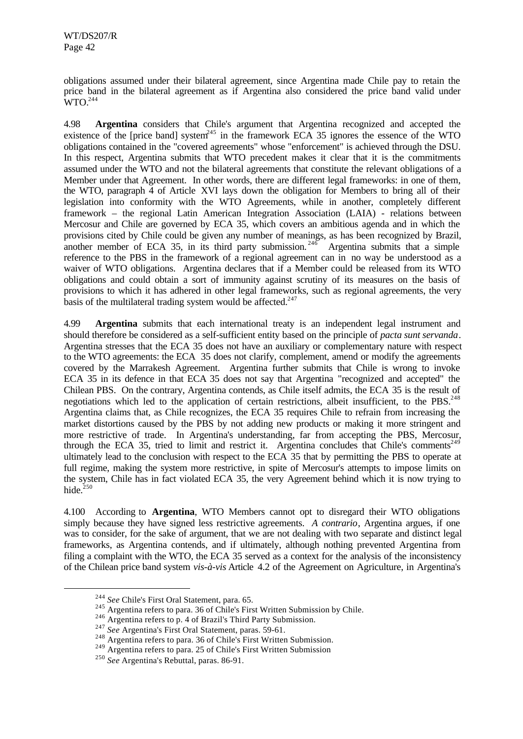obligations assumed under their bilateral agreement, since Argentina made Chile pay to retain the price band in the bilateral agreement as if Argentina also considered the price band valid under  $WTO.<sup>244</sup>$ 

4.98 **Argentina** considers that Chile's argument that Argentina recognized and accepted the existence of the [price band] system $^{245}$  in the framework ECA 35 ignores the essence of the WTO obligations contained in the "covered agreements" whose "enforcement" is achieved through the DSU. In this respect, Argentina submits that WTO precedent makes it clear that it is the commitments assumed under the WTO and not the bilateral agreements that constitute the relevant obligations of a Member under that Agreement. In other words, there are different legal frameworks: in one of them, the WTO, paragraph 4 of Article XVI lays down the obligation for Members to bring all of their legislation into conformity with the WTO Agreements, while in another, completely different framework – the regional Latin American Integration Association (LAIA) - relations between Mercosur and Chile are governed by ECA 35, which covers an ambitious agenda and in which the provisions cited by Chile could be given any number of meanings, as has been recognized by Brazil, another member of ECA 35, in its third party submission.<sup>246</sup> Argentina submits that a simple reference to the PBS in the framework of a regional agreement can in no way be understood as a waiver of WTO obligations. Argentina declares that if a Member could be released from its WTO obligations and could obtain a sort of immunity against scrutiny of its measures on the basis of provisions to which it has adhered in other legal frameworks, such as regional agreements, the very basis of the multilateral trading system would be affected. $247$ 

4.99 **Argentina** submits that each international treaty is an independent legal instrument and should therefore be considered as a self-sufficient entity based on the principle of *pacta sunt servanda*. Argentina stresses that the ECA 35 does not have an auxiliary or complementary nature with respect to the WTO agreements: the ECA 35 does not clarify, complement, amend or modify the agreements covered by the Marrakesh Agreement. Argentina further submits that Chile is wrong to invoke ECA 35 in its defence in that ECA 35 does not say that Argentina "recognized and accepted" the Chilean PBS. On the contrary, Argentina contends, as Chile itself admits, the ECA 35 is the result of negotiations which led to the application of certain restrictions, albeit insufficient, to the PBS.<sup>248</sup> Argentina claims that, as Chile recognizes, the ECA 35 requires Chile to refrain from increasing the market distortions caused by the PBS by not adding new products or making it more stringent and more restrictive of trade. In Argentina's understanding, far from accepting the PBS, Mercosur, through the ECA 35, tried to limit and restrict it. Argentina concludes that Chile's comments<sup>249</sup> ultimately lead to the conclusion with respect to the ECA 35 that by permitting the PBS to operate at full regime, making the system more restrictive, in spite of Mercosur's attempts to impose limits on the system, Chile has in fact violated ECA 35, the very Agreement behind which it is now trying to hide. $250$ 

4.100 According to **Argentina**, WTO Members cannot opt to disregard their WTO obligations simply because they have signed less restrictive agreements. *A contrario*, Argentina argues, if one was to consider, for the sake of argument, that we are not dealing with two separate and distinct legal frameworks, as Argentina contends, and if ultimately, although nothing prevented Argentina from filing a complaint with the WTO, the ECA 35 served as a context for the analysis of the inconsistency of the Chilean price band system *vis-à-vis* Article 4.2 of the Agreement on Agriculture, in Argentina's

<sup>244</sup> *See* Chile's First Oral Statement, para. 65.

<sup>&</sup>lt;sup>245</sup> Argentina refers to para. 36 of Chile's First Written Submission by Chile.

<sup>246</sup> Argentina refers to p. 4 of Brazil's Third Party Submission.

<sup>247</sup> *See* Argentina's First Oral Statement, paras. 59-61.

<sup>248</sup> Argentina refers to para. 36 of Chile's First Written Submission.

 $^{249}$  Argentina refers to para. 25 of Chile's First Written Submission

<sup>250</sup> *See* Argentina's Rebuttal, paras. 86-91.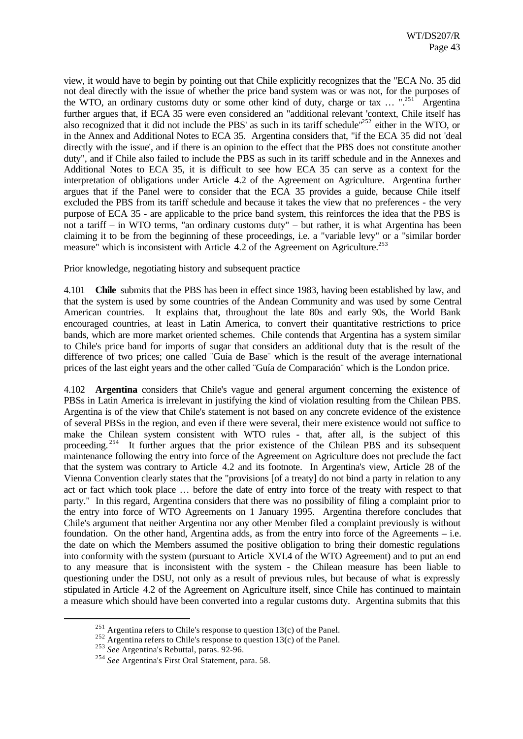view, it would have to begin by pointing out that Chile explicitly recognizes that the "ECA No. 35 did not deal directly with the issue of whether the price band system was or was not, for the purposes of the WTO, an ordinary customs duty or some other kind of duty, charge or tax  $\ldots$  ".<sup>251</sup> Argentina" further argues that, if ECA 35 were even considered an "additional relevant 'context, Chile itself has also recognized that it did not include the PBS' as such in its tariff schedule<sup>"252</sup> either in the WTO, or in the Annex and Additional Notes to ECA 35. Argentina considers that, "if the ECA 35 did not 'deal directly with the issue', and if there is an opinion to the effect that the PBS does not constitute another duty", and if Chile also failed to include the PBS as such in its tariff schedule and in the Annexes and Additional Notes to ECA 35, it is difficult to see how ECA 35 can serve as a context for the interpretation of obligations under Article 4.2 of the Agreement on Agriculture. Argentina further argues that if the Panel were to consider that the ECA 35 provides a guide, because Chile itself excluded the PBS from its tariff schedule and because it takes the view that no preferences - the very purpose of ECA 35 - are applicable to the price band system, this reinforces the idea that the PBS is not a tariff – in WTO terms, "an ordinary customs duty" – but rather, it is what Argentina has been claiming it to be from the beginning of these proceedings, i.e. a "variable levy" or a "similar border measure" which is inconsistent with Article  $4.2$  of the Agreement on Agriculture.<sup>253</sup>

Prior knowledge, negotiating history and subsequent practice

4.101 **Chile** submits that the PBS has been in effect since 1983, having been established by law, and that the system is used by some countries of the Andean Community and was used by some Central American countries. It explains that, throughout the late 80s and early 90s, the World Bank encouraged countries, at least in Latin America, to convert their quantitative restrictions to price bands, which are more market oriented schemes. Chile contends that Argentina has a system similar to Chile's price band for imports of sugar that considers an additional duty that is the result of the difference of two prices; one called ¨Guía de Base¨ which is the result of the average international prices of the last eight years and the other called ¨Guía de Comparación¨ which is the London price.

4.102 **Argentina** considers that Chile's vague and general argument concerning the existence of PBSs in Latin America is irrelevant in justifying the kind of violation resulting from the Chilean PBS. Argentina is of the view that Chile's statement is not based on any concrete evidence of the existence of several PBSs in the region, and even if there were several, their mere existence would not suffice to make the Chilean system consistent with WTO rules - that, after all, is the subject of this proceeding.<sup>254</sup> It further argues that the prior existence of the Chilean PBS and its subsequent maintenance following the entry into force of the Agreement on Agriculture does not preclude the fact that the system was contrary to Article 4.2 and its footnote. In Argentina's view, Article 28 of the Vienna Convention clearly states that the "provisions [of a treaty] do not bind a party in relation to any act or fact which took place … before the date of entry into force of the treaty with respect to that party." In this regard, Argentina considers that there was no possibility of filing a complaint prior to the entry into force of WTO Agreements on 1 January 1995. Argentina therefore concludes that Chile's argument that neither Argentina nor any other Member filed a complaint previously is without foundation. On the other hand, Argentina adds, as from the entry into force of the Agreements – i.e. the date on which the Members assumed the positive obligation to bring their domestic regulations into conformity with the system (pursuant to Article XVI.4 of the WTO Agreement) and to put an end to any measure that is inconsistent with the system - the Chilean measure has been liable to questioning under the DSU, not only as a result of previous rules, but because of what is expressly stipulated in Article 4.2 of the Agreement on Agriculture itself, since Chile has continued to maintain a measure which should have been converted into a regular customs duty. Argentina submits that this

<sup>&</sup>lt;sup>251</sup> Argentina refers to Chile's response to question  $13(c)$  of the Panel.

 $252$  Argentina refers to Chile's response to question 13(c) of the Panel.

<sup>253</sup> *See* Argentina's Rebuttal, paras. 92-96.

<sup>254</sup> *See* Argentina's First Oral Statement, para. 58.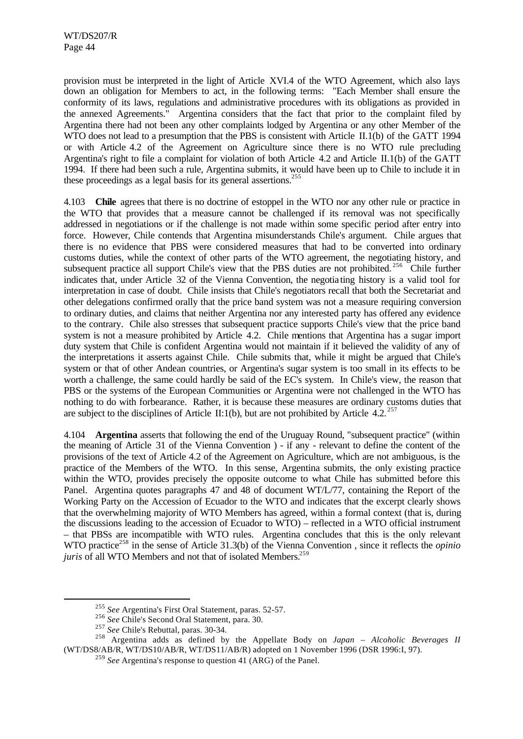provision must be interpreted in the light of Article XVI.4 of the WTO Agreement, which also lays down an obligation for Members to act, in the following terms: "Each Member shall ensure the conformity of its laws, regulations and administrative procedures with its obligations as provided in the annexed Agreements." Argentina considers that the fact that prior to the complaint filed by Argentina there had not been any other complaints lodged by Argentina or any other Member of the WTO does not lead to a presumption that the PBS is consistent with Article II.1(b) of the GATT 1994 or with Article 4.2 of the Agreement on Agriculture since there is no WTO rule precluding Argentina's right to file a complaint for violation of both Article 4.2 and Article II.1(b) of the GATT 1994. If there had been such a rule, Argentina submits, it would have been up to Chile to include it in these proceedings as a legal basis for its general assertions.<sup>255</sup>

4.103 **Chile** agrees that there is no doctrine of estoppel in the WTO nor any other rule or practice in the WTO that provides that a measure cannot be challenged if its removal was not specifically addressed in negotiations or if the challenge is not made within some specific period after entry into force. However, Chile contends that Argentina misunderstands Chile's argument. Chile argues that there is no evidence that PBS were considered measures that had to be converted into ordinary customs duties, while the context of other parts of the WTO agreement, the negotiating history, and subsequent practice all support Chile's view that the PBS duties are not prohibited.<sup>256</sup> Chile further indicates that, under Article 32 of the Vienna Convention, the negotia ting history is a valid tool for interpretation in case of doubt. Chile insists that Chile's negotiators recall that both the Secretariat and other delegations confirmed orally that the price band system was not a measure requiring conversion to ordinary duties, and claims that neither Argentina nor any interested party has offered any evidence to the contrary. Chile also stresses that subsequent practice supports Chile's view that the price band system is not a measure prohibited by Article 4.2. Chile mentions that Argentina has a sugar import duty system that Chile is confident Argentina would not maintain if it believed the validity of any of the interpretations it asserts against Chile. Chile submits that, while it might be argued that Chile's system or that of other Andean countries, or Argentina's sugar system is too small in its effects to be worth a challenge, the same could hardly be said of the EC's system. In Chile's view, the reason that PBS or the systems of the European Communities or Argentina were not challenged in the WTO has nothing to do with forbearance. Rather, it is because these measures are ordinary customs duties that are subject to the disciplines of Article II:1(b), but are not prohibited by Article 4.2.<sup>257</sup>

4.104 **Argentina** asserts that following the end of the Uruguay Round, "subsequent practice" (within the meaning of Article 31 of the Vienna Convention ) - if any - relevant to define the content of the provisions of the text of Article 4.2 of the Agreement on Agriculture, which are not ambiguous, is the practice of the Members of the WTO. In this sense, Argentina submits, the only existing practice within the WTO, provides precisely the opposite outcome to what Chile has submitted before this Panel. Argentina quotes paragraphs 47 and 48 of document WT/L/77, containing the Report of the Working Party on the Accession of Ecuador to the WTO and indicates that the excerpt clearly shows that the overwhelming majority of WTO Members has agreed, within a formal context (that is, during the discussions leading to the accession of Ecuador to WTO) – reflected in a WTO official instrument – that PBSs are incompatible with WTO rules. Argentina concludes that this is the only relevant WTO practice<sup>258</sup> in the sense of Article 31.3(b) of the Vienna Convention, since it reflects the *opinio juris* of all WTO Members and not that of isolated Members.<sup>259</sup>

<sup>255</sup> *See* Argentina's First Oral Statement, paras. 52-57.

<sup>256</sup> *See* Chile's Second Oral Statement, para. 30.

<sup>257</sup> *See* Chile's Rebuttal, paras. 30-34.

<sup>258</sup> Argentina adds as defined by the Appellate Body on *Japan – Alcoholic Beverages II* (WT/DS8/AB/R, WT/DS10/AB/R, WT/DS11/AB/R) adopted on 1 November 1996 (DSR 1996:I, 97).

<sup>259</sup> *See* Argentina's response to question 41 (ARG) of the Panel.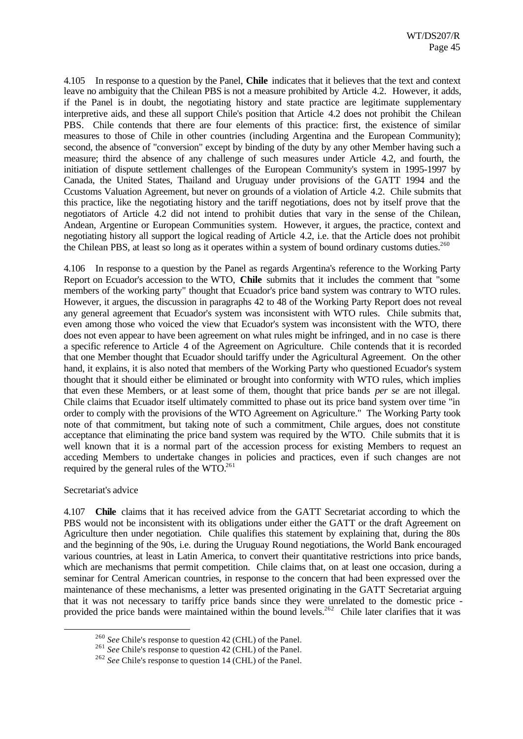4.105 In response to a question by the Panel, **Chile** indicates that it believes that the text and context leave no ambiguity that the Chilean PBS is not a measure prohibited by Article 4.2. However, it adds, if the Panel is in doubt, the negotiating history and state practice are legitimate supplementary interpretive aids, and these all support Chile's position that Article 4.2 does not prohibit the Chilean PBS. Chile contends that there are four elements of this practice: first, the existence of similar measures to those of Chile in other countries (including Argentina and the European Community); second, the absence of "conversion" except by binding of the duty by any other Member having such a measure; third the absence of any challenge of such measures under Article 4.2, and fourth, the initiation of dispute settlement challenges of the European Community's system in 1995-1997 by Canada, the United States, Thailand and Uruguay under provisions of the GATT 1994 and the Ccustoms Valuation Agreement, but never on grounds of a violation of Article 4.2. Chile submits that this practice, like the negotiating history and the tariff negotiations, does not by itself prove that the negotiators of Article 4.2 did not intend to prohibit duties that vary in the sense of the Chilean, Andean, Argentine or European Communities system. However, it argues, the practice, context and negotiating history all support the logical reading of Article 4.2, i.e. that the Article does not prohibit the Chilean PBS, at least so long as it operates within a system of bound ordinary customs duties.<sup>260</sup>

4.106 In response to a question by the Panel as regards Argentina's reference to the Working Party Report on Ecuador's accession to the WTO, **Chile** submits that it includes the comment that "some members of the working party" thought that Ecuador's price band system was contrary to WTO rules. However, it argues, the discussion in paragraphs 42 to 48 of the Working Party Report does not reveal any general agreement that Ecuador's system was inconsistent with WTO rules. Chile submits that, even among those who voiced the view that Ecuador's system was inconsistent with the WTO, there does not even appear to have been agreement on what rules might be infringed, and in no case is there a specific reference to Article 4 of the Agreement on Agriculture. Chile contends that it is recorded that one Member thought that Ecuador should tariffy under the Agricultural Agreement. On the other hand, it explains, it is also noted that members of the Working Party who questioned Ecuador's system thought that it should either be eliminated or brought into conformity with WTO rules, which implies that even these Members, or at least some of them, thought that price bands *per se* are not illegal. Chile claims that Ecuador itself ultimately committed to phase out its price band system over time "in order to comply with the provisions of the WTO Agreement on Agriculture." The Working Party took note of that commitment, but taking note of such a commitment, Chile argues, does not constitute acceptance that eliminating the price band system was required by the WTO. Chile submits that it is well known that it is a normal part of the accession process for existing Members to request an acceding Members to undertake changes in policies and practices, even if such changes are not required by the general rules of the  $W\tilde{TO}.^{261}$ 

### Secretariat's advice

l

4.107 **Chile** claims that it has received advice from the GATT Secretariat according to which the PBS would not be inconsistent with its obligations under either the GATT or the draft Agreement on Agriculture then under negotiation. Chile qualifies this statement by explaining that, during the 80s and the beginning of the 90s, i.e. during the Uruguay Round negotiations, the World Bank encouraged various countries, at least in Latin America, to convert their quantitative restrictions into price bands, which are mechanisms that permit competition. Chile claims that, on at least one occasion, during a seminar for Central American countries, in response to the concern that had been expressed over the maintenance of these mechanisms, a letter was presented originating in the GATT Secretariat arguing that it was not necessary to tariffy price bands since they were unrelated to the domestic price provided the price bands were maintained within the bound levels.<sup>262</sup> Chile later clarifies that it was

<sup>260</sup> *See* Chile's response to question 42 (CHL) of the Panel.

<sup>&</sup>lt;sup>261</sup> *See* Chile's response to question 42 (CHL) of the Panel.

<sup>262</sup> *See* Chile's response to question 14 (CHL) of the Panel.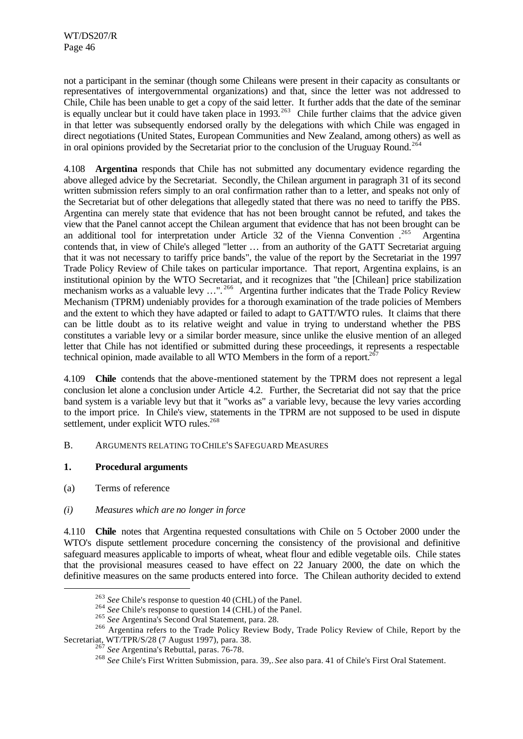not a participant in the seminar (though some Chileans were present in their capacity as consultants or representatives of intergovernmental organizations) and that, since the letter was not addressed to Chile, Chile has been unable to get a copy of the said letter. It further adds that the date of the seminar is equally unclear but it could have taken place in  $1993$ .<sup>263</sup> Chile further claims that the advice given in that letter was subsequently endorsed orally by the delegations with which Chile was engaged in direct negotiations (United States, European Communities and New Zealand, among others) as well as in oral opinions provided by the Secretariat prior to the conclusion of the Uruguay Round.<sup>264</sup>

4.108 **Argentina** responds that Chile has not submitted any documentary evidence regarding the above alleged advice by the Secretariat. Secondly, the Chilean argument in paragraph 31 of its second written submission refers simply to an oral confirmation rather than to a letter, and speaks not only of the Secretariat but of other delegations that allegedly stated that there was no need to tariffy the PBS. Argentina can merely state that evidence that has not been brought cannot be refuted, and takes the view that the Panel cannot accept the Chilean argument that evidence that has not been brought can be an additional tool for interpretation under Article 32 of the Vienna Convention . Argentina contends that, in view of Chile's alleged "letter … from an authority of the GATT Secretariat arguing that it was not necessary to tariffy price bands", the value of the report by the Secretariat in the 1997 Trade Policy Review of Chile takes on particular importance. That report, Argentina explains, is an institutional opinion by the WTO Secretariat, and it recognizes that "the [Chilean] price stabilization mechanism works as a valuable levy ...".<sup>266</sup> Argentina further indicates that the Trade Policy Review Mechanism (TPRM) undeniably provides for a thorough examination of the trade policies of Members and the extent to which they have adapted or failed to adapt to GATT/WTO rules. It claims that there can be little doubt as to its relative weight and value in trying to understand whether the PBS constitutes a variable levy or a similar border measure, since unlike the elusive mention of an alleged letter that Chile has not identified or submitted during these proceedings, it represents a respectable technical opinion, made available to all WTO Members in the form of a report.<sup>267</sup>

4.109 **Chile** contends that the above-mentioned statement by the TPRM does not represent a legal conclusion let alone a conclusion under Article 4.2. Further, the Secretariat did not say that the price band system is a variable levy but that it "works as" a variable levy, because the levy varies according to the import price. In Chile's view, statements in the TPRM are not supposed to be used in dispute settlement, under explicit WTO rules.<sup>268</sup>

### B. ARGUMENTS RELATING TO CHILE'S SAFEGUARD MEASURES

### **1. Procedural arguments**

(a) Terms of reference

l

# *(i) Measures which are no longer in force*

4.110 **Chile** notes that Argentina requested consultations with Chile on 5 October 2000 under the WTO's dispute settlement procedure concerning the consistency of the provisional and definitive safeguard measures applicable to imports of wheat, wheat flour and edible vegetable oils. Chile states that the provisional measures ceased to have effect on 22 January 2000, the date on which the definitive measures on the same products entered into force. The Chilean authority decided to extend

<sup>263</sup> *See* Chile's response to question 40 (CHL) of the Panel.

<sup>&</sup>lt;sup>264</sup> See Chile's response to question 14 (CHL) of the Panel.

<sup>265</sup> *See* Argentina's Second Oral Statement, para. 28.

<sup>&</sup>lt;sup>266</sup> Argentina refers to the Trade Policy Review Body, Trade Policy Review of Chile, Report by the Secretariat, WT/TPR/S/28 (7 August 1997), para. 38.

<sup>267</sup> *See* Argentina's Rebuttal, paras. 76-78.

<sup>268</sup> *See* Chile's First Written Submission, para. 39,. *See* also para. 41 of Chile's First Oral Statement.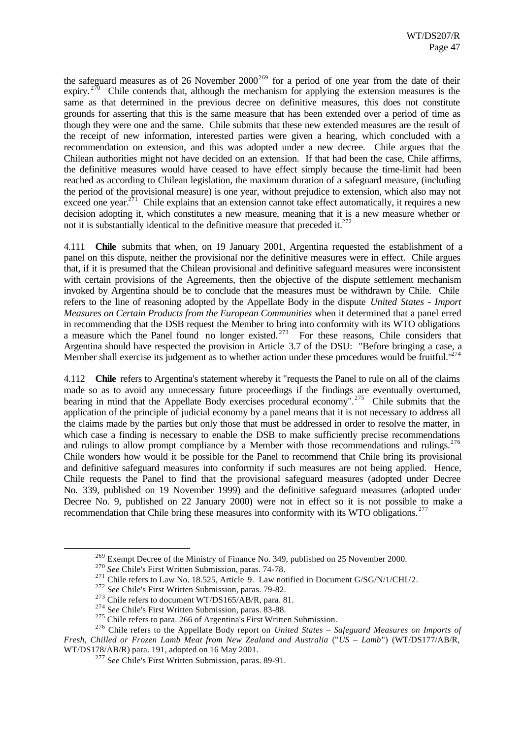the safeguard measures as of 26 November  $2000^{269}$  for a period of one year from the date of their expiry.  $270$  Chile contends that, although the mechanism for applying the extension measures is the same as that determined in the previous decree on definitive measures, this does not constitute grounds for asserting that this is the same measure that has been extended over a period of time as though they were one and the same. Chile submits that these new extended measures are the result of the receipt of new information, interested parties were given a hearing, which concluded with a recommendation on extension, and this was adopted under a new decree. Chile argues that the Chilean authorities might not have decided on an extension. If that had been the case, Chile affirms, the definitive measures would have ceased to have effect simply because the time-limit had been reached as according to Chilean legislation, the maximum duration of a safeguard measure, (including the period of the provisional measure) is one year, without prejudice to extension, which also may not  $\frac{271}{271}$  Chile explains that an extension cannot take effect automatically, it requires a new decision adopting it, which constitutes a new measure, meaning that it is a new measure whether or not it is substantially identical to the definitive measure that preceded it. $272$ 

4.111 **Chile** submits that when, on 19 January 2001, Argentina requested the establishment of a panel on this dispute, neither the provisional nor the definitive measures were in effect. Chile argues that, if it is presumed that the Chilean provisional and definitive safeguard measures were inconsistent with certain provisions of the Agreements, then the objective of the dispute settlement mechanism invoked by Argentina should be to conclude that the measures must be withdrawn by Chile. Chile refers to the line of reasoning adopted by the Appellate Body in the dispute *United States - Import Measures on Certain Products from the European Communities* when it determined that a panel erred in recommending that the DSB request the Member to bring into conformity with its WTO obligations a measure which the Panel found no longer existed.<sup>273</sup> For these reasons, Chile considers that Argentina should have respected the provision in Article 3.7 of the DSU: "Before bringing a case, a Member shall exercise its judgement as to whether action under these procedures would be fruitful."<sup>274</sup>

4.112 **Chile** refers to Argentina's statement whereby it "requests the Panel to rule on all of the claims made so as to avoid any unnecessary future proceedings if the findings are eventually overturned, bearing in mind that the Appellate Body exercises procedural economy".<sup>275</sup> Chile submits that the application of the principle of judicial economy by a panel means that it is not necessary to address all the claims made by the parties but only those that must be addressed in order to resolve the matter, in which case a finding is necessary to enable the DSB to make sufficiently precise recommendations and rulings to allow prompt compliance by a Member with those recommendations and rulings.<sup>276</sup> Chile wonders how would it be possible for the Panel to recommend that Chile bring its provisional and definitive safeguard measures into conformity if such measures are not being applied. Hence, Chile requests the Panel to find that the provisional safeguard measures (adopted under Decree No. 339, published on 19 November 1999) and the definitive safeguard measures (adopted under Decree No. 9, published on 22 January 2000) were not in effect so it is not possible to make a recommendation that Chile bring these measures into conformity with its WTO obligations.<sup>277</sup>

<sup>&</sup>lt;sup>269</sup> Exempt Decree of the Ministry of Finance No. 349, published on 25 November 2000.

<sup>270</sup> *See* Chile's First Written Submission, paras. 74-78.

<sup>&</sup>lt;sup>271</sup> Chile refers to Law No. 18.525, Article 9. Law notified in Document G/SG/N/1/CHL/2.

<sup>272</sup> S*ee* Chile's First Written Submission, paras. 79-82.

<sup>&</sup>lt;sup>273</sup> Chile refers to document WT/DS165/AB/R, para. 81.

<sup>274</sup> S*ee* Chile's First Written Submission, paras. 83-88.

<sup>&</sup>lt;sup>275</sup> Chile refers to para. 266 of Argentina's First Written Submission.

<sup>276</sup> Chile refers to the Appellate Body report on *United States – Safeguard Measures on Imports of Fresh, Chilled or Frozen Lamb Meat from New Zealand and Australia* ("*US – Lamb*") (WT/DS177/AB/R, WT/DS178/AB/R) para. 191, adopted on 16 May 2001.

<sup>277</sup> S*ee* Chile's First Written Submission, paras. 89-91.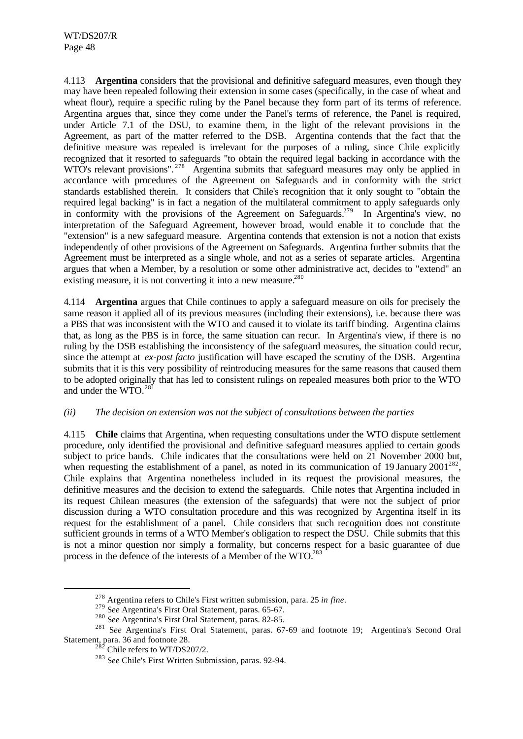4.113 **Argentina** considers that the provisional and definitive safeguard measures, even though they may have been repealed following their extension in some cases (specifically, in the case of wheat and wheat flour), require a specific ruling by the Panel because they form part of its terms of reference. Argentina argues that, since they come under the Panel's terms of reference, the Panel is required, under Article 7.1 of the DSU, to examine them, in the light of the relevant provisions in the Agreement, as part of the matter referred to the DSB. Argentina contends that the fact that the definitive measure was repealed is irrelevant for the purposes of a ruling, since Chile explicitly recognized that it resorted to safeguards "to obtain the required legal backing in accordance with the WTO's relevant provisions".<sup>278</sup> Argentina submits that safeguard measures may only be applied in accordance with procedures of the Agreement on Safeguards and in conformity with the strict standards established therein. It considers that Chile's recognition that it only sought to "obtain the required legal backing" is in fact a negation of the multilateral commitment to apply safeguards only in conformity with the provisions of the Agreement on Safeguards.<sup>279</sup> In Argentina's view, no interpretation of the Safeguard Agreement, however broad, would enable it to conclude that the "extension" is a new safeguard measure. Argentina contends that extension is not a notion that exists independently of other provisions of the Agreement on Safeguards. Argentina further submits that the Agreement must be interpreted as a single whole, and not as a series of separate articles. Argentina argues that when a Member, by a resolution or some other administrative act, decides to "extend" an existing measure, it is not converting it into a new measure.<sup>280</sup>

4.114 **Argentina** argues that Chile continues to apply a safeguard measure on oils for precisely the same reason it applied all of its previous measures (including their extensions), i.e. because there was a PBS that was inconsistent with the WTO and caused it to violate its tariff binding. Argentina claims that, as long as the PBS is in force, the same situation can recur. In Argentina's view, if there is no ruling by the DSB establishing the inconsistency of the safeguard measures, the situation could recur, since the attempt at *ex-post facto* justification will have escaped the scrutiny of the DSB. Argentina submits that it is this very possibility of reintroducing measures for the same reasons that caused them to be adopted originally that has led to consistent rulings on repealed measures both prior to the WTO and under the WTO.<sup>281</sup>

### *(ii) The decision on extension was not the subject of consultations between the parties*

4.115 **Chile** claims that Argentina, when requesting consultations under the WTO dispute settlement procedure, only identified the provisional and definitive safeguard measures applied to certain goods subject to price bands. Chile indicates that the consultations were held on 21 November 2000 but, when requesting the establishment of a panel, as noted in its communication of 19 January  $2001^{282}$ , Chile explains that Argentina nonetheless included in its request the provisional measures, the definitive measures and the decision to extend the safeguards. Chile notes that Argentina included in its request Chilean measures (the extension of the safeguards) that were not the subject of prior discussion during a WTO consultation procedure and this was recognized by Argentina itself in its request for the establishment of a panel. Chile considers that such recognition does not constitute sufficient grounds in terms of a WTO Member's obligation to respect the DSU. Chile submits that this is not a minor question nor simply a formality, but concerns respect for a basic guarantee of due process in the defence of the interests of a Member of the WTO.<sup>283</sup>

<sup>278</sup> Argentina refers to Chile's First written submission, para. 25 *in fine*.

<sup>279</sup> S*ee* Argentina's First Oral Statement, paras. 65-67.

<sup>280</sup> S*ee* Argentina's First Oral Statement, paras. 82-85.

<sup>281</sup> S*ee* Argentina's First Oral Statement, paras. 67-69 and footnote 19; Argentina's Second Oral Statement, para. 36 and footnote 28.

 $^{282}$  Chile refers to WT/DS207/2.

<sup>283</sup> S*ee* Chile's First Written Submission, paras. 92-94.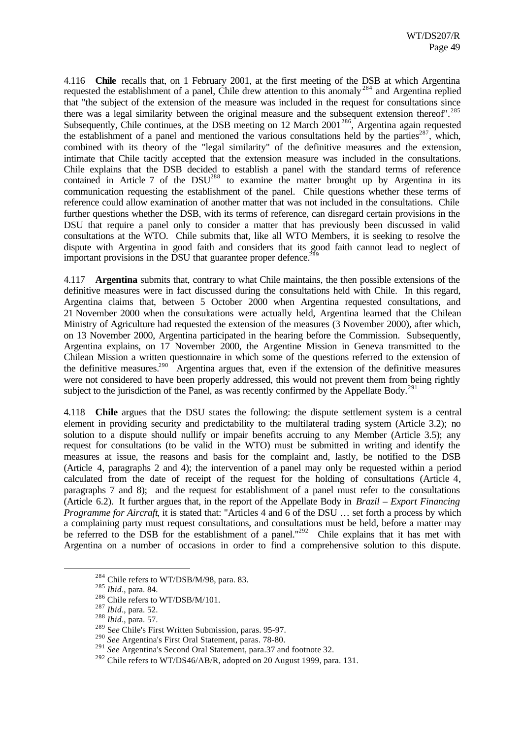4.116 **Chile** recalls that, on 1 February 2001, at the first meeting of the DSB at which Argentina requested the establishment of a panel, Chile drew attention to this anomaly<sup>284</sup> and Argentina replied that "the subject of the extension of the measure was included in the request for consultations since there was a legal similarity between the original measure and the subsequent extension thereof".<sup>285</sup> Subsequently, Chile continues, at the DSB meeting on 12 March 2001<sup>286</sup>, Argentina again requested the establishment of a panel and mentioned the various consultations held by the parties<sup>287</sup>, which, combined with its theory of the "legal similarity" of the definitive measures and the extension, intimate that Chile tacitly accepted that the extension measure was included in the consultations. Chile explains that the DSB decided to establish a panel with the standard terms of reference contained in Article 7 of the  $DSU^{288}$  to examine the matter brought up by Argentina in its communication requesting the establishment of the panel. Chile questions whether these terms of reference could allow examination of another matter that was not included in the consultations. Chile further questions whether the DSB, with its terms of reference, can disregard certain provisions in the DSU that require a panel only to consider a matter that has previously been discussed in valid consultations at the WTO. Chile submits that, like all WTO Members, it is seeking to resolve the dispute with Argentina in good faith and considers that its good faith cannot lead to neglect of important provisions in the DSU that guarantee proper defence.<sup>2</sup>

4.117 **Argentina** submits that, contrary to what Chile maintains, the then possible extensions of the definitive measures were in fact discussed during the consultations held with Chile. In this regard, Argentina claims that, between 5 October 2000 when Argentina requested consultations, and 21 November 2000 when the consultations were actually held, Argentina learned that the Chilean Ministry of Agriculture had requested the extension of the measures (3 November 2000), after which, on 13 November 2000, Argentina participated in the hearing before the Commission. Subsequently, Argentina explains, on 17 November 2000, the Argentine Mission in Geneva transmitted to the Chilean Mission a written questionnaire in which some of the questions referred to the extension of the definitive measures.<sup>290</sup> Argentina argues that, even if the extension of the definitive measures were not considered to have been properly addressed, this would not prevent them from being rightly subject to the jurisdiction of the Panel, as was recently confirmed by the Appellate Body.<sup>291</sup>

4.118 **Chile** argues that the DSU states the following: the dispute settlement system is a central element in providing security and predictability to the multilateral trading system (Article 3.2); no solution to a dispute should nullify or impair benefits accruing to any Member (Article 3.5); any request for consultations (to be valid in the WTO) must be submitted in writing and identify the measures at issue, the reasons and basis for the complaint and, lastly, be notified to the DSB (Article 4, paragraphs 2 and 4); the intervention of a panel may only be requested within a period calculated from the date of receipt of the request for the holding of consultations (Article 4, paragraphs 7 and 8); and the request for establishment of a panel must refer to the consultations (Article 6.2). It further argues that, in the report of the Appellate Body in *Brazil – Export Financing Programme for Aircraft*, it is stated that: "Articles 4 and 6 of the DSU ... set forth a process by which a complaining party must request consultations, and consultations must be held, before a matter may be referred to the DSB for the establishment of a panel."<sup>292</sup> Chile explains that it has met with Argentina on a number of occasions in order to find a comprehensive solution to this dispute.

<sup>&</sup>lt;sup>284</sup> Chile refers to WT/DSB/M/98, para. 83.

<sup>285</sup> *Ibid*., para. 84.

<sup>&</sup>lt;sup>286</sup> Chile refers to WT/DSB/M/101.

<sup>287</sup> *Ibid*., para. 52.

<sup>288</sup> *Ibid*., para. 57.

<sup>289</sup> S*ee* Chile's First Written Submission, paras. 95-97.

<sup>290</sup> *See* Argentina's First Oral Statement, paras. 78-80.

<sup>&</sup>lt;sup>291</sup> See Argentina's Second Oral Statement, para.37 and footnote 32.

 $292$  Chile refers to WT/DS46/AB/R, adopted on 20 August 1999, para. 131.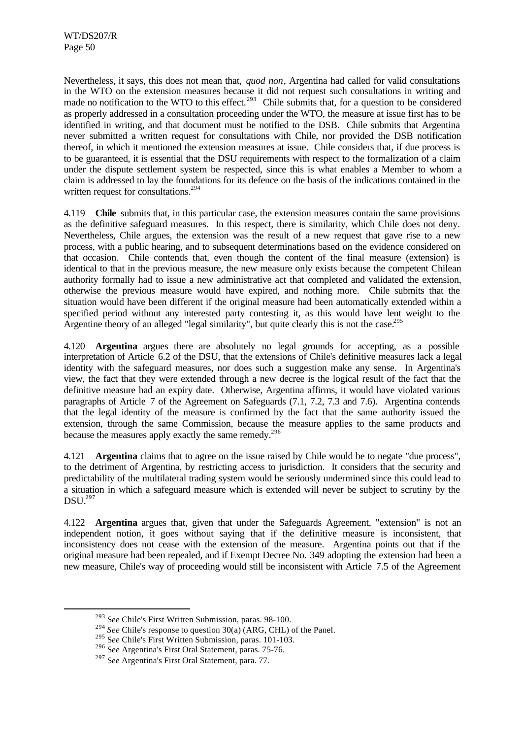Nevertheless, it says, this does not mean that, *quod non*, Argentina had called for valid consultations in the WTO on the extension measures because it did not request such consultations in writing and made no notification to the WTO to this effect.<sup>293</sup> Chile submits that, for a question to be considered as properly addressed in a consultation proceeding under the WTO, the measure at issue first has to be identified in writing, and that document must be notified to the DSB. Chile submits that Argentina never submitted a written request for consultations with Chile, nor provided the DSB notification thereof, in which it mentioned the extension measures at issue. Chile considers that, if due process is to be guaranteed, it is essential that the DSU requirements with respect to the formalization of a claim under the dispute settlement system be respected, since this is what enables a Member to whom a claim is addressed to lay the foundations for its defence on the basis of the indications contained in the written request for consultations.<sup>294</sup>

4.119 **Chile** submits that, in this particular case, the extension measures contain the same provisions as the definitive safeguard measures. In this respect, there is similarity, which Chile does not deny. Nevertheless, Chile argues, the extension was the result of a new request that gave rise to a new process, with a public hearing, and to subsequent determinations based on the evidence considered on that occasion. Chile contends that, even though the content of the final measure (extension) is identical to that in the previous measure, the new measure only exists because the competent Chilean authority formally had to issue a new administrative act that completed and validated the extension, otherwise the previous measure would have expired, and nothing more. Chile submits that the situation would have been different if the original measure had been automatically extended within a specified period without any interested party contesting it, as this would have lent weight to the Argentine theory of an alleged "legal similarity", but quite clearly this is not the case.<sup>295</sup>

4.120 **Argentina** argues there are absolutely no legal grounds for accepting, as a possible interpretation of Article 6.2 of the DSU, that the extensions of Chile's definitive measures lack a legal identity with the safeguard measures, nor does such a suggestion make any sense. In Argentina's view, the fact that they were extended through a new decree is the logical result of the fact that the definitive measure had an expiry date. Otherwise, Argentina affirms, it would have violated various paragraphs of Article 7 of the Agreement on Safeguards (7.1, 7.2, 7.3 and 7.6). Argentina contends that the legal identity of the measure is confirmed by the fact that the same authority issued the extension, through the same Commission, because the measure applies to the same products and because the measures apply exactly the same remedy.<sup>296</sup>

4.121 **Argentina** claims that to agree on the issue raised by Chile would be to negate "due process", to the detriment of Argentina, by restricting access to jurisdiction. It considers that the security and predictability of the multilateral trading system would be seriously undermined since this could lead to a situation in which a safeguard measure which is extended will never be subject to scrutiny by the DSU.<sup>297</sup>

4.122 **Argentina** argues that, given that under the Safeguards Agreement, "extension" is not an independent notion, it goes without saying that if the definitive measure is inconsistent, that inconsistency does not cease with the extension of the measure. Argentina points out that if the original measure had been repealed, and if Exempt Decree No. 349 adopting the extension had been a new measure, Chile's way of proceeding would still be inconsistent with Article 7.5 of the Agreement

<sup>293</sup> S*ee* Chile's First Written Submission, paras. 98-100.

<sup>&</sup>lt;sup>294</sup> *See* Chile's response to question 30(a) (ARG, CHL) of the Panel.

<sup>295</sup> S*ee* Chile's First Written Submission, paras. 101-103.

<sup>296</sup> S*ee* Argentina's First Oral Statement, paras. 75-76.

<sup>297</sup> S*ee* Argentina's First Oral Statement, para. 77.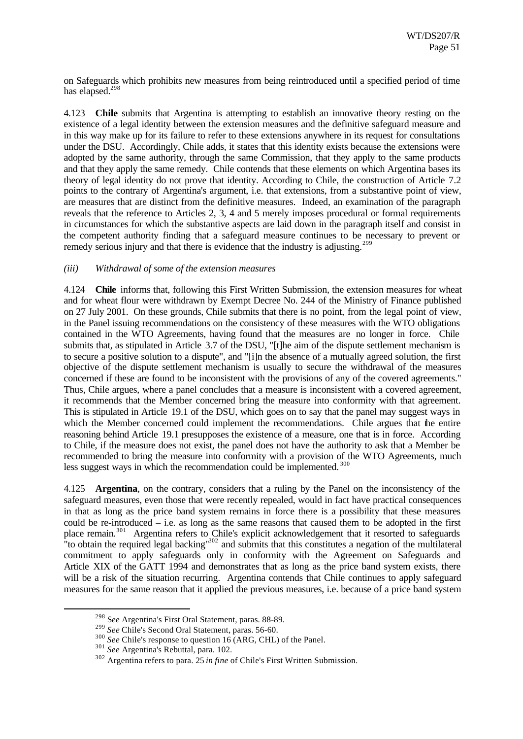on Safeguards which prohibits new measures from being reintroduced until a specified period of time has elapsed.<sup>298</sup>

4.123 **Chile** submits that Argentina is attempting to establish an innovative theory resting on the existence of a legal identity between the extension measures and the definitive safeguard measure and in this way make up for its failure to refer to these extensions anywhere in its request for consultations under the DSU. Accordingly, Chile adds, it states that this identity exists because the extensions were adopted by the same authority, through the same Commission, that they apply to the same products and that they apply the same remedy. Chile contends that these elements on which Argentina bases its theory of legal identity do not prove that identity. According to Chile, the construction of Article 7.2 points to the contrary of Argentina's argument, i.e. that extensions, from a substantive point of view, are measures that are distinct from the definitive measures. Indeed, an examination of the paragraph reveals that the reference to Articles 2, 3, 4 and 5 merely imposes procedural or formal requirements in circumstances for which the substantive aspects are laid down in the paragraph itself and consist in the competent authority finding that a safeguard measure continues to be necessary to prevent or remedy serious injury and that there is evidence that the industry is adjusting.<sup>299</sup>

#### *(iii) Withdrawal of some of the extension measures*

4.124 **Chile** informs that, following this First Written Submission, the extension measures for wheat and for wheat flour were withdrawn by Exempt Decree No. 244 of the Ministry of Finance published on 27 July 2001. On these grounds, Chile submits that there is no point, from the legal point of view, in the Panel issuing recommendations on the consistency of these measures with the WTO obligations contained in the WTO Agreements, having found that the measures are no longer in force. Chile submits that, as stipulated in Article 3.7 of the DSU, "[t]he aim of the dispute settlement mechanism is to secure a positive solution to a dispute", and "[i]n the absence of a mutually agreed solution, the first objective of the dispute settlement mechanism is usually to secure the withdrawal of the measures concerned if these are found to be inconsistent with the provisions of any of the covered agreements." Thus, Chile argues, where a panel concludes that a measure is inconsistent with a covered agreement, it recommends that the Member concerned bring the measure into conformity with that agreement. This is stipulated in Article 19.1 of the DSU, which goes on to say that the panel may suggest ways in which the Member concerned could implement the recommendations. Chile argues that the entire reasoning behind Article 19.1 presupposes the existence of a measure, one that is in force. According to Chile, if the measure does not exist, the panel does not have the authority to ask that a Member be recommended to bring the measure into conformity with a provision of the WTO Agreements, much less suggest ways in which the recommendation could be implemented. <sup>300</sup>

4.125 **Argentina**, on the contrary, considers that a ruling by the Panel on the inconsistency of the safeguard measures, even those that were recently repealed, would in fact have practical consequences in that as long as the price band system remains in force there is a possibility that these measures could be re-introduced – i.e. as long as the same reasons that caused them to be adopted in the first place remain.<sup>301</sup> Argentina refers to Chile's explicit acknowledgement that it resorted to safeguards "to obtain the required legal backing"<sup>302</sup> and submits that this constitutes a negation of the multilateral commitment to apply safeguards only in conformity with the Agreement on Safeguards and Article XIX of the GATT 1994 and demonstrates that as long as the price band system exists, there will be a risk of the situation recurring. Argentina contends that Chile continues to apply safeguard measures for the same reason that it applied the previous measures, i.e. because of a price band system

<sup>298</sup> S*ee* Argentina's First Oral Statement, paras. 88-89.

<sup>299</sup> *See* Chile's Second Oral Statement, paras. 56-60.

<sup>300</sup> *See* Chile's response to question 16 (ARG, CHL) of the Panel.

<sup>301</sup> *See* Argentina's Rebuttal, para. 102.

<sup>302</sup> Argentina refers to para. 25 *in fine* of Chile's First Written Submission.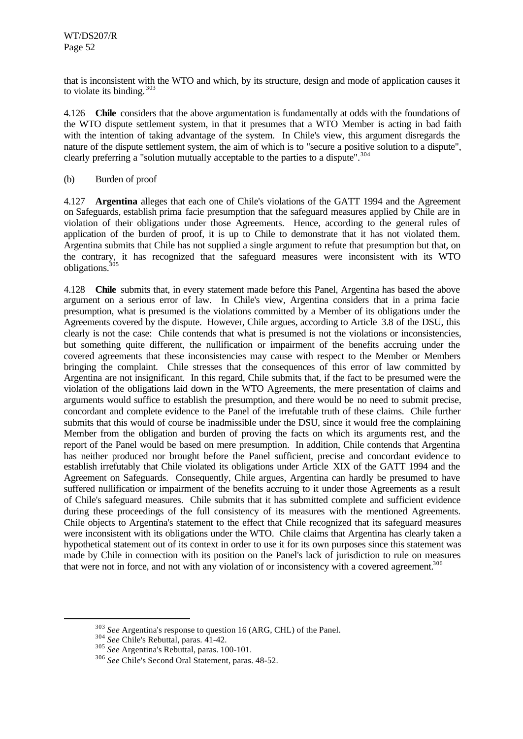that is inconsistent with the WTO and which, by its structure, design and mode of application causes it to violate its binding. <sup>303</sup>

4.126 **Chile** considers that the above argumentation is fundamentally at odds with the foundations of the WTO dispute settlement system, in that it presumes that a WTO Member is acting in bad faith with the intention of taking advantage of the system. In Chile's view, this argument disregards the nature of the dispute settlement system, the aim of which is to "secure a positive solution to a dispute", clearly preferring a "solution mutually acceptable to the parties to a dispute".<sup>304</sup>

(b) Burden of proof

4.127 **Argentina** alleges that each one of Chile's violations of the GATT 1994 and the Agreement on Safeguards, establish prima facie presumption that the safeguard measures applied by Chile are in violation of their obligations under those Agreements. Hence, according to the general rules of application of the burden of proof, it is up to Chile to demonstrate that it has not violated them. Argentina submits that Chile has not supplied a single argument to refute that presumption but that, on the contrary, it has recognized that the safeguard measures were inconsistent with its WTO obligations.<sup>305</sup>

4.128 **Chile** submits that, in every statement made before this Panel, Argentina has based the above argument on a serious error of law. In Chile's view, Argentina considers that in a prima facie presumption, what is presumed is the violations committed by a Member of its obligations under the Agreements covered by the dispute. However, Chile argues, according to Article 3.8 of the DSU, this clearly is not the case: Chile contends that what is presumed is not the violations or inconsistencies, but something quite different, the nullification or impairment of the benefits accruing under the covered agreements that these inconsistencies may cause with respect to the Member or Members bringing the complaint. Chile stresses that the consequences of this error of law committed by Argentina are not insignificant. In this regard, Chile submits that, if the fact to be presumed were the violation of the obligations laid down in the WTO Agreements, the mere presentation of claims and arguments would suffice to establish the presumption, and there would be no need to submit precise, concordant and complete evidence to the Panel of the irrefutable truth of these claims. Chile further submits that this would of course be inadmissible under the DSU, since it would free the complaining Member from the obligation and burden of proving the facts on which its arguments rest, and the report of the Panel would be based on mere presumption. In addition, Chile contends that Argentina has neither produced nor brought before the Panel sufficient, precise and concordant evidence to establish irrefutably that Chile violated its obligations under Article XIX of the GATT 1994 and the Agreement on Safeguards. Consequently, Chile argues, Argentina can hardly be presumed to have suffered nullification or impairment of the benefits accruing to it under those Agreements as a result of Chile's safeguard measures. Chile submits that it has submitted complete and sufficient evidence during these proceedings of the full consistency of its measures with the mentioned Agreements. Chile objects to Argentina's statement to the effect that Chile recognized that its safeguard measures were inconsistent with its obligations under the WTO. Chile claims that Argentina has clearly taken a hypothetical statement out of its context in order to use it for its own purposes since this statement was made by Chile in connection with its position on the Panel's lack of jurisdiction to rule on measures that were not in force, and not with any violation of or inconsistency with a covered agreement.<sup>306</sup>

<sup>303</sup> *See* Argentina's response to question 16 (ARG, CHL) of the Panel.

<sup>304</sup> *See* Chile's Rebuttal, paras. 41-42.

<sup>305</sup> *See* Argentina's Rebuttal, paras. 100-101.

<sup>306</sup> *See* Chile's Second Oral Statement, paras. 48-52.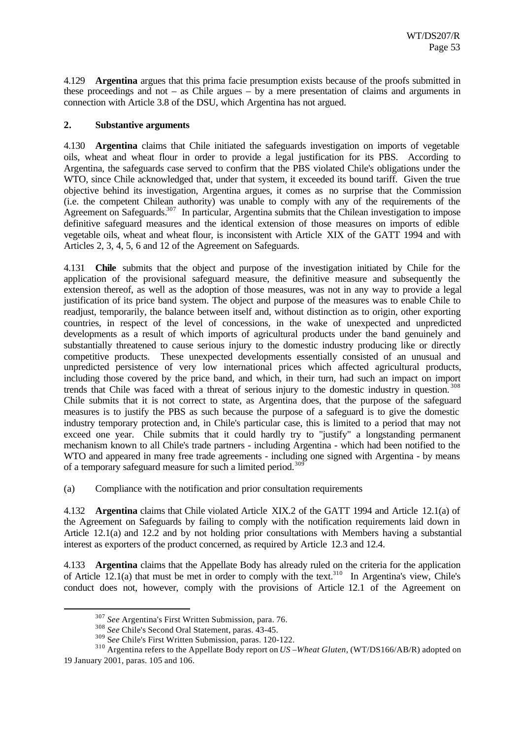4.129 **Argentina** argues that this prima facie presumption exists because of the proofs submitted in these proceedings and not – as Chile argues – by a mere presentation of claims and arguments in connection with Article 3.8 of the DSU, which Argentina has not argued.

## **2. Substantive arguments**

4.130 **Argentina** claims that Chile initiated the safeguards investigation on imports of vegetable oils, wheat and wheat flour in order to provide a legal justification for its PBS. According to Argentina, the safeguards case served to confirm that the PBS violated Chile's obligations under the WTO, since Chile acknowledged that, under that system, it exceeded its bound tariff. Given the true objective behind its investigation, Argentina argues, it comes as no surprise that the Commission (i.e. the competent Chilean authority) was unable to comply with any of the requirements of the Agreement on Safeguards.<sup>307</sup> In particular, Argentina submits that the Chilean investigation to impose definitive safeguard measures and the identical extension of those measures on imports of edible vegetable oils, wheat and wheat flour, is inconsistent with Article XIX of the GATT 1994 and with Articles 2, 3, 4, 5, 6 and 12 of the Agreement on Safeguards.

4.131 **Chile** submits that the object and purpose of the investigation initiated by Chile for the application of the provisional safeguard measure, the definitive measure and subsequently the extension thereof, as well as the adoption of those measures, was not in any way to provide a legal justification of its price band system. The object and purpose of the measures was to enable Chile to readjust, temporarily, the balance between itself and, without distinction as to origin, other exporting countries, in respect of the level of concessions, in the wake of unexpected and unpredicted developments as a result of which imports of agricultural products under the band genuinely and substantially threatened to cause serious injury to the domestic industry producing like or directly competitive products. These unexpected developments essentially consisted of an unusual and unpredicted persistence of very low international prices which affected agricultural products, including those covered by the price band, and which, in their turn, had such an impact on import trends that Chile was faced with a threat of serious injury to the domestic industry in question. <sup>308</sup> Chile submits that it is not correct to state, as Argentina does, that the purpose of the safeguard measures is to justify the PBS as such because the purpose of a safeguard is to give the domestic industry temporary protection and, in Chile's particular case, this is limited to a period that may not exceed one year. Chile submits that it could hardly try to "justify" a longstanding permanent mechanism known to all Chile's trade partners - including Argentina - which had been notified to the WTO and appeared in many free trade agreements - including one signed with Argentina - by means of a temporary safeguard measure for such a limited period.<sup>309</sup>

(a) Compliance with the notification and prior consultation requirements

4.132 **Argentina** claims that Chile violated Article XIX.2 of the GATT 1994 and Article 12.1(a) of the Agreement on Safeguards by failing to comply with the notification requirements laid down in Article 12.1(a) and 12.2 and by not holding prior consultations with Members having a substantial interest as exporters of the product concerned, as required by Article 12.3 and 12.4.

4.133 **Argentina** claims that the Appellate Body has already ruled on the criteria for the application of Article 12.1(a) that must be met in order to comply with the text.<sup>310</sup> In Argentina's view, Chile's conduct does not, however, comply with the provisions of Article 12.1 of the Agreement on

<sup>307</sup> *See* Argentina's First Written Submission, para. 76.

<sup>308</sup> *See* Chile's Second Oral Statement, paras. 43-45.

<sup>309</sup> S*ee* Chile's First Written Submission, paras. 120-122.

<sup>310</sup> Argentina refers to the Appellate Body report on *US –Wheat Gluten*, (WT/DS166/AB/R) adopted on 19 January 2001, paras. 105 and 106.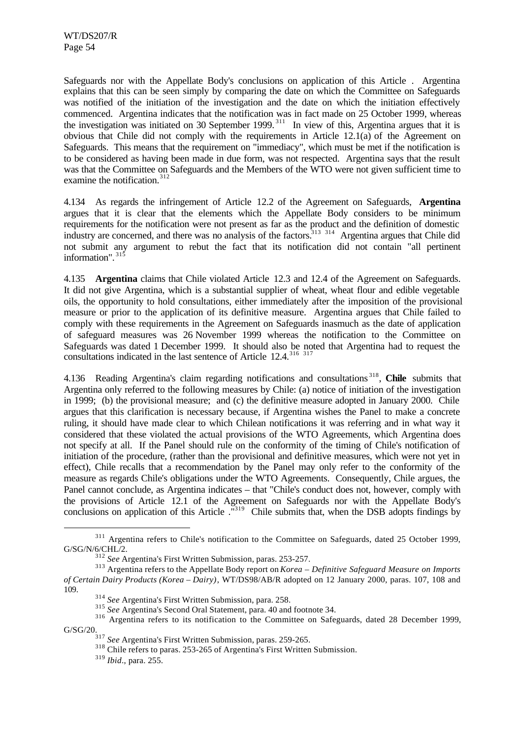Safeguards nor with the Appellate Body's conclusions on application of this Article . Argentina explains that this can be seen simply by comparing the date on which the Committee on Safeguards was notified of the initiation of the investigation and the date on which the initiation effectively commenced. Argentina indicates that the notification was in fact made on 25 October 1999, whereas the investigation was initiated on 30 September 1999. <sup>311</sup> In view of this, Argentina argues that it is obvious that Chile did not comply with the requirements in Article 12.1(a) of the Agreement on Safeguards. This means that the requirement on "immediacy", which must be met if the notification is to be considered as having been made in due form, was not respected. Argentina says that the result was that the Committee on Safeguards and the Members of the WTO were not given sufficient time to examine the notification. $312$ 

4.134 As regards the infringement of Article 12.2 of the Agreement on Safeguards, **Argentina** argues that it is clear that the elements which the Appellate Body considers to be minimum requirements for the notification were not present as far as the product and the definition of domestic industry are concerned, and there was no analysis of the factors.<sup>313</sup> <sup>314</sup> Argentina argues that Chile did not submit any argument to rebut the fact that its notification did not contain "all pertinent information".  $31\overline{5}$ 

4.135 **Argentina** claims that Chile violated Article 12.3 and 12.4 of the Agreement on Safeguards. It did not give Argentina, which is a substantial supplier of wheat, wheat flour and edible vegetable oils, the opportunity to hold consultations, either immediately after the imposition of the provisional measure or prior to the application of its definitive measure. Argentina argues that Chile failed to comply with these requirements in the Agreement on Safeguards inasmuch as the date of application of safeguard measures was 26 November 1999 whereas the notification to the Committee on Safeguards was dated 1 December 1999. It should also be noted that Argentina had to request the consultations indicated in the last sentence of Article  $12.4$ .<sup>316</sup> 317

4.136 Reading Argentina's claim regarding notifications and consultations <sup>318</sup> , **Chile** submits that Argentina only referred to the following measures by Chile: (a) notice of initiation of the investigation in 1999; (b) the provisional measure; and (c) the definitive measure adopted in January 2000. Chile argues that this clarification is necessary because, if Argentina wishes the Panel to make a concrete ruling, it should have made clear to which Chilean notifications it was referring and in what way it considered that these violated the actual provisions of the WTO Agreements, which Argentina does not specify at all. If the Panel should rule on the conformity of the timing of Chile's notification of initiation of the procedure, (rather than the provisional and definitive measures, which were not yet in effect), Chile recalls that a recommendation by the Panel may only refer to the conformity of the measure as regards Chile's obligations under the WTO Agreements. Consequently, Chile argues, the Panel cannot conclude, as Argentina indicates – that "Chile's conduct does not, however, comply with the provisions of Article 12.1 of the Agreement on Safeguards nor with the Appellate Body's conclusions on application of this Article ."<sup>319</sup> Chile submits that, when the DSB adopts findings by

<sup>315</sup> *See* Argentina's Second Oral Statement, para. 40 and footnote 34.

<sup>&</sup>lt;sup>311</sup> Argentina refers to Chile's notification to the Committee on Safeguards, dated 25 October 1999, G/SG/N/6/CHL/2.

<sup>312</sup> *See* Argentina's First Written Submission, paras. 253-257.

<sup>313</sup> Argentina refers to the Appellate Body report on *Korea – Definitive Safeguard Measure on Imports of Certain Dairy Products (Korea – Dairy)*, WT/DS98/AB/R adopted on 12 January 2000, paras. 107, 108 and 109.

<sup>314</sup> *See* Argentina's First Written Submission, para. 258.

<sup>&</sup>lt;sup>316</sup> Argentina refers to its notification to the Committee on Safeguards, dated 28 December 1999, G/SG/20.

<sup>317</sup> *See* Argentina's First Written Submission, paras. 259-265.

<sup>&</sup>lt;sup>318</sup> Chile refers to paras. 253-265 of Argentina's First Written Submission.

<sup>319</sup> *Ibid*., para. 255.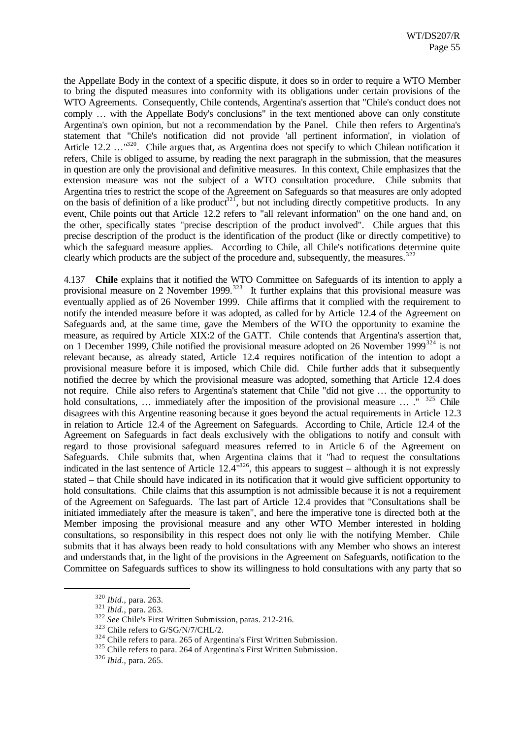the Appellate Body in the context of a specific dispute, it does so in order to require a WTO Member to bring the disputed measures into conformity with its obligations under certain provisions of the WTO Agreements. Consequently, Chile contends, Argentina's assertion that "Chile's conduct does not comply … with the Appellate Body's conclusions" in the text mentioned above can only constitute Argentina's own opinion, but not a recommendation by the Panel. Chile then refers to Argentina's statement that "Chile's notification did not provide 'all pertinent information', in violation of Article 12.2 …<sup>"320</sup>. Chile argues that, as Argentina does not specify to which Chilean notification it refers, Chile is obliged to assume, by reading the next paragraph in the submission, that the measures in question are only the provisional and definitive measures. In this context, Chile emphasizes that the extension measure was not the subject of a WTO consultation procedure. Chile submits that Argentina tries to restrict the scope of the Agreement on Safeguards so that measures are only adopted on the basis of definition of a like product<sup>321</sup>, but not including directly competitive products. In any event, Chile points out that Article 12.2 refers to "all relevant information" on the one hand and, on the other, specifically states "precise description of the product involved". Chile argues that this precise description of the product is the identification of the product (like or directly competitive) to which the safeguard measure applies. According to Chile, all Chile's notifications determine quite clearly which products are the subject of the procedure and, subsequently, the measures.<sup>32</sup>

4.137 **Chile** explains that it notified the WTO Committee on Safeguards of its intention to apply a provisional measure on 2 November 1999.<sup>323</sup> It further explains that this provisional measure was eventually applied as of 26 November 1999. Chile affirms that it complied with the requirement to notify the intended measure before it was adopted, as called for by Article 12.4 of the Agreement on Safeguards and, at the same time, gave the Members of the WTO the opportunity to examine the measure, as required by Article XIX:2 of the GATT. Chile contends that Argentina's assertion that, on 1 December 1999, Chile notified the provisional measure adopted on 26 November 1999<sup>324</sup> is not relevant because, as already stated, Article 12.4 requires notification of the intention to adopt a provisional measure before it is imposed, which Chile did. Chile further adds that it subsequently notified the decree by which the provisional measure was adopted, something that Article 12.4 does not require. Chile also refers to Argentina's statement that Chile "did not give … the opportunity to hold consultations, ... immediately after the imposition of the provisional measure  $\ldots$ ..." <sup>325</sup> Chile disagrees with this Argentine reasoning because it goes beyond the actual requirements in Article 12.3 in relation to Article 12.4 of the Agreement on Safeguards. According to Chile, Article 12.4 of the Agreement on Safeguards in fact deals exclusively with the obligations to notify and consult with regard to those provisional safeguard measures referred to in Article 6 of the Agreement on Safeguards. Chile submits that, when Argentina claims that it "had to request the consultations indicated in the last sentence of Article 12.4"<sup>326</sup>, this appears to suggest – although it is not expressly stated – that Chile should have indicated in its notification that it would give sufficient opportunity to hold consultations. Chile claims that this assumption is not admissible because it is not a requirement of the Agreement on Safeguards. The last part of Article 12.4 provides that "Consultations shall be initiated immediately after the measure is taken", and here the imperative tone is directed both at the Member imposing the provisional measure and any other WTO Member interested in holding consultations, so responsibility in this respect does not only lie with the notifying Member. Chile submits that it has always been ready to hold consultations with any Member who shows an interest and understands that, in the light of the provisions in the Agreement on Safeguards, notification to the Committee on Safeguards suffices to show its willingness to hold consultations with any party that so

<sup>320</sup> *Ibid*., para. 263.

<sup>321</sup> *Ibid*., para. 263.

<sup>&</sup>lt;sup>322</sup> See Chile's First Written Submission, paras. 212-216.

<sup>323</sup> Chile refers to G/SG/N/7/CHL/2.

<sup>&</sup>lt;sup>324</sup> Chile refers to para. 265 of Argentina's First Written Submission.

<sup>&</sup>lt;sup>325</sup> Chile refers to para. 264 of Argentina's First Written Submission.

<sup>326</sup> *Ibid*., para. 265.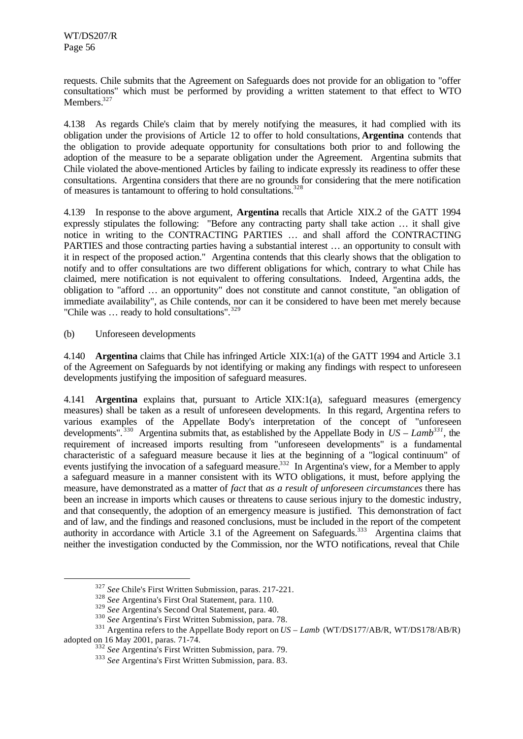requests. Chile submits that the Agreement on Safeguards does not provide for an obligation to "offer consultations" which must be performed by providing a written statement to that effect to WTO Members.<sup>327</sup>

4.138 As regards Chile's claim that by merely notifying the measures, it had complied with its obligation under the provisions of Article 12 to offer to hold consultations, **Argentina** contends that the obligation to provide adequate opportunity for consultations both prior to and following the adoption of the measure to be a separate obligation under the Agreement. Argentina submits that Chile violated the above-mentioned Articles by failing to indicate expressly its readiness to offer these consultations. Argentina considers that there are no grounds for considering that the mere notification of measures is tantamount to offering to hold consultations.<sup>328</sup>

4.139 In response to the above argument, **Argentina** recalls that Article XIX.2 of the GATT 1994 expressly stipulates the following: "Before any contracting party shall take action … it shall give notice in writing to the CONTRACTING PARTIES … and shall afford the CONTRACTING PARTIES and those contracting parties having a substantial interest … an opportunity to consult with it in respect of the proposed action." Argentina contends that this clearly shows that the obligation to notify and to offer consultations are two different obligations for which, contrary to what Chile has claimed, mere notification is not equivalent to offering consultations. Indeed, Argentina adds, the obligation to "afford … an opportunity" does not constitute and cannot constitute, "an obligation of immediate availability", as Chile contends, nor can it be considered to have been met merely because "Chile was ... ready to hold consultations".<sup>329</sup>

### (b) Unforeseen developments

l

4.140 **Argentina** claims that Chile has infringed Article XIX:1(a) of the GATT 1994 and Article 3.1 of the Agreement on Safeguards by not identifying or making any findings with respect to unforeseen developments justifying the imposition of safeguard measures.

4.141 **Argentina** explains that, pursuant to Article XIX:1(a), safeguard measures (emergency measures) shall be taken as a result of unforeseen developments. In this regard, Argentina refers to various examples of the Appellate Body's interpretation of the concept of "unforeseen developments".  $330$  Argentina submits that, as established by the Appellate Body in  $US - Lamb^{331}$ , the requirement of increased imports resulting from "unforeseen developments" is a fundamental characteristic of a safeguard measure because it lies at the beginning of a "logical continuum" of events justifying the invocation of a safeguard measure.<sup>332</sup> In Argentina's view, for a Member to apply a safeguard measure in a manner consistent with its WTO obligations, it must, before applying the measure, have demonstrated as a matter of *fact* that *as a result of unforeseen circumstances* there has been an increase in imports which causes or threatens to cause serious injury to the domestic industry, and that consequently, the adoption of an emergency measure is justified. This demonstration of fact and of law, and the findings and reasoned conclusions, must be included in the report of the competent authority in accordance with Article 3.1 of the Agreement on Safeguards.<sup>333</sup> Argentina claims that neither the investigation conducted by the Commission, nor the WTO notifications, reveal that Chile

<sup>327</sup> *See* Chile's First Written Submission, paras. 217-221.

<sup>328</sup> *See* Argentina's First Oral Statement, para. 110.

<sup>329</sup> *See* Argentina's Second Oral Statement, para. 40.

<sup>330</sup> *See* Argentina's First Written Submission, para. 78.

<sup>&</sup>lt;sup>331</sup> Argentina refers to the Appellate Body report on *US – Lamb* (WT/DS177/AB/R, WT/DS178/AB/R) adopted on 16 May 2001, paras. 71-74.

<sup>332</sup> *See* Argentina's First Written Submission, para. 79.

<sup>333</sup> *See* Argentina's First Written Submission, para. 83.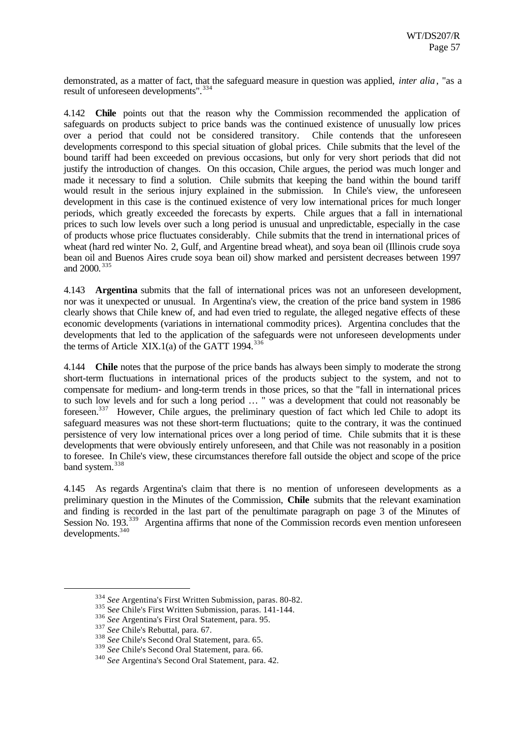demonstrated, as a matter of fact, that the safeguard measure in question was applied, *inter alia*, "as a result of unforeseen developments".<sup>334</sup>

4.142 **Chile** points out that the reason why the Commission recommended the application of safeguards on products subject to price bands was the continued existence of unusually low prices over a period that could not be considered transitory. Chile contends that the unforeseen developments correspond to this special situation of global prices. Chile submits that the level of the bound tariff had been exceeded on previous occasions, but only for very short periods that did not justify the introduction of changes. On this occasion, Chile argues, the period was much longer and made it necessary to find a solution. Chile submits that keeping the band within the bound tariff would result in the serious injury explained in the submission. In Chile's view, the unforeseen development in this case is the continued existence of very low international prices for much longer periods, which greatly exceeded the forecasts by experts. Chile argues that a fall in international prices to such low levels over such a long period is unusual and unpredictable, especially in the case of products whose price fluctuates considerably. Chile submits that the trend in international prices of wheat (hard red winter No. 2, Gulf, and Argentine bread wheat), and soya bean oil (Illinois crude soya bean oil and Buenos Aires crude soya bean oil) show marked and persistent decreases between 1997 and 2000.<sup>335</sup>

4.143 **Argentina** submits that the fall of international prices was not an unforeseen development, nor was it unexpected or unusual. In Argentina's view, the creation of the price band system in 1986 clearly shows that Chile knew of, and had even tried to regulate, the alleged negative effects of these economic developments (variations in international commodity prices). Argentina concludes that the developments that led to the application of the safeguards were not unforeseen developments under the terms of Article XIX.1(a) of the GATT 1994. $^{336}$ 

4.144 **Chile** notes that the purpose of the price bands has always been simply to moderate the strong short-term fluctuations in international prices of the products subject to the system, and not to compensate for medium- and long-term trends in those prices, so that the "fall in international prices to such low levels and for such a long period … " was a development that could not reasonably be foreseen.<sup>337</sup> However, Chile argues, the preliminary question of fact which led Chile to adopt its safeguard measures was not these short-term fluctuations; quite to the contrary, it was the continued persistence of very low international prices over a long period of time. Chile submits that it is these developments that were obviously entirely unforeseen, and that Chile was not reasonably in a position to foresee. In Chile's view, these circumstances therefore fall outside the object and scope of the price band system.<sup>338</sup>

4.145 As regards Argentina's claim that there is no mention of unforeseen developments as a preliminary question in the Minutes of the Commission, **Chile** submits that the relevant examination and finding is recorded in the last part of the penultimate paragraph on page 3 of the Minutes of Session No. 193.<sup>339</sup> Argentina affirms that none of the Commission records even mention unforeseen developments.  $340$ 

<sup>334</sup> *See* Argentina's First Written Submission, paras. 80-82.

<sup>335</sup> S*ee* Chile's First Written Submission, paras. 141-144.

<sup>336</sup> *See* Argentina's First Oral Statement, para. 95.

<sup>337</sup> *See* Chile's Rebuttal, para. 67.

<sup>338</sup> *See* Chile's Second Oral Statement, para. 65.

<sup>339</sup> *See* Chile's Second Oral Statement, para. 66.

<sup>340</sup> *See* Argentina's Second Oral Statement, para. 42.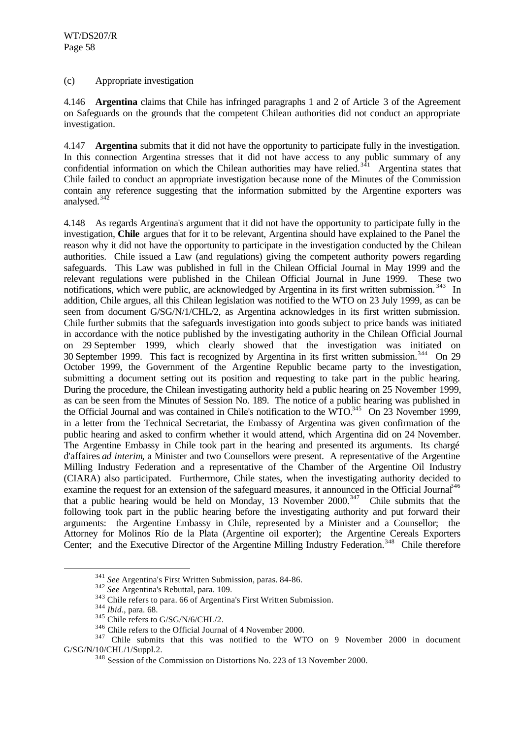## (c) Appropriate investigation

4.146 **Argentina** claims that Chile has infringed paragraphs 1 and 2 of Article 3 of the Agreement on Safeguards on the grounds that the competent Chilean authorities did not conduct an appropriate investigation.

4.147 **Argentina** submits that it did not have the opportunity to participate fully in the investigation. In this connection Argentina stresses that it did not have access to any public summary of any confidential information on which the Chilean authorities may have relied.<sup>341</sup> Argentina states that Chile failed to conduct an appropriate investigation because none of the Minutes of the Commission contain any reference suggesting that the information submitted by the Argentine exporters was analysed.<sup>342</sup>

4.148 As regards Argentina's argument that it did not have the opportunity to participate fully in the investigation, **Chile** argues that for it to be relevant, Argentina should have explained to the Panel the reason why it did not have the opportunity to participate in the investigation conducted by the Chilean authorities. Chile issued a Law (and regulations) giving the competent authority powers regarding safeguards. This Law was published in full in the Chilean Official Journal in May 1999 and the relevant regulations were published in the Chilean Official Journal in June 1999. These two notifications, which were public, are acknowledged by Argentina in its first written submission.<sup>343</sup> In addition, Chile argues, all this Chilean legislation was notified to the WTO on 23 July 1999, as can be seen from document G/SG/N/1/CHL/2, as Argentina acknowledges in its first written submission. Chile further submits that the safeguards investigation into goods subject to price bands was initiated in accordance with the notice published by the investigating authority in the Chilean Official Journal on 29 September 1999, which clearly showed that the investigation was initiated on 30 September 1999. This fact is recognized by Argentina in its first written submission.<sup>344</sup> On 29 October 1999, the Government of the Argentine Republic became party to the investigation, submitting a document setting out its position and requesting to take part in the public hearing. During the procedure, the Chilean investigating authority held a public hearing on 25 November 1999, as can be seen from the Minutes of Session No. 189. The notice of a public hearing was published in the Official Journal and was contained in Chile's notification to the WTO.<sup>345</sup> On 23 November 1999. in a letter from the Technical Secretariat, the Embassy of Argentina was given confirmation of the public hearing and asked to confirm whether it would attend, which Argentina did on 24 November. The Argentine Embassy in Chile took part in the hearing and presented its arguments. Its chargé d'affaires *ad interim*, a Minister and two Counsellors were present. A representative of the Argentine Milling Industry Federation and a representative of the Chamber of the Argentine Oil Industry (CIARA) also participated. Furthermore, Chile states, when the investigating authority decided to examine the request for an extension of the safeguard measures, it announced in the Official Journal<sup>346</sup> that a public hearing would be held on Monday, 13 November  $2000$ .<sup>347</sup> Chile submits that the following took part in the public hearing before the investigating authority and put forward their arguments: the Argentine Embassy in Chile, represented by a Minister and a Counsellor; the Attorney for Molinos Río de la Plata (Argentine oil exporter); the Argentine Cereals Exporters Center; and the Executive Director of the Argentine Milling Industry Federation.<sup>348</sup> Chile therefore

<sup>341</sup> *See* Argentina's First Written Submission, paras. 84-86.

<sup>342</sup> *See* Argentina's Rebuttal, para. 109.

<sup>&</sup>lt;sup>343</sup> Chile refers to para. 66 of Argentina's First Written Submission.

<sup>344</sup> *Ibid*., para. 68.

<sup>&</sup>lt;sup>345</sup> Chile refers to G/SG/N/6/CHL/2.

<sup>346</sup> Chile refers to the Official Journal of 4 November 2000.

<sup>&</sup>lt;sup>347</sup> Chile submits that this was notified to the WTO on 9 November 2000 in document G/SG/N/10/CHL/1/Suppl.2.

<sup>348</sup> Session of the Commission on Distortions No. 223 of 13 November 2000.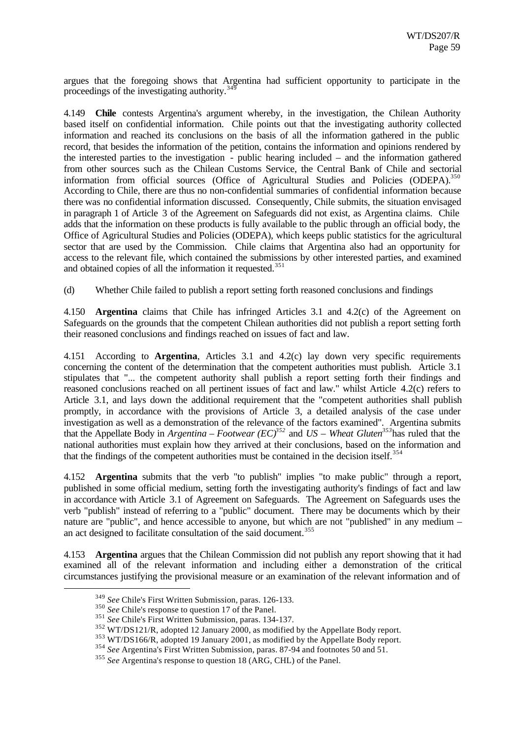argues that the foregoing shows that Argentina had sufficient opportunity to participate in the proceedings of the investigating authority.<sup>34</sup>

4.149 **Chile** contests Argentina's argument whereby, in the investigation, the Chilean Authority based itself on confidential information. Chile points out that the investigating authority collected information and reached its conclusions on the basis of all the information gathered in the public record, that besides the information of the petition, contains the information and opinions rendered by the interested parties to the investigation - public hearing included – and the information gathered from other sources such as the Chilean Customs Service, the Central Bank of Chile and sectorial information from official sources (Office of Agricultural Studies and Policies (ODEPA).<sup>350</sup> According to Chile, there are thus no non-confidential summaries of confidential information because there was no confidential information discussed. Consequently, Chile submits, the situation envisaged in paragraph 1 of Article 3 of the Agreement on Safeguards did not exist, as Argentina claims. Chile adds that the information on these products is fully available to the public through an official body, the Office of Agricultural Studies and Policies (ODEPA), which keeps public statistics for the agricultural sector that are used by the Commission. Chile claims that Argentina also had an opportunity for access to the relevant file, which contained the submissions by other interested parties, and examined and obtained copies of all the information it requested.<sup>35</sup>

(d) Whether Chile failed to publish a report setting forth reasoned conclusions and findings

4.150 **Argentina** claims that Chile has infringed Articles 3.1 and 4.2(c) of the Agreement on Safeguards on the grounds that the competent Chilean authorities did not publish a report setting forth their reasoned conclusions and findings reached on issues of fact and law.

4.151 According to **Argentina**, Articles 3.1 and 4.2(c) lay down very specific requirements concerning the content of the determination that the competent authorities must publish. Article 3.1 stipulates that "... the competent authority shall publish a report setting forth their findings and reasoned conclusions reached on all pertinent issues of fact and law." whilst Article 4.2(c) refers to Article 3.1, and lays down the additional requirement that the "competent authorities shall publish promptly, in accordance with the provisions of Article 3, a detailed analysis of the case under investigation as well as a demonstration of the relevance of the factors examined". Argentina submits that the Appellate Body in *Argentina – Footwear (EC)<sup>352</sup>* and *US – Wheat Gluten<sup>353</sup>*has ruled that the national authorities must explain how they arrived at their conclusions, based on the information and that the findings of the competent authorities must be contained in the decision itself.<sup>354</sup>

4.152 **Argentina** submits that the verb "to publish" implies "to make public" through a report, published in some official medium, setting forth the investigating authority's findings of fact and law in accordance with Article 3.1 of Agreement on Safeguards. The Agreement on Safeguards uses the verb "publish" instead of referring to a "public" document. There may be documents which by their nature are "public", and hence accessible to anyone, but which are not "published" in any medium – an act designed to facilitate consultation of the said document.<sup>355</sup>

4.153 **Argentina** argues that the Chilean Commission did not publish any report showing that it had examined all of the relevant information and including either a demonstration of the critical circumstances justifying the provisional measure or an examination of the relevant information and of

<sup>349</sup> *See* Chile's First Written Submission, paras. 126-133.

<sup>&</sup>lt;sup>350</sup> *See* Chile's response to question 17 of the Panel.

<sup>351</sup> *See* Chile's First Written Submission, paras. 134-137.

<sup>352</sup> WT/DS121/R, adopted 12 January 2000, as modified by the Appellate Body report.

<sup>&</sup>lt;sup>353</sup> WT/DS166/R, adopted 19 January 2001, as modified by the Appellate Body report.

<sup>354</sup> *See* Argentina's First Written Submission, paras. 87-94 and footnotes 50 and 51.

<sup>355</sup> *See* Argentina's response to question 18 (ARG, CHL) of the Panel.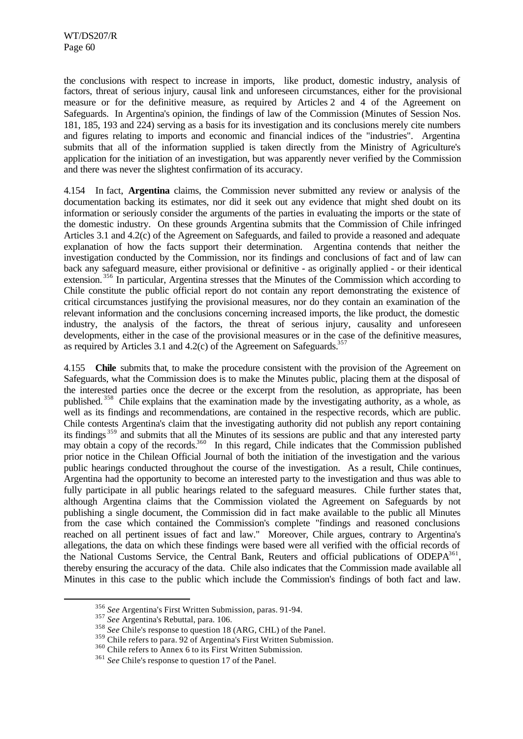the conclusions with respect to increase in imports, like product, domestic industry, analysis of factors, threat of serious injury, causal link and unforeseen circumstances, either for the provisional measure or for the definitive measure, as required by Articles 2 and 4 of the Agreement on Safeguards. In Argentina's opinion, the findings of law of the Commission (Minutes of Session Nos. 181, 185, 193 and 224) serving as a basis for its investigation and its conclusions merely cite numbers and figures relating to imports and economic and financial indices of the "industries". Argentina submits that all of the information supplied is taken directly from the Ministry of Agriculture's application for the initiation of an investigation, but was apparently never verified by the Commission and there was never the slightest confirmation of its accuracy.

4.154 In fact, **Argentina** claims, the Commission never submitted any review or analysis of the documentation backing its estimates, nor did it seek out any evidence that might shed doubt on its information or seriously consider the arguments of the parties in evaluating the imports or the state of the domestic industry. On these grounds Argentina submits that the Commission of Chile infringed Articles 3.1 and 4.2(c) of the Agreement on Safeguards, and failed to provide a reasoned and adequate explanation of how the facts support their determination. Argentina contends that neither the investigation conducted by the Commission, nor its findings and conclusions of fact and of law can back any safeguard measure, either provisional or definitive - as originally applied - or their identical extension.<sup>356</sup> In particular, Argentina stresses that the Minutes of the Commission which according to Chile constitute the public official report do not contain any report demonstrating the existence of critical circumstances justifying the provisional measures, nor do they contain an examination of the relevant information and the conclusions concerning increased imports, the like product, the domestic industry, the analysis of the factors, the threat of serious injury, causality and unforeseen developments, either in the case of the provisional measures or in the case of the definitive measures, as required by Articles 3.1 and 4.2(c) of the Agreement on Safeguards.<sup>35</sup>

4.155 **Chile** submits that, to make the procedure consistent with the provision of the Agreement on Safeguards, what the Commission does is to make the Minutes public, placing them at the disposal of the interested parties once the decree or the excerpt from the resolution, as appropriate, has been published. <sup>358</sup> Chile explains that the examination made by the investigating authority, as a whole, as well as its findings and recommendations, are contained in the respective records, which are public. Chile contests Argentina's claim that the investigating authority did not publish any report containing its findings <sup>359</sup> and submits that all the Minutes of its sessions are public and that any interested party may obtain a copy of the records.<sup>360</sup> In this regard, Chile indicates that the Commission published prior notice in the Chilean Official Journal of both the initiation of the investigation and the various public hearings conducted throughout the course of the investigation. As a result, Chile continues, Argentina had the opportunity to become an interested party to the investigation and thus was able to fully participate in all public hearings related to the safeguard measures. Chile further states that, although Argentina claims that the Commission violated the Agreement on Safeguards by not publishing a single document, the Commission did in fact make available to the public all Minutes from the case which contained the Commission's complete "findings and reasoned conclusions reached on all pertinent issues of fact and law." Moreover, Chile argues, contrary to Argentina's allegations, the data on which these findings were based were all verified with the official records of the National Customs Service, the Central Bank, Reuters and official publications of ODEPA<sup>361</sup>, thereby ensuring the accuracy of the data. Chile also indicates that the Commission made available all Minutes in this case to the public which include the Commission's findings of both fact and law.

<sup>356</sup> *See* Argentina's First Written Submission, paras. 91-94.

<sup>357</sup> *See* Argentina's Rebuttal, para. 106.

<sup>&</sup>lt;sup>358</sup> *See* Chile's response to question 18 (ARG, CHL) of the Panel.

<sup>&</sup>lt;sup>359</sup> Chile refers to para. 92 of Argentina's First Written Submission.

<sup>&</sup>lt;sup>360</sup> Chile refers to Annex 6 to its First Written Submission.

<sup>361</sup> *See* Chile's response to question 17 of the Panel.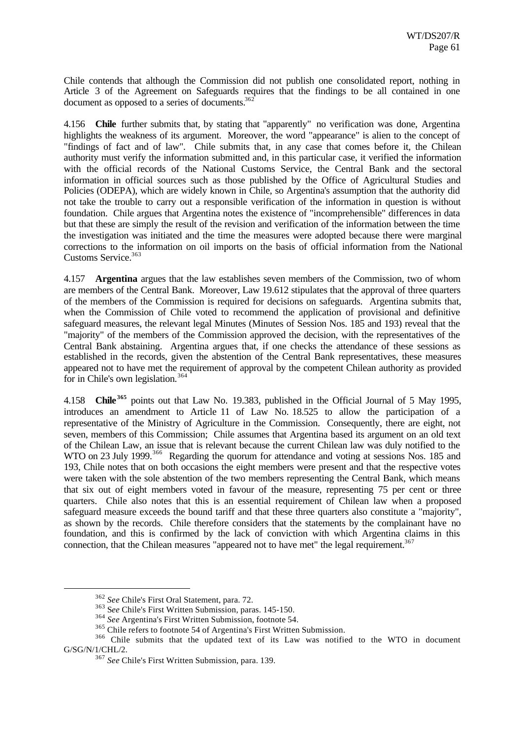Chile contends that although the Commission did not publish one consolidated report, nothing in Article 3 of the Agreement on Safeguards requires that the findings to be all contained in one document as opposed to a series of documents.<sup>362</sup>

4.156 **Chile** further submits that, by stating that "apparently" no verification was done, Argentina highlights the weakness of its argument. Moreover, the word "appearance" is alien to the concept of "findings of fact and of law". Chile submits that, in any case that comes before it, the Chilean authority must verify the information submitted and, in this particular case, it verified the information with the official records of the National Customs Service, the Central Bank and the sectoral information in official sources such as those published by the Office of Agricultural Studies and Policies (ODEPA), which are widely known in Chile, so Argentina's assumption that the authority did not take the trouble to carry out a responsible verification of the information in question is without foundation. Chile argues that Argentina notes the existence of "incomprehensible" differences in data but that these are simply the result of the revision and verification of the information between the time the investigation was initiated and the time the measures were adopted because there were marginal corrections to the information on oil imports on the basis of official information from the National Customs Service.<sup>363</sup>

4.157 **Argentina** argues that the law establishes seven members of the Commission, two of whom are members of the Central Bank. Moreover, Law 19.612 stipulates that the approval of three quarters of the members of the Commission is required for decisions on safeguards. Argentina submits that, when the Commission of Chile voted to recommend the application of provisional and definitive safeguard measures, the relevant legal Minutes (Minutes of Session Nos. 185 and 193) reveal that the "majority" of the members of the Commission approved the decision, with the representatives of the Central Bank abstaining. Argentina argues that, if one checks the attendance of these sessions as established in the records, given the abstention of the Central Bank representatives, these measures appeared not to have met the requirement of approval by the competent Chilean authority as provided for in Chile's own legislation.<sup>364</sup>

4.158 **Chile <sup>365</sup>** points out that Law No. 19.383, published in the Official Journal of 5 May 1995, introduces an amendment to Article 11 of Law No. 18.525 to allow the participation of a representative of the Ministry of Agriculture in the Commission. Consequently, there are eight, not seven, members of this Commission; Chile assumes that Argentina based its argument on an old text of the Chilean Law, an issue that is relevant because the current Chilean law was duly notified to the WTO on 23 July 1999.<sup>366</sup> Regarding the quorum for attendance and voting at sessions Nos. 185 and 193, Chile notes that on both occasions the eight members were present and that the respective votes were taken with the sole abstention of the two members representing the Central Bank, which means that six out of eight members voted in favour of the measure, representing 75 per cent or three quarters. Chile also notes that this is an essential requirement of Chilean law when a proposed safeguard measure exceeds the bound tariff and that these three quarters also constitute a "majority", as shown by the records. Chile therefore considers that the statements by the complainant have no foundation, and this is confirmed by the lack of conviction with which Argentina claims in this connection, that the Chilean measures "appeared not to have met" the legal requirement.<sup>367</sup>

<sup>362</sup> *See* Chile's First Oral Statement, para. 72.

<sup>363</sup> S*ee* Chile's First Written Submission, paras. 145-150.

<sup>364</sup> *See* Argentina's First Written Submission, footnote 54.

<sup>&</sup>lt;sup>365</sup> Chile refers to footnote 54 of Argentina's First Written Submission.

<sup>366</sup> Chile submits that the updated text of its Law was notified to the WTO in document G/SG/N/1/CHL/2.

<sup>367</sup> *See* Chile's First Written Submission, para. 139.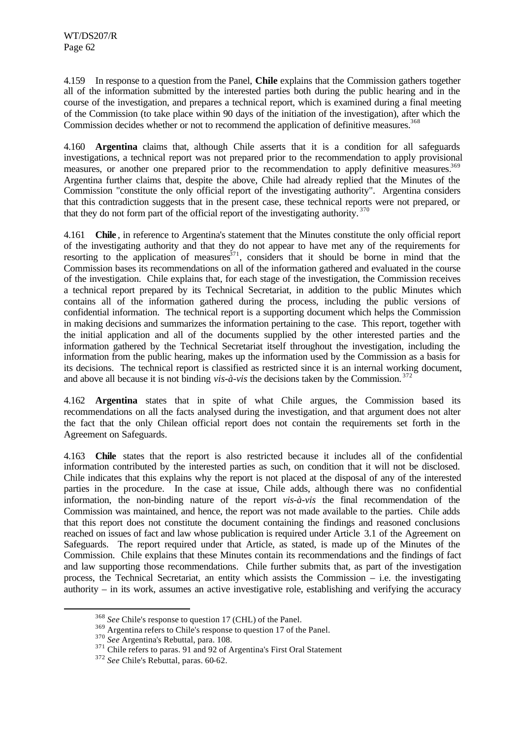4.159 In response to a question from the Panel, **Chile** explains that the Commission gathers together all of the information submitted by the interested parties both during the public hearing and in the course of the investigation, and prepares a technical report, which is examined during a final meeting of the Commission (to take place within 90 days of the initiation of the investigation), after which the Commission decides whether or not to recommend the application of definitive measures.<sup>368</sup>

4.160 **Argentina** claims that, although Chile asserts that it is a condition for all safeguards investigations, a technical report was not prepared prior to the recommendation to apply provisional measures, or another one prepared prior to the recommendation to apply definitive measures.<sup>369</sup> Argentina further claims that, despite the above, Chile had already replied that the Minutes of the Commission "constitute the only official report of the investigating authority". Argentina considers that this contradiction suggests that in the present case, these technical reports were not prepared, or that they do not form part of the official report of the investigating authority.<sup>370</sup>

4.161 **Chile** , in reference to Argentina's statement that the Minutes constitute the only official report of the investigating authority and that they do not appear to have met any of the requirements for resorting to the application of measures  $371$ , considers that it should be borne in mind that the Commission bases its recommendations on all of the information gathered and evaluated in the course of the investigation. Chile explains that, for each stage of the investigation, the Commission receives a technical report prepared by its Technical Secretariat, in addition to the public Minutes which contains all of the information gathered during the process, including the public versions of confidential information. The technical report is a supporting document which helps the Commission in making decisions and summarizes the information pertaining to the case. This report, together with the initial application and all of the documents supplied by the other interested parties and the information gathered by the Technical Secretariat itself throughout the investigation, including the information from the public hearing, makes up the information used by the Commission as a basis for its decisions. The technical report is classified as restricted since it is an internal working document, and above all because it is not binding *vis-à-vis* the decisions taken by the Commission. <sup>372</sup>

4.162 **Argentina** states that in spite of what Chile argues, the Commission based its recommendations on all the facts analysed during the investigation, and that argument does not alter the fact that the only Chilean official report does not contain the requirements set forth in the Agreement on Safeguards.

4.163 **Chile** states that the report is also restricted because it includes all of the confidential information contributed by the interested parties as such, on condition that it will not be disclosed. Chile indicates that this explains why the report is not placed at the disposal of any of the interested parties in the procedure. In the case at issue, Chile adds, although there was no confidential information, the non-binding nature of the report *vis-à-vis* the final recommendation of the Commission was maintained, and hence, the report was not made available to the parties. Chile adds that this report does not constitute the document containing the findings and reasoned conclusions reached on issues of fact and law whose publication is required under Article 3.1 of the Agreement on Safeguards. The report required under that Article, as stated, is made up of the Minutes of the Commission. Chile explains that these Minutes contain its recommendations and the findings of fact and law supporting those recommendations. Chile further submits that, as part of the investigation process, the Technical Secretariat, an entity which assists the Commission – i.e. the investigating authority – in its work, assumes an active investigative role, establishing and verifying the accuracy

<sup>368</sup> *See* Chile's response to question 17 (CHL) of the Panel.

<sup>&</sup>lt;sup>369</sup> Argentina refers to Chile's response to question 17 of the Panel.

<sup>370</sup> *See* Argentina's Rebuttal, para. 108.

<sup>&</sup>lt;sup>371</sup> Chile refers to paras. 91 and 92 of Argentina's First Oral Statement

<sup>372</sup> *See* Chile's Rebuttal, paras. 60-62.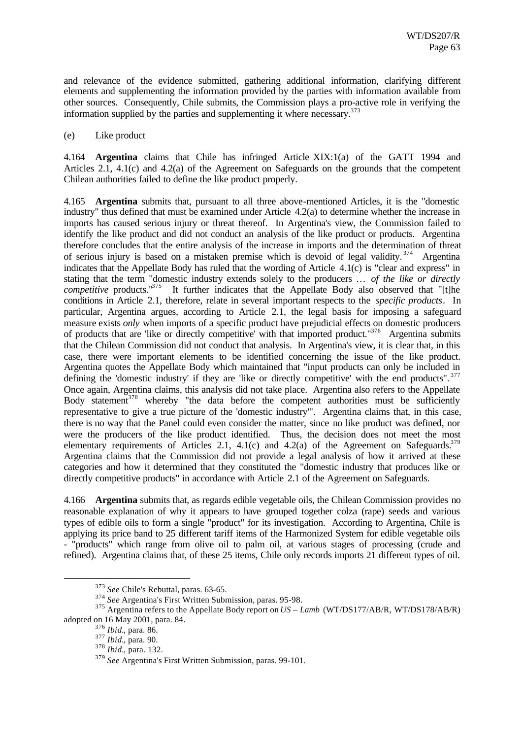and relevance of the evidence submitted, gathering additional information, clarifying different elements and supplementing the information provided by the parties with information available from other sources. Consequently, Chile submits, the Commission plays a pro-active role in verifying the information supplied by the parties and supplementing it where necessary.<sup>373</sup>

(e) Like product

4.164 **Argentina** claims that Chile has infringed Article XIX:1(a) of the GATT 1994 and Articles 2.1, 4.1(c) and 4.2(a) of the Agreement on Safeguards on the grounds that the competent Chilean authorities failed to define the like product properly.

4.165 **Argentina** submits that, pursuant to all three above-mentioned Articles, it is the "domestic industry" thus defined that must be examined under Article 4.2(a) to determine whether the increase in imports has caused serious injury or threat thereof. In Argentina's view, the Commission failed to identify the like product and did not conduct an analysis of the like product or products. Argentina therefore concludes that the entire analysis of the increase in imports and the determination of threat of serious injury is based on a mistaken premise which is devoid of legal validity.<sup>374</sup> Argentina indicates that the Appellate Body has ruled that the wording of Article 4.1(c) is "clear and express" in stating that the term "domestic industry extends solely to the producers … *of the like or directly competitive* products."<sup>375</sup> It further indicates that the Appellate Body also observed that "[t]he conditions in Article 2.1, therefore, relate in several important respects to the *specific products*. In particular, Argentina argues, according to Article 2.1, the legal basis for imposing a safeguard measure exists *only* when imports of a specific product have prejudicial effects on domestic producers of products that are 'like or directly competitive' with that imported product."<sup>376</sup> Argentina submits that the Chilean Commission did not conduct that analysis. In Argentina's view, it is clear that, in this case, there were important elements to be identified concerning the issue of the like product. Argentina quotes the Appellate Body which maintained that "input products can only be included in defining the 'domestic industry' if they are 'like or directly competitive' with the end products". 377 Once again, Argentina claims, this analysis did not take place. Argentina also refers to the Appellate Body statement<sup>378</sup> whereby "the data before the competent authorities must be sufficiently representative to give a true picture of the 'domestic industry'". Argentina claims that, in this case, there is no way that the Panel could even consider the matter, since no like product was defined, nor were the producers of the like product identified. Thus, the decision does not meet the most elementary requirements of Articles 2.1, 4.1(c) and 4.2(a) of the Agreement on Safeguards.<sup>379</sup> Argentina claims that the Commission did not provide a legal analysis of how it arrived at these categories and how it determined that they constituted the "domestic industry that produces like or directly competitive products" in accordance with Article 2.1 of the Agreement on Safeguards.

4.166 **Argentina** submits that, as regards edible vegetable oils, the Chilean Commission provides no reasonable explanation of why it appears to have grouped together colza (rape) seeds and various types of edible oils to form a single "product" for its investigation. According to Argentina, Chile is applying its price band to 25 different tariff items of the Harmonized System for edible vegetable oils - "products" which range from olive oil to palm oil, at various stages of processing (crude and refined). Argentina claims that, of these 25 items, Chile only records imports 21 different types of oil.

<sup>373</sup> *See* Chile's Rebuttal, paras. 63-65.

<sup>374</sup> *See* Argentina's First Written Submission, paras. 95-98.

<sup>375</sup> Argentina refers to the Appellate Body report on *US – Lamb* (WT/DS177/AB/R, WT/DS178/AB/R) adopted on 16 May 2001, para. 84.

<sup>376</sup> *Ibid.*, para. 86.

<sup>377</sup> *Ibid.*, para. 90.

<sup>378</sup> *Ibid.*, para. 132.

<sup>379</sup> *See* Argentina's First Written Submission, paras. 99-101.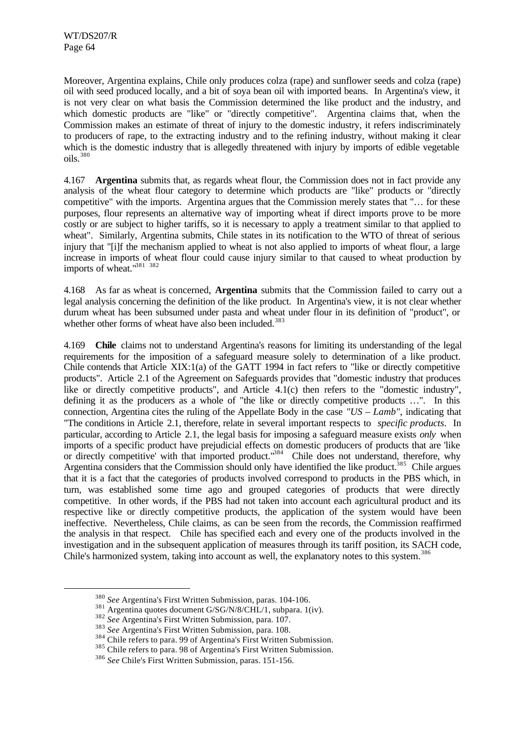l

Moreover, Argentina explains, Chile only produces colza (rape) and sunflower seeds and colza (rape) oil with seed produced locally, and a bit of soya bean oil with imported beans. In Argentina's view, it is not very clear on what basis the Commission determined the like product and the industry, and which domestic products are "like" or "directly competitive". Argentina claims that, when the Commission makes an estimate of threat of injury to the domestic industry, it refers indiscriminately to producers of rape, to the extracting industry and to the refining industry, without making it clear which is the domestic industry that is allegedly threatened with injury by imports of edible vegetable oils.<sup>380</sup>

4.167 **Argentina** submits that, as regards wheat flour, the Commission does not in fact provide any analysis of the wheat flour category to determine which products are "like" products or "directly competitive" with the imports. Argentina argues that the Commission merely states that "… for these purposes, flour represents an alternative way of importing wheat if direct imports prove to be more costly or are subject to higher tariffs, so it is necessary to apply a treatment similar to that applied to wheat". Similarly, Argentina submits, Chile states in its notification to the WTO of threat of serious injury that "[i]f the mechanism applied to wheat is not also applied to imports of wheat flour, a large increase in imports of wheat flour could cause injury similar to that caused to wheat production by imports of wheat."<sup>381</sup> 382

4.168 As far as wheat is concerned, **Argentina** submits that the Commission failed to carry out a legal analysis concerning the definition of the like product. In Argentina's view, it is not clear whether durum wheat has been subsumed under pasta and wheat under flour in its definition of "product", or whether other forms of wheat have also been included.<sup>383</sup>

4.169 **Chile** claims not to understand Argentina's reasons for limiting its understanding of the legal requirements for the imposition of a safeguard measure solely to determination of a like product. Chile contends that Article XIX:1(a) of the GATT 1994 in fact refers to "like or directly competitive products". Article 2.1 of the Agreement on Safeguards provides that "domestic industry that produces like or directly competitive products", and Article 4.1(c) then refers to the "domestic industry", defining it as the producers as a whole of "the like or directly competitive products …". In this connection, Argentina cites the ruling of the Appellate Body in the case *"US – Lamb"*, indicating that "The conditions in Article 2.1, therefore, relate in several important respects to *specific products*. In particular, according to Article 2.1, the legal basis for imposing a safeguard measure exists *only* when imports of a specific product have prejudicial effects on domestic producers of products that are 'like or directly competitive' with that imported product.<sup>"384</sup> Chile does not understand, therefore, why Argentina considers that the Commission should only have identified the like product.<sup>385</sup> Chile argues that it is a fact that the categories of products involved correspond to products in the PBS which, in turn, was established some time ago and grouped categories of products that were directly competitive. In other words, if the PBS had not taken into account each agricultural product and its respective like or directly competitive products, the application of the system would have been ineffective. Nevertheless, Chile claims, as can be seen from the records, the Commission reaffirmed the analysis in that respect. Chile has specified each and every one of the products involved in the investigation and in the subsequent application of measures through its tariff position, its SACH code, Chile's harmonized system, taking into account as well, the explanatory notes to this system.<sup>386</sup>

<sup>380</sup> *See* Argentina's First Written Submission, paras. 104-106.

<sup>&</sup>lt;sup>381</sup> Argentina quotes document G/SG/N/8/CHL/1, subpara. 1(iv).

<sup>382</sup> *See* Argentina's First Written Submission, para. 107.

<sup>383</sup> *See* Argentina's First Written Submission, para. 108.

<sup>&</sup>lt;sup>384</sup> Chile refers to para. 99 of Argentina's First Written Submission.

<sup>&</sup>lt;sup>385</sup> Chile refers to para. 98 of Argentina's First Written Submission.

<sup>386</sup> *See* Chile's First Written Submission, paras. 151-156.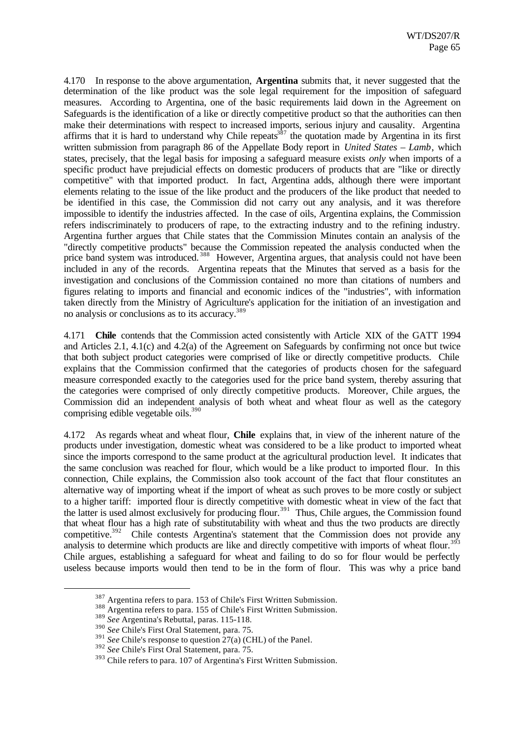4.170 In response to the above argumentation, **Argentina** submits that, it never suggested that the determination of the like product was the sole legal requirement for the imposition of safeguard measures. According to Argentina, one of the basic requirements laid down in the Agreement on Safeguards is the identification of a like or directly competitive product so that the authorities can then make their determinations with respect to increased imports, serious injury and causality. Argentina affirms that it is hard to understand why Chile repeats<sup>387</sup> the quotation made by Argentina in its first written submission from paragraph 86 of the Appellate Body report in *United States – Lamb*, which states, precisely, that the legal basis for imposing a safeguard measure exists *only* when imports of a specific product have prejudicial effects on domestic producers of products that are "like or directly competitive" with that imported product. In fact, Argentina adds, although there were important elements relating to the issue of the like product and the producers of the like product that needed to be identified in this case, the Commission did not carry out any analysis, and it was therefore impossible to identify the industries affected. In the case of oils, Argentina explains, the Commission refers indiscriminately to producers of rape, to the extracting industry and to the refining industry. Argentina further argues that Chile states that the Commission Minutes contain an analysis of the "directly competitive products" because the Commission repeated the analysis conducted when the price band system was introduced.<sup>388</sup> However, Argentina argues, that analysis could not have been included in any of the records. Argentina repeats that the Minutes that served as a basis for the investigation and conclusions of the Commission contained no more than citations of numbers and figures relating to imports and financial and economic indices of the "industries", with information taken directly from the Ministry of Agriculture's application for the initiation of an investigation and no analysis or conclusions as to its accuracy.<sup>389</sup>

4.171 **Chile** contends that the Commission acted consistently with Article XIX of the GATT 1994 and Articles 2.1, 4.1(c) and 4.2(a) of the Agreement on Safeguards by confirming not once but twice that both subject product categories were comprised of like or directly competitive products. Chile explains that the Commission confirmed that the categories of products chosen for the safeguard measure corresponded exactly to the categories used for the price band system, thereby assuring that the categories were comprised of only directly competitive products. Moreover, Chile argues, the Commission did an independent analysis of both wheat and wheat flour as well as the category comprising edible vegetable oils.<sup>390</sup>

4.172 As regards wheat and wheat flour, **Chile** explains that, in view of the inherent nature of the products under investigation, domestic wheat was considered to be a like product to imported wheat since the imports correspond to the same product at the agricultural production level. It indicates that the same conclusion was reached for flour, which would be a like product to imported flour. In this connection, Chile explains, the Commission also took account of the fact that flour constitutes an alternative way of importing wheat if the import of wheat as such proves to be more costly or subject to a higher tariff: imported flour is directly competitive with domestic wheat in view of the fact that the latter is used almost exclusively for producing flour.<sup>391</sup> Thus, Chile argues, the Commission found that wheat flour has a high rate of substitutability with wheat and thus the two products are directly competitive.<sup>392</sup> Chile contests Argentina's statement that the Commission does not provide any analysis to determine which products are like and directly competitive with imports of wheat flour.<sup>393</sup> Chile argues, establishing a safeguard for wheat and failing to do so for flour would be perfectly useless because imports would then tend to be in the form of flour. This was why a price band

<sup>387</sup> Argentina refers to para. 153 of Chile's First Written Submission.

<sup>&</sup>lt;sup>388</sup> Argentina refers to para. 155 of Chile's First Written Submission.

<sup>389</sup> *See* Argentina's Rebuttal, paras. 115-118.

<sup>390</sup> *See* Chile's First Oral Statement, para. 75.

 $391$  *See* Chile's response to question  $27(a)$  (CHL) of the Panel.

<sup>392</sup> *See* Chile's First Oral Statement, para. 75.

<sup>393</sup> Chile refers to para. 107 of Argentina's First Written Submission.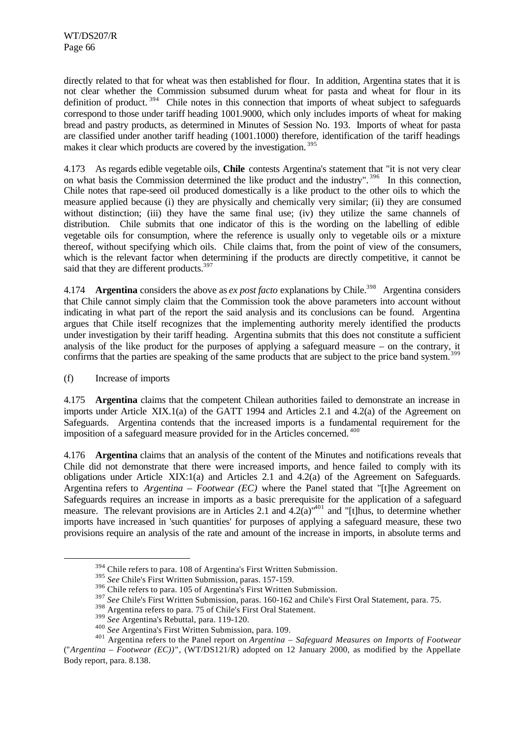directly related to that for wheat was then established for flour. In addition, Argentina states that it is not clear whether the Commission subsumed durum wheat for pasta and wheat for flour in its definition of product.<sup>394</sup> Chile notes in this connection that imports of wheat subject to safeguards correspond to those under tariff heading 1001.9000, which only includes imports of wheat for making bread and pastry products, as determined in Minutes of Session No. 193. Imports of wheat for pasta are classified under another tariff heading (1001.1000) therefore, identification of the tariff headings makes it clear which products are covered by the investigation.<sup>395</sup>

4.173 As regards edible vegetable oils, **Chile** contests Argentina's statement that "it is not very clear on what basis the Commission determined the like product and the industry".<sup>396</sup> In this connection, Chile notes that rape-seed oil produced domestically is a like product to the other oils to which the measure applied because (i) they are physically and chemically very similar; (ii) they are consumed without distinction; (iii) they have the same final use; (iv) they utilize the same channels of distribution. Chile submits that one indicator of this is the wording on the labelling of edible vegetable oils for consumption, where the reference is usually only to vegetable oils or a mixture thereof, without specifying which oils. Chile claims that, from the point of view of the consumers, which is the relevant factor when determining if the products are directly competitive, it cannot be said that they are different products.<sup>39</sup>

4.174 **Argentina** considers the above as *ex post facto* explanations by Chile.<sup>398</sup> Argentina considers that Chile cannot simply claim that the Commission took the above parameters into account without indicating in what part of the report the said analysis and its conclusions can be found. Argentina argues that Chile itself recognizes that the implementing authority merely identified the products under investigation by their tariff heading. Argentina submits that this does not constitute a sufficient analysis of the like product for the purposes of applying a safeguard measure – on the contrary, it confirms that the parties are speaking of the same products that are subject to the price band system.<sup>3</sup>

(f) Increase of imports

l

4.175 **Argentina** claims that the competent Chilean authorities failed to demonstrate an increase in imports under Article XIX.1(a) of the GATT 1994 and Articles 2.1 and 4.2(a) of the Agreement on Safeguards. Argentina contends that the increased imports is a fundamental requirement for the imposition of a safeguard measure provided for in the Articles concerned. <sup>400</sup>

4.176 **Argentina** claims that an analysis of the content of the Minutes and notifications reveals that Chile did not demonstrate that there were increased imports, and hence failed to comply with its obligations under Article XIX:1(a) and Articles 2.1 and 4.2(a) of the Agreement on Safeguards. Argentina refers to *Argentina – Footwear (EC)* where the Panel stated that "[t]he Agreement on Safeguards requires an increase in imports as a basic prerequisite for the application of a safeguard measure. The relevant provisions are in Articles 2.1 and  $4.2(a)^{401}$  and "[t]hus, to determine whether imports have increased in 'such quantities' for purposes of applying a safeguard measure, these two provisions require an analysis of the rate and amount of the increase in imports, in absolute terms and

<sup>&</sup>lt;sup>394</sup> Chile refers to para. 108 of Argentina's First Written Submission.

<sup>395</sup> *See* Chile's First Written Submission, paras. 157-159.

<sup>396</sup> Chile refers to para. 105 of Argentina's First Written Submission.

<sup>&</sup>lt;sup>397</sup> See Chile's First Written Submission, paras. 160-162 and Chile's First Oral Statement, para. 75.

<sup>398</sup> Argentina refers to para. 75 of Chile's First Oral Statement.

<sup>399</sup> *See* Argentina's Rebuttal, para. 119-120.

<sup>400</sup> *See* Argentina's First Written Submission, para. 109.

<sup>401</sup> Argentina refers to the Panel report on *Argentina – Safeguard Measures on Imports of Footwear* ("*Argentina – Footwear (EC))*"*,* (WT/DS121/R) adopted on 12 January 2000, as modified by the Appellate Body report, para. 8.138.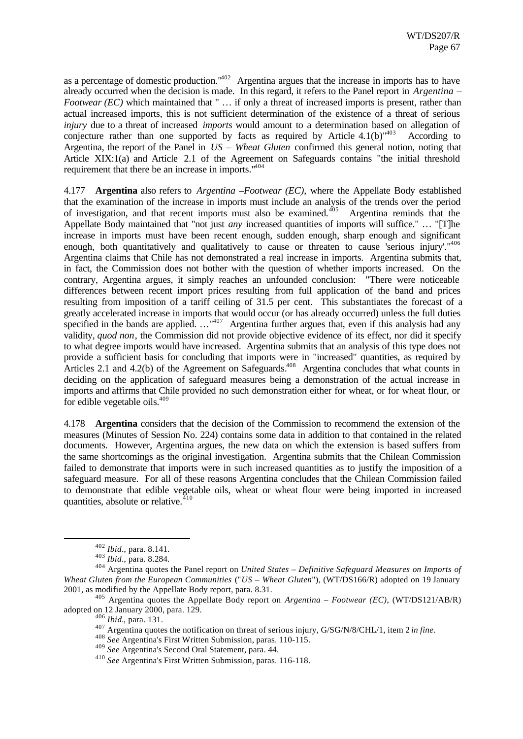as a percentage of domestic production."<sup>402</sup> Argentina argues that the increase in imports has to have already occurred when the decision is made. In this regard, it refers to the Panel report in *Argentina – Footwear (EC)* which maintained that " ... if only a threat of increased imports is present, rather than actual increased imports, this is not sufficient determination of the existence of a threat of serious *injury* due to a threat of increased *imports* would amount to a determination based on allegation of conjecture rather than one supported by facts as required by Article  $4.1(b)^{403}$  According to Argentina, the report of the Panel in *US – Wheat Gluten* confirmed this general notion, noting that Article XIX:1(a) and Article 2.1 of the Agreement on Safeguards contains "the initial threshold requirement that there be an increase in imports."<sup>404</sup>

4.177 **Argentina** also refers to *Argentina –Footwear (EC)*, where the Appellate Body established that the examination of the increase in imports must include an analysis of the trends over the period of investigation, and that recent imports must also be examined.<sup>405</sup> Argentina reminds that the Appellate Body maintained that "not just *any* increased quantities of imports will suffice." … "[T]he increase in imports must have been recent enough, sudden enough, sharp enough and significant enough, both quantitatively and qualitatively to cause or threaten to cause 'serious injury'."<sup>406</sup> Argentina claims that Chile has not demonstrated a real increase in imports. Argentina submits that, in fact, the Commission does not bother with the question of whether imports increased. On the contrary, Argentina argues, it simply reaches an unfounded conclusion: "There were noticeable differences between recent import prices resulting from full application of the band and prices resulting from imposition of a tariff ceiling of 31.5 per cent. This substantiates the forecast of a greatly accelerated increase in imports that would occur (or has already occurred) unless the full duties specified in the bands are applied.  $\ldots$ <sup>"407</sup> Argentina further argues that, even if this analysis had any validity, *quod non*, the Commission did not provide objective evidence of its effect, nor did it specify to what degree imports would have increased. Argentina submits that an analysis of this type does not provide a sufficient basis for concluding that imports were in "increased" quantities, as required by Articles 2.1 and 4.2(b) of the Agreement on Safeguards.<sup>408</sup> Argentina concludes that what counts in deciding on the application of safeguard measures being a demonstration of the actual increase in imports and affirms that Chile provided no such demonstration either for wheat, or for wheat flour, or for edible vegetable oils. $409$ 

4.178 **Argentina** considers that the decision of the Commission to recommend the extension of the measures (Minutes of Session No. 224) contains some data in addition to that contained in the related documents. However, Argentina argues, the new data on which the extension is based suffers from the same shortcomings as the original investigation. Argentina submits that the Chilean Commission failed to demonstrate that imports were in such increased quantities as to justify the imposition of a safeguard measure. For all of these reasons Argentina concludes that the Chilean Commission failed to demonstrate that edible vegetable oils, wheat or wheat flour were being imported in increased quantities, absolute or relative. $410$ 

<sup>402</sup> *Ibid*., para. 8.141.

<sup>403</sup> *Ibid*., para. 8.284.

<sup>404</sup> Argentina quotes the Panel report on *United States – Definitive Safeguard Measures on Imports of Wheat Gluten from the European Communities* ("*US – Wheat Gluten*"), (WT/DS166/R) adopted on 19 January 2001, as modified by the Appellate Body report, para. 8.31.

<sup>405</sup> Argentina quotes the Appellate Body report on *Argentina – Footwear (EC)*, (WT/DS121/AB/R) adopted on 12 January 2000, para. 129.

<sup>406</sup> *Ibid.*, para. 131.

<sup>407</sup> Argentina quotes the notification on threat of serious injury, G/SG/N/8/CHL/1, item 2 *in fine*.

<sup>408</sup> *See* Argentina's First Written Submission, paras. 110-115.

<sup>409</sup> *See* Argentina's Second Oral Statement, para. 44.

<sup>410</sup> *See* Argentina's First Written Submission, paras. 116-118.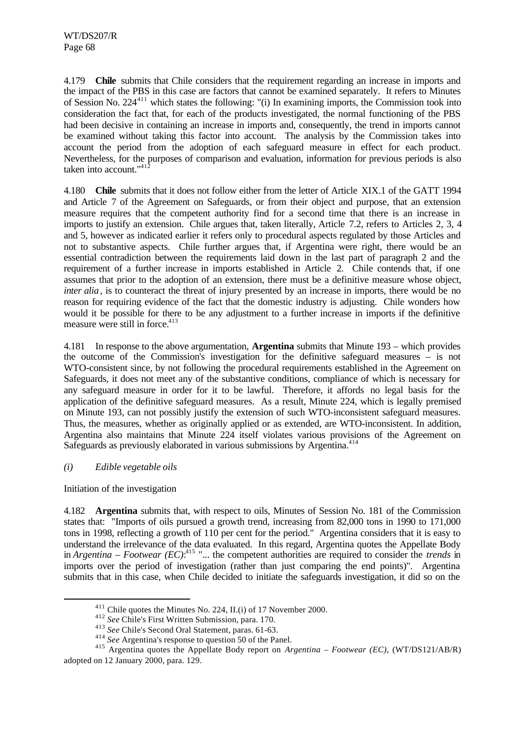4.179 **Chile** submits that Chile considers that the requirement regarding an increase in imports and the impact of the PBS in this case are factors that cannot be examined separately. It refers to Minutes of Session No. 224<sup>411</sup> which states the following: "(i) In examining imports, the Commission took into consideration the fact that, for each of the products investigated, the normal functioning of the PBS had been decisive in containing an increase in imports and, consequently, the trend in imports cannot be examined without taking this factor into account. The analysis by the Commission takes into account the period from the adoption of each safeguard measure in effect for each product. Nevertheless, for the purposes of comparison and evaluation, information for previous periods is also taken into account."<sup>41</sup>

4.180 **Chile** submits that it does not follow either from the letter of Article XIX.1 of the GATT 1994 and Article 7 of the Agreement on Safeguards, or from their object and purpose, that an extension measure requires that the competent authority find for a second time that there is an increase in imports to justify an extension. Chile argues that, taken literally, Article 7.2, refers to Articles 2, 3, 4 and 5, however as indicated earlier it refers only to procedural aspects regulated by those Articles and not to substantive aspects. Chile further argues that, if Argentina were right, there would be an essential contradiction between the requirements laid down in the last part of paragraph 2 and the requirement of a further increase in imports established in Article 2. Chile contends that, if one assumes that prior to the adoption of an extension, there must be a definitive measure whose object, *inter alia*, is to counteract the threat of injury presented by an increase in imports, there would be no reason for requiring evidence of the fact that the domestic industry is adjusting. Chile wonders how would it be possible for there to be any adjustment to a further increase in imports if the definitive measure were still in force. $413$ 

4.181 In response to the above argumentation, **Argentina** submits that Minute 193 – which provides the outcome of the Commission's investigation for the definitive safeguard measures – is not WTO-consistent since, by not following the procedural requirements established in the Agreement on Safeguards, it does not meet any of the substantive conditions, compliance of which is necessary for any safeguard measure in order for it to be lawful. Therefore, it affords no legal basis for the application of the definitive safeguard measures. As a result, Minute 224, which is legally premised on Minute 193, can not possibly justify the extension of such WTO-inconsistent safeguard measures. Thus, the measures, whether as originally applied or as extended, are WTO-inconsistent. In addition, Argentina also maintains that Minute 224 itself violates various provisions of the Agreement on Safeguards as previously elaborated in various submissions by Argentina.<sup>414</sup>

# *(i) Edible vegetable oils*

Initiation of the investigation

l

4.182 **Argentina** submits that, with respect to oils, Minutes of Session No. 181 of the Commission states that: "Imports of oils pursued a growth trend, increasing from 82,000 tons in 1990 to 171,000 tons in 1998, reflecting a growth of 110 per cent for the period." Argentina considers that it is easy to understand the irrelevance of the data evaluated. In this regard, Argentina quotes the Appellate Body in *Argentina – Footwear (EC)*: <sup>415</sup> "... the competent authorities are required to consider the *trends* in imports over the period of investigation (rather than just comparing the end points)". Argentina submits that in this case, when Chile decided to initiate the safeguards investigation, it did so on the

<sup>411</sup> Chile quotes the Minutes No. 224, II.(i) of 17 November 2000.

<sup>412</sup> *See* Chile's First Written Submission, para. 170.

<sup>413</sup> *See* Chile's Second Oral Statement, paras. 61-63.

<sup>&</sup>lt;sup>414</sup> *See* Argentina's response to question 50 of the Panel.

<sup>415</sup> Argentina quotes the Appellate Body report on *Argentina – Footwear (EC)*, (WT/DS121/AB/R) adopted on 12 January 2000, para. 129.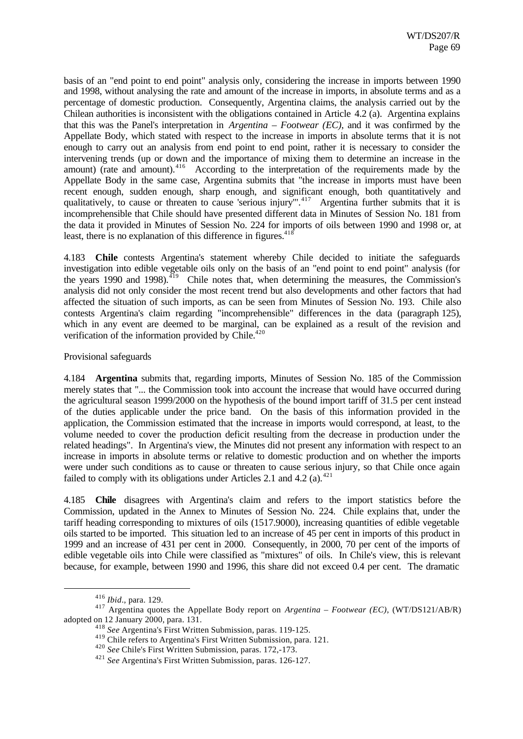basis of an "end point to end point" analysis only, considering the increase in imports between 1990 and 1998, without analysing the rate and amount of the increase in imports, in absolute terms and as a percentage of domestic production. Consequently, Argentina claims, the analysis carried out by the Chilean authorities is inconsistent with the obligations contained in Article 4.2 (a). Argentina explains that this was the Panel's interpretation in *Argentina – Footwear (EC)*, and it was confirmed by the Appellate Body, which stated with respect to the increase in imports in absolute terms that it is not enough to carry out an analysis from end point to end point, rather it is necessary to consider the intervening trends (up or down and the importance of mixing them to determine an increase in the amount) (rate and amount).<sup>416</sup> According to the interpretation of the requirements made by the Appellate Body in the same case, Argentina submits that "the increase in imports must have been recent enough, sudden enough, sharp enough, and significant enough, both quantitatively and qualitatively, to cause or threaten to cause 'serious injury'".<sup>417</sup> Argentina further submits that it is incomprehensible that Chile should have presented different data in Minutes of Session No. 181 from the data it provided in Minutes of Session No. 224 for imports of oils between 1990 and 1998 or, at least, there is no explanation of this difference in figures.<sup>418</sup>

4.183 **Chile** contests Argentina's statement whereby Chile decided to initiate the safeguards investigation into edible vegetable oils only on the basis of an "end point to end point" analysis (for the years 1990 and 1998). $^{419}$  Chile notes that, when determining the measures, the Commission's analysis did not only consider the most recent trend but also developments and other factors that had affected the situation of such imports, as can be seen from Minutes of Session No. 193. Chile also contests Argentina's claim regarding "incomprehensible" differences in the data (paragraph 125), which in any event are deemed to be marginal, can be explained as a result of the revision and verification of the information provided by  $\text{Chile.}^{420}$ 

## Provisional safeguards

4.184 **Argentina** submits that, regarding imports, Minutes of Session No. 185 of the Commission merely states that "... the Commission took into account the increase that would have occurred during the agricultural season 1999/2000 on the hypothesis of the bound import tariff of 31.5 per cent instead of the duties applicable under the price band. On the basis of this information provided in the application, the Commission estimated that the increase in imports would correspond, at least, to the volume needed to cover the production deficit resulting from the decrease in production under the related headings". In Argentina's view, the Minutes did not present any information with respect to an increase in imports in absolute terms or relative to domestic production and on whether the imports were under such conditions as to cause or threaten to cause serious injury, so that Chile once again failed to comply with its obligations under Articles 2.1 and 4.2 (a).  $421$ 

4.185 **Chile** disagrees with Argentina's claim and refers to the import statistics before the Commission, updated in the Annex to Minutes of Session No. 224. Chile explains that, under the tariff heading corresponding to mixtures of oils (1517.9000), increasing quantities of edible vegetable oils started to be imported. This situation led to an increase of 45 per cent in imports of this product in 1999 and an increase of 431 per cent in 2000. Consequently, in 2000, 70 per cent of the imports of edible vegetable oils into Chile were classified as "mixtures" of oils. In Chile's view, this is relevant because, for example, between 1990 and 1996, this share did not exceed 0.4 per cent. The dramatic

<sup>416</sup> *Ibid*., para. 129.

<sup>417</sup> Argentina quotes the Appellate Body report on *Argentina – Footwear (EC)*, (WT/DS121/AB/R) adopted on 12 January 2000, para. 131.

<sup>418</sup> *See* Argentina's First Written Submission, paras. 119-125.

<sup>419</sup> Chile refers to Argentina's First Written Submission, para. 121.

<sup>420</sup> *See* Chile's First Written Submission, paras. 172,-173.

<sup>421</sup> *See* Argentina's First Written Submission, paras. 126-127.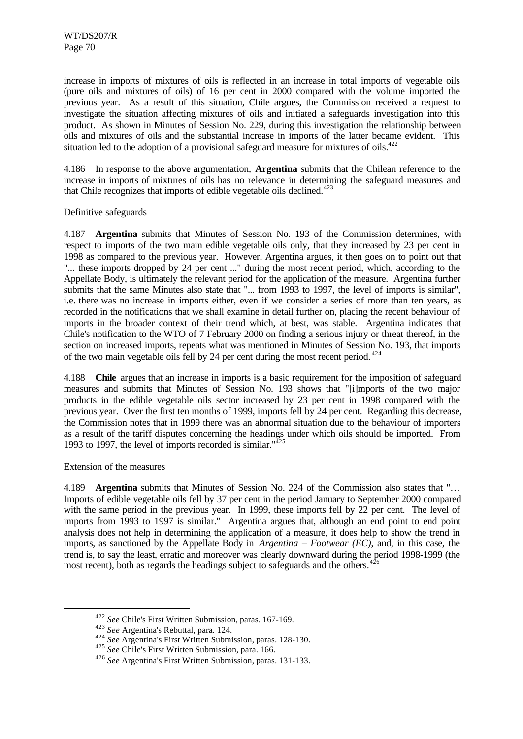increase in imports of mixtures of oils is reflected in an increase in total imports of vegetable oils (pure oils and mixtures of oils) of 16 per cent in 2000 compared with the volume imported the previous year. As a result of this situation, Chile argues, the Commission received a request to investigate the situation affecting mixtures of oils and initiated a safeguards investigation into this product. As shown in Minutes of Session No. 229, during this investigation the relationship between oils and mixtures of oils and the substantial increase in imports of the latter became evident. This situation led to the adoption of a provisional safeguard measure for mixtures of oils.<sup> $422$ </sup>

4.186 In response to the above argumentation, **Argentina** submits that the Chilean reference to the increase in imports of mixtures of oils has no relevance in determining the safeguard measures and that Chile recognizes that imports of edible vegetable oils declined.<sup> $423$ </sup>

### Definitive safeguards

4.187 **Argentina** submits that Minutes of Session No. 193 of the Commission determines, with respect to imports of the two main edible vegetable oils only, that they increased by 23 per cent in 1998 as compared to the previous year. However, Argentina argues, it then goes on to point out that "... these imports dropped by 24 per cent ..." during the most recent period, which, according to the Appellate Body, is ultimately the relevant period for the application of the measure. Argentina further submits that the same Minutes also state that "... from 1993 to 1997, the level of imports is similar", i.e. there was no increase in imports either, even if we consider a series of more than ten years, as recorded in the notifications that we shall examine in detail further on, placing the recent behaviour of imports in the broader context of their trend which, at best, was stable. Argentina indicates that Chile's notification to the WTO of 7 February 2000 on finding a serious injury or threat thereof, in the section on increased imports, repeats what was mentioned in Minutes of Session No. 193, that imports of the two main vegetable oils fell by 24 per cent during the most recent period.  $424$ 

4.188 **Chile** argues that an increase in imports is a basic requirement for the imposition of safeguard measures and submits that Minutes of Session No. 193 shows that "[i]mports of the two major products in the edible vegetable oils sector increased by 23 per cent in 1998 compared with the previous year. Over the first ten months of 1999, imports fell by 24 per cent. Regarding this decrease, the Commission notes that in 1999 there was an abnormal situation due to the behaviour of importers as a result of the tariff disputes concerning the headings under which oils should be imported. From 1993 to 1997, the level of imports recorded is similar."<sup>425</sup>

Extension of the measures

l

4.189 **Argentina** submits that Minutes of Session No. 224 of the Commission also states that "… Imports of edible vegetable oils fell by 37 per cent in the period January to September 2000 compared with the same period in the previous year. In 1999, these imports fell by 22 per cent. The level of imports from 1993 to 1997 is similar." Argentina argues that, although an end point to end point analysis does not help in determining the application of a measure, it does help to show the trend in imports, as sanctioned by the Appellate Body in *Argentina – Footwear (EC)*, and, in this case, the trend is, to say the least, erratic and moreover was clearly downward during the period 1998-1999 (the most recent), both as regards the headings subject to safeguards and the others.  $426$ 

<sup>422</sup> *See* Chile's First Written Submission, paras. 167-169.

<sup>423</sup> *See* Argentina's Rebuttal, para. 124.

<sup>424</sup> *See* Argentina's First Written Submission, paras. 128-130.

<sup>425</sup> *See* Chile's First Written Submission, para. 166.

<sup>426</sup> *See* Argentina's First Written Submission, paras. 131-133.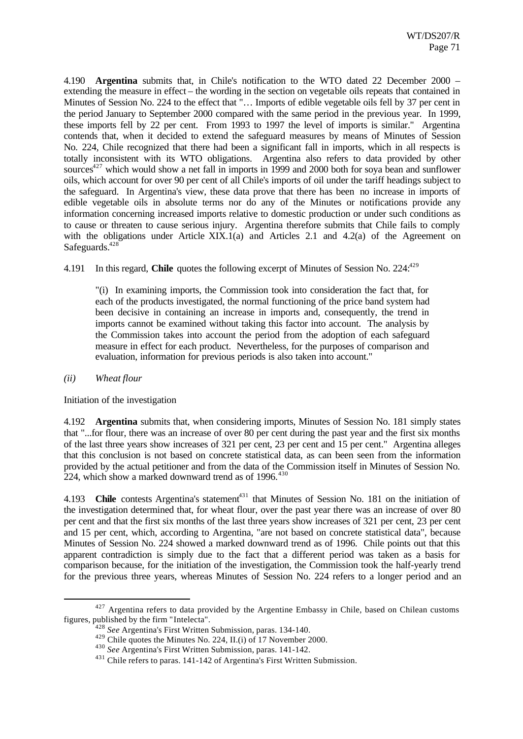4.190 **Argentina** submits that, in Chile's notification to the WTO dated 22 December 2000 – extending the measure in effect – the wording in the section on vegetable oils repeats that contained in Minutes of Session No. 224 to the effect that "… Imports of edible vegetable oils fell by 37 per cent in the period January to September 2000 compared with the same period in the previous year. In 1999, these imports fell by 22 per cent. From 1993 to 1997 the level of imports is similar." Argentina contends that, when it decided to extend the safeguard measures by means of Minutes of Session No. 224, Chile recognized that there had been a significant fall in imports, which in all respects is totally inconsistent with its WTO obligations. Argentina also refers to data provided by other sources<sup>427</sup> which would show a net fall in imports in 1999 and 2000 both for soya bean and sunflower oils, which account for over 90 per cent of all Chile's imports of oil under the tariff headings subject to the safeguard. In Argentina's view, these data prove that there has been no increase in imports of edible vegetable oils in absolute terms nor do any of the Minutes or notifications provide any information concerning increased imports relative to domestic production or under such conditions as to cause or threaten to cause serious injury. Argentina therefore submits that Chile fails to comply with the obligations under Article XIX.1(a) and Articles 2.1 and 4.2(a) of the Agreement on Safeguards. $428$ 

4.191 In this regard, **Chile** quotes the following excerpt of Minutes of Session No. 224:<sup>429</sup>

"(i) In examining imports, the Commission took into consideration the fact that, for each of the products investigated, the normal functioning of the price band system had been decisive in containing an increase in imports and, consequently, the trend in imports cannot be examined without taking this factor into account. The analysis by the Commission takes into account the period from the adoption of each safeguard measure in effect for each product. Nevertheless, for the purposes of comparison and evaluation, information for previous periods is also taken into account."

*(ii) Wheat flour*

l

Initiation of the investigation

4.192 **Argentina** submits that, when considering imports, Minutes of Session No. 181 simply states that "...for flour, there was an increase of over 80 per cent during the past year and the first six months of the last three years show increases of 321 per cent, 23 per cent and 15 per cent." Argentina alleges that this conclusion is not based on concrete statistical data, as can been seen from the information provided by the actual petitioner and from the data of the Commission itself in Minutes of Session No. 224, which show a marked downward trend as of  $1996$ <sup>430</sup>

4.193 **Chile** contests Argentina's statement<sup>431</sup> that Minutes of Session No. 181 on the initiation of the investigation determined that, for wheat flour, over the past year there was an increase of over 80 per cent and that the first six months of the last three years show increases of 321 per cent, 23 per cent and 15 per cent, which, according to Argentina, "are not based on concrete statistical data", because Minutes of Session No. 224 showed a marked downward trend as of 1996. Chile points out that this apparent contradiction is simply due to the fact that a different period was taken as a basis for comparison because, for the initiation of the investigation, the Commission took the half-yearly trend for the previous three years, whereas Minutes of Session No. 224 refers to a longer period and an

<sup>&</sup>lt;sup>427</sup> Argentina refers to data provided by the Argentine Embassy in Chile, based on Chilean customs figures, published by the firm "Intelecta".

<sup>428</sup> *See* Argentina's First Written Submission, paras. 134-140.

<sup>&</sup>lt;sup>429</sup> Chile quotes the Minutes No. 224, II.(i) of 17 November 2000.

<sup>430</sup> *See* Argentina's First Written Submission, paras. 141-142.

<sup>&</sup>lt;sup>431</sup> Chile refers to paras. 141-142 of Argentina's First Written Submission.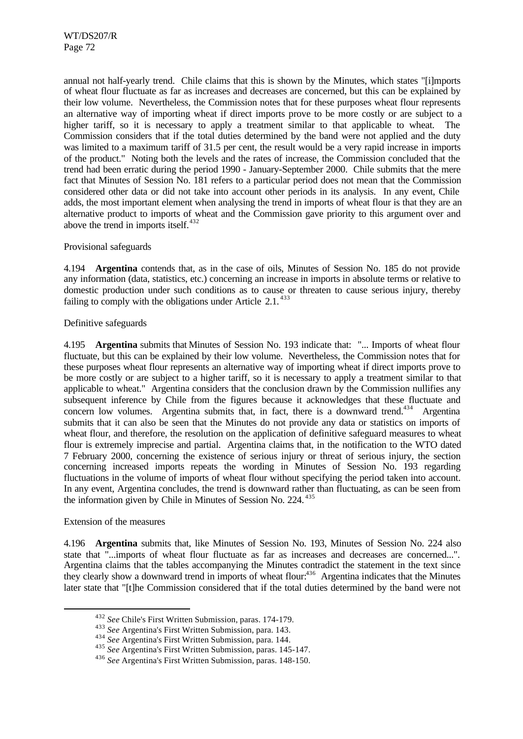annual not half-yearly trend. Chile claims that this is shown by the Minutes, which states "[i]mports of wheat flour fluctuate as far as increases and decreases are concerned, but this can be explained by their low volume. Nevertheless, the Commission notes that for these purposes wheat flour represents an alternative way of importing wheat if direct imports prove to be more costly or are subject to a higher tariff, so it is necessary to apply a treatment similar to that applicable to wheat. The Commission considers that if the total duties determined by the band were not applied and the duty was limited to a maximum tariff of 31.5 per cent, the result would be a very rapid increase in imports of the product." Noting both the levels and the rates of increase, the Commission concluded that the trend had been erratic during the period 1990 - January-September 2000. Chile submits that the mere fact that Minutes of Session No. 181 refers to a particular period does not mean that the Commission considered other data or did not take into account other periods in its analysis. In any event, Chile adds, the most important element when analysing the trend in imports of wheat flour is that they are an alternative product to imports of wheat and the Commission gave priority to this argument over and above the trend in imports itself. $432$ 

### Provisional safeguards

4.194 **Argentina** contends that, as in the case of oils, Minutes of Session No. 185 do not provide any information (data, statistics, etc.) concerning an increase in imports in absolute terms or relative to domestic production under such conditions as to cause or threaten to cause serious injury, thereby failing to comply with the obligations under Article  $2.1$ .<sup>433</sup>

### Definitive safeguards

4.195 **Argentina** submits that Minutes of Session No. 193 indicate that: "... Imports of wheat flour fluctuate, but this can be explained by their low volume. Nevertheless, the Commission notes that for these purposes wheat flour represents an alternative way of importing wheat if direct imports prove to be more costly or are subject to a higher tariff, so it is necessary to apply a treatment similar to that applicable to wheat." Argentina considers that the conclusion drawn by the Commission nullifies any subsequent inference by Chile from the figures because it acknowledges that these fluctuate and concern low volumes. Argentina submits that, in fact, there is a downward trend.<sup>434</sup> Argentina submits that it can also be seen that the Minutes do not provide any data or statistics on imports of wheat flour, and therefore, the resolution on the application of definitive safeguard measures to wheat flour is extremely imprecise and partial. Argentina claims that, in the notification to the WTO dated 7 February 2000, concerning the existence of serious injury or threat of serious injury, the section concerning increased imports repeats the wording in Minutes of Session No. 193 regarding fluctuations in the volume of imports of wheat flour without specifying the period taken into account. In any event, Argentina concludes, the trend is downward rather than fluctuating, as can be seen from the information given by Chile in Minutes of Session No. 224.<sup>435</sup>

### Extension of the measures

l

4.196 **Argentina** submits that, like Minutes of Session No. 193, Minutes of Session No. 224 also state that "...imports of wheat flour fluctuate as far as increases and decreases are concerned...". Argentina claims that the tables accompanying the Minutes contradict the statement in the text since they clearly show a downward trend in imports of wheat flour:<sup>436</sup> Argentina indicates that the Minutes later state that "[t]he Commission considered that if the total duties determined by the band were not

<sup>432</sup> *See* Chile's First Written Submission, paras. 174-179.

<sup>433</sup> *See* Argentina's First Written Submission, para. 143.

<sup>434</sup> *See* Argentina's First Written Submission, para. 144.

<sup>435</sup> *See* Argentina's First Written Submission, paras. 145-147.

<sup>436</sup> *See* Argentina's First Written Submission, paras. 148-150.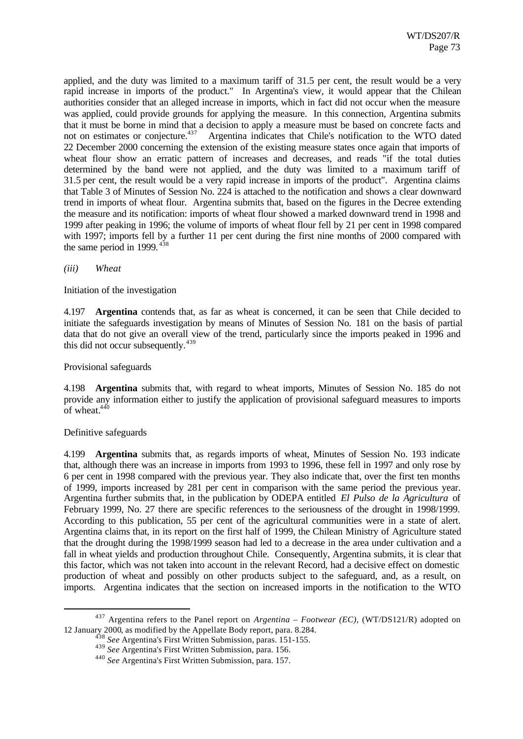applied, and the duty was limited to a maximum tariff of 31.5 per cent, the result would be a very rapid increase in imports of the product." In Argentina's view, it would appear that the Chilean authorities consider that an alleged increase in imports, which in fact did not occur when the measure was applied, could provide grounds for applying the measure. In this connection, Argentina submits that it must be borne in mind that a decision to apply a measure must be based on concrete facts and not on estimates or conjecture.<sup>437</sup> Argentina indicates that Chile's notification to the WTO dated Argentina indicates that Chile's notification to the WTO dated 22 December 2000 concerning the extension of the existing measure states once again that imports of wheat flour show an erratic pattern of increases and decreases, and reads "if the total duties determined by the band were not applied, and the duty was limited to a maximum tariff of 31.5 per cent, the result would be a very rapid increase in imports of the product". Argentina claims that Table 3 of Minutes of Session No. 224 is attached to the notification and shows a clear downward trend in imports of wheat flour. Argentina submits that, based on the figures in the Decree extending the measure and its notification: imports of wheat flour showed a marked downward trend in 1998 and 1999 after peaking in 1996; the volume of imports of wheat flour fell by 21 per cent in 1998 compared with 1997; imports fell by a further 11 per cent during the first nine months of 2000 compared with the same period in 1999.  $438$ 

*(iii) Wheat*

Initiation of the investigation

4.197 **Argentina** contends that, as far as wheat is concerned, it can be seen that Chile decided to initiate the safeguards investigation by means of Minutes of Session No. 181 on the basis of partial data that do not give an overall view of the trend, particularly since the imports peaked in 1996 and this did not occur subsequently.<sup>439</sup>

Provisional safeguards

4.198 **Argentina** submits that, with regard to wheat imports, Minutes of Session No. 185 do not provide any information either to justify the application of provisional safeguard measures to imports of wheat. $440$ 

Definitive safeguards

l

4.199 **Argentina** submits that, as regards imports of wheat, Minutes of Session No. 193 indicate that, although there was an increase in imports from 1993 to 1996, these fell in 1997 and only rose by 6 per cent in 1998 compared with the previous year. They also indicate that, over the first ten months of 1999, imports increased by 281 per cent in comparison with the same period the previous year. Argentina further submits that, in the publication by ODEPA entitled *El Pulso de la Agricultura* of February 1999, No. 27 there are specific references to the seriousness of the drought in 1998/1999. According to this publication, 55 per cent of the agricultural communities were in a state of alert. Argentina claims that, in its report on the first half of 1999, the Chilean Ministry of Agriculture stated that the drought during the 1998/1999 season had led to a decrease in the area under cultivation and a fall in wheat yields and production throughout Chile. Consequently, Argentina submits, it is clear that this factor, which was not taken into account in the relevant Record, had a decisive effect on domestic production of wheat and possibly on other products subject to the safeguard, and, as a result, on imports. Argentina indicates that the section on increased imports in the notification to the WTO

<sup>437</sup> Argentina refers to the Panel report on *Argentina – Footwear (EC)*, (WT/DS121/R) adopted on 12 January 2000, as modified by the Appellate Body report, para. 8.284.

<sup>438</sup> *See* Argentina's First Written Submission, paras. 151-155.

<sup>439</sup> *See* Argentina's First Written Submission, para. 156.

<sup>440</sup> *See* Argentina's First Written Submission, para. 157.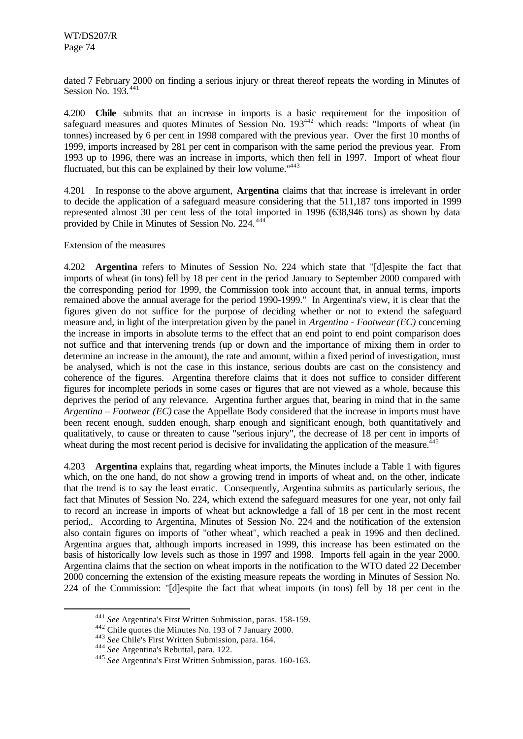dated 7 February 2000 on finding a serious injury or threat thereof repeats the wording in Minutes of Session No. 193.<sup>441</sup>

4.200 **Chile** submits that an increase in imports is a basic requirement for the imposition of safeguard measures and quotes Minutes of Session No. 193<sup>442</sup> which reads: "Imports of wheat (in tonnes) increased by 6 per cent in 1998 compared with the previous year. Over the first 10 months of 1999, imports increased by 281 per cent in comparison with the same period the previous year. From 1993 up to 1996, there was an increase in imports, which then fell in 1997. Import of wheat flour fluctuated, but this can be explained by their low volume."<sup>443</sup>

4.201 In response to the above argument, **Argentina** claims that that increase is irrelevant in order to decide the application of a safeguard measure considering that the 511,187 tons imported in 1999 represented almost 30 per cent less of the total imported in 1996 (638,946 tons) as shown by data provided by Chile in Minutes of Session No. 224.<sup>444</sup>

Extension of the measures

4.202 **Argentina** refers to Minutes of Session No. 224 which state that "[d]espite the fact that imports of wheat (in tons) fell by 18 per cent in the period January to September 2000 compared with the corresponding period for 1999, the Commission took into account that, in annual terms, imports remained above the annual average for the period 1990-1999." In Argentina's view, it is clear that the figures given do not suffice for the purpose of deciding whether or not to extend the safeguard measure and, in light of the interpretation given by the panel in *Argentina - Footwear (EC)* concerning the increase in imports in absolute terms to the effect that an end point to end point comparison does not suffice and that intervening trends (up or down and the importance of mixing them in order to determine an increase in the amount), the rate and amount, within a fixed period of investigation, must be analysed, which is not the case in this instance, serious doubts are cast on the consistency and coherence of the figures. Argentina therefore claims that it does not suffice to consider different figures for incomplete periods in some cases or figures that are not viewed as a whole, because this deprives the period of any relevance. Argentina further argues that, bearing in mind that in the same *Argentina – Footwear (EC)* case the Appellate Body considered that the increase in imports must have been recent enough, sudden enough, sharp enough and significant enough, both quantitatively and qualitatively, to cause or threaten to cause "serious injury", the decrease of 18 per cent in imports of wheat during the most recent period is decisive for invalidating the application of the measure.<sup>4</sup>

4.203 **Argentina** explains that, regarding wheat imports, the Minutes include a Table 1 with figures which, on the one hand, do not show a growing trend in imports of wheat and, on the other, indicate that the trend is to say the least erratic. Consequently, Argentina submits as particularly serious, the fact that Minutes of Session No. 224, which extend the safeguard measures for one year, not only fail to record an increase in imports of wheat but acknowledge a fall of 18 per cent in the most recent period,. According to Argentina, Minutes of Session No. 224 and the notification of the extension also contain figures on imports of "other wheat", which reached a peak in 1996 and then declined. Argentina argues that, although imports increased in 1999, this increase has been estimated on the basis of historically low levels such as those in 1997 and 1998. Imports fell again in the year 2000. Argentina claims that the section on wheat imports in the notification to the WTO dated 22 December 2000 concerning the extension of the existing measure repeats the wording in Minutes of Session No. 224 of the Commission: "[d]espite the fact that wheat imports (in tons) fell by 18 per cent in the

<sup>441</sup> *See* Argentina's First Written Submission, paras. 158-159.

<sup>442</sup> Chile quotes the Minutes No. 193 of 7 January 2000.

<sup>443</sup> *See* Chile's First Written Submission, para. 164.

<sup>444</sup> *See* Argentina's Rebuttal, para. 122.

<sup>445</sup> *See* Argentina's First Written Submission, paras. 160-163.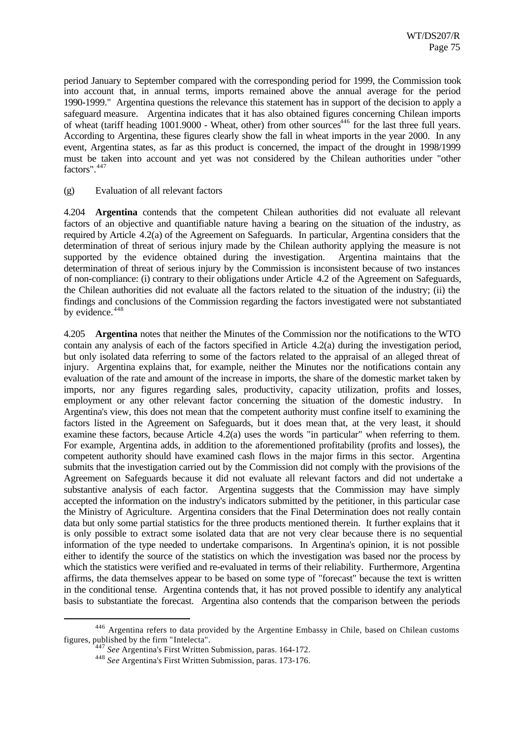period January to September compared with the corresponding period for 1999, the Commission took into account that, in annual terms, imports remained above the annual average for the period 1990-1999." Argentina questions the relevance this statement has in support of the decision to apply a safeguard measure. Argentina indicates that it has also obtained figures concerning Chilean imports of wheat (tariff heading 1001.9000 - Wheat, other) from other sources<sup>446</sup> for the last three full years. According to Argentina, these figures clearly show the fall in wheat imports in the year 2000. In any event, Argentina states, as far as this product is concerned, the impact of the drought in 1998/1999 must be taken into account and yet was not considered by the Chilean authorities under "other factors".<sup>447</sup>

### (g) Evaluation of all relevant factors

4.204 **Argentina** contends that the competent Chilean authorities did not evaluate all relevant factors of an objective and quantifiable nature having a bearing on the situation of the industry, as required by Article 4.2(a) of the Agreement on Safeguards. In particular, Argentina considers that the determination of threat of serious injury made by the Chilean authority applying the measure is not supported by the evidence obtained during the investigation. Argentina maintains that the determination of threat of serious injury by the Commission is inconsistent because of two instances of non-compliance: (i) contrary to their obligations under Article 4.2 of the Agreement on Safeguards, the Chilean authorities did not evaluate all the factors related to the situation of the industry; (ii) the findings and conclusions of the Commission regarding the factors investigated were not substantiated by evidence.<sup>448</sup>

4.205 **Argentina** notes that neither the Minutes of the Commission nor the notifications to the WTO contain any analysis of each of the factors specified in Article 4.2(a) during the investigation period, but only isolated data referring to some of the factors related to the appraisal of an alleged threat of injury. Argentina explains that, for example, neither the Minutes nor the notifications contain any evaluation of the rate and amount of the increase in imports, the share of the domestic market taken by imports, nor any figures regarding sales, productivity, capacity utilization, profits and losses, employment or any other relevant factor concerning the situation of the domestic industry. In Argentina's view, this does not mean that the competent authority must confine itself to examining the factors listed in the Agreement on Safeguards, but it does mean that, at the very least, it should examine these factors, because Article 4.2(a) uses the words "in particular" when referring to them. For example, Argentina adds, in addition to the aforementioned profitability (profits and losses), the competent authority should have examined cash flows in the major firms in this sector. Argentina submits that the investigation carried out by the Commission did not comply with the provisions of the Agreement on Safeguards because it did not evaluate all relevant factors and did not undertake a substantive analysis of each factor. Argentina suggests that the Commission may have simply accepted the information on the industry's indicators submitted by the petitioner, in this particular case the Ministry of Agriculture. Argentina considers that the Final Determination does not really contain data but only some partial statistics for the three products mentioned therein. It further explains that it is only possible to extract some isolated data that are not very clear because there is no sequential information of the type needed to undertake comparisons. In Argentina's opinion, it is not possible either to identify the source of the statistics on which the investigation was based nor the process by which the statistics were verified and re-evaluated in terms of their reliability. Furthermore, Argentina affirms, the data themselves appear to be based on some type of "forecast" because the text is written in the conditional tense. Argentina contends that, it has not proved possible to identify any analytical basis to substantiate the forecast. Argentina also contends that the comparison between the periods

<sup>446</sup> Argentina refers to data provided by the Argentine Embassy in Chile, based on Chilean customs figures, published by the firm "Intelecta".

<sup>447</sup> *See* Argentina's First Written Submission, paras. 164-172.

<sup>448</sup> *See* Argentina's First Written Submission, paras. 173-176.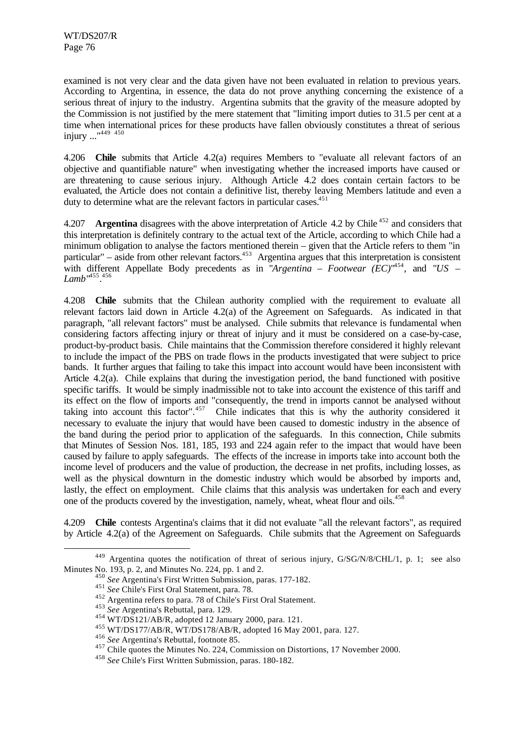examined is not very clear and the data given have not been evaluated in relation to previous years. According to Argentina, in essence, the data do not prove anything concerning the existence of a serious threat of injury to the industry. Argentina submits that the gravity of the measure adopted by the Commission is not justified by the mere statement that "limiting import duties to 31.5 per cent at a time when international prices for these products have fallen obviously constitutes a threat of serious injury ..."<sup>449 450</sup>

4.206 **Chile** submits that Article 4.2(a) requires Members to "evaluate all relevant factors of an objective and quantifiable nature" when investigating whether the increased imports have caused or are threatening to cause serious injury. Although Article 4.2 does contain certain factors to be evaluated, the Article does not contain a definitive list, thereby leaving Members latitude and even a duty to determine what are the relevant factors in particular cases.<sup>451</sup>

4.207 **Argentina** disagrees with the above interpretation of Article 4.2 by Chile <sup>452</sup> and considers that this interpretation is definitely contrary to the actual text of the Article, according to which Chile had a minimum obligation to analyse the factors mentioned therein – given that the Article refers to them "in particular" – aside from other relevant factors.<sup>453</sup> Argentina argues that this interpretation is consistent with different Appellate Body precedents as in "*Argentina – Footwear (EC)*<sup>1454</sup>, and "US – *Lamb*" 455 . 456

4.208 **Chile** submits that the Chilean authority complied with the requirement to evaluate all relevant factors laid down in Article 4.2(a) of the Agreement on Safeguards. As indicated in that paragraph, "all relevant factors" must be analysed. Chile submits that relevance is fundamental when considering factors affecting injury or threat of injury and it must be considered on a case-by-case, product-by-product basis. Chile maintains that the Commission therefore considered it highly relevant to include the impact of the PBS on trade flows in the products investigated that were subject to price bands. It further argues that failing to take this impact into account would have been inconsistent with Article 4.2(a). Chile explains that during the investigation period, the band functioned with positive specific tariffs. It would be simply inadmissible not to take into account the existence of this tariff and its effect on the flow of imports and "consequently, the trend in imports cannot be analysed without taking into account this factor".<sup>457</sup> Chile indicates that this is why the authority considered it necessary to evaluate the injury that would have been caused to domestic industry in the absence of the band during the period prior to application of the safeguards. In this connection, Chile submits that Minutes of Session Nos. 181, 185, 193 and 224 again refer to the impact that would have been caused by failure to apply safeguards. The effects of the increase in imports take into account both the income level of producers and the value of production, the decrease in net profits, including losses, as well as the physical downturn in the domestic industry which would be absorbed by imports and, lastly, the effect on employment. Chile claims that this analysis was undertaken for each and every one of the products covered by the investigation, namely, wheat, wheat flour and oils.<sup>458</sup>

4.209 **Chile** contests Argentina's claims that it did not evaluate "all the relevant factors", as required by Article 4.2(a) of the Agreement on Safeguards. Chile submits that the Agreement on Safeguards

<sup>449</sup> Argentina quotes the notification of threat of serious injury, G/SG/N/8/CHL/1, p. 1; see also Minutes No. 193, p. 2, and Minutes No. 224, pp. 1 and 2.

<sup>450</sup> *See* Argentina's First Written Submission, paras. 177-182.

<sup>451</sup> *See* Chile's First Oral Statement, para. 78.

<sup>452</sup> Argentina refers to para. 78 of Chile's First Oral Statement.

<sup>453</sup> *See* Argentina's Rebuttal, para. 129.

<sup>454</sup> WT/DS121/AB/R, adopted 12 January 2000, para. 121.

<sup>455</sup> WT/DS177/AB/R, WT/DS178/AB/R, adopted 16 May 2001, para. 127.

<sup>456</sup> *See* Argentina's Rebuttal, footnote 85.

<sup>457</sup> Chile quotes the Minutes No. 224, Commission on Distortions, 17 November 2000.

<sup>458</sup> *See* Chile's First Written Submission, paras. 180-182.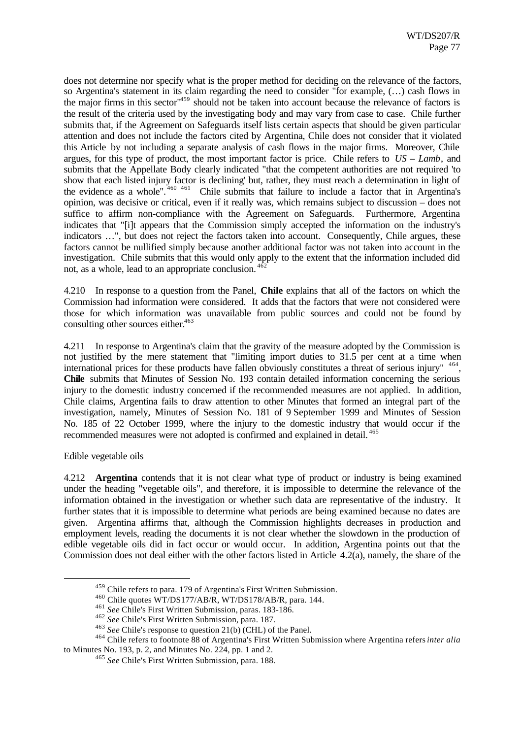does not determine nor specify what is the proper method for deciding on the relevance of the factors, so Argentina's statement in its claim regarding the need to consider "for example, (…) cash flows in the major firms in this sector"<sup>459</sup> should not be taken into account because the relevance of factors is the result of the criteria used by the investigating body and may vary from case to case. Chile further submits that, if the Agreement on Safeguards itself lists certain aspects that should be given particular attention and does not include the factors cited by Argentina, Chile does not consider that it violated this Article by not including a separate analysis of cash flows in the major firms. Moreover, Chile argues, for this type of product, the most important factor is price. Chile refers to *US – Lamb*, and submits that the Appellate Body clearly indicated "that the competent authorities are not required 'to show that each listed injury factor is declining' but, rather, they must reach a determination in light of the evidence as a whole". <sup>460</sup> <sup>461</sup> Chile submits that failure to include a factor that in Argentina's opinion, was decisive or critical, even if it really was, which remains subject to discussion – does not suffice to affirm non-compliance with the Agreement on Safeguards. Furthermore, Argentina indicates that "[i]t appears that the Commission simply accepted the information on the industry's indicators …", but does not reject the factors taken into account. Consequently, Chile argues, these factors cannot be nullified simply because another additional factor was not taken into account in the investigation. Chile submits that this would only apply to the extent that the information included did not, as a whole, lead to an appropriate conclusion.  $40$ 

4.210 In response to a question from the Panel, **Chile** explains that all of the factors on which the Commission had information were considered. It adds that the factors that were not considered were those for which information was unavailable from public sources and could not be found by consulting other sources either. $463$ 

4.211 In response to Argentina's claim that the gravity of the measure adopted by the Commission is not justified by the mere statement that "limiting import duties to 31.5 per cent at a time when international prices for these products have fallen obviously constitutes a threat of serious injury" <sup>464</sup>, **Chile** submits that Minutes of Session No. 193 contain detailed information concerning the serious injury to the domestic industry concerned if the recommended measures are not applied. In addition, Chile claims, Argentina fails to draw attention to other Minutes that formed an integral part of the investigation, namely, Minutes of Session No. 181 of 9 September 1999 and Minutes of Session No. 185 of 22 October 1999, where the injury to the domestic industry that would occur if the recommended measures were not adopted is confirmed and explained in detail. <sup>465</sup>

Edible vegetable oils

l

4.212 **Argentina** contends that it is not clear what type of product or industry is being examined under the heading "vegetable oils", and therefore, it is impossible to determine the relevance of the information obtained in the investigation or whether such data are representative of the industry. It further states that it is impossible to determine what periods are being examined because no dates are given. Argentina affirms that, although the Commission highlights decreases in production and employment levels, reading the documents it is not clear whether the slowdown in the production of edible vegetable oils did in fact occur or would occur. In addition, Argentina points out that the Commission does not deal either with the other factors listed in Article 4.2(a), namely, the share of the

<sup>459</sup> Chile refers to para. 179 of Argentina's First Written Submission.

<sup>460</sup> Chile quotes WT/DS177/AB/R, WT/DS178/AB/R, para. 144.

<sup>461</sup> *See* Chile's First Written Submission, paras. 183-186.

<sup>462</sup> *See* Chile's First Written Submission, para. 187.

<sup>463</sup> *See* Chile's response to question 21(b) (CHL) of the Panel.

<sup>464</sup> Chile refers to footnote 88 of Argentina's First Written Submission where Argentina refers *inter alia* to Minutes No. 193, p. 2, and Minutes No. 224, pp. 1 and 2.

<sup>465</sup> *See* Chile's First Written Submission, para. 188.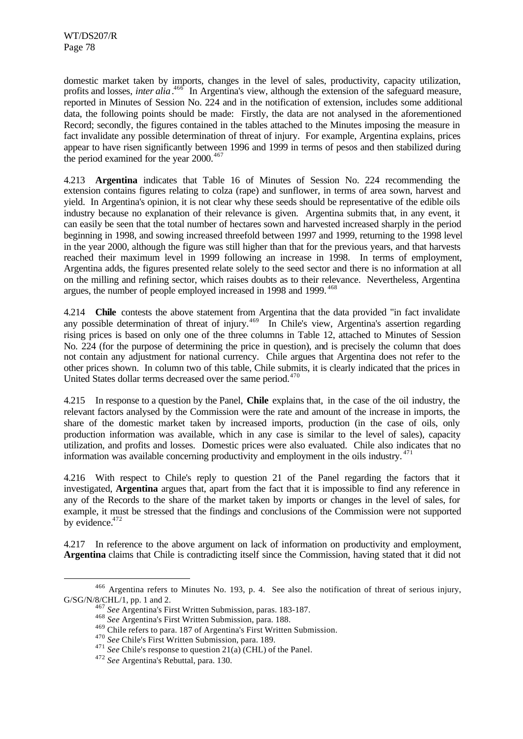domestic market taken by imports, changes in the level of sales, productivity, capacity utilization, profits and losses, *inter alia*.<sup>466</sup> In Argentina's view, although the extension of the safeguard measure, reported in Minutes of Session No. 224 and in the notification of extension, includes some additional data, the following points should be made: Firstly, the data are not analysed in the aforementioned Record; secondly, the figures contained in the tables attached to the Minutes imposing the measure in fact invalidate any possible determination of threat of injury. For example, Argentina explains, prices appear to have risen significantly between 1996 and 1999 in terms of pesos and then stabilized during the period examined for the year  $2000.<sup>467</sup>$ 

4.213 **Argentina** indicates that Table 16 of Minutes of Session No. 224 recommending the extension contains figures relating to colza (rape) and sunflower, in terms of area sown, harvest and yield. In Argentina's opinion, it is not clear why these seeds should be representative of the edible oils industry because no explanation of their relevance is given. Argentina submits that, in any event, it can easily be seen that the total number of hectares sown and harvested increased sharply in the period beginning in 1998, and sowing increased threefold between 1997 and 1999, returning to the 1998 level in the year 2000, although the figure was still higher than that for the previous years, and that harvests reached their maximum level in 1999 following an increase in 1998. In terms of employment, Argentina adds, the figures presented relate solely to the seed sector and there is no information at all on the milling and refining sector, which raises doubts as to their relevance. Nevertheless, Argentina argues, the number of people employed increased in 1998 and 1999.<sup>468</sup>

4.214 **Chile** contests the above statement from Argentina that the data provided "in fact invalidate any possible determination of threat of injury.<sup>469</sup> In Chile's view, Argentina's assertion regarding rising prices is based on only one of the three columns in Table 12, attached to Minutes of Session No. 224 (for the purpose of determining the price in question), and is precisely the column that does not contain any adjustment for national currency. Chile argues that Argentina does not refer to the other prices shown. In column two of this table, Chile submits, it is clearly indicated that the prices in United States dollar terms decreased over the same period.<sup>470</sup>

4.215 In response to a question by the Panel, **Chile** explains that, in the case of the oil industry, the relevant factors analysed by the Commission were the rate and amount of the increase in imports, the share of the domestic market taken by increased imports, production (in the case of oils, only production information was available, which in any case is similar to the level of sales), capacity utilization, and profits and losses. Domestic prices were also evaluated. Chile also indicates that no information was available concerning productivity and employment in the oils industry.  $471$ 

4.216 With respect to Chile's reply to question 21 of the Panel regarding the factors that it investigated, **Argentina** argues that, apart from the fact that it is impossible to find any reference in any of the Records to the share of the market taken by imports or changes in the level of sales, for example, it must be stressed that the findings and conclusions of the Commission were not supported by evidence.<sup>472</sup>

4.217 In reference to the above argument on lack of information on productivity and employment, **Argentina** claims that Chile is contradicting itself since the Commission, having stated that it did not

<sup>466</sup> Argentina refers to Minutes No. 193, p. 4. See also the notification of threat of serious injury, G/SG/N/8/CHL/1, pp. 1 and 2.

<sup>467</sup> *See* Argentina's First Written Submission, paras. 183-187.

<sup>468</sup> *See* Argentina's First Written Submission, para. 188.

<sup>469</sup> Chile refers to para. 187 of Argentina's First Written Submission.

<sup>470</sup> *See* Chile's First Written Submission, para. 189.

<sup>&</sup>lt;sup>471</sup> *See* Chile's response to question 21(a) (CHL) of the Panel.

<sup>472</sup> *See* Argentina's Rebuttal, para. 130.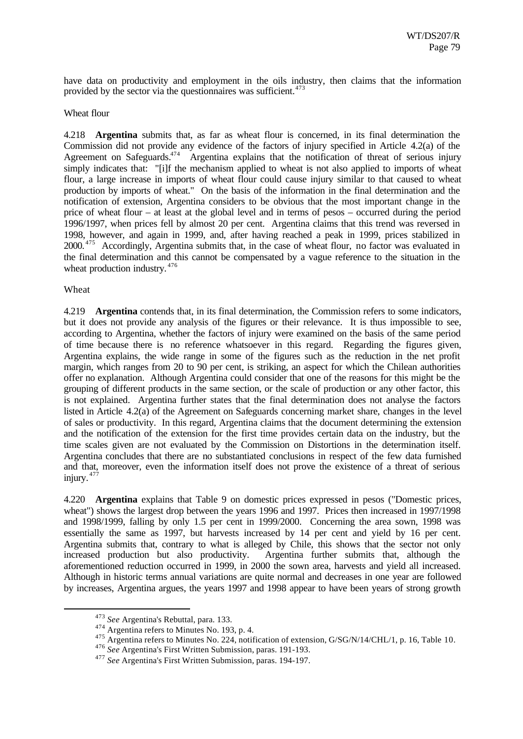have data on productivity and employment in the oils industry, then claims that the information provided by the sector via the questionnaires was sufficient. $473$ 

#### Wheat flour

4.218 **Argentina** submits that, as far as wheat flour is concerned, in its final determination the Commission did not provide any evidence of the factors of injury specified in Article 4.2(a) of the Agreement on Safeguards.<sup>474</sup> Argentina explains that the notification of threat of serious injury simply indicates that: "[i]f the mechanism applied to wheat is not also applied to imports of wheat flour, a large increase in imports of wheat flour could cause injury similar to that caused to wheat production by imports of wheat." On the basis of the information in the final determination and the notification of extension, Argentina considers to be obvious that the most important change in the price of wheat flour – at least at the global level and in terms of pesos – occurred during the period 1996/1997, when prices fell by almost 20 per cent. Argentina claims that this trend was reversed in 1998, however, and again in 1999, and, after having reached a peak in 1999, prices stabilized in 2000. <sup>475</sup> Accordingly, Argentina submits that, in the case of wheat flour, no factor was evaluated in the final determination and this cannot be compensated by a vague reference to the situation in the wheat production industry.<sup>476</sup>

#### Wheat

l

4.219 **Argentina** contends that, in its final determination, the Commission refers to some indicators, but it does not provide any analysis of the figures or their relevance. It is thus impossible to see, according to Argentina, whether the factors of injury were examined on the basis of the same period of time because there is no reference whatsoever in this regard. Regarding the figures given, Argentina explains, the wide range in some of the figures such as the reduction in the net profit margin, which ranges from 20 to 90 per cent, is striking, an aspect for which the Chilean authorities offer no explanation. Although Argentina could consider that one of the reasons for this might be the grouping of different products in the same section, or the scale of production or any other factor, this is not explained. Argentina further states that the final determination does not analyse the factors listed in Article 4.2(a) of the Agreement on Safeguards concerning market share, changes in the level of sales or productivity. In this regard, Argentina claims that the document determining the extension and the notification of the extension for the first time provides certain data on the industry, but the time scales given are not evaluated by the Commission on Distortions in the determination itself. Argentina concludes that there are no substantiated conclusions in respect of the few data furnished and that, moreover, even the information itself does not prove the existence of a threat of serious injury.  $477$ 

4.220 **Argentina** explains that Table 9 on domestic prices expressed in pesos ("Domestic prices, wheat") shows the largest drop between the years 1996 and 1997. Prices then increased in 1997/1998 and 1998/1999, falling by only 1.5 per cent in 1999/2000. Concerning the area sown, 1998 was essentially the same as 1997, but harvests increased by 14 per cent and yield by 16 per cent. Argentina submits that, contrary to what is alleged by Chile, this shows that the sector not only increased production but also productivity. Argentina further submits that, although the aforementioned reduction occurred in 1999, in 2000 the sown area, harvests and yield all increased. Although in historic terms annual variations are quite normal and decreases in one year are followed by increases, Argentina argues, the years 1997 and 1998 appear to have been years of strong growth

<sup>473</sup> *See* Argentina's Rebuttal, para. 133.

<sup>&</sup>lt;sup>474</sup> Argentina refers to Minutes No. 193, p. 4.

<sup>475</sup> Argentina refers to Minutes No. 224, notification of extension, G/SG/N/14/CHL/1, p. 16, Table 10.

<sup>476</sup> *See* Argentina's First Written Submission, paras. 191-193.

<sup>477</sup> *See* Argentina's First Written Submission, paras. 194-197.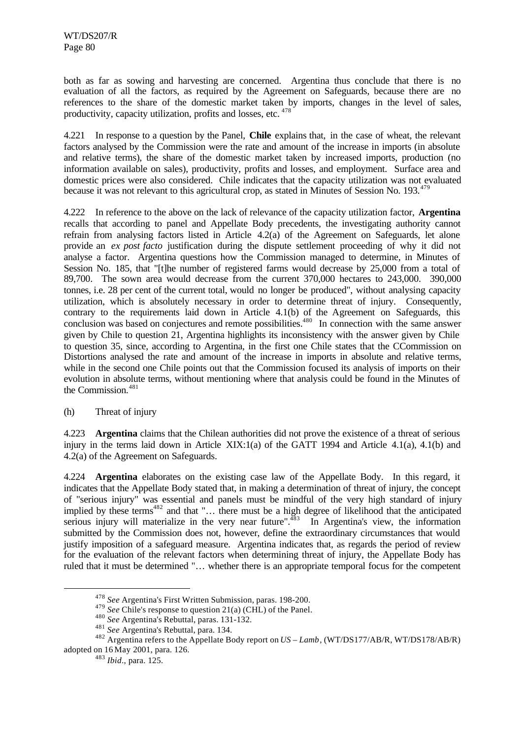both as far as sowing and harvesting are concerned. Argentina thus conclude that there is no evaluation of all the factors, as required by the Agreement on Safeguards, because there are no references to the share of the domestic market taken by imports, changes in the level of sales, productivity, capacity utilization, profits and losses, etc. <sup>478</sup>

In response to a question by the Panel, **Chile** explains that, in the case of wheat, the relevant factors analysed by the Commission were the rate and amount of the increase in imports (in absolute and relative terms), the share of the domestic market taken by increased imports, production (no information available on sales), productivity, profits and losses, and employment. Surface area and domestic prices were also considered. Chile indicates that the capacity utilization was not evaluated because it was not relevant to this agricultural crop, as stated in Minutes of Session No. 193.<sup>479</sup>

4.222 In reference to the above on the lack of relevance of the capacity utilization factor, **Argentina** recalls that according to panel and Appellate Body precedents, the investigating authority cannot refrain from analysing factors listed in Article 4.2(a) of the Agreement on Safeguards, let alone provide an *ex post facto* justification during the dispute settlement proceeding of why it did not analyse a factor. Argentina questions how the Commission managed to determine, in Minutes of Session No. 185, that "[t]he number of registered farms would decrease by 25,000 from a total of 89,700. The sown area would decrease from the current 370,000 hectares to 243,000. 390,000 tonnes, i.e. 28 per cent of the current total, would no longer be produced", without analysing capacity utilization, which is absolutely necessary in order to determine threat of injury. Consequently, contrary to the requirements laid down in Article 4.1(b) of the Agreement on Safeguards, this conclusion was based on conjectures and remote possibilities.<sup>480</sup> In connection with the same answer given by Chile to question 21, Argentina highlights its inconsistency with the answer given by Chile to question 35, since, according to Argentina, in the first one Chile states that the CCommission on Distortions analysed the rate and amount of the increase in imports in absolute and relative terms, while in the second one Chile points out that the Commission focused its analysis of imports on their evolution in absolute terms, without mentioning where that analysis could be found in the Minutes of the Commission.<sup>481</sup>

### (h) Threat of injury

4.223 **Argentina** claims that the Chilean authorities did not prove the existence of a threat of serious injury in the terms laid down in Article XIX:1(a) of the GATT 1994 and Article 4.1(a), 4.1(b) and 4.2(a) of the Agreement on Safeguards.

4.224 **Argentina** elaborates on the existing case law of the Appellate Body. In this regard, it indicates that the Appellate Body stated that, in making a determination of threat of injury, the concept of "serious injury" was essential and panels must be mindful of the very high standard of injury implied by these terms<sup>482</sup> and that "… there must be a high degree of likelihood that the anticipated serious injury will materialize in the very near future".<sup>483</sup> In Argentina's view, the information submitted by the Commission does not, however, define the extraordinary circumstances that would justify imposition of a safeguard measure. Argentina indicates that, as regards the period of review for the evaluation of the relevant factors when determining threat of injury, the Appellate Body has ruled that it must be determined "… whether there is an appropriate temporal focus for the competent

<sup>478</sup> *See* Argentina's First Written Submission, paras. 198-200.

<sup>479</sup> *See* Chile's response to question 21(a) (CHL) of the Panel.

<sup>480</sup> *See* Argentina's Rebuttal, paras. 131-132.

<sup>481</sup> *See* Argentina's Rebuttal, para. 134.

<sup>482</sup> Argentina refers to the Appellate Body report on *US – Lamb*, (WT/DS177/AB/R, WT/DS178/AB/R) adopted on 16 May 2001, para. 126.

<sup>483</sup> *Ibid*., para. 125.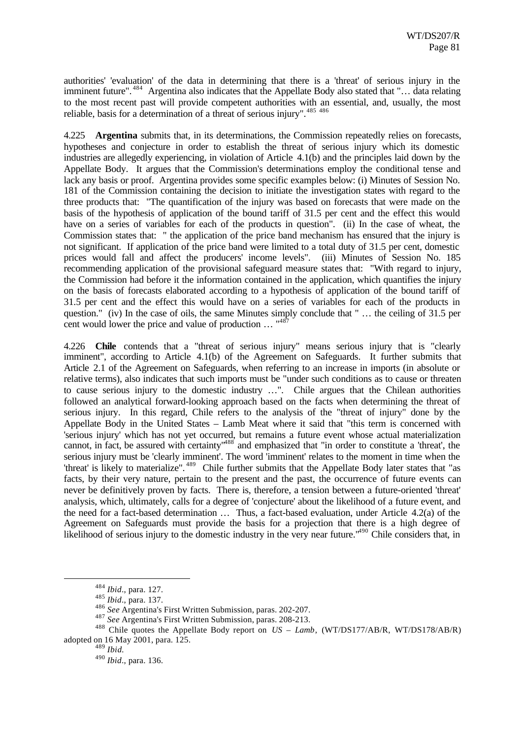authorities' 'evaluation' of the data in determining that there is a 'threat' of serious injury in the imminent future".<sup>484</sup> Argentina also indicates that the Appellate Body also stated that "… data relating to the most recent past will provide competent authorities with an essential, and, usually, the most reliable, basis for a determination of a threat of serious injury".<sup>485 486</sup>

4.225 **Argentina** submits that, in its determinations, the Commission repeatedly relies on forecasts, hypotheses and conjecture in order to establish the threat of serious injury which its domestic industries are allegedly experiencing, in violation of Article 4.1(b) and the principles laid down by the Appellate Body. It argues that the Commission's determinations employ the conditional tense and lack any basis or proof. Argentina provides some specific examples below: (i) Minutes of Session No. 181 of the Commission containing the decision to initiate the investigation states with regard to the three products that: "The quantification of the injury was based on forecasts that were made on the basis of the hypothesis of application of the bound tariff of 31.5 per cent and the effect this would have on a series of variables for each of the products in question". (ii) In the case of wheat, the Commission states that: " the application of the price band mechanism has ensured that the injury is not significant. If application of the price band were limited to a total duty of 31.5 per cent, domestic prices would fall and affect the producers' income levels". (iii) Minutes of Session No. 185 recommending application of the provisional safeguard measure states that: "With regard to injury, the Commission had before it the information contained in the application, which quantifies the injury on the basis of forecasts elaborated according to a hypothesis of application of the bound tariff of 31.5 per cent and the effect this would have on a series of variables for each of the products in question." (iv) In the case of oils, the same Minutes simply conclude that " … the ceiling of 31.5 per cent would lower the price and value of production  $\ldots$  "<sup>48</sup>

4.226 **Chile** contends that a "threat of serious injury" means serious injury that is "clearly imminent", according to Article 4.1(b) of the Agreement on Safeguards. It further submits that Article 2.1 of the Agreement on Safeguards, when referring to an increase in imports (in absolute or relative terms), also indicates that such imports must be "under such conditions as to cause or threaten to cause serious injury to the domestic industry …". Chile argues that the Chilean authorities followed an analytical forward-looking approach based on the facts when determining the threat of serious injury. In this regard, Chile refers to the analysis of the "threat of injury" done by the Appellate Body in the United States – Lamb Meat where it said that "this term is concerned with 'serious injury' which has not yet occurred, but remains a future event whose actual materialization cannot, in fact, be assured with certainty<sup>1488</sup> and emphasized that "in order to constitute a 'threat', the serious injury must be 'clearly imminent'. The word 'imminent' relates to the moment in time when the 'threat' is likely to materialize". <sup>489</sup> Chile further submits that the Appellate Body later states that "as facts, by their very nature, pertain to the present and the past, the occurrence of future events can never be definitively proven by facts. There is, therefore, a tension between a future-oriented 'threat' analysis, which, ultimately, calls for a degree of 'conjecture' about the likelihood of a future event, and the need for a fact-based determination … Thus, a fact-based evaluation, under Article 4.2(a) of the Agreement on Safeguards must provide the basis for a projection that there is a high degree of likelihood of serious injury to the domestic industry in the very near future."<sup>490</sup> Chile considers that, in

<sup>484</sup> *Ibid*., para. 127.

<sup>485</sup> *Ibid*., para. 137.

<sup>486</sup> *See* Argentina's First Written Submission, paras. 202-207.

<sup>487</sup> *See* Argentina's First Written Submission, paras. 208-213.

<sup>488</sup> Chile quotes the Appellate Body report on *US – Lamb*, (WT/DS177/AB/R, WT/DS178/AB/R) adopted on 16 May 2001, para. 125.

<sup>489</sup> *Ibid.*

<sup>490</sup> *Ibid*., para. 136.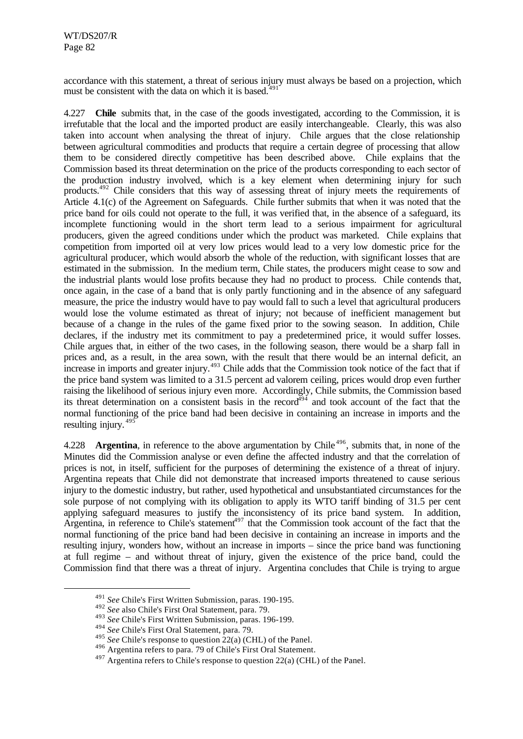accordance with this statement, a threat of serious injury must always be based on a projection, which must be consistent with the data on which it is based. $49$ 

4.227 **Chile** submits that, in the case of the goods investigated, according to the Commission, it is irrefutable that the local and the imported product are easily interchangeable. Clearly, this was also taken into account when analysing the threat of injury. Chile argues that the close relationship between agricultural commodities and products that require a certain degree of processing that allow them to be considered directly competitive has been described above. Chile explains that the Commission based its threat determination on the price of the products corresponding to each sector of the production industry involved, which is a key element when determining injury for such products.<sup>492</sup> Chile considers that this way of assessing threat of injury meets the requirements of Article 4.1(c) of the Agreement on Safeguards. Chile further submits that when it was noted that the price band for oils could not operate to the full, it was verified that, in the absence of a safeguard, its incomplete functioning would in the short term lead to a serious impairment for agricultural producers, given the agreed conditions under which the product was marketed. Chile explains that competition from imported oil at very low prices would lead to a very low domestic price for the agricultural producer, which would absorb the whole of the reduction, with significant losses that are estimated in the submission. In the medium term, Chile states, the producers might cease to sow and the industrial plants would lose profits because they had no product to process. Chile contends that, once again, in the case of a band that is only partly functioning and in the absence of any safeguard measure, the price the industry would have to pay would fall to such a level that agricultural producers would lose the volume estimated as threat of injury; not because of inefficient management but because of a change in the rules of the game fixed prior to the sowing season. In addition, Chile declares, if the industry met its commitment to pay a predetermined price, it would suffer losses. Chile argues that, in either of the two cases, in the following season, there would be a sharp fall in prices and, as a result, in the area sown, with the result that there would be an internal deficit, an increase in imports and greater injury.<sup>493</sup> Chile adds that the Commission took notice of the fact that if the price band system was limited to a 31.5 percent ad valorem ceiling, prices would drop even further raising the likelihood of serious injury even more. Accordingly, Chile submits, the Commission based its threat determination on a consistent basis in the record<sup> $494$ </sup> and took account of the fact that the normal functioning of the price band had been decisive in containing an increase in imports and the resulting injury.<sup>495</sup>

4.228 **Argentina**, in reference to the above argumentation by Chile<sup>496</sup>, submits that, in none of the Minutes did the Commission analyse or even define the affected industry and that the correlation of prices is not, in itself, sufficient for the purposes of determining the existence of a threat of injury. Argentina repeats that Chile did not demonstrate that increased imports threatened to cause serious injury to the domestic industry, but rather, used hypothetical and unsubstantiated circumstances for the sole purpose of not complying with its obligation to apply its WTO tariff binding of 31.5 per cent applying safeguard measures to justify the inconsistency of its price band system. In addition, Argentina, in reference to Chile's statement<sup>497</sup> that the Commission took account of the fact that the normal functioning of the price band had been decisive in containing an increase in imports and the resulting injury, wonders how, without an increase in imports – since the price band was functioning at full regime – and without threat of injury, given the existence of the price band, could the Commission find that there was a threat of injury. Argentina concludes that Chile is trying to argue

<sup>491</sup> *See* Chile's First Written Submission, paras. 190-195.

<sup>492</sup> *See* also Chile's First Oral Statement, para. 79.

<sup>493</sup> *See* Chile's First Written Submission, paras. 196-199.

<sup>494</sup> *See* Chile's First Oral Statement, para. 79.

<sup>495</sup> *See* Chile's response to question 22(a) (CHL) of the Panel.

<sup>496</sup> Argentina refers to para. 79 of Chile's First Oral Statement.

 $^{497}$  Argentina refers to Chile's response to question 22(a) (CHL) of the Panel.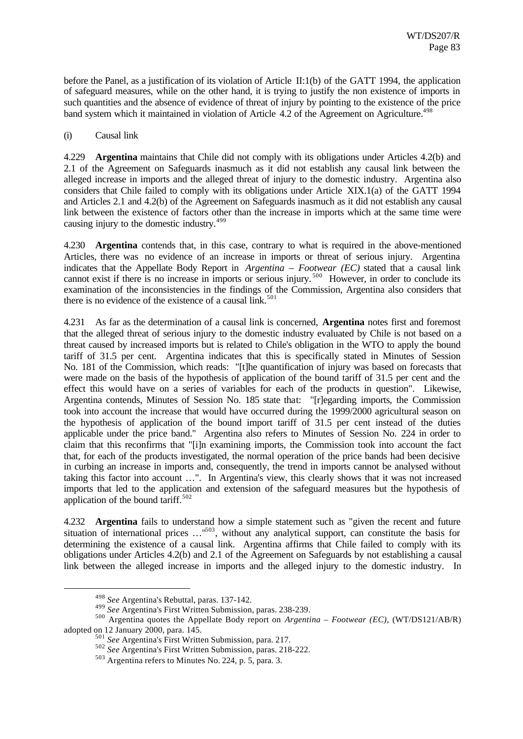before the Panel, as a justification of its violation of Article II:1(b) of the GATT 1994, the application of safeguard measures, while on the other hand, it is trying to justify the non existence of imports in such quantities and the absence of evidence of threat of injury by pointing to the existence of the price band system which it maintained in violation of Article 4.2 of the Agreement on Agriculture.<sup>498</sup>

#### (i) Causal link

4.229 **Argentina** maintains that Chile did not comply with its obligations under Articles 4.2(b) and 2.1 of the Agreement on Safeguards inasmuch as it did not establish any causal link between the alleged increase in imports and the alleged threat of injury to the domestic industry. Argentina also considers that Chile failed to comply with its obligations under Article XIX.1(a) of the GATT 1994 and Articles 2.1 and 4.2(b) of the Agreement on Safeguards inasmuch as it did not establish any causal link between the existence of factors other than the increase in imports which at the same time were causing injury to the domestic industry.<sup>499</sup>

4.230 **Argentina** contends that, in this case, contrary to what is required in the above-mentioned Articles, there was no evidence of an increase in imports or threat of serious injury. Argentina indicates that the Appellate Body Report in *Argentina – Footwear (EC)* stated that a causal link cannot exist if there is no increase in imports or serious injury.<sup>500</sup> However, in order to conclude its examination of the inconsistencies in the findings of the Commission, Argentina also considers that there is no evidence of the existence of a causal link.<sup>501</sup>

4.231 As far as the determination of a causal link is concerned, **Argentina** notes first and foremost that the alleged threat of serious injury to the domestic industry evaluated by Chile is not based on a threat caused by increased imports but is related to Chile's obligation in the WTO to apply the bound tariff of 31.5 per cent. Argentina indicates that this is specifically stated in Minutes of Session No. 181 of the Commission, which reads: "[t]he quantification of injury was based on forecasts that were made on the basis of the hypothesis of application of the bound tariff of 31.5 per cent and the effect this would have on a series of variables for each of the products in question". Likewise, Argentina contends, Minutes of Session No. 185 state that: "[r]egarding imports, the Commission took into account the increase that would have occurred during the 1999/2000 agricultural season on the hypothesis of application of the bound import tariff of 31.5 per cent instead of the duties applicable under the price band." Argentina also refers to Minutes of Session No. 224 in order to claim that this reconfirms that "[i]n examining imports, the Commission took into account the fact that, for each of the products investigated, the normal operation of the price bands had been decisive in curbing an increase in imports and, consequently, the trend in imports cannot be analysed without taking this factor into account …". In Argentina's view, this clearly shows that it was not increased imports that led to the application and extension of the safeguard measures but the hypothesis of application of the bound tariff. $502$ 

4.232 **Argentina** fails to understand how a simple statement such as "given the recent and future situation of international prices ...<sup>1503</sup>, without any analytical support, can constitute the basis for determining the existence of a causal link. Argentina affirms that Chile failed to comply with its obligations under Articles 4.2(b) and 2.1 of the Agreement on Safeguards by not establishing a causal link between the alleged increase in imports and the alleged injury to the domestic industry. In

<sup>498</sup> *See* Argentina's Rebuttal, paras. 137-142.

<sup>499</sup> *See* Argentina's First Written Submission, paras. 238-239.

<sup>500</sup> Argentina quotes the Appellate Body report on *Argentina – Footwear (EC)*, (WT/DS121/AB/R) adopted on 12 January 2000, para. 145.

<sup>501</sup> *See* Argentina's First Written Submission, para. 217.

<sup>502</sup> *See* Argentina's First Written Submission, paras. 218-222.

<sup>503</sup> Argentina refers to Minutes No. 224, p. 5, para. 3.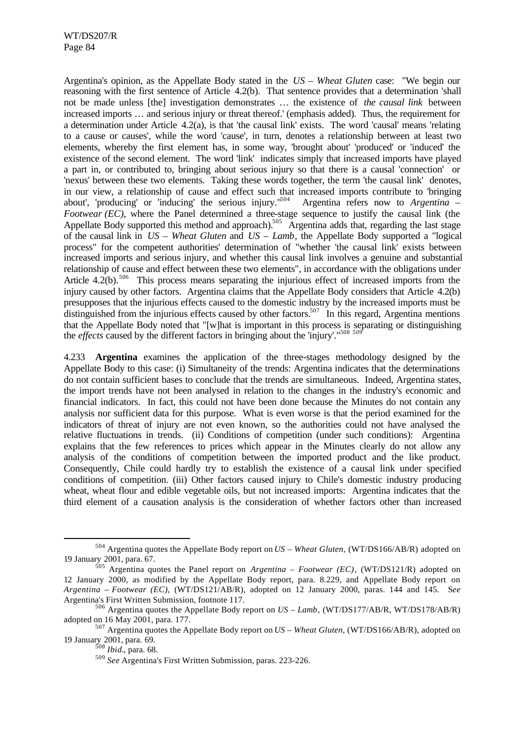Argentina's opinion, as the Appellate Body stated in the *US – Wheat Gluten* case: "We begin our reasoning with the first sentence of Article 4.2(b). That sentence provides that a determination 'shall not be made unless [the] investigation demonstrates … the existence of *the causal link* between increased imports … and serious injury or threat thereof.' (emphasis added). Thus, the requirement for a determination under Article 4.2(a), is that 'the causal link' exists. The word 'causal' means 'relating to a cause or causes', while the word 'cause', in turn, denotes a relationship between at least two elements, whereby the first element has, in some way, 'brought about' 'produced' or 'induced' the existence of the second element. The word 'link' indicates simply that increased imports have played a part in, or contributed to, bringing about serious injury so that there is a causal 'connection' or 'nexus' between these two elements. Taking these words together, the term 'the causal link' denotes, in our view, a relationship of cause and effect such that increased imports contribute to 'bringing about', 'producing' or 'inducing' the serious injury."<sup>504</sup> Argentina refers now to *Argentina – Footwear (EC)*, where the Panel determined a three-stage sequence to justify the causal link (the Appellate Body supported this method and approach).<sup>505</sup> Argentina adds that, regarding the last stage of the causal link in *US – Wheat Gluten* and *US – Lamb*, the Appellate Body supported a "logical process" for the competent authorities' determination of "whether 'the causal link' exists between increased imports and serious injury, and whether this causal link involves a genuine and substantial relationship of cause and effect between these two elements", in accordance with the obligations under Article 4.2(b).<sup>506</sup> This process means separating the injurious effect of increased imports from the injury caused by other factors. Argentina claims that the Appellate Body considers that Article 4.2(b) presupposes that the injurious effects caused to the domestic industry by the increased imports must be distinguished from the injurious effects caused by other factors.<sup>507</sup> In this regard, Argentina mentions that the Appellate Body noted that "[w]hat is important in this process is separating or distinguishing the *effects* caused by the different factors in bringing about the 'injury'."<sup>508</sup> *<sup>509</sup>*

4.233 **Argentina** examines the application of the three-stages methodology designed by the Appellate Body to this case: (i) Simultaneity of the trends: Argentina indicates that the determinations do not contain sufficient bases to conclude that the trends are simultaneous. Indeed, Argentina states, the import trends have not been analysed in relation to the changes in the industry's economic and financial indicators. In fact, this could not have been done because the Minutes do not contain any analysis nor sufficient data for this purpose. What is even worse is that the period examined for the indicators of threat of injury are not even known, so the authorities could not have analysed the relative fluctuations in trends. (ii) Conditions of competition (under such conditions): Argentina explains that the few references to prices which appear in the Minutes clearly do not allow any analysis of the conditions of competition between the imported product and the like product. Consequently, Chile could hardly try to establish the existence of a causal link under specified conditions of competition. (iii) Other factors caused injury to Chile's domestic industry producing wheat, wheat flour and edible vegetable oils, but not increased imports: Argentina indicates that the third element of a causation analysis is the consideration of whether factors other than increased

<sup>504</sup> Argentina quotes the Appellate Body report on *US – Wheat Gluten*, (WT/DS166/AB/R) adopted on 19 January 2001, para. 67.

<sup>505</sup> Argentina quotes the Panel report on *Argentina – Footwear (EC)*, (WT/DS121/R) adopted on 12 January 2000, as modified by the Appellate Body report, para. 8.229, and Appellate Body report on *Argentina – Footwear (EC)*, (WT/DS121/AB/R), adopted on 12 January 2000, paras. 144 and 145. S*ee* Argentina's First Written Submission, footnote 117.

<sup>506</sup> Argentina quotes the Appellate Body report on *US – Lamb*, (WT/DS177/AB/R, WT/DS178/AB/R) adopted on 16 May 2001, para. 177.

<sup>507</sup> Argentina quotes the Appellate Body report on *US – Wheat Gluten*, (WT/DS166/AB/R), adopted on 19 January 2001, para. 69.

<sup>508</sup> *Ibid.*, para. 68.

<sup>509</sup> *See* Argentina's First Written Submission, paras. 223-226.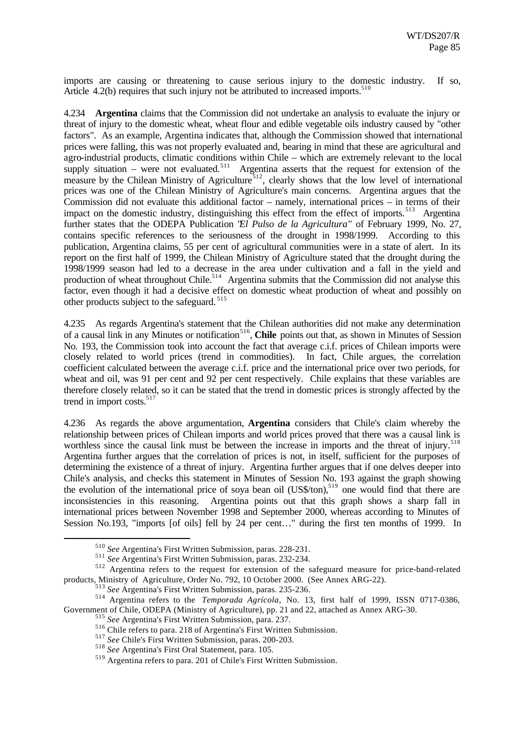imports are causing or threatening to cause serious injury to the domestic industry. If so, Article 4.2(b) requires that such injury not be attributed to increased imports. $510$ 

4.234 **Argentina** claims that the Commission did not undertake an analysis to evaluate the injury or threat of injury to the domestic wheat, wheat flour and edible vegetable oils industry caused by "other factors". As an example, Argentina indicates that, although the Commission showed that international prices were falling, this was not properly evaluated and, bearing in mind that these are agricultural and agro-industrial products, climatic conditions within Chile – which are extremely relevant to the local supply situation – were not evaluated.<sup>511</sup> Argentina asserts that the request for extension of the measure by the Chilean Ministry of Agriculture<sup>512</sup>, clearly shows that the low level of international prices was one of the Chilean Ministry of Agriculture's main concerns. Argentina argues that the Commission did not evaluate this additional factor – namely, international prices – in terms of their impact on the domestic industry, distinguishing this effect from the effect of imports.<sup>513</sup> Argentina further states that the ODEPA Publication "*El Pulso de la Agricultura*" of February 1999, No. 27, contains specific references to the seriousness of the drought in 1998/1999. According to this publication, Argentina claims, 55 per cent of agricultural communities were in a state of alert. In its report on the first half of 1999, the Chilean Ministry of Agriculture stated that the drought during the 1998/1999 season had led to a decrease in the area under cultivation and a fall in the yield and production of wheat throughout Chile.<sup>514</sup> Argentina submits that the Commission did not analyse this factor, even though it had a decisive effect on domestic wheat production of wheat and possibly on other products subject to the safeguard. <sup>515</sup>

4.235 As regards Argentina's statement that the Chilean authorities did not make any determination of a causal link in any Minutes or notification<sup>516</sup>, Chile points out that, as shown in Minutes of Session No. 193, the Commission took into account the fact that average c.i.f. prices of Chilean imports were closely related to world prices (trend in commodities). In fact, Chile argues, the correlation coefficient calculated between the average c.i.f. price and the international price over two periods, for wheat and oil, was 91 per cent and 92 per cent respectively. Chile explains that these variables are therefore closely related, so it can be stated that the trend in domestic prices is strongly affected by the trend in import costs.<sup>517</sup>

4.236 As regards the above argumentation, **Argentina** considers that Chile's claim whereby the relationship between prices of Chilean imports and world prices proved that there was a causal link is worthless since the causal link must be between the increase in imports and the threat of injury.<sup>518</sup> Argentina further argues that the correlation of prices is not, in itself, sufficient for the purposes of determining the existence of a threat of injury. Argentina further argues that if one delves deeper into Chile's analysis, and checks this statement in Minutes of Session No. 193 against the graph showing the evolution of the international price of soya bean oil  $(US\frac{s}{19})$  one would find that there are inconsistencies in this reasoning. Argentina points out that this graph shows a sharp fall in international prices between November 1998 and September 2000, whereas according to Minutes of Session No.193, "imports [of oils] fell by 24 per cent…" during the first ten months of 1999. In

<sup>510</sup> *See* Argentina's First Written Submission, paras. 228-231.

<sup>511</sup> *See* Argentina's First Written Submission, paras. 232-234.

<sup>512</sup> Argentina refers to the request for extension of the safeguard measure for price-band-related products, Ministry of Agriculture, Order No. 792, 10 October 2000. (See Annex ARG-22).

<sup>513</sup> *See* Argentina's First Written Submission, paras. 235-236.

<sup>514</sup> Argentina refers to the *Temporada Agrícola*, No. 13, first half of 1999, ISSN 0717-0386, Government of Chile, ODEPA (Ministry of Agriculture), pp. 21 and 22, attached as Annex ARG-30.

<sup>515</sup> *See* Argentina's First Written Submission, para. 237.

<sup>516</sup> Chile refers to para. 218 of Argentina's First Written Submission.

<sup>517</sup> *See* Chile's First Written Submission, paras. 200-203.

<sup>518</sup> *See* Argentina's First Oral Statement, para. 105.

<sup>519</sup> Argentina refers to para. 201 of Chile's First Written Submission.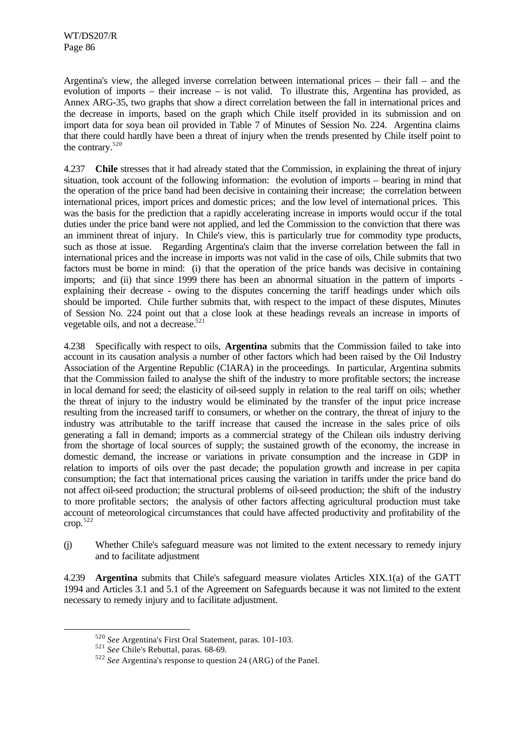Argentina's view, the alleged inverse correlation between international prices – their fall – and the evolution of imports – their increase – is not valid. To illustrate this, Argentina has provided, as Annex ARG-35, two graphs that show a direct correlation between the fall in international prices and the decrease in imports, based on the graph which Chile itself provided in its submission and on import data for soya bean oil provided in Table 7 of Minutes of Session No. 224. Argentina claims that there could hardly have been a threat of injury when the trends presented by Chile itself point to the contrary.<sup>520</sup>

4.237 **Chile** stresses that it had already stated that the Commission, in explaining the threat of injury situation, took account of the following information: the evolution of imports – bearing in mind that the operation of the price band had been decisive in containing their increase; the correlation between international prices, import prices and domestic prices; and the low level of international prices. This was the basis for the prediction that a rapidly accelerating increase in imports would occur if the total duties under the price band were not applied, and led the Commission to the conviction that there was an imminent threat of injury. In Chile's view, this is particularly true for commodity type products, such as those at issue. Regarding Argentina's claim that the inverse correlation between the fall in international prices and the increase in imports was not valid in the case of oils, Chile submits that two factors must be borne in mind: (i) that the operation of the price bands was decisive in containing imports; and (ii) that since 1999 there has been an abnormal situation in the pattern of imports explaining their decrease - owing to the disputes concerning the tariff headings under which oils should be imported. Chile further submits that, with respect to the impact of these disputes, Minutes of Session No. 224 point out that a close look at these headings reveals an increase in imports of vegetable oils, and not a decrease.<sup>521</sup>

4.238 Specifically with respect to oils, **Argentina** submits that the Commission failed to take into account in its causation analysis a number of other factors which had been raised by the Oil Industry Association of the Argentine Republic (CIARA) in the proceedings. In particular, Argentina submits that the Commission failed to analyse the shift of the industry to more profitable sectors; the increase in local demand for seed; the elasticity of oil-seed supply in relation to the real tariff on oils; whether the threat of injury to the industry would be eliminated by the transfer of the input price increase resulting from the increased tariff to consumers, or whether on the contrary, the threat of injury to the industry was attributable to the tariff increase that caused the increase in the sales price of oils generating a fall in demand; imports as a commercial strategy of the Chilean oils industry deriving from the shortage of local sources of supply; the sustained growth of the economy, the increase in domestic demand, the increase or variations in private consumption and the increase in GDP in relation to imports of oils over the past decade; the population growth and increase in per capita consumption; the fact that international prices causing the variation in tariffs under the price band do not affect oil-seed production; the structural problems of oil-seed production; the shift of the industry to more profitable sectors; the analysis of other factors affecting agricultural production must take account of meteorological circumstances that could have affected productivity and profitability of the crop. 522

(j) Whether Chile's safeguard measure was not limited to the extent necessary to remedy injury and to facilitate adjustment

4.239 **Argentina** submits that Chile's safeguard measure violates Articles XIX.1(a) of the GATT 1994 and Articles 3.1 and 5.1 of the Agreement on Safeguards because it was not limited to the extent necessary to remedy injury and to facilitate adjustment.

<sup>520</sup> *See* Argentina's First Oral Statement, paras. 101-103.

<sup>521</sup> *See* Chile's Rebuttal, paras. 68-69.

<sup>522</sup> *See* Argentina's response to question 24 (ARG) of the Panel.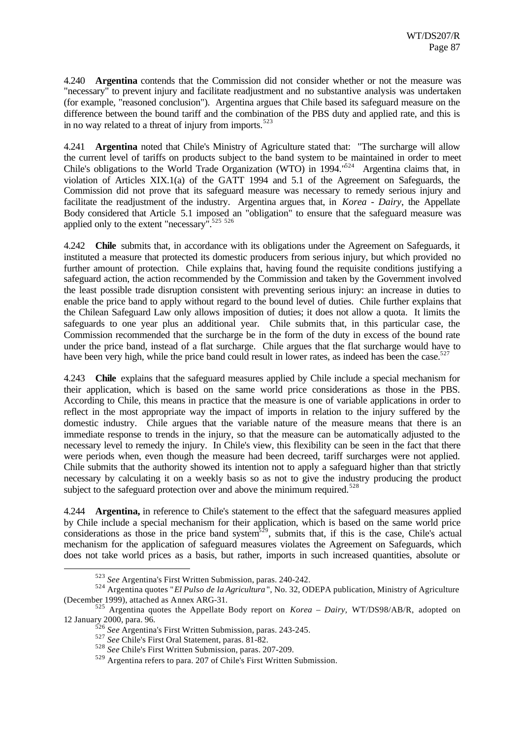4.240 **Argentina** contends that the Commission did not consider whether or not the measure was "necessary" to prevent injury and facilitate readjustment and no substantive analysis was undertaken (for example, "reasoned conclusion"). Argentina argues that Chile based its safeguard measure on the difference between the bound tariff and the combination of the PBS duty and applied rate, and this is in no way related to a threat of injury from imports.<sup>523</sup>

4.241 **Argentina** noted that Chile's Ministry of Agriculture stated that: "The surcharge will allow the current level of tariffs on products subject to the band system to be maintained in order to meet Chile's obligations to the World Trade Organization (WTO) in 1994.<sup> $1524$ </sup> Argentina claims that, in violation of Articles XIX.1(a) of the GATT 1994 and 5.1 of the Agreement on Safeguards, the Commission did not prove that its safeguard measure was necessary to remedy serious injury and facilitate the readjustment of the industry. Argentina argues that, in *Korea - Dairy*, the Appellate Body considered that Article 5.1 imposed an "obligation" to ensure that the safeguard measure was applied only to the extent "necessary".<sup>525 526</sup>

4.242 **Chile** submits that, in accordance with its obligations under the Agreement on Safeguards, it instituted a measure that protected its domestic producers from serious injury, but which provided no further amount of protection. Chile explains that, having found the requisite conditions justifying a safeguard action, the action recommended by the Commission and taken by the Government involved the least possible trade disruption consistent with preventing serious injury: an increase in duties to enable the price band to apply without regard to the bound level of duties. Chile further explains that the Chilean Safeguard Law only allows imposition of duties; it does not allow a quota. It limits the safeguards to one year plus an additional year. Chile submits that, in this particular case, the Commission recommended that the surcharge be in the form of the duty in excess of the bound rate under the price band, instead of a flat surcharge. Chile argues that the flat surcharge would have to have been very high, while the price band could result in lower rates, as indeed has been the case.<sup>52</sup>

4.243 **Chile** explains that the safeguard measures applied by Chile include a special mechanism for their application, which is based on the same world price considerations as those in the PBS. According to Chile, this means in practice that the measure is one of variable applications in order to reflect in the most appropriate way the impact of imports in relation to the injury suffered by the domestic industry. Chile argues that the variable nature of the measure means that there is an immediate response to trends in the injury, so that the measure can be automatically adjusted to the necessary level to remedy the injury. In Chile's view, this flexibility can be seen in the fact that there were periods when, even though the measure had been decreed, tariff surcharges were not applied. Chile submits that the authority showed its intention not to apply a safeguard higher than that strictly necessary by calculating it on a weekly basis so as not to give the industry producing the product subject to the safeguard protection over and above the minimum required.<sup>528</sup>

4.244 **Argentina,** in reference to Chile's statement to the effect that the safeguard measures applied by Chile include a special mechanism for their application, which is based on the same world price considerations as those in the price band system<sup>529</sup>, submits that, if this is the case, Chile's actual mechanism for the application of safeguard measures violates the Agreement on Safeguards, which does not take world prices as a basis, but rather, imports in such increased quantities, absolute or

<sup>523</sup> *See* Argentina's First Written Submission, paras. 240-242.

<sup>524</sup> Argentina quotes "*El Pulso de la Agricultura* ", No. 32, ODEPA publication, Ministry of Agriculture (December 1999), attached as Annex ARG-31.

<sup>525</sup> Argentina quotes the Appellate Body report on *Korea – Dairy,* WT/DS98/AB/R, adopted on 12 January 2000, para. 96.

<sup>526</sup> *See* Argentina's First Written Submission, paras. 243-245.

<sup>527</sup> *See* Chile's First Oral Statement, paras. 81-82.

<sup>528</sup> *See* Chile's First Written Submission, paras. 207-209.

<sup>529</sup> Argentina refers to para. 207 of Chile's First Written Submission.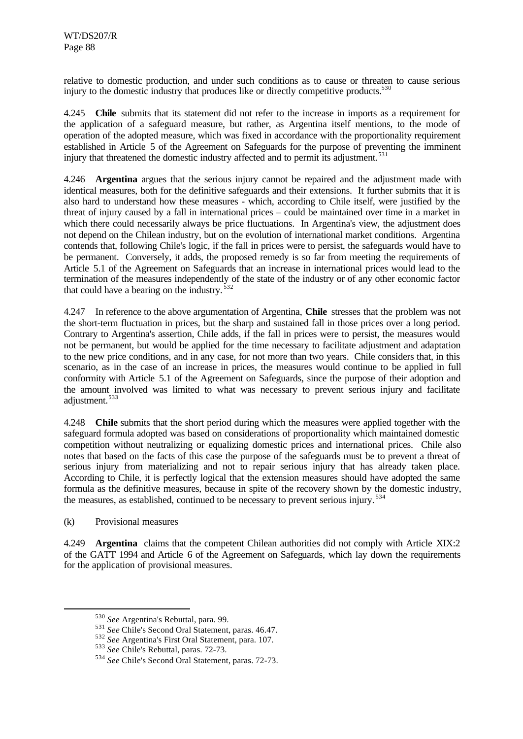relative to domestic production, and under such conditions as to cause or threaten to cause serious injury to the domestic industry that produces like or directly competitive products. $530$ 

4.245 **Chile** submits that its statement did not refer to the increase in imports as a requirement for the application of a safeguard measure, but rather, as Argentina itself mentions, to the mode of operation of the adopted measure, which was fixed in accordance with the proportionality requirement established in Article 5 of the Agreement on Safeguards for the purpose of preventing the imminent injury that threatened the domestic industry affected and to permit its adjustment.<sup>531</sup>

4.246 **Argentina** argues that the serious injury cannot be repaired and the adjustment made with identical measures, both for the definitive safeguards and their extensions. It further submits that it is also hard to understand how these measures - which, according to Chile itself, were justified by the threat of injury caused by a fall in international prices – could be maintained over time in a market in which there could necessarily always be price fluctuations. In Argentina's view, the adjustment does not depend on the Chilean industry, but on the evolution of international market conditions. Argentina contends that, following Chile's logic, if the fall in prices were to persist, the safeguards would have to be permanent. Conversely, it adds, the proposed remedy is so far from meeting the requirements of Article 5.1 of the Agreement on Safeguards that an increase in international prices would lead to the termination of the measures independently of the state of the industry or of any other economic factor that could have a bearing on the industry.  $532$ 

4.247 In reference to the above argumentation of Argentina, **Chile** stresses that the problem was not the short-term fluctuation in prices, but the sharp and sustained fall in those prices over a long period. Contrary to Argentina's assertion, Chile adds, if the fall in prices were to persist, the measures would not be permanent, but would be applied for the time necessary to facilitate adjustment and adaptation to the new price conditions, and in any case, for not more than two years. Chile considers that, in this scenario, as in the case of an increase in prices, the measures would continue to be applied in full conformity with Article 5.1 of the Agreement on Safeguards, since the purpose of their adoption and the amount involved was limited to what was necessary to prevent serious injury and facilitate adjustment.<sup>533</sup>

4.248 **Chile** submits that the short period during which the measures were applied together with the safeguard formula adopted was based on considerations of proportionality which maintained domestic competition without neutralizing or equalizing domestic prices and international prices. Chile also notes that based on the facts of this case the purpose of the safeguards must be to prevent a threat of serious injury from materializing and not to repair serious injury that has already taken place. According to Chile, it is perfectly logical that the extension measures should have adopted the same formula as the definitive measures, because in spite of the recovery shown by the domestic industry, the measures, as established, continued to be necessary to prevent serious injury.<sup>534</sup>

(k) Provisional measures

l

4.249 **Argentina** claims that the competent Chilean authorities did not comply with Article XIX:2 of the GATT 1994 and Article 6 of the Agreement on Safeguards, which lay down the requirements for the application of provisional measures.

<sup>530</sup> *See* Argentina's Rebuttal, para. 99.

<sup>531</sup> *See* Chile's Second Oral Statement, paras. 46.47.

<sup>532</sup> *See* Argentina's First Oral Statement, para. 107.

<sup>533</sup> *See* Chile's Rebuttal, paras. 72-73.

<sup>534</sup> *See* Chile's Second Oral Statement, paras. 72-73.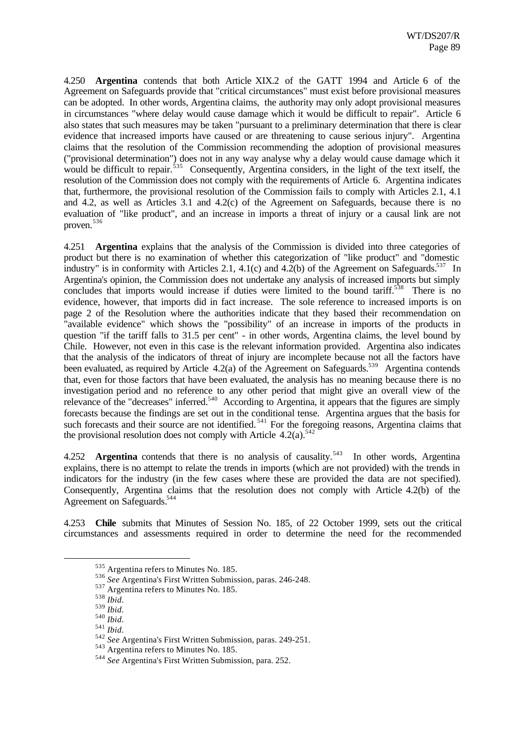4.250 **Argentina** contends that both Article XIX.2 of the GATT 1994 and Article 6 of the Agreement on Safeguards provide that "critical circumstances" must exist before provisional measures can be adopted. In other words, Argentina claims, the authority may only adopt provisional measures in circumstances "where delay would cause damage which it would be difficult to repair". Article 6 also states that such measures may be taken "pursuant to a preliminary determination that there is clear evidence that increased imports have caused or are threatening to cause serious injury". Argentina claims that the resolution of the Commission recommending the adoption of provisional measures ("provisional determination") does not in any way analyse why a delay would cause damage which it would be difficult to repair.<sup>535</sup> Consequently, Argentina considers, in the light of the text itself, the resolution of the Commission does not comply with the requirements of Article 6. Argentina indicates that, furthermore, the provisional resolution of the Commission fails to comply with Articles 2.1, 4.1 and 4.2, as well as Articles 3.1 and 4.2(c) of the Agreement on Safeguards, because there is no evaluation of "like product", and an increase in imports a threat of injury or a causal link are not proven. 536

4.251 **Argentina** explains that the analysis of the Commission is divided into three categories of product but there is no examination of whether this categorization of "like product" and "domestic industry" is in conformity with Articles 2.1, 4.1(c) and 4.2(b) of the Agreement on Safeguards.<sup>537</sup> In Argentina's opinion, the Commission does not undertake any analysis of increased imports but simply concludes that imports would increase if duties were limited to the bound tariff.<sup>538</sup> There is no evidence, however, that imports did in fact increase. The sole reference to increased imports is on page 2 of the Resolution where the authorities indicate that they based their recommendation on "available evidence" which shows the "possibility" of an increase in imports of the products in question "if the tariff falls to 31.5 per cent" - in other words, Argentina claims, the level bound by Chile. However, not even in this case is the relevant information provided. Argentina also indicates that the analysis of the indicators of threat of injury are incomplete because not all the factors have been evaluated, as required by Article 4.2(a) of the Agreement on Safeguards.<sup>539</sup> Argentina contends that, even for those factors that have been evaluated, the analysis has no meaning because there is no investigation period and no reference to any other period that might give an overall view of the relevance of the "decreases" inferred.<sup>540</sup> According to Argentina, it appears that the figures are simply forecasts because the findings are set out in the conditional tense. Argentina argues that the basis for such forecasts and their source are not identified.<sup>541</sup> For the foregoing reasons, Argentina claims that the provisional resolution does not comply with Article 4.2(a).<sup>542</sup>

4.252 **Argentina** contends that there is no analysis of causality.<sup>543</sup> In other words, Argentina explains, there is no attempt to relate the trends in imports (which are not provided) with the trends in indicators for the industry (in the few cases where these are provided the data are not specified). Consequently, Argentina claims that the resolution does not comply with Article 4.2(b) of the Agreement on Safeguards.<sup>544</sup>

4.253 **Chile** submits that Minutes of Session No. 185, of 22 October 1999, sets out the critical circumstances and assessments required in order to determine the need for the recommended

<sup>535</sup> Argentina refers to Minutes No. 185.

<sup>536</sup> *See* Argentina's First Written Submission, paras. 246-248.

<sup>537</sup> Argentina refers to Minutes No. 185.

<sup>538</sup> *Ibid*.

<sup>539</sup> *Ibid*.

<sup>540</sup> *Ibid*.

<sup>541</sup> *Ibid*.

<sup>542</sup> *See* Argentina's First Written Submission, paras. 249-251.

<sup>543</sup> Argentina refers to Minutes No. 185.

<sup>544</sup> *See* Argentina's First Written Submission, para. 252.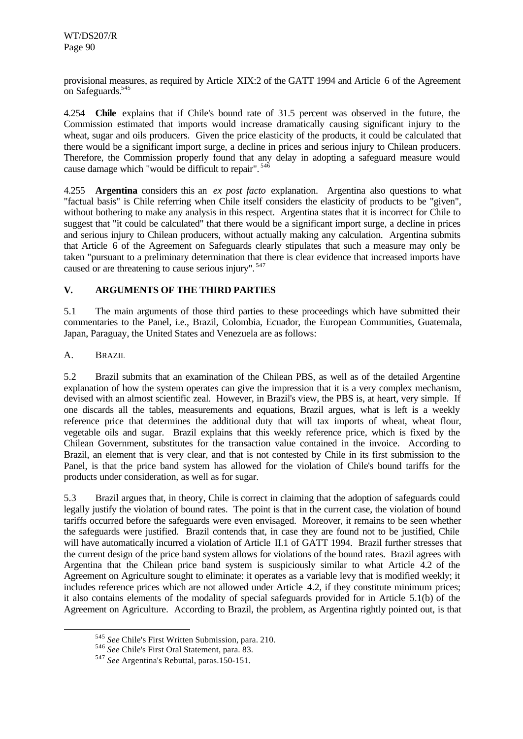provisional measures, as required by Article XIX:2 of the GATT 1994 and Article 6 of the Agreement on Safeguards.<sup>545</sup>

4.254 **Chile** explains that if Chile's bound rate of 31.5 percent was observed in the future, the Commission estimated that imports would increase dramatically causing significant injury to the wheat, sugar and oils producers. Given the price elasticity of the products, it could be calculated that there would be a significant import surge, a decline in prices and serious injury to Chilean producers. Therefore, the Commission properly found that any delay in adopting a safeguard measure would cause damage which "would be difficult to repair". <sup>546</sup>

4.255 **Argentina** considers this an *ex post facto* explanation. Argentina also questions to what "factual basis" is Chile referring when Chile itself considers the elasticity of products to be "given", without bothering to make any analysis in this respect. Argentina states that it is incorrect for Chile to suggest that "it could be calculated" that there would be a significant import surge, a decline in prices and serious injury to Chilean producers, without actually making any calculation. Argentina submits that Article 6 of the Agreement on Safeguards clearly stipulates that such a measure may only be taken "pursuant to a preliminary determination that there is clear evidence that increased imports have caused or are threatening to cause serious injury". <sup>547</sup>

# **V. ARGUMENTS OF THE THIRD PARTIES**

5.1 The main arguments of those third parties to these proceedings which have submitted their commentaries to the Panel, i.e., Brazil, Colombia, Ecuador, the European Communities, Guatemala, Japan, Paraguay, the United States and Venezuela are as follows:

A. BRAZIL

l

5.2 Brazil submits that an examination of the Chilean PBS, as well as of the detailed Argentine explanation of how the system operates can give the impression that it is a very complex mechanism, devised with an almost scientific zeal. However, in Brazil's view, the PBS is, at heart, very simple. If one discards all the tables, measurements and equations, Brazil argues, what is left is a weekly reference price that determines the additional duty that will tax imports of wheat, wheat flour, vegetable oils and sugar. Brazil explains that this weekly reference price, which is fixed by the Chilean Government, substitutes for the transaction value contained in the invoice. According to Brazil, an element that is very clear, and that is not contested by Chile in its first submission to the Panel, is that the price band system has allowed for the violation of Chile's bound tariffs for the products under consideration, as well as for sugar.

5.3 Brazil argues that, in theory, Chile is correct in claiming that the adoption of safeguards could legally justify the violation of bound rates. The point is that in the current case, the violation of bound tariffs occurred before the safeguards were even envisaged. Moreover, it remains to be seen whether the safeguards were justified. Brazil contends that, in case they are found not to be justified, Chile will have automatically incurred a violation of Article II.1 of GATT 1994. Brazil further stresses that the current design of the price band system allows for violations of the bound rates. Brazil agrees with Argentina that the Chilean price band system is suspiciously similar to what Article 4.2 of the Agreement on Agriculture sought to eliminate: it operates as a variable levy that is modified weekly; it includes reference prices which are not allowed under Article 4.2, if they constitute minimum prices; it also contains elements of the modality of special safeguards provided for in Article 5.1(b) of the Agreement on Agriculture. According to Brazil, the problem, as Argentina rightly pointed out, is that

<sup>545</sup> *See* Chile's First Written Submission, para. 210.

<sup>546</sup> *See* Chile's First Oral Statement, para. 83.

<sup>547</sup> *See* Argentina's Rebuttal, paras.150-151.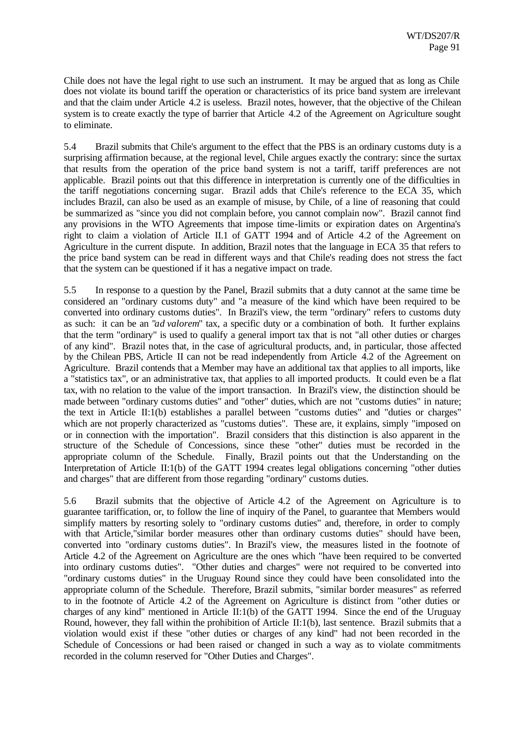Chile does not have the legal right to use such an instrument. It may be argued that as long as Chile does not violate its bound tariff the operation or characteristics of its price band system are irrelevant and that the claim under Article 4.2 is useless. Brazil notes, however, that the objective of the Chilean system is to create exactly the type of barrier that Article 4.2 of the Agreement on Agriculture sought to eliminate.

5.4 Brazil submits that Chile's argument to the effect that the PBS is an ordinary customs duty is a surprising affirmation because, at the regional level, Chile argues exactly the contrary: since the surtax that results from the operation of the price band system is not a tariff, tariff preferences are not applicable. Brazil points out that this difference in interpretation is currently one of the difficulties in the tariff negotiations concerning sugar. Brazil adds that Chile's reference to the ECA 35, which includes Brazil, can also be used as an example of misuse, by Chile, of a line of reasoning that could be summarized as "since you did not complain before, you cannot complain now". Brazil cannot find any provisions in the WTO Agreements that impose time-limits or expiration dates on Argentina's right to claim a violation of Article II.1 of GATT 1994 and of Article 4.2 of the Agreement on Agriculture in the current dispute. In addition, Brazil notes that the language in ECA 35 that refers to the price band system can be read in different ways and that Chile's reading does not stress the fact that the system can be questioned if it has a negative impact on trade.

5.5 In response to a question by the Panel, Brazil submits that a duty cannot at the same time be considered an "ordinary customs duty" and "a measure of the kind which have been required to be converted into ordinary customs duties". In Brazil's view, the term "ordinary" refers to customs duty as such: it can be an "*ad valorem*" tax, a specific duty or a combination of both. It further explains that the term "ordinary" is used to qualify a general import tax that is not "all other duties or charges of any kind". Brazil notes that, in the case of agricultural products, and, in particular, those affected by the Chilean PBS, Article II can not be read independently from Article 4.2 of the Agreement on Agriculture. Brazil contends that a Member may have an additional tax that applies to all imports, like a "statistics tax", or an administrative tax, that applies to all imported products. It could even be a flat tax, with no relation to the value of the import transaction. In Brazil's view, the distinction should be made between "ordinary customs duties" and "other" duties, which are not "customs duties" in nature; the text in Article II:1(b) establishes a parallel between "customs duties" and "duties or charges" which are not properly characterized as "customs duties". These are, it explains, simply "imposed on or in connection with the importation". Brazil considers that this distinction is also apparent in the structure of the Schedule of Concessions, since these "other" duties must be recorded in the appropriate column of the Schedule. Finally, Brazil points out that the Understanding on the Interpretation of Article II:1(b) of the GATT 1994 creates legal obligations concerning "other duties and charges" that are different from those regarding "ordinary" customs duties.

5.6 Brazil submits that the objective of Article 4.2 of the Agreement on Agriculture is to guarantee tariffication, or, to follow the line of inquiry of the Panel, to guarantee that Members would simplify matters by resorting solely to "ordinary customs duties" and, therefore, in order to comply with that Article,"similar border measures other than ordinary customs duties" should have been, converted into "ordinary customs duties". In Brazil's view, the measures listed in the footnote of Article 4.2 of the Agreement on Agriculture are the ones which "have been required to be converted into ordinary customs duties". "Other duties and charges" were not required to be converted into "ordinary customs duties" in the Uruguay Round since they could have been consolidated into the appropriate column of the Schedule. Therefore, Brazil submits, "similar border measures" as referred to in the footnote of Article 4.2 of the Agreement on Agriculture is distinct from "other duties or charges of any kind" mentioned in Article II:1(b) of the GATT 1994. Since the end of the Uruguay Round, however, they fall within the prohibition of Article II:1(b), last sentence. Brazil submits that a violation would exist if these "other duties or charges of any kind" had not been recorded in the Schedule of Concessions or had been raised or changed in such a way as to violate commitments recorded in the column reserved for "Other Duties and Charges".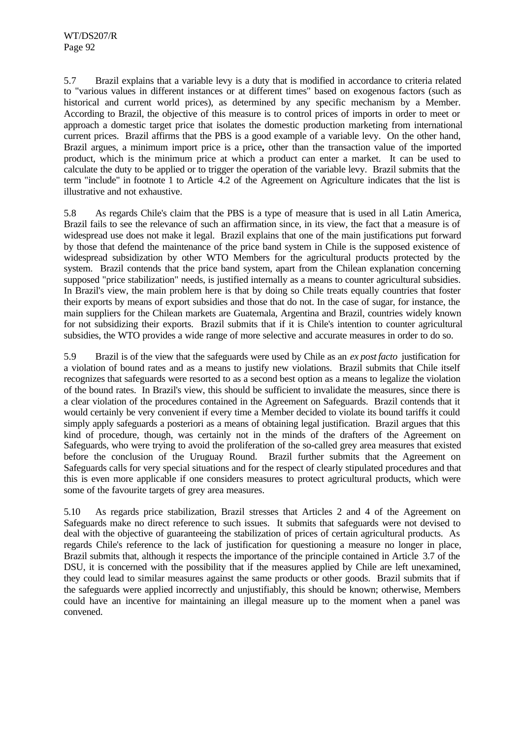5.7 Brazil explains that a variable levy is a duty that is modified in accordance to criteria related to "various values in different instances or at different times" based on exogenous factors (such as historical and current world prices), as determined by any specific mechanism by a Member. According to Brazil, the objective of this measure is to control prices of imports in order to meet or approach a domestic target price that isolates the domestic production marketing from international current prices. Brazil affirms that the PBS is a good example of a variable levy. On the other hand, Brazil argues, a minimum import price is a price**,** other than the transaction value of the imported product, which is the minimum price at which a product can enter a market. It can be used to calculate the duty to be applied or to trigger the operation of the variable levy. Brazil submits that the term "include" in footnote 1 to Article 4.2 of the Agreement on Agriculture indicates that the list is illustrative and not exhaustive.

5.8 As regards Chile's claim that the PBS is a type of measure that is used in all Latin America, Brazil fails to see the relevance of such an affirmation since, in its view, the fact that a measure is of widespread use does not make it legal. Brazil explains that one of the main justifications put forward by those that defend the maintenance of the price band system in Chile is the supposed existence of widespread subsidization by other WTO Members for the agricultural products protected by the system. Brazil contends that the price band system, apart from the Chilean explanation concerning supposed "price stabilization" needs, is justified internally as a means to counter agricultural subsidies. In Brazil's view, the main problem here is that by doing so Chile treats equally countries that foster their exports by means of export subsidies and those that do not. In the case of sugar, for instance, the main suppliers for the Chilean markets are Guatemala, Argentina and Brazil, countries widely known for not subsidizing their exports. Brazil submits that if it is Chile's intention to counter agricultural subsidies, the WTO provides a wide range of more selective and accurate measures in order to do so.

5.9 Brazil is of the view that the safeguards were used by Chile as an *ex post facto* justification for a violation of bound rates and as a means to justify new violations. Brazil submits that Chile itself recognizes that safeguards were resorted to as a second best option as a means to legalize the violation of the bound rates. In Brazil's view, this should be sufficient to invalidate the measures, since there is a clear violation of the procedures contained in the Agreement on Safeguards. Brazil contends that it would certainly be very convenient if every time a Member decided to violate its bound tariffs it could simply apply safeguards a posteriori as a means of obtaining legal justification. Brazil argues that this kind of procedure, though, was certainly not in the minds of the drafters of the Agreement on Safeguards, who were trying to avoid the proliferation of the so-called grey area measures that existed before the conclusion of the Uruguay Round. Brazil further submits that the Agreement on Safeguards calls for very special situations and for the respect of clearly stipulated procedures and that this is even more applicable if one considers measures to protect agricultural products, which were some of the favourite targets of grey area measures.

5.10 As regards price stabilization, Brazil stresses that Articles 2 and 4 of the Agreement on Safeguards make no direct reference to such issues. It submits that safeguards were not devised to deal with the objective of guaranteeing the stabilization of prices of certain agricultural products. As regards Chile's reference to the lack of justification for questioning a measure no longer in place, Brazil submits that, although it respects the importance of the principle contained in Article 3.7 of the DSU, it is concerned with the possibility that if the measures applied by Chile are left unexamined, they could lead to similar measures against the same products or other goods. Brazil submits that if the safeguards were applied incorrectly and unjustifiably, this should be known; otherwise, Members could have an incentive for maintaining an illegal measure up to the moment when a panel was convened.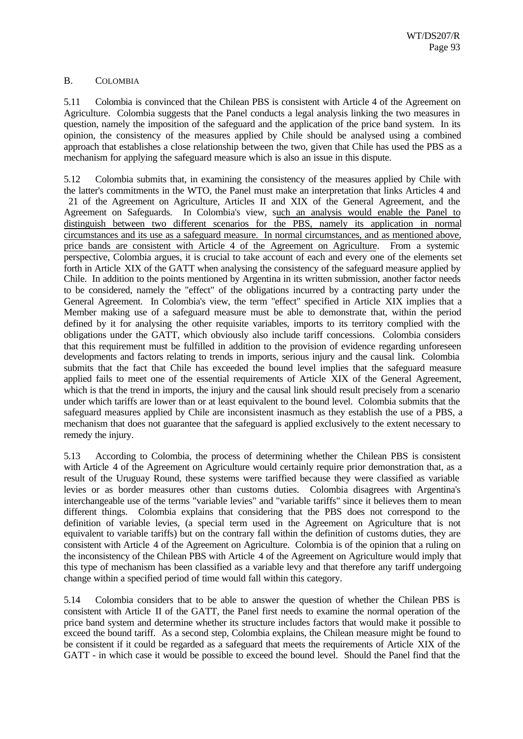## B. COLOMBIA

5.11 Colombia is convinced that the Chilean PBS is consistent with Article 4 of the Agreement on Agriculture. Colombia suggests that the Panel conducts a legal analysis linking the two measures in question, namely the imposition of the safeguard and the application of the price band system. In its opinion, the consistency of the measures applied by Chile should be analysed using a combined approach that establishes a close relationship between the two, given that Chile has used the PBS as a mechanism for applying the safeguard measure which is also an issue in this dispute.

5.12 Colombia submits that, in examining the consistency of the measures applied by Chile with the latter's commitments in the WTO, the Panel must make an interpretation that links Articles 4 and 21 of the Agreement on Agriculture, Articles II and XIX of the General Agreement, and the Agreement on Safeguards. In Colombia's view, such an analysis would enable the Panel to distinguish between two different scenarios for the PBS, namely its application in normal circumstances and its use as a safeguard measure. In normal circumstances, and as mentioned above, price bands are consistent with Article 4 of the Agreement on Agriculture. From a systemic perspective, Colombia argues, it is crucial to take account of each and every one of the elements set forth in Article XIX of the GATT when analysing the consistency of the safeguard measure applied by Chile. In addition to the points mentioned by Argentina in its written submission, another factor needs to be considered, namely the "effect" of the obligations incurred by a contracting party under the General Agreement. In Colombia's view, the term "effect" specified in Article XIX implies that a Member making use of a safeguard measure must be able to demonstrate that, within the period defined by it for analysing the other requisite variables, imports to its territory complied with the obligations under the GATT, which obviously also include tariff concessions. Colombia considers that this requirement must be fulfilled in addition to the provision of evidence regarding unforeseen developments and factors relating to trends in imports, serious injury and the causal link. Colombia submits that the fact that Chile has exceeded the bound level implies that the safeguard measure applied fails to meet one of the essential requirements of Article XIX of the General Agreement, which is that the trend in imports, the injury and the causal link should result precisely from a scenario under which tariffs are lower than or at least equivalent to the bound level. Colombia submits that the safeguard measures applied by Chile are inconsistent inasmuch as they establish the use of a PBS, a mechanism that does not guarantee that the safeguard is applied exclusively to the extent necessary to remedy the injury.

5.13 According to Colombia, the process of determining whether the Chilean PBS is consistent with Article 4 of the Agreement on Agriculture would certainly require prior demonstration that, as a result of the Uruguay Round, these systems were tariffied because they were classified as variable levies or as border measures other than customs duties. Colombia disagrees with Argentina's interchangeable use of the terms "variable levies" and "variable tariffs" since it believes them to mean different things. Colombia explains that considering that the PBS does not correspond to the definition of variable levies, (a special term used in the Agreement on Agriculture that is not equivalent to variable tariffs) but on the contrary fall within the definition of customs duties, they are consistent with Article 4 of the Agreement on Agriculture. Colombia is of the opinion that a ruling on the inconsistency of the Chilean PBS with Article 4 of the Agreement on Agriculture would imply that this type of mechanism has been classified as a variable levy and that therefore any tariff undergoing change within a specified period of time would fall within this category.

5.14 Colombia considers that to be able to answer the question of whether the Chilean PBS is consistent with Article II of the GATT, the Panel first needs to examine the normal operation of the price band system and determine whether its structure includes factors that would make it possible to exceed the bound tariff. As a second step, Colombia explains, the Chilean measure might be found to be consistent if it could be regarded as a safeguard that meets the requirements of Article XIX of the GATT - in which case it would be possible to exceed the bound level. Should the Panel find that the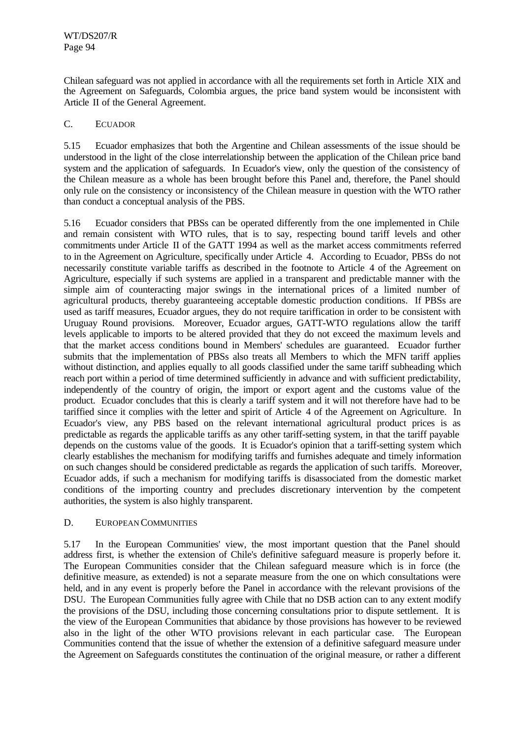Chilean safeguard was not applied in accordance with all the requirements set forth in Article XIX and the Agreement on Safeguards, Colombia argues, the price band system would be inconsistent with Article II of the General Agreement.

## C. ECUADOR

5.15 Ecuador emphasizes that both the Argentine and Chilean assessments of the issue should be understood in the light of the close interrelationship between the application of the Chilean price band system and the application of safeguards. In Ecuador's view, only the question of the consistency of the Chilean measure as a whole has been brought before this Panel and, therefore, the Panel should only rule on the consistency or inconsistency of the Chilean measure in question with the WTO rather than conduct a conceptual analysis of the PBS.

5.16 Ecuador considers that PBSs can be operated differently from the one implemented in Chile and remain consistent with WTO rules, that is to say, respecting bound tariff levels and other commitments under Article II of the GATT 1994 as well as the market access commitments referred to in the Agreement on Agriculture, specifically under Article 4. According to Ecuador, PBSs do not necessarily constitute variable tariffs as described in the footnote to Article 4 of the Agreement on Agriculture, especially if such systems are applied in a transparent and predictable manner with the simple aim of counteracting major swings in the international prices of a limited number of agricultural products, thereby guaranteeing acceptable domestic production conditions. If PBSs are used as tariff measures, Ecuador argues, they do not require tariffication in order to be consistent with Uruguay Round provisions. Moreover, Ecuador argues, GATT-WTO regulations allow the tariff levels applicable to imports to be altered provided that they do not exceed the maximum levels and that the market access conditions bound in Members' schedules are guaranteed. Ecuador further submits that the implementation of PBSs also treats all Members to which the MFN tariff applies without distinction, and applies equally to all goods classified under the same tariff subheading which reach port within a period of time determined sufficiently in advance and with sufficient predictability, independently of the country of origin, the import or export agent and the customs value of the product. Ecuador concludes that this is clearly a tariff system and it will not therefore have had to be tariffied since it complies with the letter and spirit of Article 4 of the Agreement on Agriculture. In Ecuador's view, any PBS based on the relevant international agricultural product prices is as predictable as regards the applicable tariffs as any other tariff-setting system, in that the tariff payable depends on the customs value of the goods. It is Ecuador's opinion that a tariff-setting system which clearly establishes the mechanism for modifying tariffs and furnishes adequate and timely information on such changes should be considered predictable as regards the application of such tariffs. Moreover, Ecuador adds, if such a mechanism for modifying tariffs is disassociated from the domestic market conditions of the importing country and precludes discretionary intervention by the competent authorities, the system is also highly transparent.

### D. EUROPEAN COMMUNITIES

5.17 In the European Communities' view, the most important question that the Panel should address first, is whether the extension of Chile's definitive safeguard measure is properly before it. The European Communities consider that the Chilean safeguard measure which is in force (the definitive measure, as extended) is not a separate measure from the one on which consultations were held, and in any event is properly before the Panel in accordance with the relevant provisions of the DSU. The European Communities fully agree with Chile that no DSB action can to any extent modify the provisions of the DSU, including those concerning consultations prior to dispute settlement. It is the view of the European Communities that abidance by those provisions has however to be reviewed also in the light of the other WTO provisions relevant in each particular case. The European Communities contend that the issue of whether the extension of a definitive safeguard measure under the Agreement on Safeguards constitutes the continuation of the original measure, or rather a different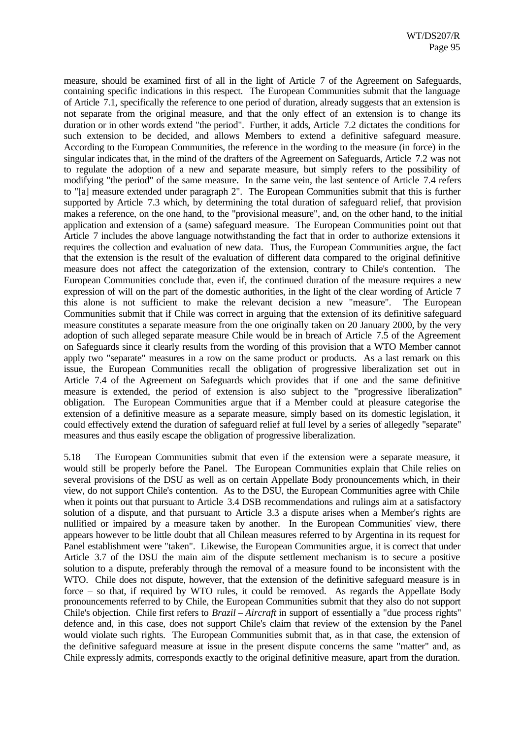measure, should be examined first of all in the light of Article 7 of the Agreement on Safeguards, containing specific indications in this respect. The European Communities submit that the language of Article 7.1, specifically the reference to one period of duration, already suggests that an extension is not separate from the original measure, and that the only effect of an extension is to change its duration or in other words extend "the period". Further, it adds, Article 7.2 dictates the conditions for such extension to be decided, and allows Members to extend a definitive safeguard measure. According to the European Communities, the reference in the wording to the measure (in force) in the singular indicates that, in the mind of the drafters of the Agreement on Safeguards, Article 7.2 was not to regulate the adoption of a new and separate measure, but simply refers to the possibility of modifying "the period" of the same measure. In the same vein, the last sentence of Article 7.4 refers to "[a] measure extended under paragraph 2". The European Communities submit that this is further supported by Article 7.3 which, by determining the total duration of safeguard relief, that provision makes a reference, on the one hand, to the "provisional measure", and, on the other hand, to the initial application and extension of a (same) safeguard measure. The European Communities point out that Article 7 includes the above language notwithstanding the fact that in order to authorize extensions it requires the collection and evaluation of new data. Thus, the European Communities argue, the fact that the extension is the result of the evaluation of different data compared to the original definitive measure does not affect the categorization of the extension, contrary to Chile's contention. The European Communities conclude that, even if, the continued duration of the measure requires a new expression of will on the part of the domestic authorities, in the light of the clear wording of Article 7 this alone is not sufficient to make the relevant decision a new "measure". The European Communities submit that if Chile was correct in arguing that the extension of its definitive safeguard measure constitutes a separate measure from the one originally taken on 20 January 2000, by the very adoption of such alleged separate measure Chile would be in breach of Article 7.5 of the Agreement on Safeguards since it clearly results from the wording of this provision that a WTO Member cannot apply two "separate" measures in a row on the same product or products. As a last remark on this issue, the European Communities recall the obligation of progressive liberalization set out in Article 7.4 of the Agreement on Safeguards which provides that if one and the same definitive measure is extended, the period of extension is also subject to the "progressive liberalization" obligation. The European Communities argue that if a Member could at pleasure categorise the extension of a definitive measure as a separate measure, simply based on its domestic legislation, it could effectively extend the duration of safeguard relief at full level by a series of allegedly "separate" measures and thus easily escape the obligation of progressive liberalization.

5.18 The European Communities submit that even if the extension were a separate measure, it would still be properly before the Panel. The European Communities explain that Chile relies on several provisions of the DSU as well as on certain Appellate Body pronouncements which, in their view, do not support Chile's contention. As to the DSU, the European Communities agree with Chile when it points out that pursuant to Article 3.4 DSB recommendations and rulings aim at a satisfactory solution of a dispute, and that pursuant to Article 3.3 a dispute arises when a Member's rights are nullified or impaired by a measure taken by another. In the European Communities' view, there appears however to be little doubt that all Chilean measures referred to by Argentina in its request for Panel establishment were "taken". Likewise, the European Communities argue, it is correct that under Article 3.7 of the DSU the main aim of the dispute settlement mechanism is to secure a positive solution to a dispute, preferably through the removal of a measure found to be inconsistent with the WTO. Chile does not dispute, however, that the extension of the definitive safeguard measure is in force – so that, if required by WTO rules, it could be removed. As regards the Appellate Body pronouncements referred to by Chile, the European Communities submit that they also do not support Chile's objection. Chile first refers to *Brazil – Aircraft* in support of essentially a "due process rights" defence and, in this case, does not support Chile's claim that review of the extension by the Panel would violate such rights. The European Communities submit that, as in that case, the extension of the definitive safeguard measure at issue in the present dispute concerns the same "matter" and, as Chile expressly admits, corresponds exactly to the original definitive measure, apart from the duration.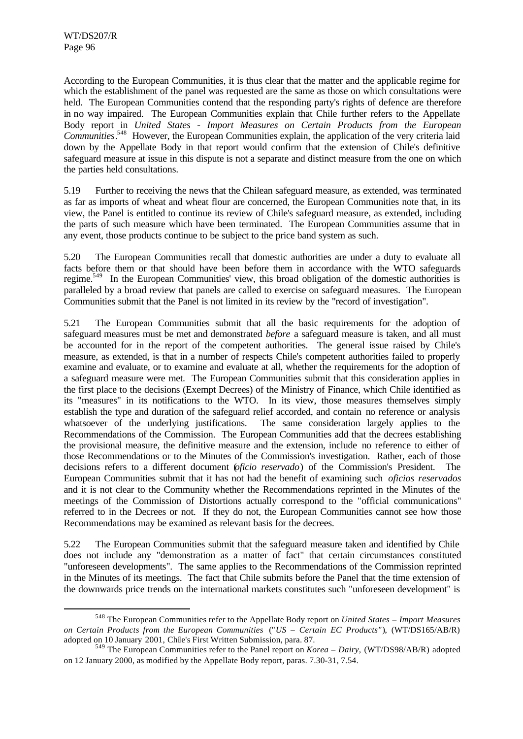l

According to the European Communities, it is thus clear that the matter and the applicable regime for which the establishment of the panel was requested are the same as those on which consultations were held. The European Communities contend that the responding party's rights of defence are therefore in no way impaired. The European Communities explain that Chile further refers to the Appellate Body report in *United States - Import Measures on Certain Products from the European Communities*. <sup>548</sup> However, the European Communities explain, the application of the very criteria laid down by the Appellate Body in that report would confirm that the extension of Chile's definitive safeguard measure at issue in this dispute is not a separate and distinct measure from the one on which the parties held consultations.

5.19 Further to receiving the news that the Chilean safeguard measure, as extended, was terminated as far as imports of wheat and wheat flour are concerned, the European Communities note that, in its view, the Panel is entitled to continue its review of Chile's safeguard measure, as extended, including the parts of such measure which have been terminated. The European Communities assume that in any event, those products continue to be subject to the price band system as such.

5.20 The European Communities recall that domestic authorities are under a duty to evaluate all facts before them or that should have been before them in accordance with the WTO safeguards regime.<sup>549</sup> In the European Communities' view, this broad obligation of the domestic authorities is paralleled by a broad review that panels are called to exercise on safeguard measures. The European Communities submit that the Panel is not limited in its review by the "record of investigation".

5.21 The European Communities submit that all the basic requirements for the adoption of safeguard measures must be met and demonstrated *before* a safeguard measure is taken, and all must be accounted for in the report of the competent authorities. The general issue raised by Chile's measure, as extended, is that in a number of respects Chile's competent authorities failed to properly examine and evaluate, or to examine and evaluate at all, whether the requirements for the adoption of a safeguard measure were met. The European Communities submit that this consideration applies in the first place to the decisions (Exempt Decrees) of the Ministry of Finance, which Chile identified as its "measures" in its notifications to the WTO. In its view, those measures themselves simply establish the type and duration of the safeguard relief accorded, and contain no reference or analysis whatsoever of the underlying justifications. The same consideration largely applies to the Recommendations of the Commission. The European Communities add that the decrees establishing the provisional measure, the definitive measure and the extension, include no reference to either of those Recommendations or to the Minutes of the Commission's investigation. Rather, each of those decisions refers to a different document (*oficio reservado*) of the Commission's President. The European Communities submit that it has not had the benefit of examining such *oficios reservados* and it is not clear to the Community whether the Recommendations reprinted in the Minutes of the meetings of the Commission of Distortions actually correspond to the "official communications" referred to in the Decrees or not. If they do not, the European Communities cannot see how those Recommendations may be examined as relevant basis for the decrees.

5.22 The European Communities submit that the safeguard measure taken and identified by Chile does not include any "demonstration as a matter of fact" that certain circumstances constituted "unforeseen developments". The same applies to the Recommendations of the Commission reprinted in the Minutes of its meetings. The fact that Chile submits before the Panel that the time extension of the downwards price trends on the international markets constitutes such "unforeseen development" is

<sup>548</sup> The European Communities refer to the Appellate Body report on *United States – Import Measures on Certain Products from the European Communities* ("*US – Certain EC Products"*), (WT/DS165/AB/R) adopted on 10 January 2001, Chile's First Written Submission, para. 87.

<sup>549</sup> The European Communities refer to the Panel report on *Korea – Dairy,* (WT/DS98/AB/R) adopted on 12 January 2000, as modified by the Appellate Body report, paras. 7.30-31, 7.54.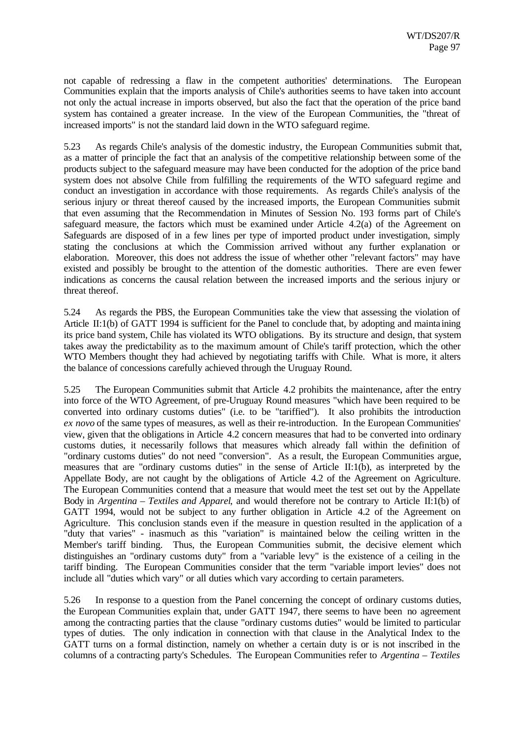not capable of redressing a flaw in the competent authorities' determinations. The European Communities explain that the imports analysis of Chile's authorities seems to have taken into account not only the actual increase in imports observed, but also the fact that the operation of the price band system has contained a greater increase. In the view of the European Communities, the "threat of increased imports" is not the standard laid down in the WTO safeguard regime.

5.23 As regards Chile's analysis of the domestic industry, the European Communities submit that, as a matter of principle the fact that an analysis of the competitive relationship between some of the products subject to the safeguard measure may have been conducted for the adoption of the price band system does not absolve Chile from fulfilling the requirements of the WTO safeguard regime and conduct an investigation in accordance with those requirements. As regards Chile's analysis of the serious injury or threat thereof caused by the increased imports, the European Communities submit that even assuming that the Recommendation in Minutes of Session No. 193 forms part of Chile's safeguard measure, the factors which must be examined under Article 4.2(a) of the Agreement on Safeguards are disposed of in a few lines per type of imported product under investigation, simply stating the conclusions at which the Commission arrived without any further explanation or elaboration. Moreover, this does not address the issue of whether other "relevant factors" may have existed and possibly be brought to the attention of the domestic authorities. There are even fewer indications as concerns the causal relation between the increased imports and the serious injury or threat thereof.

5.24 As regards the PBS, the European Communities take the view that assessing the violation of Article II:1(b) of GATT 1994 is sufficient for the Panel to conclude that, by adopting and mainta ining its price band system, Chile has violated its WTO obligations. By its structure and design, that system takes away the predictability as to the maximum amount of Chile's tariff protection, which the other WTO Members thought they had achieved by negotiating tariffs with Chile. What is more, it alters the balance of concessions carefully achieved through the Uruguay Round.

5.25 The European Communities submit that Article 4.2 prohibits the maintenance, after the entry into force of the WTO Agreement, of pre-Uruguay Round measures "which have been required to be converted into ordinary customs duties" (i.e. to be "tariffied"). It also prohibits the introduction *ex novo* of the same types of measures, as well as their re-introduction. In the European Communities' view, given that the obligations in Article 4.2 concern measures that had to be converted into ordinary customs duties, it necessarily follows that measures which already fall within the definition of "ordinary customs duties" do not need "conversion". As a result, the European Communities argue, measures that are "ordinary customs duties" in the sense of Article II:1(b), as interpreted by the Appellate Body, are not caught by the obligations of Article 4.2 of the Agreement on Agriculture. The European Communities contend that a measure that would meet the test set out by the Appellate Body in *Argentina – Textiles and Apparel*, and would therefore not be contrary to Article II:1(b) of GATT 1994, would not be subject to any further obligation in Article 4.2 of the Agreement on Agriculture. This conclusion stands even if the measure in question resulted in the application of a "duty that varies" - inasmuch as this "variation" is maintained below the ceiling written in the Member's tariff binding. Thus, the European Communities submit, the decisive element which distinguishes an "ordinary customs duty" from a "variable levy" is the existence of a ceiling in the tariff binding. The European Communities consider that the term "variable import levies" does not include all "duties which vary" or all duties which vary according to certain parameters.

5.26 In response to a question from the Panel concerning the concept of ordinary customs duties, the European Communities explain that, under GATT 1947, there seems to have been no agreement among the contracting parties that the clause "ordinary customs duties" would be limited to particular types of duties. The only indication in connection with that clause in the Analytical Index to the GATT turns on a formal distinction, namely on whether a certain duty is or is not inscribed in the columns of a contracting party's Schedules. The European Communities refer to *Argentina – Textiles*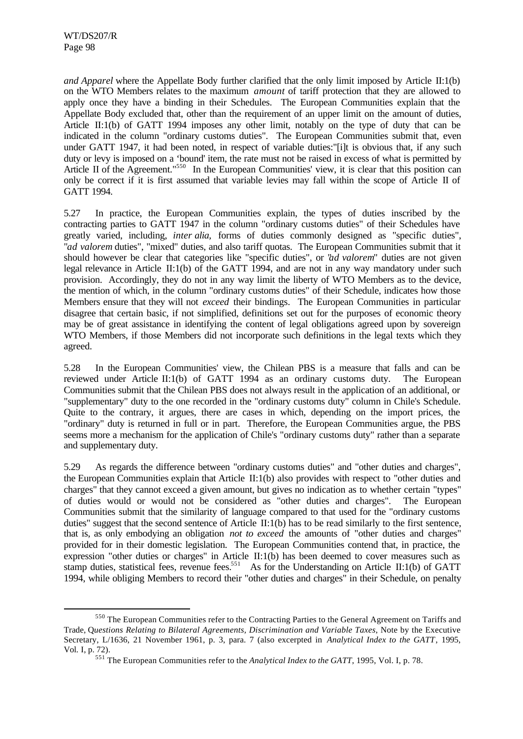l

*and Apparel* where the Appellate Body further clarified that the only limit imposed by Article II:1(b) on the WTO Members relates to the maximum *amount* of tariff protection that they are allowed to apply once they have a binding in their Schedules. The European Communities explain that the Appellate Body excluded that, other than the requirement of an upper limit on the amount of duties, Article II:1(b) of GATT 1994 imposes any other limit, notably on the type of duty that can be indicated in the column "ordinary customs duties". The European Communities submit that, even under GATT 1947, it had been noted, in respect of variable duties:"[i]t is obvious that, if any such duty or levy is imposed on a 'bound' item, the rate must not be raised in excess of what is permitted by Article II of the Agreement."<sup>550</sup> In the European Communities' view, it is clear that this position can only be correct if it is first assumed that variable levies may fall within the scope of Article II of GATT 1994.

5.27 In practice, the European Communities explain, the types of duties inscribed by the contracting parties to GATT 1947 in the column "ordinary customs duties" of their Schedules have greatly varied, including, *inter alia,* forms of duties commonly designed as "specific duties", "*ad valorem* duties", "mixed" duties, and also tariff quotas. The European Communities submit that it should however be clear that categories like "specific duties", or "*ad valorem*" duties are not given legal relevance in Article II:1(b) of the GATT 1994, and are not in any way mandatory under such provision. Accordingly, they do not in any way limit the liberty of WTO Members as to the device, the mention of which, in the column "ordinary customs duties" of their Schedule, indicates how those Members ensure that they will not *exceed* their bindings. The European Communities in particular disagree that certain basic, if not simplified, definitions set out for the purposes of economic theory may be of great assistance in identifying the content of legal obligations agreed upon by sovereign WTO Members, if those Members did not incorporate such definitions in the legal texts which they agreed.

5.28 In the European Communities' view, the Chilean PBS is a measure that falls and can be reviewed under Article II:1(b) of GATT 1994 as an ordinary customs duty. The European Communities submit that the Chilean PBS does not always result in the application of an additional, or "supplementary" duty to the one recorded in the "ordinary customs duty" column in Chile's Schedule. Quite to the contrary, it argues, there are cases in which, depending on the import prices, the "ordinary" duty is returned in full or in part. Therefore, the European Communities argue, the PBS seems more a mechanism for the application of Chile's "ordinary customs duty" rather than a separate and supplementary duty.

5.29 As regards the difference between "ordinary customs duties" and "other duties and charges", the European Communities explain that Article II:1(b) also provides with respect to "other duties and charges" that they cannot exceed a given amount, but gives no indication as to whether certain "types" of duties would or would not be considered as "other duties and charges". The European Communities submit that the similarity of language compared to that used for the "ordinary customs duties" suggest that the second sentence of Article II:1(b) has to be read similarly to the first sentence, that is, as only embodying an obligation *not to exceed* the amounts of "other duties and charges" provided for in their domestic legislation. The European Communities contend that, in practice, the expression "other duties or charges" in Article II:1(b) has been deemed to cover measures such as stamp duties, statistical fees, revenue fees.<sup>551</sup> As for the Understanding on Article II:1(b) of GATT 1994, while obliging Members to record their "other duties and charges" in their Schedule, on penalty

<sup>550</sup> The European Communities refer to the Contracting Parties to the General Agreement on Tariffs and Trade, Q*uestions Relating to Bilateral Agreements, Discrimination and Variable Taxes*, Note by the Executive Secretary, L/1636, 21 November 1961, p. 3, para. 7 (also excerpted in *Analytical Index to the GATT*, 1995, Vol. I, p. 72).

<sup>551</sup> The European Communities refer to the *Analytical Index to the GATT*, 1995, Vol. I, p. 78.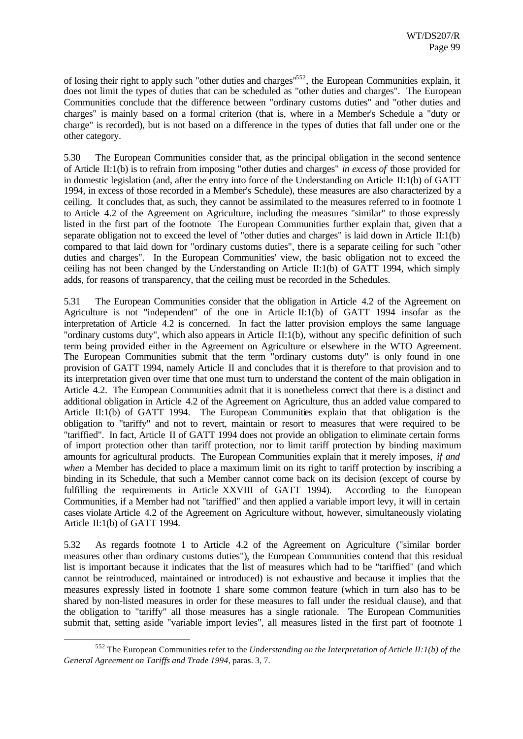of losing their right to apply such "other duties and charges"<sup>552</sup>, the European Communities explain, it does not limit the types of duties that can be scheduled as "other duties and charges". The European Communities conclude that the difference between "ordinary customs duties" and "other duties and charges" is mainly based on a formal criterion (that is, where in a Member's Schedule a "duty or charge" is recorded), but is not based on a difference in the types of duties that fall under one or the other category.

5.30 The European Communities consider that, as the principal obligation in the second sentence of Article II:1(b) is to refrain from imposing "other duties and charges" *in excess of* those provided for in domestic legislation (and, after the entry into force of the Understanding on Article II:1(b) of GATT 1994, in excess of those recorded in a Member's Schedule), these measures are also characterized by a ceiling. It concludes that, as such, they cannot be assimilated to the measures referred to in footnote 1 to Article 4.2 of the Agreement on Agriculture, including the measures "similar" to those expressly listed in the first part of the footnote The European Communities further explain that, given that a separate obligation not to exceed the level of "other duties and charges" is laid down in Article II:1(b) compared to that laid down for "ordinary customs duties", there is a separate ceiling for such "other duties and charges". In the European Communities' view, the basic obligation not to exceed the ceiling has not been changed by the Understanding on Article II:1(b) of GATT 1994, which simply adds, for reasons of transparency, that the ceiling must be recorded in the Schedules.

5.31 The European Communities consider that the obligation in Article 4.2 of the Agreement on Agriculture is not "independent" of the one in Article II:1(b) of GATT 1994 insofar as the interpretation of Article 4.2 is concerned. In fact the latter provision employs the same language "ordinary customs duty", which also appears in Article II:1(b), without any specific definition of such term being provided either in the Agreement on Agriculture or elsewhere in the WTO Agreement. The European Communities submit that the term "ordinary customs duty" is only found in one provision of GATT 1994, namely Article II and concludes that it is therefore to that provision and to its interpretation given over time that one must turn to understand the content of the main obligation in Article 4.2. The European Communities admit that it is nonetheless correct that there is a distinct and additional obligation in Article 4.2 of the Agreement on Agriculture, thus an added value compared to Article II:1(b) of GATT 1994. The European Communities explain that that obligation is the obligation to "tariffy" and not to revert, maintain or resort to measures that were required to be "tariffied". In fact, Article II of GATT 1994 does not provide an obligation to eliminate certain forms of import protection other than tariff protection, nor to limit tariff protection by binding maximum amounts for agricultural products. The European Communities explain that it merely imposes, *if and when* a Member has decided to place a maximum limit on its right to tariff protection by inscribing a binding in its Schedule, that such a Member cannot come back on its decision (except of course by fulfilling the requirements in Article XXVIII of GATT 1994). According to the European Communities, if a Member had not "tariffied" and then applied a variable import levy, it will in certain cases violate Article 4.2 of the Agreement on Agriculture without, however, simultaneously violating Article II:1(b) of GATT 1994.

5.32 As regards footnote 1 to Article 4.2 of the Agreement on Agriculture ("similar border measures other than ordinary customs duties"), the European Communities contend that this residual list is important because it indicates that the list of measures which had to be "tariffied" (and which cannot be reintroduced, maintained or introduced) is not exhaustive and because it implies that the measures expressly listed in footnote 1 share some common feature (which in turn also has to be shared by non-listed measures in order for these measures to fall under the residual clause), and that the obligation to "tariffy" all those measures has a single rationale. The European Communities submit that, setting aside "variable import levies", all measures listed in the first part of footnote 1

<sup>552</sup> The European Communities refer to the *Understanding on the Interpretation of Article II:1(b) of the General Agreement on Tariffs and Trade 1994*, paras. 3, 7.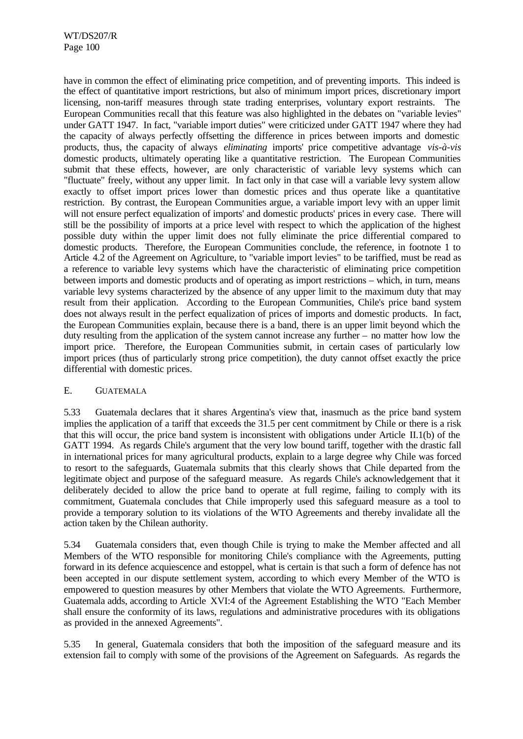have in common the effect of eliminating price competition, and of preventing imports. This indeed is the effect of quantitative import restrictions, but also of minimum import prices, discretionary import licensing, non-tariff measures through state trading enterprises, voluntary export restraints. The European Communities recall that this feature was also highlighted in the debates on "variable levies" under GATT 1947. In fact, "variable import duties" were criticized under GATT 1947 where they had the capacity of always perfectly offsetting the difference in prices between imports and domestic products, thus, the capacity of always *eliminating* imports' price competitive advantage *vis-à-vis* domestic products, ultimately operating like a quantitative restriction. The European Communities submit that these effects, however, are only characteristic of variable levy systems which can "fluctuate" freely, without any upper limit. In fact only in that case will a variable levy system allow exactly to offset import prices lower than domestic prices and thus operate like a quantitative restriction. By contrast, the European Communities argue, a variable import levy with an upper limit will not ensure perfect equalization of imports' and domestic products' prices in every case. There will still be the possibility of imports at a price level with respect to which the application of the highest possible duty within the upper limit does not fully eliminate the price differential compared to domestic products. Therefore, the European Communities conclude, the reference, in footnote 1 to Article 4.2 of the Agreement on Agriculture, to "variable import levies" to be tariffied, must be read as a reference to variable levy systems which have the characteristic of eliminating price competition between imports and domestic products and of operating as import restrictions – which, in turn, means variable levy systems characterized by the absence of any upper limit to the maximum duty that may result from their application. According to the European Communities, Chile's price band system does not always result in the perfect equalization of prices of imports and domestic products. In fact, the European Communities explain, because there is a band, there is an upper limit beyond which the duty resulting from the application of the system cannot increase any further – no matter how low the import price. Therefore, the European Communities submit, in certain cases of particularly low import prices (thus of particularly strong price competition), the duty cannot offset exactly the price differential with domestic prices.

## E. GUATEMALA

5.33 Guatemala declares that it shares Argentina's view that, inasmuch as the price band system implies the application of a tariff that exceeds the 31.5 per cent commitment by Chile or there is a risk that this will occur, the price band system is inconsistent with obligations under Article II.1(b) of the GATT 1994. As regards Chile's argument that the very low bound tariff, together with the drastic fall in international prices for many agricultural products, explain to a large degree why Chile was forced to resort to the safeguards, Guatemala submits that this clearly shows that Chile departed from the legitimate object and purpose of the safeguard measure. As regards Chile's acknowledgement that it deliberately decided to allow the price band to operate at full regime, failing to comply with its commitment, Guatemala concludes that Chile improperly used this safeguard measure as a tool to provide a temporary solution to its violations of the WTO Agreements and thereby invalidate all the action taken by the Chilean authority.

5.34 Guatemala considers that, even though Chile is trying to make the Member affected and all Members of the WTO responsible for monitoring Chile's compliance with the Agreements, putting forward in its defence acquiescence and estoppel, what is certain is that such a form of defence has not been accepted in our dispute settlement system, according to which every Member of the WTO is empowered to question measures by other Members that violate the WTO Agreements. Furthermore, Guatemala adds, according to Article XVI:4 of the Agreement Establishing the WTO "Each Member shall ensure the conformity of its laws, regulations and administrative procedures with its obligations as provided in the annexed Agreements".

5.35 In general, Guatemala considers that both the imposition of the safeguard measure and its extension fail to comply with some of the provisions of the Agreement on Safeguards. As regards the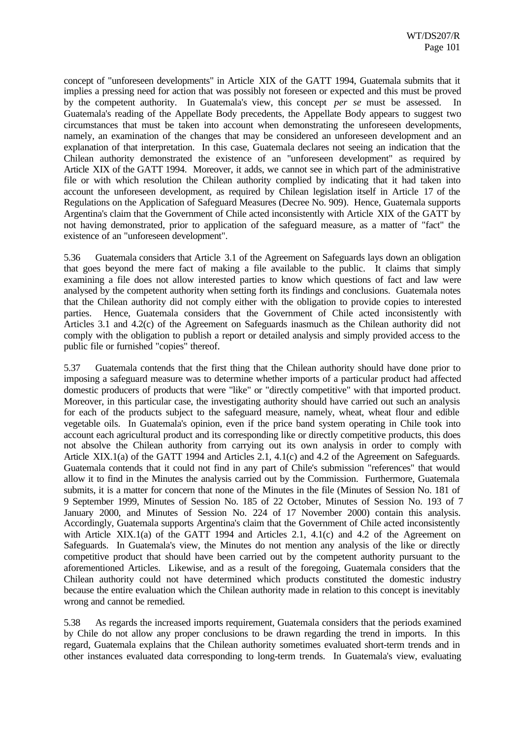concept of "unforeseen developments" in Article XIX of the GATT 1994, Guatemala submits that it implies a pressing need for action that was possibly not foreseen or expected and this must be proved by the competent authority. In Guatemala's view, this concept *per se* must be assessed. In Guatemala's reading of the Appellate Body precedents, the Appellate Body appears to suggest two circumstances that must be taken into account when demonstrating the unforeseen developments, namely, an examination of the changes that may be considered an unforeseen development and an explanation of that interpretation. In this case, Guatemala declares not seeing an indication that the Chilean authority demonstrated the existence of an "unforeseen development" as required by Article XIX of the GATT 1994. Moreover, it adds, we cannot see in which part of the administrative file or with which resolution the Chilean authority complied by indicating that it had taken into account the unforeseen development, as required by Chilean legislation itself in Article 17 of the Regulations on the Application of Safeguard Measures (Decree No. 909). Hence, Guatemala supports Argentina's claim that the Government of Chile acted inconsistently with Article XIX of the GATT by not having demonstrated, prior to application of the safeguard measure, as a matter of "fact" the existence of an "unforeseen development".

5.36 Guatemala considers that Article 3.1 of the Agreement on Safeguards lays down an obligation that goes beyond the mere fact of making a file available to the public. It claims that simply examining a file does not allow interested parties to know which questions of fact and law were analysed by the competent authority when setting forth its findings and conclusions. Guatemala notes that the Chilean authority did not comply either with the obligation to provide copies to interested parties. Hence, Guatemala considers that the Government of Chile acted inconsistently with Articles 3.1 and 4.2(c) of the Agreement on Safeguards inasmuch as the Chilean authority did not comply with the obligation to publish a report or detailed analysis and simply provided access to the public file or furnished "copies" thereof.

5.37 Guatemala contends that the first thing that the Chilean authority should have done prior to imposing a safeguard measure was to determine whether imports of a particular product had affected domestic producers of products that were "like" or "directly competitive" with that imported product. Moreover, in this particular case, the investigating authority should have carried out such an analysis for each of the products subject to the safeguard measure, namely, wheat, wheat flour and edible vegetable oils. In Guatemala's opinion, even if the price band system operating in Chile took into account each agricultural product and its corresponding like or directly competitive products, this does not absolve the Chilean authority from carrying out its own analysis in order to comply with Article XIX.1(a) of the GATT 1994 and Articles 2.1, 4.1(c) and 4.2 of the Agreement on Safeguards. Guatemala contends that it could not find in any part of Chile's submission "references" that would allow it to find in the Minutes the analysis carried out by the Commission. Furthermore, Guatemala submits, it is a matter for concern that none of the Minutes in the file (Minutes of Session No. 181 of 9 September 1999, Minutes of Session No. 185 of 22 October, Minutes of Session No. 193 of 7 January 2000, and Minutes of Session No. 224 of 17 November 2000) contain this analysis. Accordingly, Guatemala supports Argentina's claim that the Government of Chile acted inconsistently with Article XIX.1(a) of the GATT 1994 and Articles 2.1, 4.1(c) and 4.2 of the Agreement on Safeguards. In Guatemala's view, the Minutes do not mention any analysis of the like or directly competitive product that should have been carried out by the competent authority pursuant to the aforementioned Articles. Likewise, and as a result of the foregoing, Guatemala considers that the Chilean authority could not have determined which products constituted the domestic industry because the entire evaluation which the Chilean authority made in relation to this concept is inevitably wrong and cannot be remedied.

5.38 As regards the increased imports requirement, Guatemala considers that the periods examined by Chile do not allow any proper conclusions to be drawn regarding the trend in imports. In this regard, Guatemala explains that the Chilean authority sometimes evaluated short-term trends and in other instances evaluated data corresponding to long-term trends. In Guatemala's view, evaluating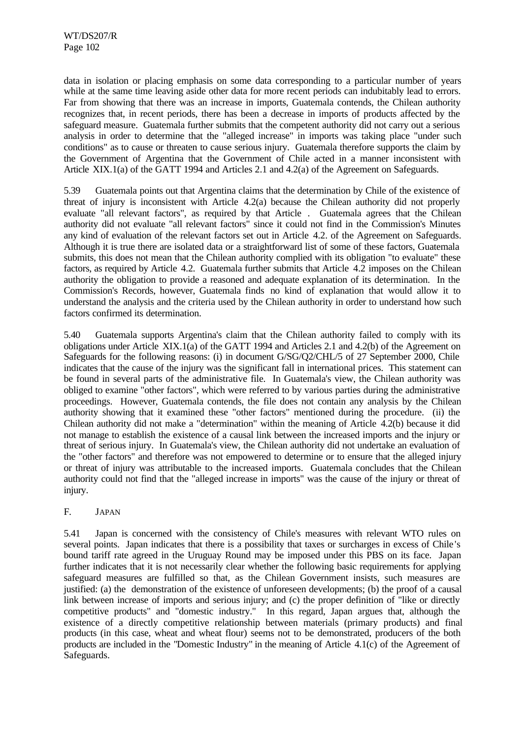data in isolation or placing emphasis on some data corresponding to a particular number of years while at the same time leaving aside other data for more recent periods can indubitably lead to errors. Far from showing that there was an increase in imports, Guatemala contends, the Chilean authority recognizes that, in recent periods, there has been a decrease in imports of products affected by the safeguard measure. Guatemala further submits that the competent authority did not carry out a serious analysis in order to determine that the "alleged increase" in imports was taking place "under such conditions" as to cause or threaten to cause serious injury. Guatemala therefore supports the claim by the Government of Argentina that the Government of Chile acted in a manner inconsistent with Article XIX.1(a) of the GATT 1994 and Articles 2.1 and 4.2(a) of the Agreement on Safeguards.

5.39 Guatemala points out that Argentina claims that the determination by Chile of the existence of threat of injury is inconsistent with Article 4.2(a) because the Chilean authority did not properly evaluate "all relevant factors", as required by that Article . Guatemala agrees that the Chilean authority did not evaluate "all relevant factors" since it could not find in the Commission's Minutes any kind of evaluation of the relevant factors set out in Article 4.2. of the Agreement on Safeguards. Although it is true there are isolated data or a straightforward list of some of these factors, Guatemala submits, this does not mean that the Chilean authority complied with its obligation "to evaluate" these factors, as required by Article 4.2. Guatemala further submits that Article 4.2 imposes on the Chilean authority the obligation to provide a reasoned and adequate explanation of its determination. In the Commission's Records, however, Guatemala finds no kind of explanation that would allow it to understand the analysis and the criteria used by the Chilean authority in order to understand how such factors confirmed its determination.

5.40 Guatemala supports Argentina's claim that the Chilean authority failed to comply with its obligations under Article XIX.1(a) of the GATT 1994 and Articles 2.1 and 4.2(b) of the Agreement on Safeguards for the following reasons: (i) in document G/SG/Q2/CHL/5 of 27 September 2000, Chile indicates that the cause of the injury was the significant fall in international prices. This statement can be found in several parts of the administrative file. In Guatemala's view, the Chilean authority was obliged to examine "other factors", which were referred to by various parties during the administrative proceedings. However, Guatemala contends, the file does not contain any analysis by the Chilean authority showing that it examined these "other factors" mentioned during the procedure. (ii) the Chilean authority did not make a "determination" within the meaning of Article 4.2(b) because it did not manage to establish the existence of a causal link between the increased imports and the injury or threat of serious injury. In Guatemala's view, the Chilean authority did not undertake an evaluation of the "other factors" and therefore was not empowered to determine or to ensure that the alleged injury or threat of injury was attributable to the increased imports. Guatemala concludes that the Chilean authority could not find that the "alleged increase in imports" was the cause of the injury or threat of injury.

# F. JAPAN

5.41 Japan is concerned with the consistency of Chile's measures with relevant WTO rules on several points. Japan indicates that there is a possibility that taxes or surcharges in excess of Chile 's bound tariff rate agreed in the Uruguay Round may be imposed under this PBS on its face. Japan further indicates that it is not necessarily clear whether the following basic requirements for applying safeguard measures are fulfilled so that, as the Chilean Government insists, such measures are justified: (a) the demonstration of the existence of unforeseen developments; (b) the proof of a causal link between increase of imports and serious injury; and (c) the proper definition of "like or directly competitive products" and "domestic industry." In this regard, Japan argues that, although the existence of a directly competitive relationship between materials (primary products) and final products (in this case, wheat and wheat flour) seems not to be demonstrated, producers of the both products are included in the "Domestic Industry" in the meaning of Article 4.1(c) of the Agreement of Safeguards.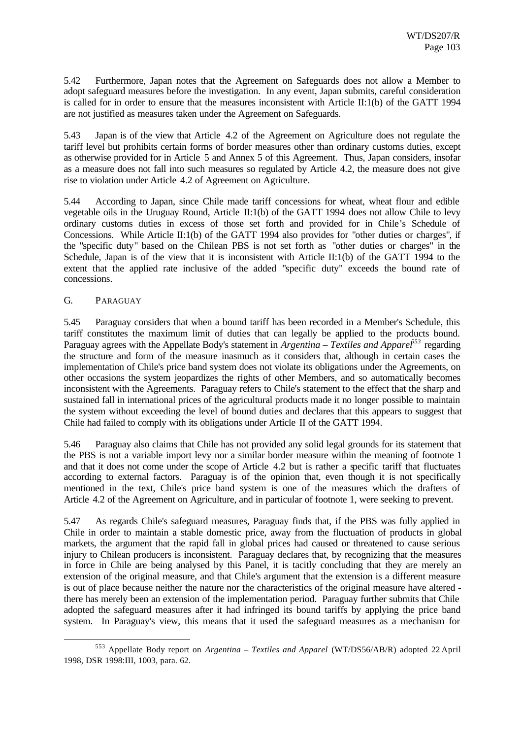5.42 Furthermore, Japan notes that the Agreement on Safeguards does not allow a Member to adopt safeguard measures before the investigation. In any event, Japan submits, careful consideration is called for in order to ensure that the measures inconsistent with Article II:1(b) of the GATT 1994 are not justified as measures taken under the Agreement on Safeguards.

5.43 Japan is of the view that Article 4.2 of the Agreement on Agriculture does not regulate the tariff level but prohibits certain forms of border measures other than ordinary customs duties, except as otherwise provided for in Article 5 and Annex 5 of this Agreement. Thus, Japan considers, insofar as a measure does not fall into such measures so regulated by Article 4.2, the measure does not give rise to violation under Article 4.2 of Agreement on Agriculture.

5.44 According to Japan, since Chile made tariff concessions for wheat, wheat flour and edible vegetable oils in the Uruguay Round, Article II:1(b) of the GATT 1994 does not allow Chile to levy ordinary customs duties in excess of those set forth and provided for in Chile 's Schedule of Concessions. While Article II:1(b) of the GATT 1994 also provides for "other duties or charges", if the "specific duty" based on the Chilean PBS is not set forth as "other duties or charges" in the Schedule, Japan is of the view that it is inconsistent with Article II:1(b) of the GATT 1994 to the extent that the applied rate inclusive of the added "specific duty" exceeds the bound rate of concessions.

## G. PARAGUAY

l

5.45 Paraguay considers that when a bound tariff has been recorded in a Member's Schedule, this tariff constitutes the maximum limit of duties that can legally be applied to the products bound. Paraguay agrees with the Appellate Body's statement in *Argentina – Textiles and Apparel<sup>553</sup>* regarding the structure and form of the measure inasmuch as it considers that, although in certain cases the implementation of Chile's price band system does not violate its obligations under the Agreements, on other occasions the system jeopardizes the rights of other Members, and so automatically becomes inconsistent with the Agreements. Paraguay refers to Chile's statement to the effect that the sharp and sustained fall in international prices of the agricultural products made it no longer possible to maintain the system without exceeding the level of bound duties and declares that this appears to suggest that Chile had failed to comply with its obligations under Article II of the GATT 1994.

5.46 Paraguay also claims that Chile has not provided any solid legal grounds for its statement that the PBS is not a variable import levy nor a similar border measure within the meaning of footnote 1 and that it does not come under the scope of Article 4.2 but is rather a specific tariff that fluctuates according to external factors. Paraguay is of the opinion that, even though it is not specifically mentioned in the text, Chile's price band system is one of the measures which the drafters of Article 4.2 of the Agreement on Agriculture, and in particular of footnote 1, were seeking to prevent.

5.47 As regards Chile's safeguard measures, Paraguay finds that, if the PBS was fully applied in Chile in order to maintain a stable domestic price, away from the fluctuation of products in global markets, the argument that the rapid fall in global prices had caused or threatened to cause serious injury to Chilean producers is inconsistent. Paraguay declares that, by recognizing that the measures in force in Chile are being analysed by this Panel, it is tacitly concluding that they are merely an extension of the original measure, and that Chile's argument that the extension is a different measure is out of place because neither the nature nor the characteristics of the original measure have altered there has merely been an extension of the implementation period. Paraguay further submits that Chile adopted the safeguard measures after it had infringed its bound tariffs by applying the price band system. In Paraguay's view, this means that it used the safeguard measures as a mechanism for

<sup>553</sup> Appellate Body report on *Argentina – Textiles and Apparel* (WT/DS56/AB/R) adopted 22 April 1998, DSR 1998:III, 1003, para. 62.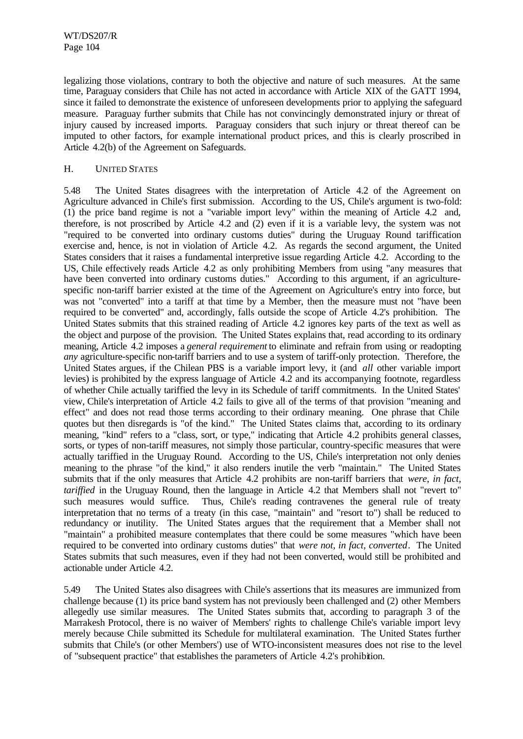legalizing those violations, contrary to both the objective and nature of such measures. At the same time, Paraguay considers that Chile has not acted in accordance with Article XIX of the GATT 1994, since it failed to demonstrate the existence of unforeseen developments prior to applying the safeguard measure. Paraguay further submits that Chile has not convincingly demonstrated injury or threat of injury caused by increased imports. Paraguay considers that such injury or threat thereof can be imputed to other factors, for example international product prices, and this is clearly proscribed in Article 4.2(b) of the Agreement on Safeguards.

#### H. UNITED STATES

5.48 The United States disagrees with the interpretation of Article 4.2 of the Agreement on Agriculture advanced in Chile's first submission. According to the US, Chile's argument is two-fold: (1) the price band regime is not a "variable import levy" within the meaning of Article 4.2 and, therefore, is not proscribed by Article 4.2 and (2) even if it is a variable levy, the system was not "required to be converted into ordinary customs duties" during the Uruguay Round tariffication exercise and, hence, is not in violation of Article 4.2. As regards the second argument, the United States considers that it raises a fundamental interpretive issue regarding Article 4.2. According to the US, Chile effectively reads Article 4.2 as only prohibiting Members from using "any measures that have been converted into ordinary customs duties." According to this argument, if an agriculturespecific non-tariff barrier existed at the time of the Agreement on Agriculture's entry into force, but was not "converted" into a tariff at that time by a Member, then the measure must not "have been required to be converted" and, accordingly, falls outside the scope of Article 4.2's prohibition. The United States submits that this strained reading of Article 4.2 ignores key parts of the text as well as the object and purpose of the provision. The United States explains that, read according to its ordinary meaning, Article 4.2 imposes a *general requirement* to eliminate and refrain from using or readopting *any* agriculture-specific non-tariff barriers and to use a system of tariff-only protection. Therefore, the United States argues, if the Chilean PBS is a variable import levy, it (and *all* other variable import levies) is prohibited by the express language of Article 4.2 and its accompanying footnote, regardless of whether Chile actually tariffied the levy in its Schedule of tariff commitments. In the United States' view, Chile's interpretation of Article 4.2 fails to give all of the terms of that provision "meaning and effect" and does not read those terms according to their ordinary meaning. One phrase that Chile quotes but then disregards is "of the kind." The United States claims that, according to its ordinary meaning, "kind" refers to a "class, sort, or type," indicating that Article 4.2 prohibits general classes, sorts, or types of non-tariff measures, not simply those particular, country-specific measures that were actually tariffied in the Uruguay Round. According to the US, Chile's interpretation not only denies meaning to the phrase "of the kind," it also renders inutile the verb "maintain." The United States submits that if the only measures that Article 4.2 prohibits are non-tariff barriers that *were, in fact, tariffied* in the Uruguay Round, then the language in Article 4.2 that Members shall not "revert to" such measures would suffice. Thus, Chile's reading contravenes the general rule of treaty interpretation that no terms of a treaty (in this case, "maintain" and "resort to") shall be reduced to redundancy or inutility. The United States argues that the requirement that a Member shall not "maintain" a prohibited measure contemplates that there could be some measures "which have been required to be converted into ordinary customs duties" that *were not, in fact, converted*. The United States submits that such measures, even if they had not been converted, would still be prohibited and actionable under Article 4.2.

5.49 The United States also disagrees with Chile's assertions that its measures are immunized from challenge because (1) its price band system has not previously been challenged and (2) other Members allegedly use similar measures. The United States submits that, according to paragraph 3 of the Marrakesh Protocol, there is no waiver of Members' rights to challenge Chile's variable import levy merely because Chile submitted its Schedule for multilateral examination. The United States further submits that Chile's (or other Members') use of WTO-inconsistent measures does not rise to the level of "subsequent practice" that establishes the parameters of Article 4.2's prohibition.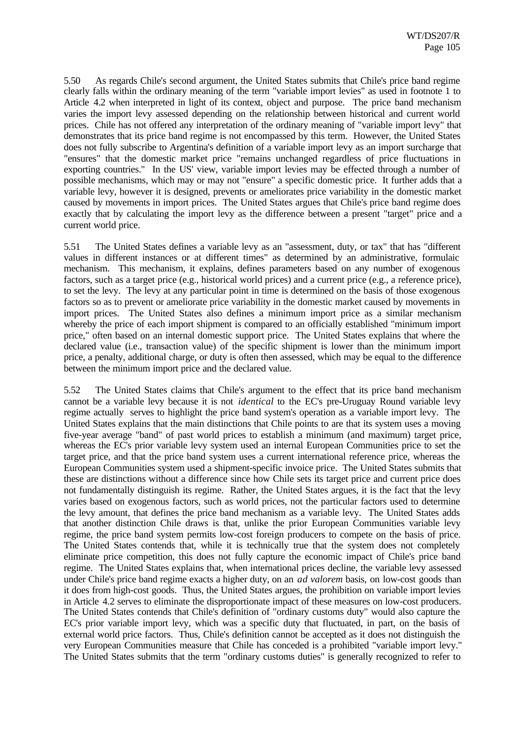5.50 As regards Chile's second argument, the United States submits that Chile's price band regime clearly falls within the ordinary meaning of the term "variable import levies" as used in footnote 1 to Article 4.2 when interpreted in light of its context, object and purpose. The price band mechanism varies the import levy assessed depending on the relationship between historical and current world prices. Chile has not offered any interpretation of the ordinary meaning of "variable import levy" that demonstrates that its price band regime is not encompassed by this term. However, the United States does not fully subscribe to Argentina's definition of a variable import levy as an import surcharge that "ensures" that the domestic market price "remains unchanged regardless of price fluctuations in exporting countries." In the US' view, variable import levies may be effected through a number of possible mechanisms, which may or may not "ensure" a specific domestic price. It further adds that a variable levy, however it is designed, prevents or ameliorates price variability in the domestic market caused by movements in import prices. The United States argues that Chile's price band regime does exactly that by calculating the import levy as the difference between a present "target" price and a current world price.

5.51 The United States defines a variable levy as an "assessment, duty, or tax" that has "different values in different instances or at different times" as determined by an administrative, formulaic mechanism. This mechanism, it explains, defines parameters based on any number of exogenous factors, such as a target price (e.g., historical world prices) and a current price (e.g., a reference price), to set the levy. The levy at any particular point in time is determined on the basis of those exogenous factors so as to prevent or ameliorate price variability in the domestic market caused by movements in import prices. The United States also defines a minimum import price as a similar mechanism whereby the price of each import shipment is compared to an officially established "minimum import" price," often based on an internal domestic support price. The United States explains that where the declared value (i.e., transaction value) of the specific shipment is lower than the minimum import price, a penalty, additional charge, or duty is often then assessed, which may be equal to the difference between the minimum import price and the declared value.

5.52 The United States claims that Chile's argument to the effect that its price band mechanism cannot be a variable levy because it is not *identical* to the EC's pre-Uruguay Round variable levy regime actually serves to highlight the price band system's operation as a variable import levy. The United States explains that the main distinctions that Chile points to are that its system uses a moving five-year average "band" of past world prices to establish a minimum (and maximum) target price, whereas the EC's prior variable levy system used an internal European Communities price to set the target price, and that the price band system uses a current international reference price, whereas the European Communities system used a shipment-specific invoice price. The United States submits that these are distinctions without a difference since how Chile sets its target price and current price does not fundamentally distinguish its regime. Rather, the United States argues, it is the fact that the levy varies based on exogenous factors, such as world prices, not the particular factors used to determine the levy amount, that defines the price band mechanism as a variable levy. The United States adds that another distinction Chile draws is that, unlike the prior European Communities variable levy regime, the price band system permits low-cost foreign producers to compete on the basis of price. The United States contends that, while it is technically true that the system does not completely eliminate price competition, this does not fully capture the economic impact of Chile's price band regime. The United States explains that, when international prices decline, the variable levy assessed under Chile's price band regime exacts a higher duty, on an *ad valorem* basis, on low-cost goods than it does from high-cost goods. Thus, the United States argues, the prohibition on variable import levies in Article 4.2 serves to eliminate the disproportionate impact of these measures on low-cost producers. The United States contends that Chile's definition of "ordinary customs duty" would also capture the EC's prior variable import levy, which was a specific duty that fluctuated, in part, on the basis of external world price factors. Thus, Chile's definition cannot be accepted as it does not distinguish the very European Communities measure that Chile has conceded is a prohibited "variable import levy." The United States submits that the term "ordinary customs duties" is generally recognized to refer to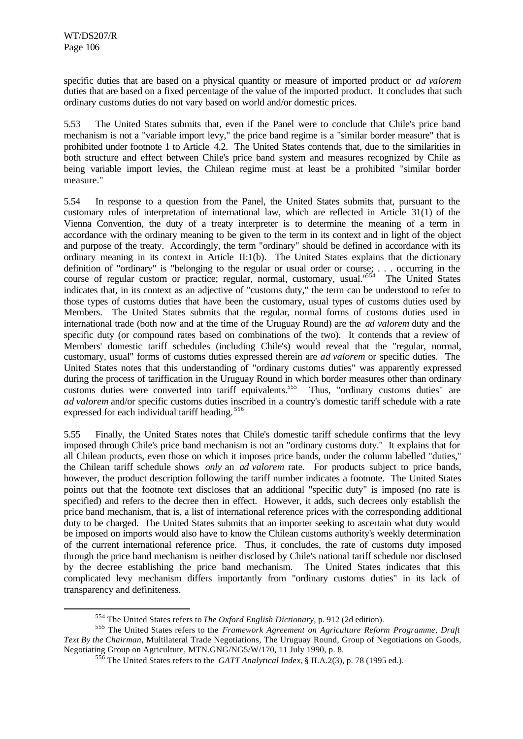l

specific duties that are based on a physical quantity or measure of imported product or *ad valorem* duties that are based on a fixed percentage of the value of the imported product. It concludes that such ordinary customs duties do not vary based on world and/or domestic prices.

5.53 The United States submits that, even if the Panel were to conclude that Chile's price band mechanism is not a "variable import levy," the price band regime is a "similar border measure" that is prohibited under footnote 1 to Article 4.2. The United States contends that, due to the similarities in both structure and effect between Chile's price band system and measures recognized by Chile as being variable import levies, the Chilean regime must at least be a prohibited "similar border measure."

5.54 In response to a question from the Panel, the United States submits that, pursuant to the customary rules of interpretation of international law, which are reflected in Article 31(1) of the Vienna Convention, the duty of a treaty interpreter is to determine the meaning of a term in accordance with the ordinary meaning to be given to the term in its context and in light of the object and purpose of the treaty. Accordingly, the term "ordinary" should be defined in accordance with its ordinary meaning in its context in Article II:1(b). The United States explains that the dictionary definition of "ordinary" is "belonging to the regular or usual order or course; . . . occurring in the course of regular custom or practice; regular, normal, customary, usual."<sup>554</sup> The United States indicates that, in its context as an adjective of "customs duty," the term can be understood to refer to those types of customs duties that have been the customary, usual types of customs duties used by Members. The United States submits that the regular, normal forms of customs duties used in international trade (both now and at the time of the Uruguay Round) are the *ad valorem* duty and the specific duty (or compound rates based on combinations of the two). It contends that a review of Members' domestic tariff schedules (including Chile's) would reveal that the "regular, normal, customary, usual" forms of customs duties expressed therein are *ad valorem* or specific duties. The United States notes that this understanding of "ordinary customs duties" was apparently expressed during the process of tariffication in the Uruguay Round in which border measures other than ordinary customs duties were converted into tariff equivalents.<sup>555</sup> Thus, "ordinary customs duties" are *ad valorem* and/or specific customs duties inscribed in a country's domestic tariff schedule with a rate expressed for each individual tariff heading.<sup>556</sup>

5.55 Finally, the United States notes that Chile's domestic tariff schedule confirms that the levy imposed through Chile's price band mechanism is not an "ordinary customs duty." It explains that for all Chilean products, even those on which it imposes price bands, under the column labelled "duties," the Chilean tariff schedule shows *only* an *ad valorem* rate. For products subject to price bands, however, the product description following the tariff number indicates a footnote. The United States points out that the footnote text discloses that an additional "specific duty" is imposed (no rate is specified) and refers to the decree then in effect. However, it adds, such decrees only establish the price band mechanism, that is, a list of international reference prices with the corresponding additional duty to be charged. The United States submits that an importer seeking to ascertain what duty would be imposed on imports would also have to know the Chilean customs authority's weekly determination of the current international reference price. Thus, it concludes, the rate of customs duty imposed through the price band mechanism is neither disclosed by Chile's national tariff schedule nor disclosed by the decree establishing the price band mechanism. The United States indicates that this complicated levy mechanism differs importantly from "ordinary customs duties" in its lack of transparency and definiteness.

<sup>554</sup> The United States refers to *The Oxford English Dictionary*, p. 912 (2d edition).

<sup>555</sup> The United States refers to the *Framework Agreement on Agriculture Reform Programme, Draft Text By the Chairman*, Multilateral Trade Negotiations, The Uruguay Round, Group of Negotiations on Goods, Negotiating Group on Agriculture, MTN.GNG/NG5/W/170, 11 July 1990, p. 8.

<sup>556</sup> The United States refers to the *GATT Analytical Index*, § II.A.2(3), p. 78 (1995 ed.).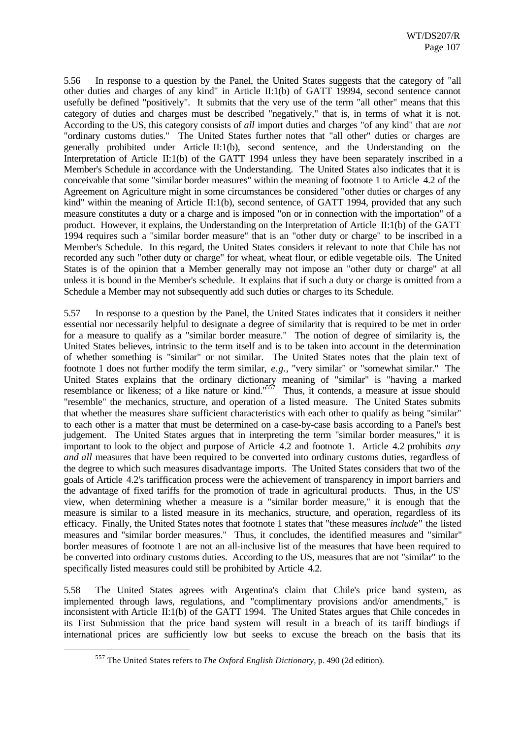5.56 In response to a question by the Panel, the United States suggests that the category of "all other duties and charges of any kind" in Article II:1(b) of GATT 19994, second sentence cannot usefully be defined "positively". It submits that the very use of the term "all other" means that this category of duties and charges must be described "negatively," that is, in terms of what it is not. According to the US, this category consists of *all* import duties and charges "of any kind" that are *not* "ordinary customs duties." The United States further notes that "all other" duties or charges are generally prohibited under Article II:1(b), second sentence, and the Understanding on the Interpretation of Article II:1(b) of the GATT 1994 unless they have been separately inscribed in a Member's Schedule in accordance with the Understanding. The United States also indicates that it is conceivable that some "similar border measures" within the meaning of footnote 1 to Article 4.2 of the Agreement on Agriculture might in some circumstances be considered "other duties or charges of any kind" within the meaning of Article II:1(b), second sentence, of GATT 1994, provided that any such measure constitutes a duty or a charge and is imposed "on or in connection with the importation" of a product. However, it explains, the Understanding on the Interpretation of Article II:1(b) of the GATT 1994 requires such a "similar border measure" that is an "other duty or charge" to be inscribed in a Member's Schedule. In this regard, the United States considers it relevant to note that Chile has not recorded any such "other duty or charge" for wheat, wheat flour, or edible vegetable oils. The United States is of the opinion that a Member generally may not impose an "other duty or charge" at all unless it is bound in the Member's schedule. It explains that if such a duty or charge is omitted from a Schedule a Member may not subsequently add such duties or charges to its Schedule.

5.57 In response to a question by the Panel, the United States indicates that it considers it neither essential nor necessarily helpful to designate a degree of similarity that is required to be met in order for a measure to qualify as a "similar border measure." The notion of degree of similarity is, the United States believes, intrinsic to the term itself and is to be taken into account in the determination of whether something is "similar" or not similar. The United States notes that the plain text of footnote 1 does not further modify the term similar, *e.g.*, "very similar" or "somewhat similar." The United States explains that the ordinary dictionary meaning of "similar" is "having a marked resemblance or likeness; of a like nature or kind."<sup>557</sup> Thus, it contends, a measure at issue should "resemble" the mechanics, structure, and operation of a listed measure. The United States submits that whether the measures share sufficient characteristics with each other to qualify as being "similar" to each other is a matter that must be determined on a case-by-case basis according to a Panel's best judgement. The United States argues that in interpreting the term "similar border measures," it is important to look to the object and purpose of Article 4.2 and footnote 1. Article 4.2 prohibits *any and all* measures that have been required to be converted into ordinary customs duties, regardless of the degree to which such measures disadvantage imports. The United States considers that two of the goals of Article 4.2's tariffication process were the achievement of transparency in import barriers and the advantage of fixed tariffs for the promotion of trade in agricultural products. Thus, in the US' view, when determining whether a measure is a "similar border measure," it is enough that the measure is similar to a listed measure in its mechanics, structure, and operation, regardless of its efficacy. Finally, the United States notes that footnote 1 states that "these measures *include*" the listed measures and "similar border measures." Thus, it concludes, the identified measures and "similar" border measures of footnote 1 are not an all-inclusive list of the measures that have been required to be converted into ordinary customs duties. According to the US, measures that are not "similar" to the specifically listed measures could still be prohibited by Article 4.2.

5.58 The United States agrees with Argentina's claim that Chile's price band system, as implemented through laws, regulations, and "complimentary provisions and/or amendments," is inconsistent with Article II:1(b) of the GATT 1994. The United States argues that Chile concedes in its First Submission that the price band system will result in a breach of its tariff bindings if international prices are sufficiently low but seeks to excuse the breach on the basis that its

<sup>557</sup> The United States refers to *The Oxford English Dictionary*, p. 490 (2d edition).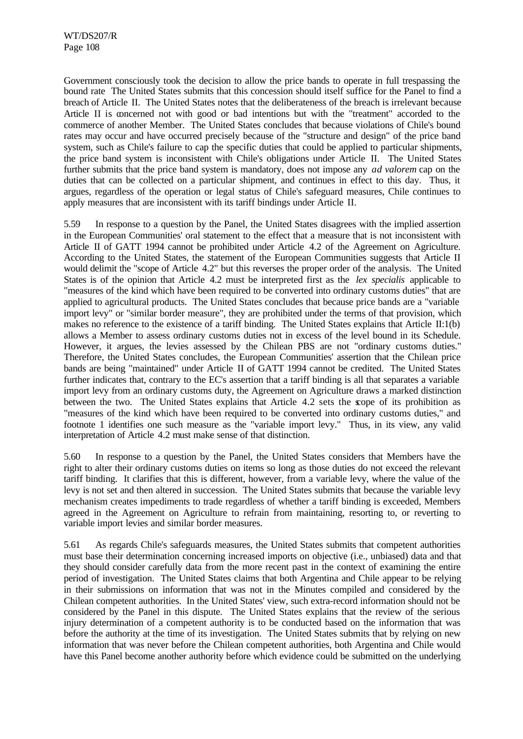Government consciously took the decision to allow the price bands to operate in full trespassing the bound rate The United States submits that this concession should itself suffice for the Panel to find a breach of Article II. The United States notes that the deliberateness of the breach is irrelevant because Article II is concerned not with good or bad intentions but with the "treatment" accorded to the commerce of another Member. The United States concludes that because violations of Chile's bound rates may occur and have occurred precisely because of the "structure and design" of the price band system, such as Chile's failure to cap the specific duties that could be applied to particular shipments, the price band system is inconsistent with Chile's obligations under Article II. The United States further submits that the price band system is mandatory, does not impose any *ad valorem* cap on the duties that can be collected on a particular shipment, and continues in effect to this day. Thus, it argues, regardless of the operation or legal status of Chile's safeguard measures, Chile continues to apply measures that are inconsistent with its tariff bindings under Article II.

5.59 In response to a question by the Panel, the United States disagrees with the implied assertion in the European Communities' oral statement to the effect that a measure that is not inconsistent with Article II of GATT 1994 cannot be prohibited under Article 4.2 of the Agreement on Agriculture. According to the United States, the statement of the European Communities suggests that Article II would delimit the "scope of Article 4.2" but this reverses the proper order of the analysis. The United States is of the opinion that Article 4.2 must be interpreted first as the *lex specialis* applicable to "measures of the kind which have been required to be converted into ordinary customs duties" that are applied to agricultural products. The United States concludes that because price bands are a "variable import levy" or "similar border measure", they are prohibited under the terms of that provision, which makes no reference to the existence of a tariff binding. The United States explains that Article II:1(b) allows a Member to assess ordinary customs duties not in excess of the level bound in its Schedule. However, it argues, the levies assessed by the Chilean PBS are not "ordinary customs duties." Therefore, the United States concludes, the European Communities' assertion that the Chilean price bands are being "maintained" under Article II of GATT 1994 cannot be credited. The United States further indicates that, contrary to the EC's assertion that a tariff binding is all that separates a variable import levy from an ordinary customs duty, the Agreement on Agriculture draws a marked distinction between the two. The United States explains that Article 4.2 sets the scope of its prohibition as "measures of the kind which have been required to be converted into ordinary customs duties," and footnote 1 identifies one such measure as the "variable import levy." Thus, in its view, any valid interpretation of Article 4.2 must make sense of that distinction.

5.60 In response to a question by the Panel, the United States considers that Members have the right to alter their ordinary customs duties on items so long as those duties do not exceed the relevant tariff binding. It clarifies that this is different, however, from a variable levy, where the value of the levy is not set and then altered in succession. The United States submits that because the variable levy mechanism creates impediments to trade regardless of whether a tariff binding is exceeded, Members agreed in the Agreement on Agriculture to refrain from maintaining, resorting to, or reverting to variable import levies and similar border measures.

5.61 As regards Chile's safeguards measures, the United States submits that competent authorities must base their determination concerning increased imports on objective (i.e., unbiased) data and that they should consider carefully data from the more recent past in the context of examining the entire period of investigation. The United States claims that both Argentina and Chile appear to be relying in their submissions on information that was not in the Minutes compiled and considered by the Chilean competent authorities. In the United States' view, such extra-record information should not be considered by the Panel in this dispute. The United States explains that the review of the serious injury determination of a competent authority is to be conducted based on the information that was before the authority at the time of its investigation. The United States submits that by relying on new information that was never before the Chilean competent authorities, both Argentina and Chile would have this Panel become another authority before which evidence could be submitted on the underlying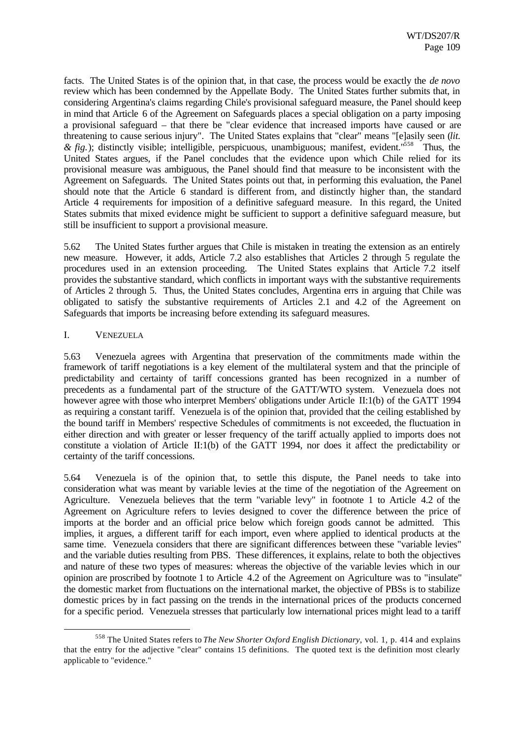facts. The United States is of the opinion that, in that case, the process would be exactly the *de novo* review which has been condemned by the Appellate Body. The United States further submits that, in considering Argentina's claims regarding Chile's provisional safeguard measure, the Panel should keep in mind that Article 6 of the Agreement on Safeguards places a special obligation on a party imposing a provisional safeguard – that there be "clear evidence that increased imports have caused or are threatening to cause serious injury". The United States explains that "clear" means "[e]asily seen (*lit. & fig.*); distinctly visible; intelligible, perspicuous, unambiguous; manifest, evident."<sup>558</sup> Thus, the United States argues, if the Panel concludes that the evidence upon which Chile relied for its provisional measure was ambiguous, the Panel should find that measure to be inconsistent with the Agreement on Safeguards. The United States points out that, in performing this evaluation, the Panel should note that the Article 6 standard is different from, and distinctly higher than, the standard Article 4 requirements for imposition of a definitive safeguard measure. In this regard, the United States submits that mixed evidence might be sufficient to support a definitive safeguard measure, but still be insufficient to support a provisional measure.

5.62 The United States further argues that Chile is mistaken in treating the extension as an entirely new measure. However, it adds, Article 7.2 also establishes that Articles 2 through 5 regulate the procedures used in an extension proceeding. The United States explains that Article 7.2 itself provides the substantive standard, which conflicts in important ways with the substantive requirements of Articles 2 through 5. Thus, the United States concludes, Argentina errs in arguing that Chile was obligated to satisfy the substantive requirements of Articles 2.1 and 4.2 of the Agreement on Safeguards that imports be increasing before extending its safeguard measures.

#### I. VENEZUELA

l

5.63 Venezuela agrees with Argentina that preservation of the commitments made within the framework of tariff negotiations is a key element of the multilateral system and that the principle of predictability and certainty of tariff concessions granted has been recognized in a number of precedents as a fundamental part of the structure of the GATT/WTO system. Venezuela does not however agree with those who interpret Members' obligations under Article II:1(b) of the GATT 1994 as requiring a constant tariff. Venezuela is of the opinion that, provided that the ceiling established by the bound tariff in Members' respective Schedules of commitments is not exceeded, the fluctuation in either direction and with greater or lesser frequency of the tariff actually applied to imports does not constitute a violation of Article II:1(b) of the GATT 1994, nor does it affect the predictability or certainty of the tariff concessions.

5.64 Venezuela is of the opinion that, to settle this dispute, the Panel needs to take into consideration what was meant by variable levies at the time of the negotiation of the Agreement on Agriculture. Venezuela believes that the term "variable levy" in footnote 1 to Article 4.2 of the Agreement on Agriculture refers to levies designed to cover the difference between the price of imports at the border and an official price below which foreign goods cannot be admitted. This implies, it argues, a different tariff for each import, even where applied to identical products at the same time. Venezuela considers that there are significant differences between these "variable levies" and the variable duties resulting from PBS. These differences, it explains, relate to both the objectives and nature of these two types of measures: whereas the objective of the variable levies which in our opinion are proscribed by footnote 1 to Article 4.2 of the Agreement on Agriculture was to "insulate" the domestic market from fluctuations on the international market, the objective of PBSs is to stabilize domestic prices by in fact passing on the trends in the international prices of the products concerned for a specific period. Venezuela stresses that particularly low international prices might lead to a tariff

<sup>558</sup> The United States refers to *The New Shorter Oxford English Dictionary*, vol. 1, p. 414 and explains that the entry for the adjective "clear" contains 15 definitions. The quoted text is the definition most clearly applicable to "evidence."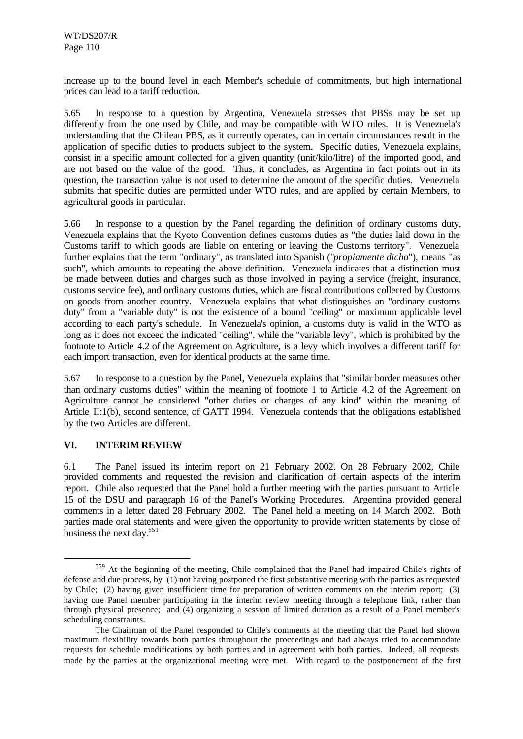increase up to the bound level in each Member's schedule of commitments, but high international prices can lead to a tariff reduction.

5.65 In response to a question by Argentina, Venezuela stresses that PBSs may be set up differently from the one used by Chile, and may be compatible with WTO rules. It is Venezuela's understanding that the Chilean PBS, as it currently operates, can in certain circumstances result in the application of specific duties to products subject to the system. Specific duties, Venezuela explains, consist in a specific amount collected for a given quantity (unit/kilo/litre) of the imported good, and are not based on the value of the good. Thus, it concludes, as Argentina in fact points out in its question, the transaction value is not used to determine the amount of the specific duties. Venezuela submits that specific duties are permitted under WTO rules, and are applied by certain Members, to agricultural goods in particular.

5.66 In response to a question by the Panel regarding the definition of ordinary customs duty, Venezuela explains that the Kyoto Convention defines customs duties as "the duties laid down in the Customs tariff to which goods are liable on entering or leaving the Customs territory". Venezuela further explains that the term "ordinary", as translated into Spanish ("*propiamente dicho*"), means "as such", which amounts to repeating the above definition. Venezuela indicates that a distinction must be made between duties and charges such as those involved in paying a service (freight, insurance, customs service fee), and ordinary customs duties, which are fiscal contributions collected by Customs on goods from another country. Venezuela explains that what distinguishes an "ordinary customs duty" from a "variable duty" is not the existence of a bound "ceiling" or maximum applicable level according to each party's schedule. In Venezuela's opinion, a customs duty is valid in the WTO as long as it does not exceed the indicated "ceiling", while the "variable levy", which is prohibited by the footnote to Article 4.2 of the Agreement on Agriculture, is a levy which involves a different tariff for each import transaction, even for identical products at the same time.

5.67 In response to a question by the Panel, Venezuela explains that "similar border measures other than ordinary customs duties" within the meaning of footnote 1 to Article 4.2 of the Agreement on Agriculture cannot be considered "other duties or charges of any kind" within the meaning of Article II:1(b), second sentence, of GATT 1994. Venezuela contends that the obligations established by the two Articles are different.

# **VI. INTERIM REVIEW**

l

6.1 The Panel issued its interim report on 21 February 2002. On 28 February 2002, Chile provided comments and requested the revision and clarification of certain aspects of the interim report. Chile also requested that the Panel hold a further meeting with the parties pursuant to Article 15 of the DSU and paragraph 16 of the Panel's Working Procedures. Argentina provided general comments in a letter dated 28 February 2002. The Panel held a meeting on 14 March 2002. Both parties made oral statements and were given the opportunity to provide written statements by close of business the next day.<sup>559</sup>

<sup>559</sup> At the beginning of the meeting, Chile complained that the Panel had impaired Chile's rights of defense and due process, by (1) not having postponed the first substantive meeting with the parties as requested by Chile; (2) having given insufficient time for preparation of written comments on the interim report; (3) having one Panel member participating in the interim review meeting through a telephone link, rather than through physical presence; and (4) organizing a session of limited duration as a result of a Panel member's scheduling constraints.

The Chairman of the Panel responded to Chile's comments at the meeting that the Panel had shown maximum flexibility towards both parties throughout the proceedings and had always tried to accommodate requests for schedule modifications by both parties and in agreement with both parties. Indeed, all requests made by the parties at the organizational meeting were met. With regard to the postponement of the first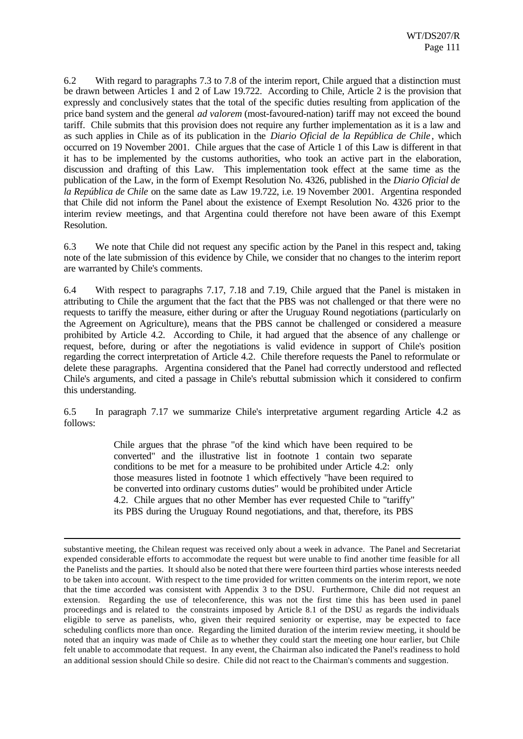6.2 With regard to paragraphs 7.3 to 7.8 of the interim report, Chile argued that a distinction must be drawn between Articles 1 and 2 of Law 19.722. According to Chile, Article 2 is the provision that expressly and conclusively states that the total of the specific duties resulting from application of the price band system and the general *ad valorem* (most-favoured-nation) tariff may not exceed the bound tariff. Chile submits that this provision does not require any further implementation as it is a law and as such applies in Chile as of its publication in the *Diario Oficial de la República de Chile* , which occurred on 19 November 2001. Chile argues that the case of Article 1 of this Law is different in that it has to be implemented by the customs authorities, who took an active part in the elaboration, discussion and drafting of this Law. This implementation took effect at the same time as the publication of the Law, in the form of Exempt Resolution No. 4326, published in the *Diario Oficial de la República de Chile* on the same date as Law 19.722, i.e. 19 November 2001. Argentina responded that Chile did not inform the Panel about the existence of Exempt Resolution No. 4326 prior to the interim review meetings, and that Argentina could therefore not have been aware of this Exempt Resolution.

6.3 We note that Chile did not request any specific action by the Panel in this respect and, taking note of the late submission of this evidence by Chile, we consider that no changes to the interim report are warranted by Chile's comments.

6.4 With respect to paragraphs 7.17, 7.18 and 7.19, Chile argued that the Panel is mistaken in attributing to Chile the argument that the fact that the PBS was not challenged or that there were no requests to tariffy the measure, either during or after the Uruguay Round negotiations (particularly on the Agreement on Agriculture), means that the PBS cannot be challenged or considered a measure prohibited by Article 4.2. According to Chile, it had argued that the absence of any challenge or request, before, during or after the negotiations is valid evidence in support of Chile's position regarding the correct interpretation of Article 4.2. Chile therefore requests the Panel to reformulate or delete these paragraphs. Argentina considered that the Panel had correctly understood and reflected Chile's arguments, and cited a passage in Chile's rebuttal submission which it considered to confirm this understanding.

6.5 In paragraph 7.17 we summarize Chile's interpretative argument regarding Article 4.2 as follows:

> Chile argues that the phrase "of the kind which have been required to be converted" and the illustrative list in footnote 1 contain two separate conditions to be met for a measure to be prohibited under Article 4.2: only those measures listed in footnote 1 which effectively "have been required to be converted into ordinary customs duties" would be prohibited under Article 4.2. Chile argues that no other Member has ever requested Chile to "tariffy" its PBS during the Uruguay Round negotiations, and that, therefore, its PBS

substantive meeting, the Chilean request was received only about a week in advance. The Panel and Secretariat expended considerable efforts to accommodate the request but were unable to find another time feasible for all the Panelists and the parties. It should also be noted that there were fourteen third parties whose interests needed to be taken into account. With respect to the time provided for written comments on the interim report, we note that the time accorded was consistent with Appendix 3 to the DSU. Furthermore, Chile did not request an extension. Regarding the use of teleconference, this was not the first time this has been used in panel proceedings and is related to the constraints imposed by Article 8.1 of the DSU as regards the individuals eligible to serve as panelists, who, given their required seniority or expertise, may be expected to face scheduling conflicts more than once. Regarding the limited duration of the interim review meeting, it should be noted that an inquiry was made of Chile as to whether they could start the meeting one hour earlier, but Chile felt unable to accommodate that request. In any event, the Chairman also indicated the Panel's readiness to hold an additional session should Chile so desire. Chile did not react to the Chairman's comments and suggestion.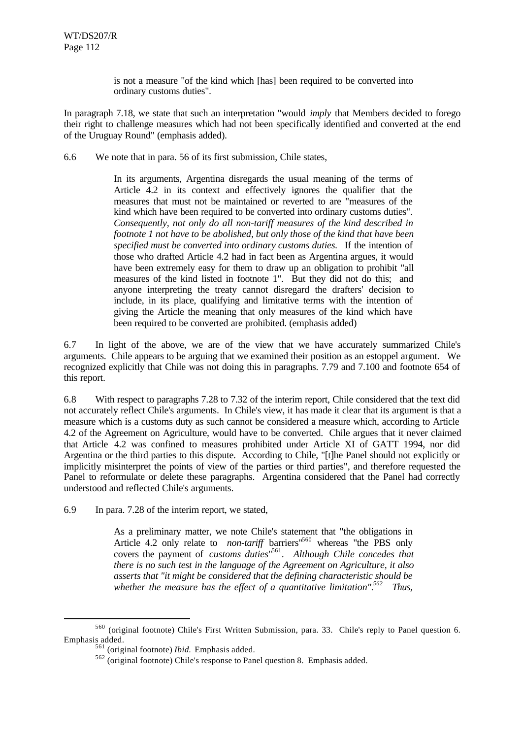is not a measure "of the kind which [has] been required to be converted into ordinary customs duties".

In paragraph 7.18, we state that such an interpretation "would *imply* that Members decided to forego their right to challenge measures which had not been specifically identified and converted at the end of the Uruguay Round" (emphasis added).

6.6 We note that in para. 56 of its first submission, Chile states,

In its arguments, Argentina disregards the usual meaning of the terms of Article 4.2 in its context and effectively ignores the qualifier that the measures that must not be maintained or reverted to are "measures of the kind which have been required to be converted into ordinary customs duties". *Consequently, not only do all non-tariff measures of the kind described in footnote 1 not have to be abolished, but only those of the kind that have been specified must be converted into ordinary customs duties.* If the intention of those who drafted Article 4.2 had in fact been as Argentina argues, it would have been extremely easy for them to draw up an obligation to prohibit "all measures of the kind listed in footnote 1". But they did not do this; and anyone interpreting the treaty cannot disregard the drafters' decision to include, in its place, qualifying and limitative terms with the intention of giving the Article the meaning that only measures of the kind which have been required to be converted are prohibited. (emphasis added)

6.7 In light of the above, we are of the view that we have accurately summarized Chile's arguments. Chile appears to be arguing that we examined their position as an estoppel argument. We recognized explicitly that Chile was not doing this in paragraphs. 7.79 and 7.100 and footnote 654 of this report.

6.8 With respect to paragraphs 7.28 to 7.32 of the interim report, Chile considered that the text did not accurately reflect Chile's arguments. In Chile's view, it has made it clear that its argument is that a measure which is a customs duty as such cannot be considered a measure which, according to Article 4.2 of the Agreement on Agriculture, would have to be converted. Chile argues that it never claimed that Article 4.2 was confined to measures prohibited under Article XI of GATT 1994, nor did Argentina or the third parties to this dispute. According to Chile, "[t]he Panel should not explicitly or implicitly misinterpret the points of view of the parties or third parties", and therefore requested the Panel to reformulate or delete these paragraphs. Argentina considered that the Panel had correctly understood and reflected Chile's arguments.

6.9 In para. 7.28 of the interim report, we stated,

As a preliminary matter, we note Chile's statement that "the obligations in Article 4.2 only relate to *non-tariff* barriers<sup>1560</sup> whereas "the PBS only covers the payment of *customs duties*" 561 . *Although Chile concedes that there is no such test in the language of the Agreement on Agriculture, it also asserts that "it might be considered that the defining characteristic should be whether the measure has the effect of a quantitative limitation".<sup>562</sup> Thus,*

<sup>560</sup> (original footnote) Chile's First Written Submission, para. 33. Chile's reply to Panel question 6. Emphasis added.

<sup>561</sup> (original footnote) *Ibid.* Emphasis added.

<sup>562</sup> (original footnote) Chile's response to Panel question 8. Emphasis added.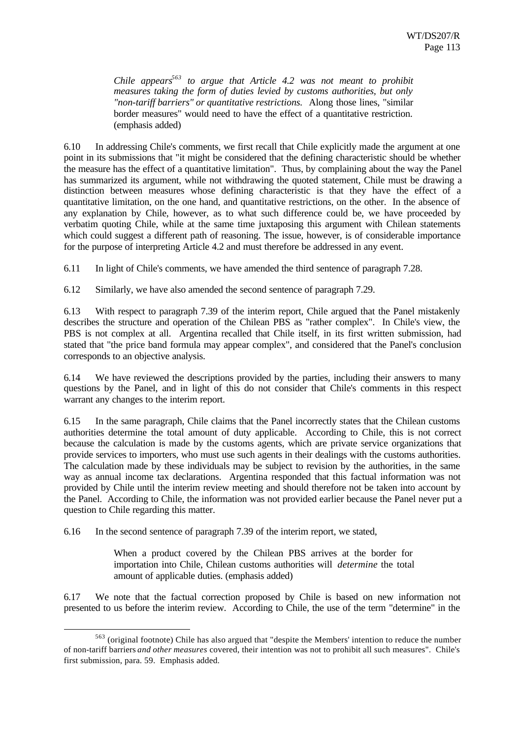*Chile appears<sup>563</sup> to argue that Article 4.2 was not meant to prohibit measures taking the form of duties levied by customs authorities, but only "non-tariff barriers" or quantitative restrictions.* Along those lines, "similar border measures" would need to have the effect of a quantitative restriction. (emphasis added)

6.10 In addressing Chile's comments, we first recall that Chile explicitly made the argument at one point in its submissions that "it might be considered that the defining characteristic should be whether the measure has the effect of a quantitative limitation". Thus, by complaining about the way the Panel has summarized its argument, while not withdrawing the quoted statement, Chile must be drawing a distinction between measures whose defining characteristic is that they have the effect of a quantitative limitation, on the one hand, and quantitative restrictions, on the other. In the absence of any explanation by Chile, however, as to what such difference could be, we have proceeded by verbatim quoting Chile, while at the same time juxtaposing this argument with Chilean statements which could suggest a different path of reasoning. The issue, however, is of considerable importance for the purpose of interpreting Article 4.2 and must therefore be addressed in any event.

6.11 In light of Chile's comments, we have amended the third sentence of paragraph 7.28.

6.12 Similarly, we have also amended the second sentence of paragraph 7.29.

6.13 With respect to paragraph 7.39 of the interim report, Chile argued that the Panel mistakenly describes the structure and operation of the Chilean PBS as "rather complex". In Chile's view, the PBS is not complex at all. Argentina recalled that Chile itself, in its first written submission, had stated that "the price band formula may appear complex", and considered that the Panel's conclusion corresponds to an objective analysis.

6.14 We have reviewed the descriptions provided by the parties, including their answers to many questions by the Panel, and in light of this do not consider that Chile's comments in this respect warrant any changes to the interim report.

6.15 In the same paragraph, Chile claims that the Panel incorrectly states that the Chilean customs authorities determine the total amount of duty applicable. According to Chile, this is not correct because the calculation is made by the customs agents, which are private service organizations that provide services to importers, who must use such agents in their dealings with the customs authorities. The calculation made by these individuals may be subject to revision by the authorities, in the same way as annual income tax declarations. Argentina responded that this factual information was not provided by Chile until the interim review meeting and should therefore not be taken into account by the Panel. According to Chile, the information was not provided earlier because the Panel never put a question to Chile regarding this matter.

6.16 In the second sentence of paragraph 7.39 of the interim report, we stated,

l

When a product covered by the Chilean PBS arrives at the border for importation into Chile, Chilean customs authorities will *determine* the total amount of applicable duties. (emphasis added)

6.17 We note that the factual correction proposed by Chile is based on new information not presented to us before the interim review. According to Chile, the use of the term "determine" in the

<sup>563</sup> (original footnote) Chile has also argued that "despite the Members' intention to reduce the number of non-tariff barriers *and other measures* covered, their intention was not to prohibit all such measures". Chile's first submission, para. 59. Emphasis added.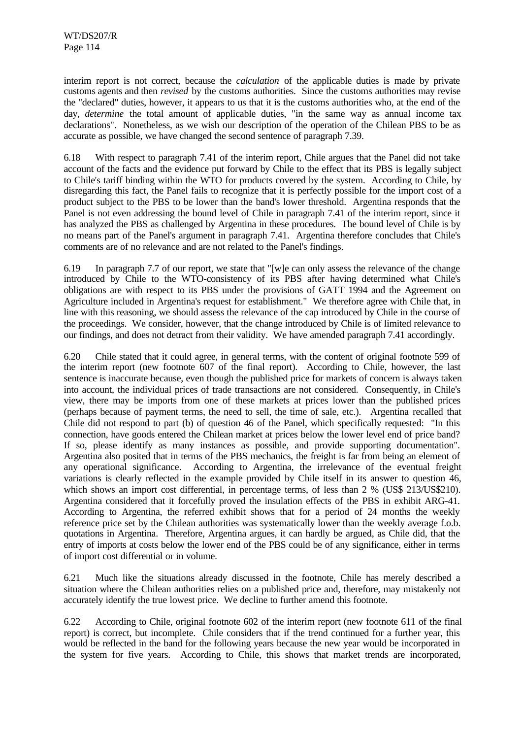interim report is not correct, because the *calculation* of the applicable duties is made by private customs agents and then *revised* by the customs authorities. Since the customs authorities may revise the "declared" duties, however, it appears to us that it is the customs authorities who, at the end of the day, *determine* the total amount of applicable duties, "in the same way as annual income tax declarations". Nonetheless, as we wish our description of the operation of the Chilean PBS to be as accurate as possible, we have changed the second sentence of paragraph 7.39.

6.18 With respect to paragraph 7.41 of the interim report, Chile argues that the Panel did not take account of the facts and the evidence put forward by Chile to the effect that its PBS is legally subject to Chile's tariff binding within the WTO for products covered by the system. According to Chile, by disregarding this fact, the Panel fails to recognize that it is perfectly possible for the import cost of a product subject to the PBS to be lower than the band's lower threshold. Argentina responds that the Panel is not even addressing the bound level of Chile in paragraph 7.41 of the interim report, since it has analyzed the PBS as challenged by Argentina in these procedures. The bound level of Chile is by no means part of the Panel's argument in paragraph 7.41. Argentina therefore concludes that Chile's comments are of no relevance and are not related to the Panel's findings.

6.19 In paragraph 7.7 of our report, we state that "[w]e can only assess the relevance of the change introduced by Chile to the WTO-consistency of its PBS after having determined what Chile's obligations are with respect to its PBS under the provisions of GATT 1994 and the Agreement on Agriculture included in Argentina's request for establishment." We therefore agree with Chile that, in line with this reasoning, we should assess the relevance of the cap introduced by Chile in the course of the proceedings. We consider, however, that the change introduced by Chile is of limited relevance to our findings, and does not detract from their validity. We have amended paragraph 7.41 accordingly.

6.20 Chile stated that it could agree, in general terms, with the content of original footnote 599 of the interim report (new footnote 607 of the final report). According to Chile, however, the last sentence is inaccurate because, even though the published price for markets of concern is always taken into account, the individual prices of trade transactions are not considered. Consequently, in Chile's view, there may be imports from one of these markets at prices lower than the published prices (perhaps because of payment terms, the need to sell, the time of sale, etc.). Argentina recalled that Chile did not respond to part (b) of question 46 of the Panel, which specifically requested: "In this connection, have goods entered the Chilean market at prices below the lower level end of price band? If so, please identify as many instances as possible, and provide supporting documentation". Argentina also posited that in terms of the PBS mechanics, the freight is far from being an element of any operational significance. According to Argentina, the irrelevance of the eventual freight variations is clearly reflected in the example provided by Chile itself in its answer to question 46, which shows an import cost differential, in percentage terms, of less than 2 % (US\$ 213/US\$210). Argentina considered that it forcefully proved the insulation effects of the PBS in exhibit ARG-41. According to Argentina, the referred exhibit shows that for a period of 24 months the weekly reference price set by the Chilean authorities was systematically lower than the weekly average f.o.b. quotations in Argentina. Therefore, Argentina argues, it can hardly be argued, as Chile did, that the entry of imports at costs below the lower end of the PBS could be of any significance, either in terms of import cost differential or in volume.

6.21 Much like the situations already discussed in the footnote, Chile has merely described a situation where the Chilean authorities relies on a published price and, therefore, may mistakenly not accurately identify the true lowest price. We decline to further amend this footnote.

6.22 According to Chile, original footnote 602 of the interim report (new footnote 611 of the final report) is correct, but incomplete. Chile considers that if the trend continued for a further year, this would be reflected in the band for the following years because the new year would be incorporated in the system for five years. According to Chile, this shows that market trends are incorporated,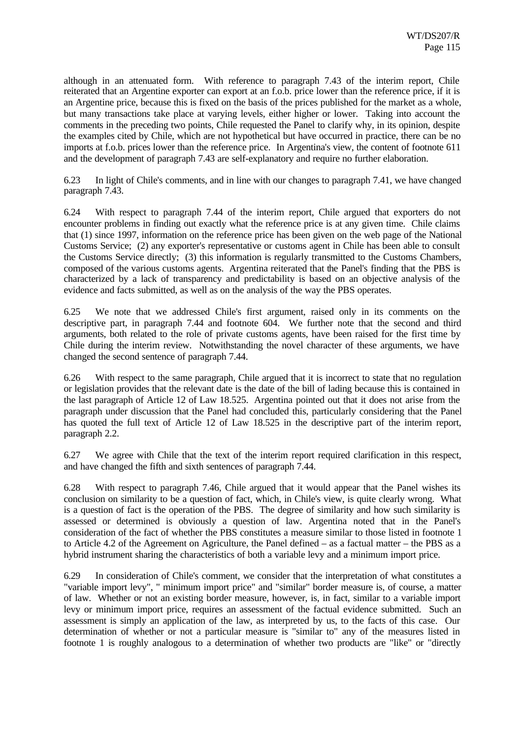although in an attenuated form. With reference to paragraph 7.43 of the interim report, Chile reiterated that an Argentine exporter can export at an f.o.b. price lower than the reference price, if it is an Argentine price, because this is fixed on the basis of the prices published for the market as a whole, but many transactions take place at varying levels, either higher or lower. Taking into account the comments in the preceding two points, Chile requested the Panel to clarify why, in its opinion, despite the examples cited by Chile, which are not hypothetical but have occurred in practice, there can be no imports at f.o.b. prices lower than the reference price. In Argentina's view, the content of footnote 611 and the development of paragraph 7.43 are self-explanatory and require no further elaboration.

6.23 In light of Chile's comments, and in line with our changes to paragraph 7.41, we have changed paragraph 7.43.

6.24 With respect to paragraph 7.44 of the interim report, Chile argued that exporters do not encounter problems in finding out exactly what the reference price is at any given time. Chile claims that (1) since 1997, information on the reference price has been given on the web page of the National Customs Service; (2) any exporter's representative or customs agent in Chile has been able to consult the Customs Service directly; (3) this information is regularly transmitted to the Customs Chambers, composed of the various customs agents. Argentina reiterated that the Panel's finding that the PBS is characterized by a lack of transparency and predictability is based on an objective analysis of the evidence and facts submitted, as well as on the analysis of the way the PBS operates.

6.25 We note that we addressed Chile's first argument, raised only in its comments on the descriptive part, in paragraph 7.44 and footnote 604. We further note that the second and third arguments, both related to the role of private customs agents, have been raised for the first time by Chile during the interim review. Notwithstanding the novel character of these arguments, we have changed the second sentence of paragraph 7.44.

6.26 With respect to the same paragraph, Chile argued that it is incorrect to state that no regulation or legislation provides that the relevant date is the date of the bill of lading because this is contained in the last paragraph of Article 12 of Law 18.525. Argentina pointed out that it does not arise from the paragraph under discussion that the Panel had concluded this, particularly considering that the Panel has quoted the full text of Article 12 of Law 18.525 in the descriptive part of the interim report, paragraph 2.2.

6.27 We agree with Chile that the text of the interim report required clarification in this respect, and have changed the fifth and sixth sentences of paragraph 7.44.

6.28 With respect to paragraph 7.46, Chile argued that it would appear that the Panel wishes its conclusion on similarity to be a question of fact, which, in Chile's view, is quite clearly wrong. What is a question of fact is the operation of the PBS. The degree of similarity and how such similarity is assessed or determined is obviously a question of law. Argentina noted that in the Panel's consideration of the fact of whether the PBS constitutes a measure similar to those listed in footnote 1 to Article 4.2 of the Agreement on Agriculture, the Panel defined – as a factual matter – the PBS as a hybrid instrument sharing the characteristics of both a variable levy and a minimum import price.

6.29 In consideration of Chile's comment, we consider that the interpretation of what constitutes a "variable import levy", " minimum import price" and "similar" border measure is, of course, a matter of law. Whether or not an existing border measure, however, is, in fact, similar to a variable import levy or minimum import price, requires an assessment of the factual evidence submitted. Such an assessment is simply an application of the law, as interpreted by us, to the facts of this case. Our determination of whether or not a particular measure is "similar to" any of the measures listed in footnote 1 is roughly analogous to a determination of whether two products are "like" or "directly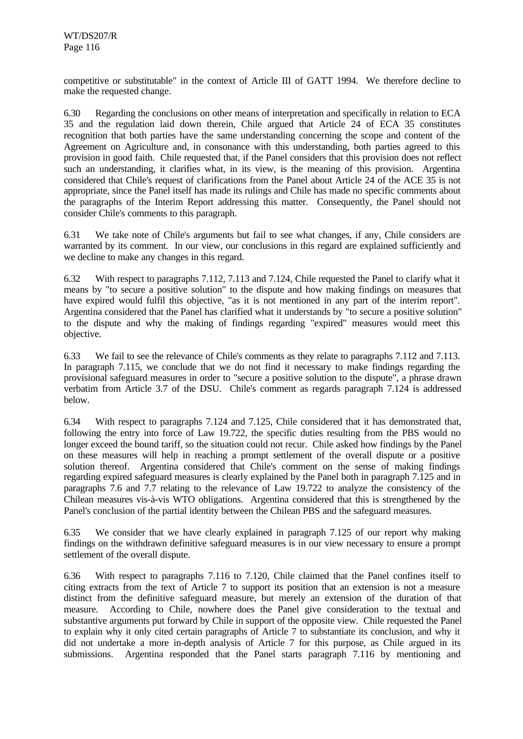competitive or substitutable" in the context of Article III of GATT 1994. We therefore decline to make the requested change.

6.30 Regarding the conclusions on other means of interpretation and specifically in relation to ECA 35 and the regulation laid down therein, Chile argued that Article 24 of ECA 35 constitutes recognition that both parties have the same understanding concerning the scope and content of the Agreement on Agriculture and, in consonance with this understanding, both parties agreed to this provision in good faith. Chile requested that, if the Panel considers that this provision does not reflect such an understanding, it clarifies what, in its view, is the meaning of this provision. Argentina considered that Chile's request of clarifications from the Panel about Article 24 of the ACE 35 is not appropriate, since the Panel itself has made its rulings and Chile has made no specific comments about the paragraphs of the Interim Report addressing this matter. Consequently, the Panel should not consider Chile's comments to this paragraph.

6.31 We take note of Chile's arguments but fail to see what changes, if any, Chile considers are warranted by its comment. In our view, our conclusions in this regard are explained sufficiently and we decline to make any changes in this regard.

6.32 With respect to paragraphs 7.112, 7.113 and 7.124, Chile requested the Panel to clarify what it means by "to secure a positive solution" to the dispute and how making findings on measures that have expired would fulfil this objective, "as it is not mentioned in any part of the interim report". Argentina considered that the Panel has clarified what it understands by "to secure a positive solution" to the dispute and why the making of findings regarding "expired" measures would meet this objective.

6.33 We fail to see the relevance of Chile's comments as they relate to paragraphs 7.112 and 7.113. In paragraph 7.115, we conclude that we do not find it necessary to make findings regarding the provisional safeguard measures in order to "secure a positive solution to the dispute", a phrase drawn verbatim from Article 3.7 of the DSU. Chile's comment as regards paragraph 7.124 is addressed below.

6.34 With respect to paragraphs 7.124 and 7.125, Chile considered that it has demonstrated that, following the entry into force of Law 19.722, the specific duties resulting from the PBS would no longer exceed the bound tariff, so the situation could not recur. Chile asked how findings by the Panel on these measures will help in reaching a prompt settlement of the overall dispute or a positive solution thereof. Argentina considered that Chile's comment on the sense of making findings regarding expired safeguard measures is clearly explained by the Panel both in paragraph 7.125 and in paragraphs 7.6 and 7.7 relating to the relevance of Law 19.722 to analyze the consistency of the Chilean measures vis-à-vis WTO obligations. Argentina considered that this is strengthened by the Panel's conclusion of the partial identity between the Chilean PBS and the safeguard measures.

6.35 We consider that we have clearly explained in paragraph 7.125 of our report why making findings on the withdrawn definitive safeguard measures is in our view necessary to ensure a prompt settlement of the overall dispute.

6.36 With respect to paragraphs 7.116 to 7.120, Chile claimed that the Panel confines itself to citing extracts from the text of Article 7 to support its position that an extension is not a measure distinct from the definitive safeguard measure, but merely an extension of the duration of that measure. According to Chile, nowhere does the Panel give consideration to the textual and substantive arguments put forward by Chile in support of the opposite view. Chile requested the Panel to explain why it only cited certain paragraphs of Article 7 to substantiate its conclusion, and why it did not undertake a more in-depth analysis of Article 7 for this purpose, as Chile argued in its submissions. Argentina responded that the Panel starts paragraph 7.116 by mentioning and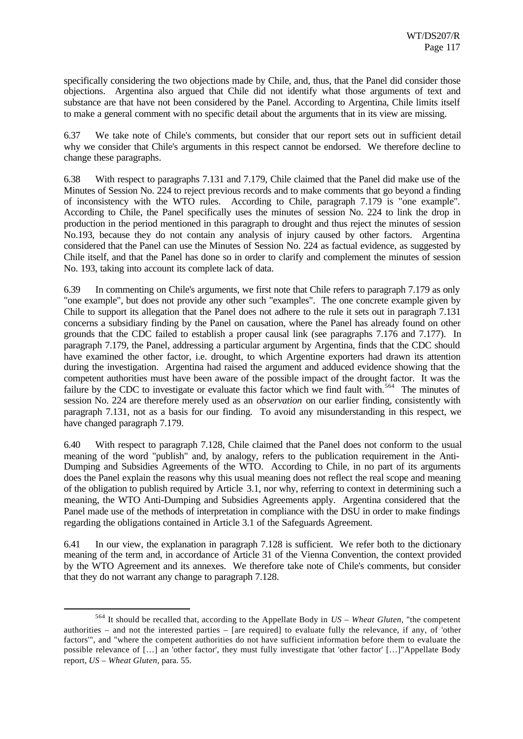specifically considering the two objections made by Chile, and, thus, that the Panel did consider those objections. Argentina also argued that Chile did not identify what those arguments of text and substance are that have not been considered by the Panel. According to Argentina, Chile limits itself to make a general comment with no specific detail about the arguments that in its view are missing.

6.37 We take note of Chile's comments, but consider that our report sets out in sufficient detail why we consider that Chile's arguments in this respect cannot be endorsed. We therefore decline to change these paragraphs.

6.38 With respect to paragraphs 7.131 and 7.179, Chile claimed that the Panel did make use of the Minutes of Session No. 224 to reject previous records and to make comments that go beyond a finding of inconsistency with the WTO rules. According to Chile, paragraph 7.179 is "one example". According to Chile, the Panel specifically uses the minutes of session No. 224 to link the drop in production in the period mentioned in this paragraph to drought and thus reject the minutes of session No.193, because they do not contain any analysis of injury caused by other factors. Argentina considered that the Panel can use the Minutes of Session No. 224 as factual evidence, as suggested by Chile itself, and that the Panel has done so in order to clarify and complement the minutes of session No. 193, taking into account its complete lack of data.

6.39 In commenting on Chile's arguments, we first note that Chile refers to paragraph 7.179 as only "one example", but does not provide any other such "examples". The one concrete example given by Chile to support its allegation that the Panel does not adhere to the rule it sets out in paragraph 7.131 concerns a subsidiary finding by the Panel on causation, where the Panel has already found on other grounds that the CDC failed to establish a proper causal link (see paragraphs 7.176 and 7.177). In paragraph 7.179, the Panel, addressing a particular argument by Argentina, finds that the CDC should have examined the other factor, i.e. drought, to which Argentine exporters had drawn its attention during the investigation. Argentina had raised the argument and adduced evidence showing that the competent authorities must have been aware of the possible impact of the drought factor. It was the failure by the CDC to investigate or evaluate this factor which we find fault with.<sup>564</sup> The minutes of session No. 224 are therefore merely used as an *observation* on our earlier finding, consistently with paragraph 7.131, not as a basis for our finding. To avoid any misunderstanding in this respect, we have changed paragraph 7.179.

6.40 With respect to paragraph 7.128, Chile claimed that the Panel does not conform to the usual meaning of the word "publish" and, by analogy, refers to the publication requirement in the Anti-Dumping and Subsidies Agreements of the WTO. According to Chile, in no part of its arguments does the Panel explain the reasons why this usual meaning does not reflect the real scope and meaning of the obligation to publish required by Article 3.1, nor why, referring to context in determining such a meaning, the WTO Anti-Dumping and Subsidies Agreements apply. Argentina considered that the Panel made use of the methods of interpretation in compliance with the DSU in order to make findings regarding the obligations contained in Article 3.1 of the Safeguards Agreement.

6.41 In our view, the explanation in paragraph 7.128 is sufficient. We refer both to the dictionary meaning of the term and, in accordance of Article 31 of the Vienna Convention, the context provided by the WTO Agreement and its annexes. We therefore take note of Chile's comments, but consider that they do not warrant any change to paragraph 7.128.

<sup>564</sup> It should be recalled that, according to the Appellate Body in *US – Wheat Gluten*, "the competent authorities – and not the interested parties – [are required] to evaluate fully the relevance, if any, of 'other factors'", and "where the competent authorities do not have sufficient information before them to evaluate the possible relevance of […] an 'other factor', they must fully investigate that 'other factor' […]"Appellate Body report, *US – Wheat Gluten*, para. 55.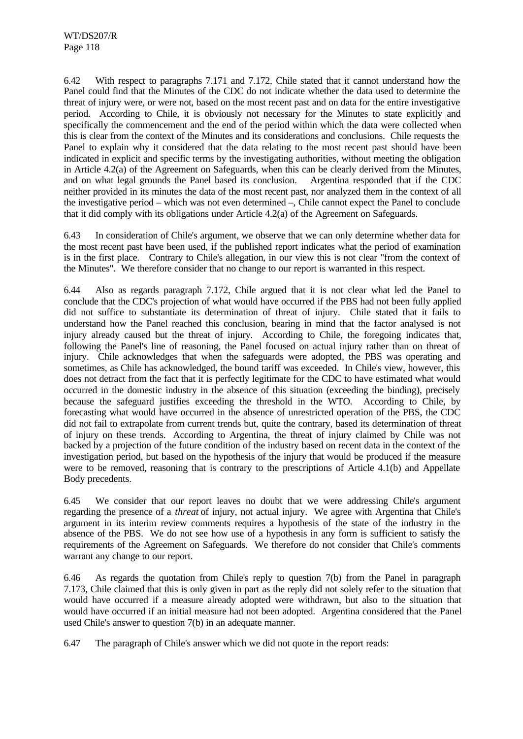6.42 With respect to paragraphs 7.171 and 7.172, Chile stated that it cannot understand how the Panel could find that the Minutes of the CDC do not indicate whether the data used to determine the threat of injury were, or were not, based on the most recent past and on data for the entire investigative period. According to Chile, it is obviously not necessary for the Minutes to state explicitly and specifically the commencement and the end of the period within which the data were collected when this is clear from the context of the Minutes and its considerations and conclusions. Chile requests the Panel to explain why it considered that the data relating to the most recent past should have been indicated in explicit and specific terms by the investigating authorities, without meeting the obligation in Article 4.2(a) of the Agreement on Safeguards, when this can be clearly derived from the Minutes, and on what legal grounds the Panel based its conclusion. Argentina responded that if the CDC neither provided in its minutes the data of the most recent past, nor analyzed them in the context of all the investigative period – which was not even determined –, Chile cannot expect the Panel to conclude that it did comply with its obligations under Article 4.2(a) of the Agreement on Safeguards.

6.43 In consideration of Chile's argument, we observe that we can only determine whether data for the most recent past have been used, if the published report indicates what the period of examination is in the first place. Contrary to Chile's allegation, in our view this is not clear "from the context of the Minutes". We therefore consider that no change to our report is warranted in this respect.

6.44 Also as regards paragraph 7.172, Chile argued that it is not clear what led the Panel to conclude that the CDC's projection of what would have occurred if the PBS had not been fully applied did not suffice to substantiate its determination of threat of injury. Chile stated that it fails to understand how the Panel reached this conclusion, bearing in mind that the factor analysed is not injury already caused but the threat of injury. According to Chile, the foregoing indicates that, following the Panel's line of reasoning, the Panel focused on actual injury rather than on threat of injury. Chile acknowledges that when the safeguards were adopted, the PBS was operating and sometimes, as Chile has acknowledged, the bound tariff was exceeded. In Chile's view, however, this does not detract from the fact that it is perfectly legitimate for the CDC to have estimated what would occurred in the domestic industry in the absence of this situation (exceeding the binding), precisely because the safeguard justifies exceeding the threshold in the WTO. According to Chile, by forecasting what would have occurred in the absence of unrestricted operation of the PBS, the CDC did not fail to extrapolate from current trends but, quite the contrary, based its determination of threat of injury on these trends. According to Argentina, the threat of injury claimed by Chile was not backed by a projection of the future condition of the industry based on recent data in the context of the investigation period, but based on the hypothesis of the injury that would be produced if the measure were to be removed, reasoning that is contrary to the prescriptions of Article 4.1(b) and Appellate Body precedents.

6.45 We consider that our report leaves no doubt that we were addressing Chile's argument regarding the presence of a *threat* of injury, not actual injury. We agree with Argentina that Chile's argument in its interim review comments requires a hypothesis of the state of the industry in the absence of the PBS. We do not see how use of a hypothesis in any form is sufficient to satisfy the requirements of the Agreement on Safeguards. We therefore do not consider that Chile's comments warrant any change to our report.

6.46 As regards the quotation from Chile's reply to question 7(b) from the Panel in paragraph 7.173, Chile claimed that this is only given in part as the reply did not solely refer to the situation that would have occurred if a measure already adopted were withdrawn, but also to the situation that would have occurred if an initial measure had not been adopted. Argentina considered that the Panel used Chile's answer to question 7(b) in an adequate manner.

6.47 The paragraph of Chile's answer which we did not quote in the report reads: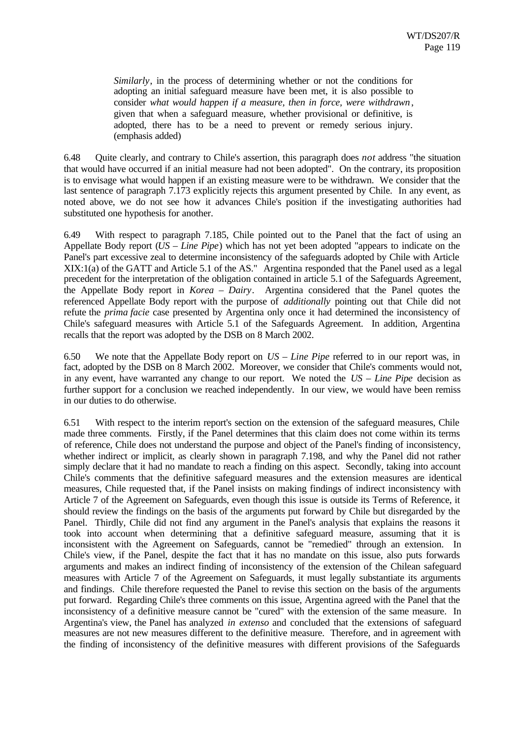*Similarly*, in the process of determining whether or not the conditions for adopting an initial safeguard measure have been met, it is also possible to consider *what would happen if a measure, then in force, were withdrawn*, given that when a safeguard measure, whether provisional or definitive, is adopted, there has to be a need to prevent or remedy serious injury. (emphasis added)

6.48 Quite clearly, and contrary to Chile's assertion, this paragraph does *not* address "the situation that would have occurred if an initial measure had not been adopted". On the contrary, its proposition is to envisage what would happen if an existing measure were to be withdrawn. We consider that the last sentence of paragraph 7.173 explicitly rejects this argument presented by Chile. In any event, as noted above, we do not see how it advances Chile's position if the investigating authorities had substituted one hypothesis for another.

6.49 With respect to paragraph 7.185, Chile pointed out to the Panel that the fact of using an Appellate Body report (*US – Line Pipe*) which has not yet been adopted "appears to indicate on the Panel's part excessive zeal to determine inconsistency of the safeguards adopted by Chile with Article XIX:1(a) of the GATT and Article 5.1 of the AS." Argentina responded that the Panel used as a legal precedent for the interpretation of the obligation contained in article 5.1 of the Safeguards Agreement, the Appellate Body report in *Korea – Dairy*. Argentina considered that the Panel quotes the referenced Appellate Body report with the purpose of *additionally* pointing out that Chile did not refute the *prima facie* case presented by Argentina only once it had determined the inconsistency of Chile's safeguard measures with Article 5.1 of the Safeguards Agreement. In addition, Argentina recalls that the report was adopted by the DSB on 8 March 2002.

6.50 We note that the Appellate Body report on *US – Line Pipe* referred to in our report was, in fact, adopted by the DSB on 8 March 2002. Moreover, we consider that Chile's comments would not, in any event, have warranted any change to our report. We noted the *US – Line Pipe* decision as further support for a conclusion we reached independently. In our view, we would have been remiss in our duties to do otherwise.

6.51 With respect to the interim report's section on the extension of the safeguard measures, Chile made three comments. Firstly, if the Panel determines that this claim does not come within its terms of reference, Chile does not understand the purpose and object of the Panel's finding of inconsistency, whether indirect or implicit, as clearly shown in paragraph 7.198, and why the Panel did not rather simply declare that it had no mandate to reach a finding on this aspect. Secondly, taking into account Chile's comments that the definitive safeguard measures and the extension measures are identical measures, Chile requested that, if the Panel insists on making findings of indirect inconsistency with Article 7 of the Agreement on Safeguards, even though this issue is outside its Terms of Reference, it should review the findings on the basis of the arguments put forward by Chile but disregarded by the Panel. Thirdly, Chile did not find any argument in the Panel's analysis that explains the reasons it took into account when determining that a definitive safeguard measure, assuming that it is inconsistent with the Agreement on Safeguards, cannot be "remedied" through an extension. In Chile's view, if the Panel, despite the fact that it has no mandate on this issue, also puts forwards arguments and makes an indirect finding of inconsistency of the extension of the Chilean safeguard measures with Article 7 of the Agreement on Safeguards, it must legally substantiate its arguments and findings. Chile therefore requested the Panel to revise this section on the basis of the arguments put forward. Regarding Chile's three comments on this issue, Argentina agreed with the Panel that the inconsistency of a definitive measure cannot be "cured" with the extension of the same measure. In Argentina's view, the Panel has analyzed *in extenso* and concluded that the extensions of safeguard measures are not new measures different to the definitive measure. Therefore, and in agreement with the finding of inconsistency of the definitive measures with different provisions of the Safeguards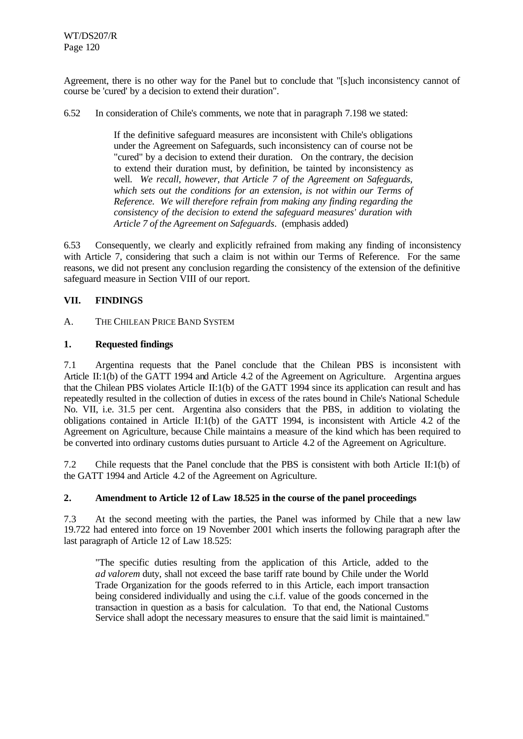Agreement, there is no other way for the Panel but to conclude that "[s]uch inconsistency cannot of course be 'cured' by a decision to extend their duration".

6.52 In consideration of Chile's comments, we note that in paragraph 7.198 we stated:

If the definitive safeguard measures are inconsistent with Chile's obligations under the Agreement on Safeguards, such inconsistency can of course not be "cured" by a decision to extend their duration. On the contrary, the decision to extend their duration must, by definition, be tainted by inconsistency as well. *We recall, however, that Article 7 of the Agreement on Safeguards, which sets out the conditions for an extension, is not within our Terms of Reference. We will therefore refrain from making any finding regarding the consistency of the decision to extend the safeguard measures' duration with Article 7 of the Agreement on Safeguards*. (emphasis added)

6.53 Consequently, we clearly and explicitly refrained from making any finding of inconsistency with Article 7, considering that such a claim is not within our Terms of Reference. For the same reasons, we did not present any conclusion regarding the consistency of the extension of the definitive safeguard measure in Section VIII of our report.

# **VII. FINDINGS**

## A. THE CHILEAN PRICE BAND SYSTEM

## **1. Requested findings**

7.1 Argentina requests that the Panel conclude that the Chilean PBS is inconsistent with Article II:1(b) of the GATT 1994 and Article 4.2 of the Agreement on Agriculture. Argentina argues that the Chilean PBS violates Article II:1(b) of the GATT 1994 since its application can result and has repeatedly resulted in the collection of duties in excess of the rates bound in Chile's National Schedule No. VII, i.e. 31.5 per cent. Argentina also considers that the PBS, in addition to violating the obligations contained in Article II:1(b) of the GATT 1994, is inconsistent with Article 4.2 of the Agreement on Agriculture, because Chile maintains a measure of the kind which has been required to be converted into ordinary customs duties pursuant to Article 4.2 of the Agreement on Agriculture.

7.2 Chile requests that the Panel conclude that the PBS is consistent with both Article II:1(b) of the GATT 1994 and Article 4.2 of the Agreement on Agriculture.

#### **2. Amendment to Article 12 of Law 18.525 in the course of the panel proceedings**

7.3 At the second meeting with the parties, the Panel was informed by Chile that a new law 19.722 had entered into force on 19 November 2001 which inserts the following paragraph after the last paragraph of Article 12 of Law 18.525:

"The specific duties resulting from the application of this Article, added to the *ad valorem* duty, shall not exceed the base tariff rate bound by Chile under the World Trade Organization for the goods referred to in this Article, each import transaction being considered individually and using the c.i.f. value of the goods concerned in the transaction in question as a basis for calculation. To that end, the National Customs Service shall adopt the necessary measures to ensure that the said limit is maintained."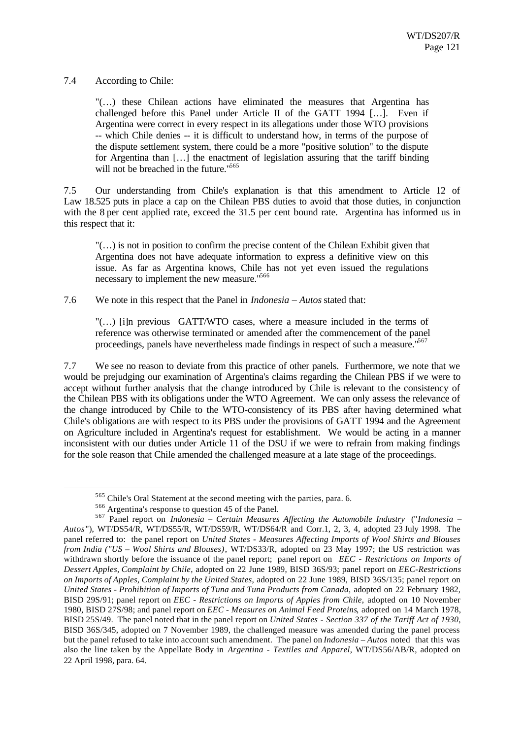## 7.4 According to Chile:

"(…) these Chilean actions have eliminated the measures that Argentina has challenged before this Panel under Article II of the GATT 1994 […]. Even if Argentina were correct in every respect in its allegations under those WTO provisions -- which Chile denies -- it is difficult to understand how, in terms of the purpose of the dispute settlement system, there could be a more "positive solution" to the dispute for Argentina than […] the enactment of legislation assuring that the tariff binding will not be breached in the future."<sup>565</sup>

7.5 Our understanding from Chile's explanation is that this amendment to Article 12 of Law 18.525 puts in place a cap on the Chilean PBS duties to avoid that those duties, in conjunction with the 8 per cent applied rate, exceed the 31.5 per cent bound rate. Argentina has informed us in this respect that it:

"(…) is not in position to confirm the precise content of the Chilean Exhibit given that Argentina does not have adequate information to express a definitive view on this issue. As far as Argentina knows, Chile has not yet even issued the regulations necessary to implement the new measure."<sup>566</sup>

7.6 We note in this respect that the Panel in *Indonesia – Autos* stated that:

"(…) [i]n previous GATT/WTO cases, where a measure included in the terms of reference was otherwise terminated or amended after the commencement of the panel proceedings, panels have nevertheless made findings in respect of such a measure.<sup>"567</sup>

7.7 We see no reason to deviate from this practice of other panels. Furthermore, we note that we would be prejudging our examination of Argentina's claims regarding the Chilean PBS if we were to accept without further analysis that the change introduced by Chile is relevant to the consistency of the Chilean PBS with its obligations under the WTO Agreement. We can only assess the relevance of the change introduced by Chile to the WTO-consistency of its PBS after having determined what Chile's obligations are with respect to its PBS under the provisions of GATT 1994 and the Agreement on Agriculture included in Argentina's request for establishment. We would be acting in a manner inconsistent with our duties under Article 11 of the DSU if we were to refrain from making findings for the sole reason that Chile amended the challenged measure at a late stage of the proceedings.

<sup>565</sup> Chile's Oral Statement at the second meeting with the parties, para. 6.

<sup>566</sup> Argentina's response to question 45 of the Panel.

<sup>567</sup> Panel report on *Indonesia – Certain Measures Affecting the Automobile Industry* ("*Indonesia – Autos* "), WT/DS54/R, WT/DS55/R, WT/DS59/R, WT/DS64/R and Corr.1, 2, 3, 4, adopted 23 July 1998. The panel referred to: the panel report on *United States - Measures Affecting Imports of Wool Shirts and Blouses from India ("US – Wool Shirts and Blouses)*, WT/DS33/R, adopted on 23 May 1997; the US restriction was withdrawn shortly before the issuance of the panel report; panel report on *EEC - Restrictions on Imports of Dessert Apples, Complaint by Chile*, adopted on 22 June 1989, BISD 36S/93; panel report on *EEC-Restrictions on Imports of Apples, Complaint by the United States*, adopted on 22 June 1989, BISD 36S/135; panel report on *United States - Prohibition of Imports of Tuna and Tuna Products from Canada*, adopted on 22 February 1982, BISD 29S/91; panel report on *EEC - Restrictions on Imports of Apples from Chile*, adopted on 10 November 1980, BISD 27S/98; and panel report on *EEC - Measures on Animal Feed Proteins*, adopted on 14 March 1978, BISD 25S/49. The panel noted that in the panel report on *United States - Section 337 of the Tariff Act of 1930*, BISD 36S/345, adopted on 7 November 1989, the challenged measure was amended during the panel process but the panel refused to take into account such amendment. The panel on *Indonesia – Autos* noted that this was also the line taken by the Appellate Body in *Argentina - Textiles and Apparel*, WT/DS56/AB/R, adopted on 22 April 1998, para. 64.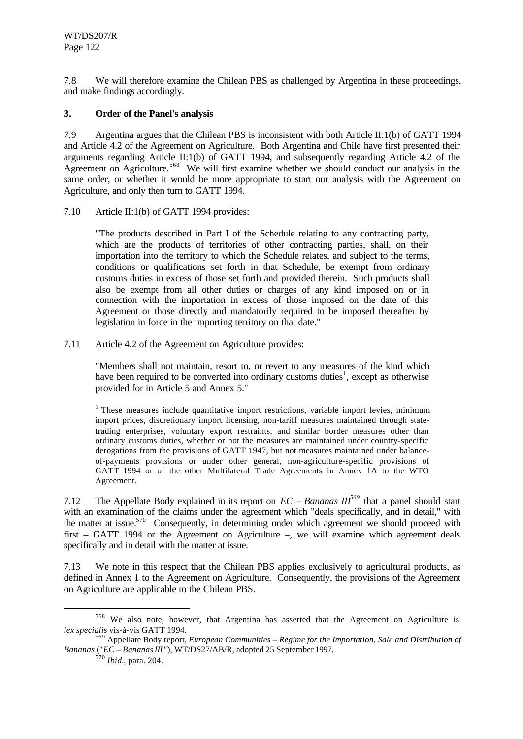7.8 We will therefore examine the Chilean PBS as challenged by Argentina in these proceedings, and make findings accordingly.

## **3. Order of the Panel's analysis**

7.9 Argentina argues that the Chilean PBS is inconsistent with both Article II:1(b) of GATT 1994 and Article 4.2 of the Agreement on Agriculture. Both Argentina and Chile have first presented their arguments regarding Article II:1(b) of GATT 1994, and subsequently regarding Article 4.2 of the Agreement on Agriculture.<sup>568</sup> We will first examine whether we should conduct our analysis in the same order, or whether it would be more appropriate to start our analysis with the Agreement on Agriculture, and only then turn to GATT 1994.

7.10 Article II:1(b) of GATT 1994 provides:

"The products described in Part I of the Schedule relating to any contracting party, which are the products of territories of other contracting parties, shall, on their importation into the territory to which the Schedule relates, and subject to the terms, conditions or qualifications set forth in that Schedule, be exempt from ordinary customs duties in excess of those set forth and provided therein. Such products shall also be exempt from all other duties or charges of any kind imposed on or in connection with the importation in excess of those imposed on the date of this Agreement or those directly and mandatorily required to be imposed thereafter by legislation in force in the importing territory on that date."

7.11 Article 4.2 of the Agreement on Agriculture provides:

"Members shall not maintain, resort to, or revert to any measures of the kind which have been required to be converted into ordinary customs duties<sup>1</sup>, except as otherwise provided for in Article 5 and Annex 5."

 $<sup>1</sup>$  These measures include quantitative import restrictions, variable import levies, minimum</sup> import prices, discretionary import licensing, non-tariff measures maintained through statetrading enterprises, voluntary export restraints, and similar border measures other than ordinary customs duties, whether or not the measures are maintained under country-specific derogations from the provisions of GATT 1947, but not measures maintained under balanceof-payments provisions or under other general, non-agriculture-specific provisions of GATT 1994 or of the other Multilateral Trade Agreements in Annex 1A to the WTO Agreement.

7.12 The Appellate Body explained in its report on *EC – Bananas III<sup>569</sup>* that a panel should start with an examination of the claims under the agreement which "deals specifically, and in detail," with the matter at issue.<sup>570</sup> Consequently, in determining under which agreement we should proceed with first – GATT 1994 or the Agreement on Agriculture –, we will examine which agreement deals specifically and in detail with the matter at issue.

7.13 We note in this respect that the Chilean PBS applies exclusively to agricultural products, as defined in Annex 1 to the Agreement on Agriculture. Consequently, the provisions of the Agreement on Agriculture are applicable to the Chilean PBS.

<sup>570</sup> *Ibid.*, para. 204.

<sup>568</sup> We also note, however, that Argentina has asserted that the Agreement on Agriculture is *lex specialis* vis-à-vis GATT 1994.

<sup>569</sup> Appellate Body report, *European Communities – Regime for the Importation, Sale and Distribution of Bananas* ("*EC – Bananas III* "), WT/DS27/AB/R, adopted 25 September 1997.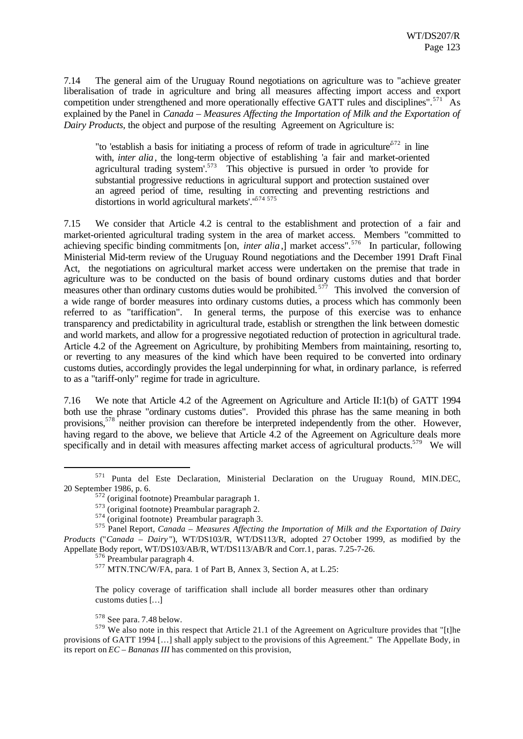7.14 The general aim of the Uruguay Round negotiations on agriculture was to "achieve greater liberalisation of trade in agriculture and bring all measures affecting import access and export competition under strengthened and more operationally effective GATT rules and disciplines".<sup>571</sup> As explained by the Panel in *Canada – Measures Affecting the Importation of Milk and the Exportation of Dairy Products*, the object and purpose of the resulting Agreement on Agriculture is:

"to 'establish a basis for initiating a process of reform of trade in agriculture<sup> $572$ </sup> in line with, *inter alia*, the long-term objective of establishing 'a fair and market-oriented agricultural trading system'.<sup>573</sup> This objective is pursued in order 'to provide for substantial progressive reductions in agricultural support and protection sustained over an agreed period of time, resulting in correcting and preventing restrictions and distortions in world agricultural markets'."<sup>574 575</sup>

7.15 We consider that Article 4.2 is central to the establishment and protection of a fair and market-oriented agricultural trading system in the area of market access. Members "committed to achieving specific binding commitments [on, *inter alia*,] market access".<sup>576</sup> In particular, following Ministerial Mid-term review of the Uruguay Round negotiations and the December 1991 Draft Final Act, the negotiations on agricultural market access were undertaken on the premise that trade in agriculture was to be conducted on the basis of bound ordinary customs duties and that border measures other than ordinary customs duties would be prohibited.<sup>577</sup> This involved the conversion of a wide range of border measures into ordinary customs duties, a process which has commonly been referred to as "tariffication". In general terms, the purpose of this exercise was to enhance transparency and predictability in agricultural trade, establish or strengthen the link between domestic and world markets, and allow for a progressive negotiated reduction of protection in agricultural trade. Article 4.2 of the Agreement on Agriculture, by prohibiting Members from maintaining, resorting to, or reverting to any measures of the kind which have been required to be converted into ordinary customs duties, accordingly provides the legal underpinning for what, in ordinary parlance, is referred to as a "tariff-only" regime for trade in agriculture.

7.16 We note that Article 4.2 of the Agreement on Agriculture and Article II:1(b) of GATT 1994 both use the phrase "ordinary customs duties". Provided this phrase has the same meaning in both provisions,<sup>578</sup> neither provision can therefore be interpreted independently from the other. However, having regard to the above, we believe that Article 4.2 of the Agreement on Agriculture deals more specifically and in detail with measures affecting market access of agricultural products.<sup>579</sup> We will

<sup>576</sup> Preambular paragraph 4.

<sup>571</sup> Punta del Este Declaration, Ministerial Declaration on the Uruguay Round, MIN.DEC, 20 September 1986, p. 6.

 $2$  (original footnote) Preambular paragraph 1.

<sup>573</sup> (original footnote) Preambular paragraph 2.

<sup>574</sup> (original footnote) Preambular paragraph 3.

<sup>575</sup> Panel Report, *Canada – Measures Affecting the Importation of Milk and the Exportation of Dairy Products* ("*Canada – Dairy* "), WT/DS103/R, WT/DS113/R, adopted 27 October 1999, as modified by the Appellate Body report, WT/DS103/AB/R, WT/DS113/AB/R and Corr.1, paras. 7.25-7-26.

<sup>577</sup> MTN.TNC/W/FA, para. 1 of Part B, Annex 3, Section A, at L.25:

The policy coverage of tariffication shall include all border measures other than ordinary customs duties […]

<sup>578</sup> See para. 7.48 below.

<sup>579</sup> We also note in this respect that Article 21.1 of the Agreement on Agriculture provides that "[t]he provisions of GATT 1994 […] shall apply subject to the provisions of this Agreement." The Appellate Body, in its report on *EC – Bananas III* has commented on this provision,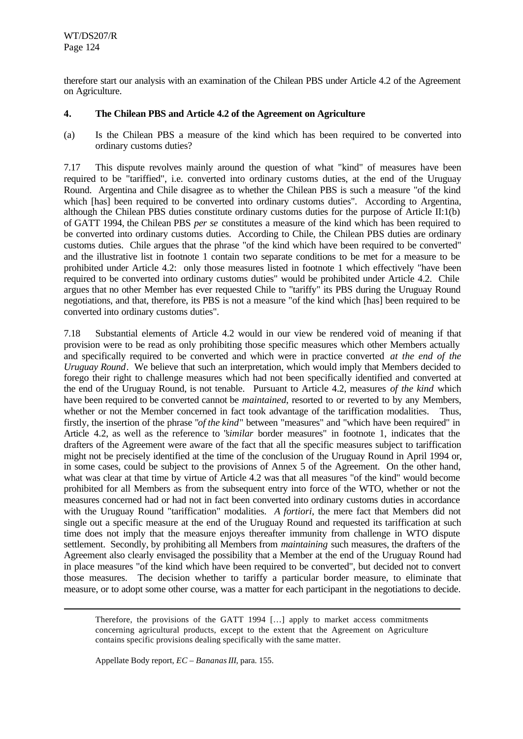therefore start our analysis with an examination of the Chilean PBS under Article 4.2 of the Agreement on Agriculture.

## **4. The Chilean PBS and Article 4.2 of the Agreement on Agriculture**

(a) Is the Chilean PBS a measure of the kind which has been required to be converted into ordinary customs duties?

7.17 This dispute revolves mainly around the question of what "kind" of measures have been required to be "tariffied", i.e. converted into ordinary customs duties, at the end of the Uruguay Round. Argentina and Chile disagree as to whether the Chilean PBS is such a measure "of the kind which [has] been required to be converted into ordinary customs duties". According to Argentina, although the Chilean PBS duties constitute ordinary customs duties for the purpose of Article II:1(b) of GATT 1994, the Chilean PBS *per se* constitutes a measure of the kind which has been required to be converted into ordinary customs duties. According to Chile, the Chilean PBS duties are ordinary customs duties. Chile argues that the phrase "of the kind which have been required to be converted" and the illustrative list in footnote 1 contain two separate conditions to be met for a measure to be prohibited under Article 4.2: only those measures listed in footnote 1 which effectively "have been required to be converted into ordinary customs duties" would be prohibited under Article 4.2. Chile argues that no other Member has ever requested Chile to "tariffy" its PBS during the Uruguay Round negotiations, and that, therefore, its PBS is not a measure "of the kind which [has] been required to be converted into ordinary customs duties".

7.18 Substantial elements of Article 4.2 would in our view be rendered void of meaning if that provision were to be read as only prohibiting those specific measures which other Members actually and specifically required to be converted and which were in practice converted *at the end of the Uruguay Round*. We believe that such an interpretation, which would imply that Members decided to forego their right to challenge measures which had not been specifically identified and converted at the end of the Uruguay Round, is not tenable. Pursuant to Article 4.2, measures *of the kind* which have been required to be converted cannot be *maintained*, resorted to or reverted to by any Members, whether or not the Member concerned in fact took advantage of the tariffication modalities. Thus, firstly, the insertion of the phrase "*of the kind*" between "measures" and "which have been required" in Article 4.2, as well as the reference to "*similar* border measures" in footnote 1, indicates that the drafters of the Agreement were aware of the fact that all the specific measures subject to tariffication might not be precisely identified at the time of the conclusion of the Uruguay Round in April 1994 or, in some cases, could be subject to the provisions of Annex 5 of the Agreement. On the other hand, what was clear at that time by virtue of Article 4.2 was that all measures "of the kind" would become prohibited for all Members as from the subsequent entry into force of the WTO, whether or not the measures concerned had or had not in fact been converted into ordinary customs duties in accordance with the Uruguay Round "tariffication" modalities. *A fortiori*, the mere fact that Members did not single out a specific measure at the end of the Uruguay Round and requested its tariffication at such time does not imply that the measure enjoys thereafter immunity from challenge in WTO dispute settlement. Secondly, by prohibiting all Members from *maintaining* such measures, the drafters of the Agreement also clearly envisaged the possibility that a Member at the end of the Uruguay Round had in place measures "of the kind which have been required to be converted", but decided not to convert those measures. The decision whether to tariffy a particular border measure, to eliminate that measure, or to adopt some other course, was a matter for each participant in the negotiations to decide.

Therefore, the provisions of the GATT 1994 […] apply to market access commitments concerning agricultural products, except to the extent that the Agreement on Agriculture contains specific provisions dealing specifically with the same matter.

Appellate Body report, *EC – Bananas III*, para. 155.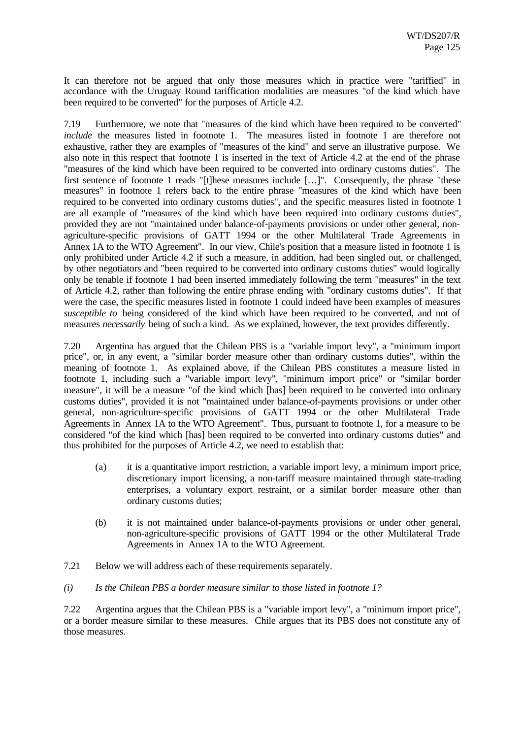It can therefore not be argued that only those measures which in practice were "tariffied" in accordance with the Uruguay Round tariffication modalities are measures "of the kind which have been required to be converted" for the purposes of Article 4.2.

7.19 Furthermore, we note that "measures of the kind which have been required to be converted" *include* the measures listed in footnote 1. The measures listed in footnote 1 are therefore not exhaustive, rather they are examples of "measures of the kind" and serve an illustrative purpose. We also note in this respect that footnote 1 is inserted in the text of Article 4.2 at the end of the phrase "measures of the kind which have been required to be converted into ordinary customs duties". The first sentence of footnote 1 reads "[t]hese measures include […]". Consequently, the phrase "these measures" in footnote 1 refers back to the entire phrase "measures of the kind which have been required to be converted into ordinary customs duties", and the specific measures listed in footnote 1 are all example of "measures of the kind which have been required into ordinary customs duties", provided they are not "maintained under balance-of-payments provisions or under other general, nonagriculture-specific provisions of GATT 1994 or the other Multilateral Trade Agreements in Annex 1A to the WTO Agreement". In our view, Chile's position that a measure listed in footnote 1 is only prohibited under Article 4.2 if such a measure, in addition, had been singled out, or challenged, by other negotiators and "been required to be converted into ordinary customs duties" would logically only be tenable if footnote 1 had been inserted immediately following the term "measures" in the text of Article 4.2, rather than following the entire phrase ending with "ordinary customs duties". If that were the case, the specific measures listed in footnote 1 could indeed have been examples of measures *susceptible to* being considered of the kind which have been required to be converted, and not of measures *necessarily* being of such a kind. As we explained, however, the text provides differently.

7.20 Argentina has argued that the Chilean PBS is a "variable import levy", a "minimum import price", or, in any event, a "similar border measure other than ordinary customs duties", within the meaning of footnote 1. As explained above, if the Chilean PBS constitutes a measure listed in footnote 1, including such a "variable import levy", "minimum import price" or "similar border measure", it will be a measure "of the kind which [has] been required to be converted into ordinary customs duties", provided it is not "maintained under balance-of-payments provisions or under other general, non-agriculture-specific provisions of GATT 1994 or the other Multilateral Trade Agreements in Annex 1A to the WTO Agreement". Thus, pursuant to footnote 1, for a measure to be considered "of the kind which [has] been required to be converted into ordinary customs duties" and thus prohibited for the purposes of Article 4.2, we need to establish that:

- (a) it is a quantitative import restriction, a variable import levy, a minimum import price, discretionary import licensing, a non-tariff measure maintained through state-trading enterprises, a voluntary export restraint, or a similar border measure other than ordinary customs duties;
- (b) it is not maintained under balance-of-payments provisions or under other general, non-agriculture-specific provisions of GATT 1994 or the other Multilateral Trade Agreements in Annex 1A to the WTO Agreement.
- 7.21 Below we will address each of these requirements separately.
- *(i) Is the Chilean PBS a border measure similar to those listed in footnote 1?*

7.22 Argentina argues that the Chilean PBS is a "variable import levy", a "minimum import price", or a border measure similar to these measures. Chile argues that its PBS does not constitute any of those measures.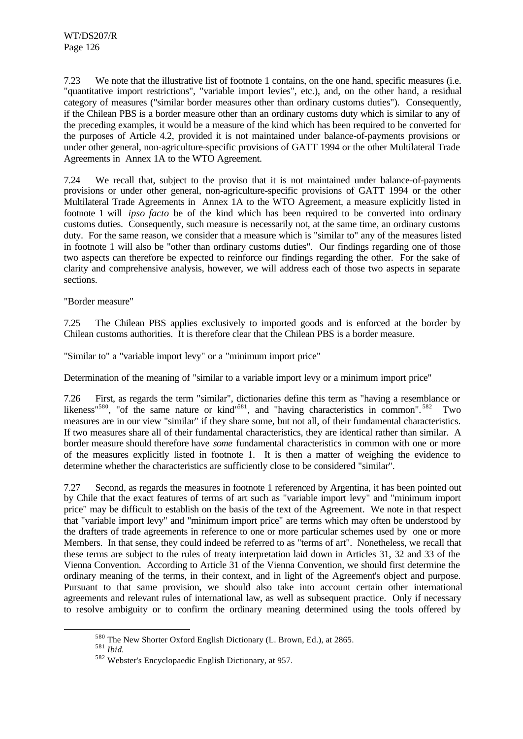7.23 We note that the illustrative list of footnote 1 contains, on the one hand, specific measures (i.e. "quantitative import restrictions", "variable import levies", etc.), and, on the other hand, a residual category of measures ("similar border measures other than ordinary customs duties"). Consequently, if the Chilean PBS is a border measure other than an ordinary customs duty which is similar to any of the preceding examples, it would be a measure of the kind which has been required to be converted for the purposes of Article 4.2, provided it is not maintained under balance-of-payments provisions or under other general, non-agriculture-specific provisions of GATT 1994 or the other Multilateral Trade Agreements in Annex 1A to the WTO Agreement.

7.24 We recall that, subject to the proviso that it is not maintained under balance-of-payments provisions or under other general, non-agriculture-specific provisions of GATT 1994 or the other Multilateral Trade Agreements in Annex 1A to the WTO Agreement, a measure explicitly listed in footnote 1 will *ipso facto* be of the kind which has been required to be converted into ordinary customs duties. Consequently, such measure is necessarily not, at the same time, an ordinary customs duty. For the same reason, we consider that a measure which is "similar to" any of the measures listed in footnote 1 will also be "other than ordinary customs duties". Our findings regarding one of those two aspects can therefore be expected to reinforce our findings regarding the other. For the sake of clarity and comprehensive analysis, however, we will address each of those two aspects in separate sections.

"Border measure"

7.25 The Chilean PBS applies exclusively to imported goods and is enforced at the border by Chilean customs authorities. It is therefore clear that the Chilean PBS is a border measure.

"Similar to" a "variable import levy" or a "minimum import price"

Determination of the meaning of "similar to a variable import levy or a minimum import price"

7.26 First, as regards the term "similar", dictionaries define this term as "having a resemblance or likeness<sup>"580</sup>, "of the same nature or kind"<sup>581</sup>, and "having characteristics in common".<sup>582</sup> Two measures are in our view "similar" if they share some, but not all, of their fundamental characteristics. If two measures share all of their fundamental characteristics, they are identical rather than similar. A border measure should therefore have *some* fundamental characteristics in common with one or more of the measures explicitly listed in footnote 1. It is then a matter of weighing the evidence to determine whether the characteristics are sufficiently close to be considered "similar".

7.27 Second, as regards the measures in footnote 1 referenced by Argentina, it has been pointed out by Chile that the exact features of terms of art such as "variable import levy" and "minimum import price" may be difficult to establish on the basis of the text of the Agreement. We note in that respect that "variable import levy" and "minimum import price" are terms which may often be understood by the drafters of trade agreements in reference to one or more particular schemes used by one or more Members. In that sense, they could indeed be referred to as "terms of art". Nonetheless, we recall that these terms are subject to the rules of treaty interpretation laid down in Articles 31, 32 and 33 of the Vienna Convention. According to Article 31 of the Vienna Convention, we should first determine the ordinary meaning of the terms, in their context, and in light of the Agreement's object and purpose. Pursuant to that same provision, we should also take into account certain other international agreements and relevant rules of international law, as well as subsequent practice. Only if necessary to resolve ambiguity or to confirm the ordinary meaning determined using the tools offered by

<sup>580</sup> The New Shorter Oxford English Dictionary (L. Brown, Ed.), at 2865.

<sup>581</sup> *Ibid.*

<sup>582</sup> Webster's Encyclopaedic English Dictionary, at 957.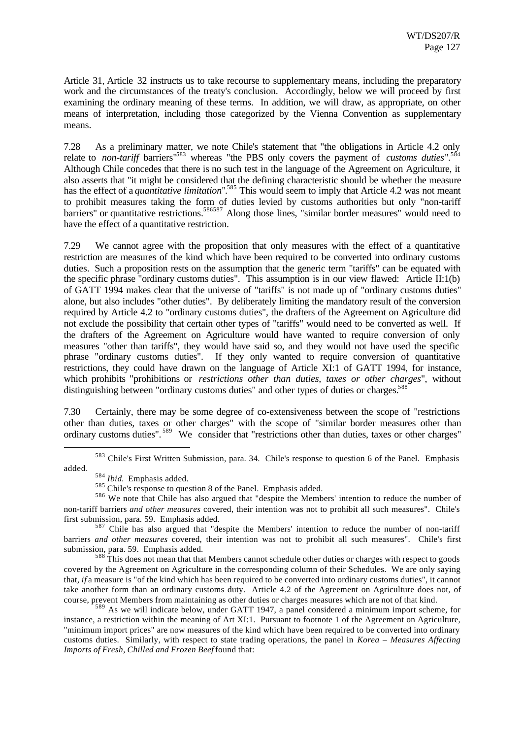Article 31, Article 32 instructs us to take recourse to supplementary means, including the preparatory work and the circumstances of the treaty's conclusion. Accordingly, below we will proceed by first examining the ordinary meaning of these terms. In addition, we will draw, as appropriate, on other means of interpretation, including those categorized by the Vienna Convention as supplementary means.

7.28 As a preliminary matter, we note Chile's statement that "the obligations in Article 4.2 only relate to *non-tariff* barriers<sup>1583</sup> whereas "the PBS only covers the payment of *customs duties*".<sup>584</sup> Although Chile concedes that there is no such test in the language of the Agreement on Agriculture, it also asserts that "it might be considered that the defining characteristic should be whether the measure has the effect of a *quantitative limitation*".<sup>585</sup> This would seem to imply that Article 4.2 was not meant to prohibit measures taking the form of duties levied by customs authorities but only "non-tariff barriers" or quantitative restrictions.<sup>586587</sup> Along those lines, "similar border measures" would need to have the effect of a quantitative restriction.

7.29 We cannot agree with the proposition that only measures with the effect of a quantitative restriction are measures of the kind which have been required to be converted into ordinary customs duties. Such a proposition rests on the assumption that the generic term "tariffs" can be equated with the specific phrase "ordinary customs duties". This assumption is in our view flawed: Article II:1(b) of GATT 1994 makes clear that the universe of "tariffs" is not made up of "ordinary customs duties" alone, but also includes "other duties". By deliberately limiting the mandatory result of the conversion required by Article 4.2 to "ordinary customs duties", the drafters of the Agreement on Agriculture did not exclude the possibility that certain other types of "tariffs" would need to be converted as well. If the drafters of the Agreement on Agriculture would have wanted to require conversion of only measures "other than tariffs", they would have said so, and they would not have used the specific phrase "ordinary customs duties". If they only wanted to require conversion of quantitative restrictions, they could have drawn on the language of Article XI:1 of GATT 1994, for instance, which prohibits "prohibitions or *restrictions other than duties, taxes or other charges*", without distinguishing between "ordinary customs duties" and other types of duties or charges.<sup>588</sup>

7.30 Certainly, there may be some degree of co-extensiveness between the scope of "restrictions other than duties, taxes or other charges" with the scope of "similar border measures other than ordinary customs duties". <sup>589</sup> We consider that "restrictions other than duties, taxes or other charges"

<sup>583</sup> Chile's First Written Submission, para. 34. Chile's response to question 6 of the Panel. Emphasis added.

<sup>584</sup> *Ibid.* Emphasis added.

<sup>585</sup> Chile's response to question 8 of the Panel. Emphasis added.

<sup>&</sup>lt;sup>586</sup> We note that Chile has also argued that "despite the Members' intention to reduce the number of non-tariff barriers *and other measures* covered, their intention was not to prohibit all such measures". Chile's first submission, para. 59. Emphasis added.

<sup>&</sup>lt;sup>587</sup> Chile has also argued that "despite the Members' intention to reduce the number of non-tariff barriers *and other measures* covered, their intention was not to prohibit all such measures". Chile's first submission, para. 59. Emphasis added.

 $588$  This does not mean that that Members cannot schedule other duties or charges with respect to goods covered by the Agreement on Agriculture in the corresponding column of their Schedules. We are only saying that, *if* a measure is "of the kind which has been required to be converted into ordinary customs duties", it cannot take another form than an ordinary customs duty. Article 4.2 of the Agreement on Agriculture does not, of course, prevent Members from maintaining as other duties or charges measures which are not of that kind.

<sup>589</sup> As we will indicate below, under GATT 1947, a panel considered a minimum import scheme, for instance, a restriction within the meaning of Art XI:1. Pursuant to footnote 1 of the Agreement on Agriculture, "minimum import prices" are now measures of the kind which have been required to be converted into ordinary customs duties. Similarly, with respect to state trading operations, the panel in *Korea – Measures Affecting Imports of Fresh, Chilled and Frozen Beef* found that: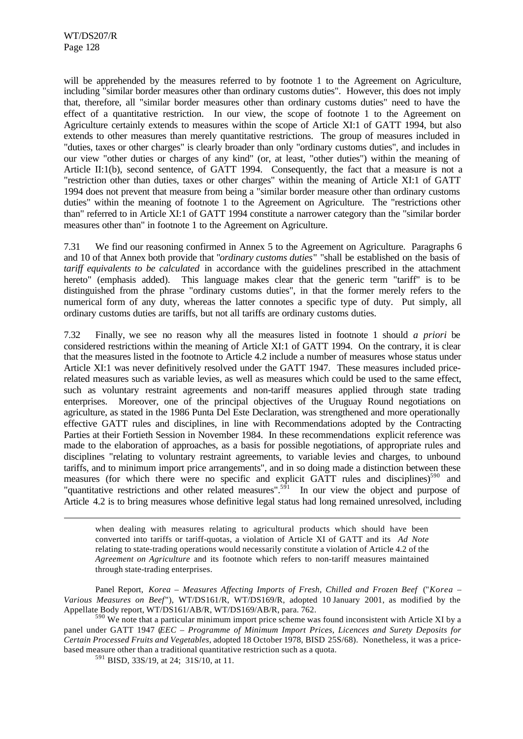l

will be apprehended by the measures referred to by footnote 1 to the Agreement on Agriculture, including "similar border measures other than ordinary customs duties". However, this does not imply that, therefore, all "similar border measures other than ordinary customs duties" need to have the effect of a quantitative restriction. In our view, the scope of footnote 1 to the Agreement on Agriculture certainly extends to measures within the scope of Article XI:1 of GATT 1994, but also extends to other measures than merely quantitative restrictions. The group of measures included in "duties, taxes or other charges" is clearly broader than only "ordinary customs duties", and includes in our view "other duties or charges of any kind" (or, at least, "other duties") within the meaning of Article II:1(b), second sentence, of GATT 1994. Consequently, the fact that a measure is not a "restriction other than duties, taxes or other charges" within the meaning of Article XI:1 of GATT 1994 does not prevent that measure from being a "similar border measure other than ordinary customs duties" within the meaning of footnote 1 to the Agreement on Agriculture. The "restrictions other than" referred to in Article XI:1 of GATT 1994 constitute a narrower category than the "similar border measures other than" in footnote 1 to the Agreement on Agriculture.

7.31 We find our reasoning confirmed in Annex 5 to the Agreement on Agriculture. Paragraphs 6 and 10 of that Annex both provide that "*ordinary customs duties*" "shall be established on the basis of *tariff equivalents to be calculated* in accordance with the guidelines prescribed in the attachment hereto" (emphasis added). This language makes clear that the generic term "tariff" is to be distinguished from the phrase "ordinary customs duties", in that the former merely refers to the numerical form of any duty, whereas the latter connotes a specific type of duty. Put simply, all ordinary customs duties are tariffs, but not all tariffs are ordinary customs duties.

7.32 Finally, we see no reason why all the measures listed in footnote 1 should *a priori* be considered restrictions within the meaning of Article XI:1 of GATT 1994. On the contrary, it is clear that the measures listed in the footnote to Article 4.2 include a number of measures whose status under Article XI:1 was never definitively resolved under the GATT 1947. These measures included pricerelated measures such as variable levies, as well as measures which could be used to the same effect, such as voluntary restraint agreements and non-tariff measures applied through state trading enterprises. Moreover, one of the principal objectives of the Uruguay Round negotiations on agriculture, as stated in the 1986 Punta Del Este Declaration, was strengthened and more operationally effective GATT rules and disciplines, in line with Recommendations adopted by the Contracting Parties at their Fortieth Session in November 1984. In these recommendations explicit reference was made to the elaboration of approaches, as a basis for possible negotiations, of appropriate rules and disciplines "relating to voluntary restraint agreements, to variable levies and charges, to unbound tariffs, and to minimum import price arrangements", and in so doing made a distinction between these measures (for which there were no specific and explicit GATT rules and disciplines)<sup>590</sup> and "quantitative restrictions and other related measures".<sup>591</sup> In our view the object and purpose of Article 4.2 is to bring measures whose definitive legal status had long remained unresolved, including

when dealing with measures relating to agricultural products which should have been converted into tariffs or tariff-quotas, a violation of Article XI of GATT and its *Ad Note* relating to state-trading operations would necessarily constitute a violation of Article 4.2 of the *Agreement on Agriculture* and its footnote which refers to non-tariff measures maintained through state-trading enterprises.

Panel Report, *Korea – Measures Affecting Imports of Fresh, Chilled and Frozen Beef* ("*Korea – Various Measures on Beef*"), WT/DS161/R, WT/DS169/R, adopted 10 January 2001, as modified by the Appellate Body report, WT/DS161/AB/R, WT/DS169/AB/R, para. 762.

<sup>&</sup>lt;sup>590</sup> We note that a particular minimum import price scheme was found inconsistent with Article XI by a panel under GATT 1947 (*EEC – Programme of Minimum Import Prices, Licences and Surety Deposits for Certain Processed Fruits and Vegetables*, adopted 18 October 1978, BISD 25S/68). Nonetheless, it was a pricebased measure other than a traditional quantitative restriction such as a quota.

<sup>591</sup> BISD, 33S/19, at 24; 31S/10, at 11.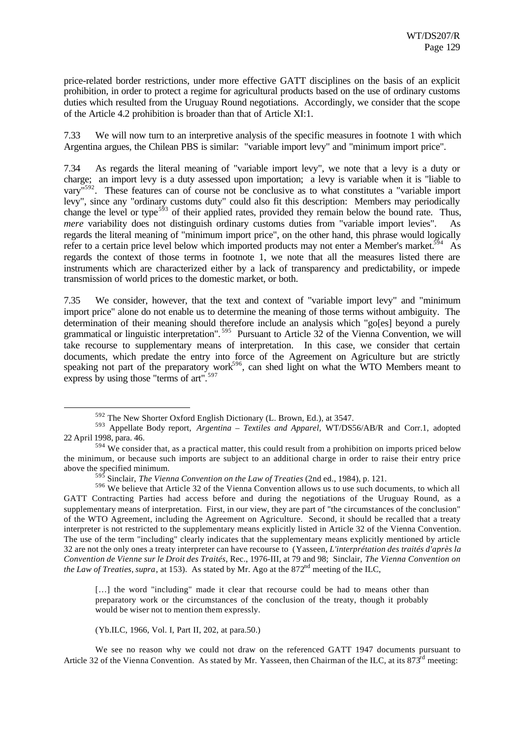price-related border restrictions, under more effective GATT disciplines on the basis of an explicit prohibition, in order to protect a regime for agricultural products based on the use of ordinary customs duties which resulted from the Uruguay Round negotiations. Accordingly, we consider that the scope of the Article 4.2 prohibition is broader than that of Article XI:1.

7.33 We will now turn to an interpretive analysis of the specific measures in footnote 1 with which Argentina argues, the Chilean PBS is similar: "variable import levy" and "minimum import price".

7.34 As regards the literal meaning of "variable import levy", we note that a levy is a duty or charge; an import levy is a duty assessed upon importation; a levy is variable when it is "liable to vary"<sup>592</sup>. These features can of course not be conclusive as to what constitutes a "variable import levy", since any "ordinary customs duty" could also fit this description: Members may periodically change the level or type<sup>593</sup> of their applied rates, provided they remain below the bound rate. Thus, *mere* variability does not distinguish ordinary customs duties from "variable import levies". As regards the literal meaning of "minimum import price", on the other hand, this phrase would logically refer to a certain price level below which imported products may not enter a Member's market.<sup>594</sup> As regards the context of those terms in footnote 1, we note that all the measures listed there are instruments which are characterized either by a lack of transparency and predictability, or impede transmission of world prices to the domestic market, or both.

7.35 We consider, however, that the text and context of "variable import levy" and "minimum import price" alone do not enable us to determine the meaning of those terms without ambiguity. The determination of their meaning should therefore include an analysis which "go[es] beyond a purely grammatical or linguistic interpretation".<sup>595</sup> Pursuant to Article 32 of the Vienna Convention, we will take recourse to supplementary means of interpretation. In this case, we consider that certain documents, which predate the entry into force of the Agreement on Agriculture but are strictly speaking not part of the preparatory work<sup>596</sup>, can shed light on what the WTO Members meant to express by using those "terms of art".<sup>597</sup>

[...] the word "including" made it clear that recourse could be had to means other than preparatory work or the circumstances of the conclusion of the treaty, though it probably would be wiser not to mention them expressly.

(Yb.ILC, 1966, Vol. I, Part II, 202, at para.50.)

l

We see no reason why we could not draw on the referenced GATT 1947 documents pursuant to Article 32 of the Vienna Convention. As stated by Mr. Yasseen, then Chairman of the ILC, at its  $873<sup>rd</sup>$  meeting:

<sup>592</sup> The New Shorter Oxford English Dictionary (L. Brown, Ed.), at 3547.

<sup>593</sup> Appellate Body report, *Argentina – Textiles and Apparel*, WT/DS56/AB/R and Corr.1, adopted 22 April 1998, para. 46.

 $594$  We consider that, as a practical matter, this could result from a prohibition on imports priced below the minimum, or because such imports are subject to an additional charge in order to raise their entry price above the specified minimum.

<sup>595</sup> Sinclair, *The Vienna Convention on the Law of Treaties* (2nd ed., 1984), p. 121.

<sup>596</sup> We believe that Article 32 of the Vienna Convention allows us to use such documents, to which all GATT Contracting Parties had access before and during the negotiations of the Uruguay Round, as a supplementary means of interpretation. First, in our view, they are part of "the circumstances of the conclusion" of the WTO Agreement, including the Agreement on Agriculture. Second, it should be recalled that a treaty interpreter is not restricted to the supplementary means explicitly listed in Article 32 of the Vienna Convention. The use of the term "including" clearly indicates that the supplementary means explicitly mentioned by article 32 are not the only ones a treaty interpreter can have recourse to (Yasseen, *L'interprétation des traités d'après la Convention de Vienne sur le Droit des Traités*, Rec., 1976-III, at 79 and 98; Sinclair, *The Vienna Convention on the Law of Treaties, supra, at 153).* As stated by Mr. Ago at the  $872<sup>nd</sup>$  meeting of the ILC,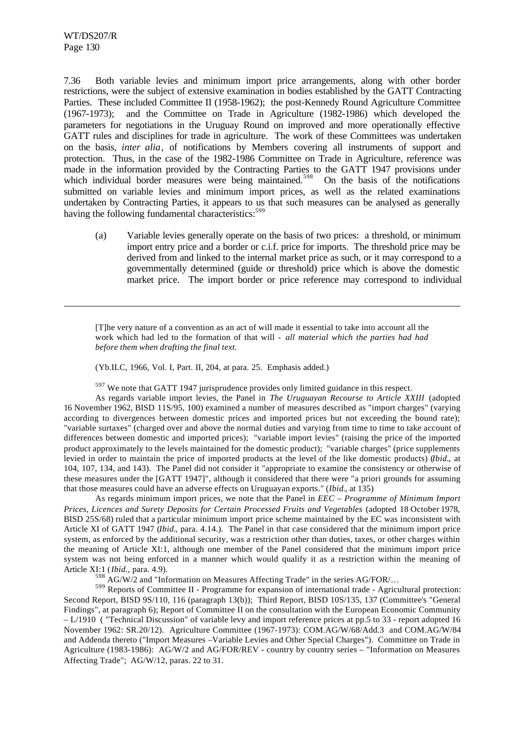l

7.36 Both variable levies and minimum import price arrangements, along with other border restrictions, were the subject of extensive examination in bodies established by the GATT Contracting Parties. These included Committee II (1958-1962); the post-Kennedy Round Agriculture Committee (1967-1973); and the Committee on Trade in Agriculture (1982-1986) which developed the parameters for negotiations in the Uruguay Round on improved and more operationally effective GATT rules and disciplines for trade in agriculture. The work of these Committees was undertaken on the basis, *inter alia*, of notifications by Members covering all instruments of support and protection. Thus, in the case of the 1982-1986 Committee on Trade in Agriculture, reference was made in the information provided by the Contracting Parties to the GATT 1947 provisions under which individual border measures were being maintained.<sup>598</sup> On the basis of the notifications submitted on variable levies and minimum import prices, as well as the related examinations undertaken by Contracting Parties, it appears to us that such measures can be analysed as generally having the following fundamental characteristics:<sup>599</sup>

(a) Variable levies generally operate on the basis of two prices: a threshold, or minimum import entry price and a border or c.i.f. price for imports. The threshold price may be derived from and linked to the internal market price as such, or it may correspond to a governmentally determined (guide or threshold) price which is above the domestic market price. The import border or price reference may correspond to individual

[T]he very nature of a convention as an act of will made it essential to take into account all the work which had led to the formation of that will - *all material which the parties had had before them when drafting the final text*.

(Yb.ILC, 1966, Vol. I, Part. II, 204, at para. 25. Emphasis added.)

 $597$  We note that GATT 1947 jurisprudence provides only limited guidance in this respect.

As regards variable import levies, the Panel in *The Uruguayan Recourse to Article XXIII* (adopted 16 November 1962, BISD 11S/95, 100) examined a number of measures described as "import charges" (varying according to divergences between domestic prices and imported prices but not exceeding the bound rate); "variable surtaxes" (charged over and above the normal duties and varying from time to time to take account of differences between domestic and imported prices); "variable import levies" (raising the price of the imported product approximately to the levels maintained for the domestic product); "variable charges" (price supplements levied in order to maintain the price of imported products at the level of the like domestic products) (*Ibid.*, at 104, 107, 134, and 143). The Panel did not consider it "appropriate to examine the consistency or otherwise of these measures under the [GATT 1947]", although it considered that there were "a priori grounds for assuming that those measures could have an adverse effects on Uruguayan exports." (*Ibid.*, at 135)

As regards minimum import prices, we note that the Panel in *EEC – Programme of Minimum Import Prices, Licences and Surety Deposits for Certain Processed Fruits and Vegetables* (adopted 18 October 1978, BISD 25S/68) ruled that a particular minimum import price scheme maintained by the EC was inconsistent with Article XI of GATT 1947 (*Ibid.*, para. 4.14.). The Panel in that case considered that the minimum import price system, as enforced by the additional security, was a restriction other than duties, taxes, or other charges within the meaning of Article XI:1, although one member of the Panel considered that the minimum import price system was not being enforced in a manner which would qualify it as a restriction within the meaning of Article XI:1 (*Ibid*., para. 4.9).

 $^{98}$  AG/W/2 and "Information on Measures Affecting Trade" in the series AG/FOR/...

 $599$  Reports of Committee II - Programme for expansion of international trade - Agricultural protection: Second Report, BISD 9S/110, 116 (paragraph 13(b)); Third Report, BISD 10S/135, 137 (Committee's "General Findings", at paragraph 6); Report of Committee II on the consultation with the European Economic Community – L/1910 ( "Technical Discussion" of variable levy and import reference prices at pp.5 to 33 - report adopted 16 November 1962: SR.20/12). Agriculture Committee (1967-1973): COM.AG/W/68/Add.3 and COM.AG/W/84 and Addenda thereto ("Import Measures –Variable Levies and Other Special Charges"). Committee on Trade in Agriculture (1983-1986): AG/W/2 and AG/FOR/REV - country by country series – "Information on Measures Affecting Trade"; AG/W/12, paras. 22 to 31.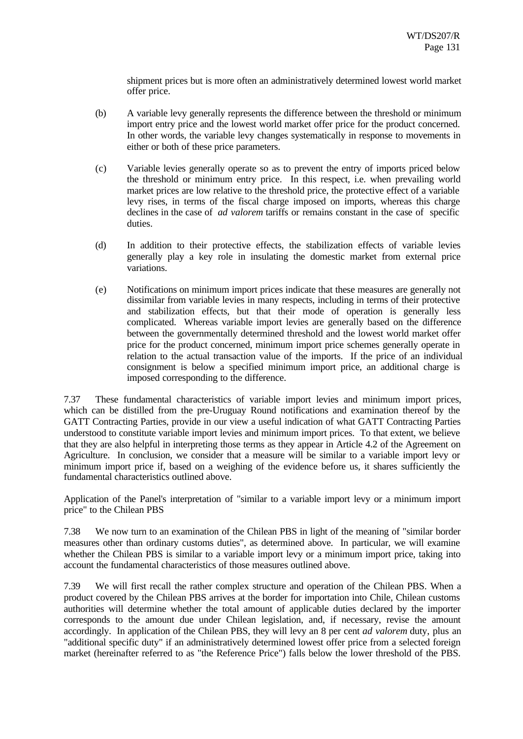shipment prices but is more often an administratively determined lowest world market offer price.

- (b) A variable levy generally represents the difference between the threshold or minimum import entry price and the lowest world market offer price for the product concerned. In other words, the variable levy changes systematically in response to movements in either or both of these price parameters.
- (c) Variable levies generally operate so as to prevent the entry of imports priced below the threshold or minimum entry price. In this respect, i.e. when prevailing world market prices are low relative to the threshold price, the protective effect of a variable levy rises, in terms of the fiscal charge imposed on imports, whereas this charge declines in the case of *ad valorem* tariffs or remains constant in the case of specific duties.
- (d) In addition to their protective effects, the stabilization effects of variable levies generally play a key role in insulating the domestic market from external price variations.
- (e) Notifications on minimum import prices indicate that these measures are generally not dissimilar from variable levies in many respects, including in terms of their protective and stabilization effects, but that their mode of operation is generally less complicated. Whereas variable import levies are generally based on the difference between the governmentally determined threshold and the lowest world market offer price for the product concerned, minimum import price schemes generally operate in relation to the actual transaction value of the imports. If the price of an individual consignment is below a specified minimum import price, an additional charge is imposed corresponding to the difference.

7.37 These fundamental characteristics of variable import levies and minimum import prices, which can be distilled from the pre-Uruguay Round notifications and examination thereof by the GATT Contracting Parties, provide in our view a useful indication of what GATT Contracting Parties understood to constitute variable import levies and minimum import prices. To that extent, we believe that they are also helpful in interpreting those terms as they appear in Article 4.2 of the Agreement on Agriculture. In conclusion, we consider that a measure will be similar to a variable import levy or minimum import price if, based on a weighing of the evidence before us, it shares sufficiently the fundamental characteristics outlined above.

Application of the Panel's interpretation of "similar to a variable import levy or a minimum import price" to the Chilean PBS

7.38 We now turn to an examination of the Chilean PBS in light of the meaning of "similar border measures other than ordinary customs duties", as determined above. In particular, we will examine whether the Chilean PBS is similar to a variable import levy or a minimum import price, taking into account the fundamental characteristics of those measures outlined above.

7.39 We will first recall the rather complex structure and operation of the Chilean PBS. When a product covered by the Chilean PBS arrives at the border for importation into Chile, Chilean customs authorities will determine whether the total amount of applicable duties declared by the importer corresponds to the amount due under Chilean legislation, and, if necessary, revise the amount accordingly. In application of the Chilean PBS, they will levy an 8 per cent *ad valorem* duty, plus an "additional specific duty" if an administratively determined lowest offer price from a selected foreign market (hereinafter referred to as "the Reference Price") falls below the lower threshold of the PBS.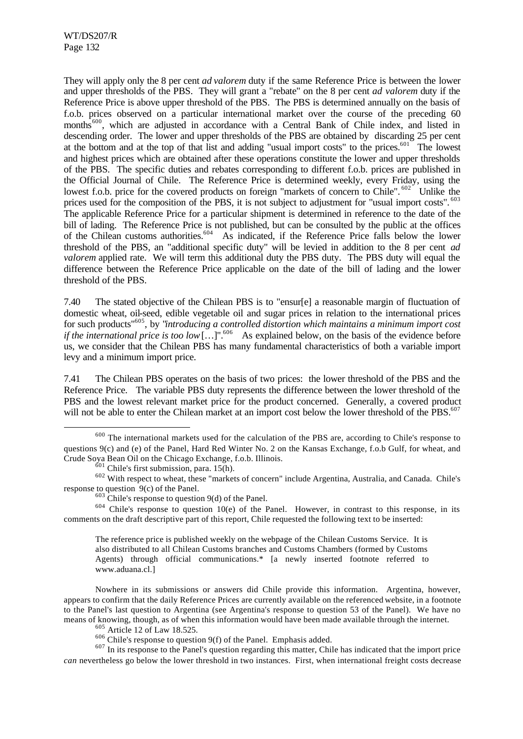l

They will apply only the 8 per cent *ad valorem* duty if the same Reference Price is between the lower and upper thresholds of the PBS. They will grant a "rebate" on the 8 per cent *ad valorem* duty if the Reference Price is above upper threshold of the PBS. The PBS is determined annually on the basis of f.o.b. prices observed on a particular international market over the course of the preceding 60 months<sup>600</sup>, which are adjusted in accordance with a Central Bank of Chile index, and listed in descending order. The lower and upper thresholds of the PBS are obtained by discarding 25 per cent at the bottom and at the top of that list and adding "usual import costs" to the prices.<sup>601</sup> The lowest and highest prices which are obtained after these operations constitute the lower and upper thresholds of the PBS. The specific duties and rebates corresponding to different f.o.b. prices are published in the Official Journal of Chile. The Reference Price is determined weekly, every Friday, using the lowest f.o.b. price for the covered products on foreign "markets of concern to Chile". <sup>602</sup> Unlike the prices used for the composition of the PBS, it is not subject to adjustment for "usual import costs". <sup>603</sup> The applicable Reference Price for a particular shipment is determined in reference to the date of the bill of lading. The Reference Price is not published, but can be consulted by the public at the offices of the Chilean customs authorities.<sup>604</sup> As indicated, if the Reference Price falls below the lower threshold of the PBS, an "additional specific duty" will be levied in addition to the 8 per cent *ad valorem* applied rate. We will term this additional duty the PBS duty. The PBS duty will equal the difference between the Reference Price applicable on the date of the bill of lading and the lower threshold of the PBS.

7.40 The stated objective of the Chilean PBS is to "ensur[e] a reasonable margin of fluctuation of domestic wheat, oil-seed, edible vegetable oil and sugar prices in relation to the international prices for such products"<sup>605</sup>, by "*introducing a controlled distortion which maintains a minimum import cost if the international price is too low* […]".<sup>606</sup> As explained below, on the basis of the evidence before us, we consider that the Chilean PBS has many fundamental characteristics of both a variable import levy and a minimum import price.

7.41 The Chilean PBS operates on the basis of two prices: the lower threshold of the PBS and the Reference Price. The variable PBS duty represents the difference between the lower threshold of the PBS and the lowest relevant market price for the product concerned. Generally, a covered product will not be able to enter the Chilean market at an import cost below the lower threshold of the PBS.<sup>607</sup>

 $604$  Chile's response to question 10(e) of the Panel. However, in contrast to this response, in its comments on the draft descriptive part of this report, Chile requested the following text to be inserted:

The reference price is published weekly on the webpage of the Chilean Customs Service. It is also distributed to all Chilean Customs branches and Customs Chambers (formed by Customs Agents) through official communications.\* [a newly inserted footnote referred to www.aduana.cl.]

Nowhere in its submissions or answers did Chile provide this information. Argentina, however, appears to confirm that the daily Reference Prices are currently available on the referenced website, in a footnote to the Panel's last question to Argentina (see Argentina's response to question 53 of the Panel). We have no means of knowing, though, as of when this information would have been made available through the internet.

<sup>605</sup> Article 12 of Law 18.525.

 $606$  Chile's response to question 9(f) of the Panel. Emphasis added.

<sup>607</sup> In its response to the Panel's question regarding this matter, Chile has indicated that the import price *can* nevertheless go below the lower threshold in two instances. First, when international freight costs decrease

<sup>600</sup> The international markets used for the calculation of the PBS are, according to Chile's response to questions 9(c) and (e) of the Panel, Hard Red Winter No. 2 on the Kansas Exchange, f.o.b Gulf, for wheat, and Crude Soya Bean Oil on the Chicago Exchange, f.o.b. Illinois.

 $601$  Chile's first submission, para. 15(h).

<sup>&</sup>lt;sup>602</sup> With respect to wheat, these "markets of concern" include Argentina, Australia, and Canada. Chile's response to question 9(c) of the Panel.

 $603$  Chile's response to question 9(d) of the Panel.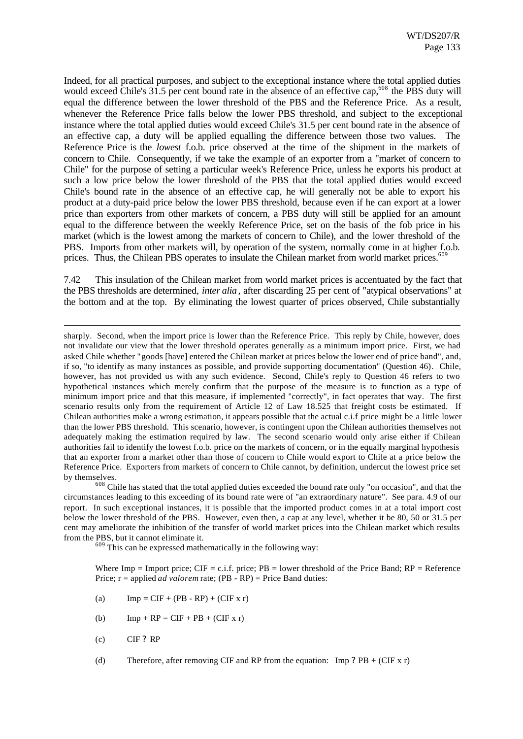Indeed, for all practical purposes, and subject to the exceptional instance where the total applied duties would exceed Chile's  $31.5$  per cent bound rate in the absence of an effective cap,<sup>608</sup> the PBS duty will equal the difference between the lower threshold of the PBS and the Reference Price. As a result, whenever the Reference Price falls below the lower PBS threshold, and subject to the exceptional instance where the total applied duties would exceed Chile's 31.5 per cent bound rate in the absence of an effective cap, a duty will be applied equalling the difference between those two values. The Reference Price is the *lowest* f.o.b. price observed at the time of the shipment in the markets of concern to Chile. Consequently, if we take the example of an exporter from a "market of concern to Chile" for the purpose of setting a particular week's Reference Price, unless he exports his product at such a low price below the lower threshold of the PBS that the total applied duties would exceed Chile's bound rate in the absence of an effective cap, he will generally not be able to export his product at a duty-paid price below the lower PBS threshold, because even if he can export at a lower price than exporters from other markets of concern, a PBS duty will still be applied for an amount equal to the difference between the weekly Reference Price, set on the basis of the fob price in his market (which is the lowest among the markets of concern to Chile), and the lower threshold of the PBS. Imports from other markets will, by operation of the system, normally come in at higher f.o.b. prices. Thus, the Chilean PBS operates to insulate the Chilean market from world market prices.<sup>60</sup>

7.42 This insulation of the Chilean market from world market prices is accentuated by the fact that the PBS thresholds are determined, *inter alia*, after discarding 25 per cent of "atypical observations" at the bottom and at the top. By eliminating the lowest quarter of prices observed, Chile substantially

<sup>608</sup> Chile has stated that the total applied duties exceeded the bound rate only "on occasion", and that the circumstances leading to this exceeding of its bound rate were of "an extraordinary nature". See para. 4.9 of our report. In such exceptional instances, it is possible that the imported product comes in at a total import cost below the lower threshold of the PBS. However, even then, a cap at any level, whether it be 80, 50 or 31.5 per cent may ameliorate the inhibition of the transfer of world market prices into the Chilean market which results from the PBS, but it cannot eliminate it.

 $609$  This can be expressed mathematically in the following way:

Where Imp = Import price;  $CIF = c.i.f.$  price;  $PB = lower$  threshold of the Price Band;  $RP = Reference$ Price; r = applied *ad valorem* rate; (PB - RP) = Price Band duties:

- (a)  $\text{Imp} = \text{CIF} + (\text{PB} \text{RP}) + (\text{CIF} \times \text{r})$
- (b)  $\text{Imp} + \text{RP} = \text{CIF} + \text{PB} + (\text{CIF} \times \text{r})$
- $\angle$  CIF ? RP

l

(d) Therefore, after removing CIF and RP from the equation: Imp ?  $PB + (CIF \times r)$ 

sharply. Second, when the import price is lower than the Reference Price. This reply by Chile, however, does not invalidate our view that the lower threshold operates generally as a minimum import price. First, we had asked Chile whether "goods [have] entered the Chilean market at prices below the lower end of price band", and, if so, "to identify as many instances as possible, and provide supporting documentation" (Question 46). Chile, however, has not provided us with any such evidence. Second, Chile's reply to Question 46 refers to two hypothetical instances which merely confirm that the purpose of the measure is to function as a type of minimum import price and that this measure, if implemented "correctly", in fact operates that way. The first scenario results only from the requirement of Article 12 of Law 18.525 that freight costs be estimated. If Chilean authorities make a wrong estimation, it appears possible that the actual c.i.f price might be a little lower than the lower PBS threshold. This scenario, however, is contingent upon the Chilean authorities themselves not adequately making the estimation required by law. The second scenario would only arise either if Chilean authorities fail to identify the lowest f.o.b. price on the markets of concern, or in the equally marginal hypothesis that an exporter from a market other than those of concern to Chile would export to Chile at a price below the Reference Price. Exporters from markets of concern to Chile cannot, by definition, undercut the lowest price set by themselves.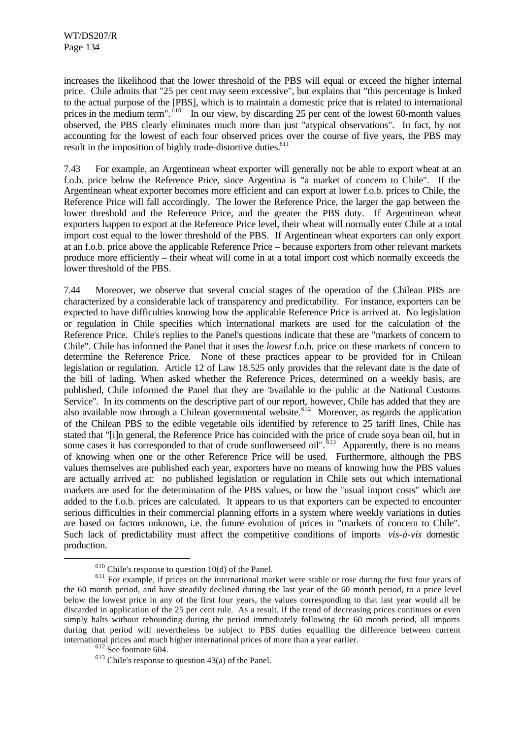increases the likelihood that the lower threshold of the PBS will equal or exceed the higher internal price. Chile admits that "25 per cent may seem excessive", but explains that "this percentage is linked to the actual purpose of the [PBS], which is to maintain a domestic price that is related to international prices in the medium term".  $\frac{610}{n}$  In our view, by discarding 25 per cent of the lowest 60-month values observed, the PBS clearly eliminates much more than just "atypical observations". In fact, by not accounting for the lowest of each four observed prices over the course of five years, the PBS may result in the imposition of highly trade-distortive duties.<sup>611</sup>

7.43 For example, an Argentinean wheat exporter will generally not be able to export wheat at an f.o.b. price below the Reference Price, since Argentina is "a market of concern to Chile". If the Argentinean wheat exporter becomes more efficient and can export at lower f.o.b. prices to Chile, the Reference Price will fall accordingly. The lower the Reference Price, the larger the gap between the lower threshold and the Reference Price, and the greater the PBS duty. If Argentinean wheat exporters happen to export at the Reference Price level, their wheat will normally enter Chile at a total import cost equal to the lower threshold of the PBS. If Argentinean wheat exporters can only export at an f.o.b. price above the applicable Reference Price – because exporters from other relevant markets produce more efficiently – their wheat will come in at a total import cost which normally exceeds the lower threshold of the PBS.

7.44 Moreover, we observe that several crucial stages of the operation of the Chilean PBS are characterized by a considerable lack of transparency and predictability. For instance, exporters can be expected to have difficulties knowing how the applicable Reference Price is arrived at. No legislation or regulation in Chile specifies which international markets are used for the calculation of the Reference Price. Chile's replies to the Panel's questions indicate that these are "markets of concern to Chile". Chile has informed the Panel that it uses the *lowest* f.o.b. price on these markets of concern to determine the Reference Price. None of these practices appear to be provided for in Chilean legislation or regulation. Article 12 of Law 18.525 only provides that the relevant date is the date of the bill of lading. When asked whether the Reference Prices, determined on a weekly basis, are published, Chile informed the Panel that they are "available to the public at the National Customs Service". In its comments on the descriptive part of our report, however, Chile has added that they are also available now through a Chilean governmental website.<sup>612</sup> Moreover, as regards the application of the Chilean PBS to the edible vegetable oils identified by reference to 25 tariff lines, Chile has stated that "[i]n general, the Reference Price has coincided with the price of crude soya bean oil, but in some cases it has corresponded to that of crude sunflowerseed oil".  $613$  Apparently, there is no means of knowing when one or the other Reference Price will be used. Furthermore, although the PBS values themselves are published each year, exporters have no means of knowing how the PBS values are actually arrived at: no published legislation or regulation in Chile sets out which international markets are used for the determination of the PBS values, or how the "usual import costs" which are added to the f.o.b. prices are calculated. It appears to us that exporters can be expected to encounter serious difficulties in their commercial planning efforts in a system where weekly variations in duties are based on factors unknown, i.e. the future evolution of prices in "markets of concern to Chile". Such lack of predictability must affect the competitive conditions of imports *vis-à-vis* domestic production.

 $610$  Chile's response to question 10(d) of the Panel.

<sup>&</sup>lt;sup>611</sup> For example, if prices on the international market were stable or rose during the first four years of the 60 month period, and have steadily declined during the last year of the 60 month period, to a price level below the lowest price in any of the first four years, the values corresponding to that last year would all be discarded in application of the 25 per cent rule. As a result, if the trend of decreasing prices continues or even simply halts without rebounding during the period immediately following the 60 month period, all imports during that period will nevertheless be subject to PBS duties equalling the difference between current international prices and much higher international prices of more than a year earlier.

<sup>612</sup> See footnote 604.

 $613$  Chile's response to question 43(a) of the Panel.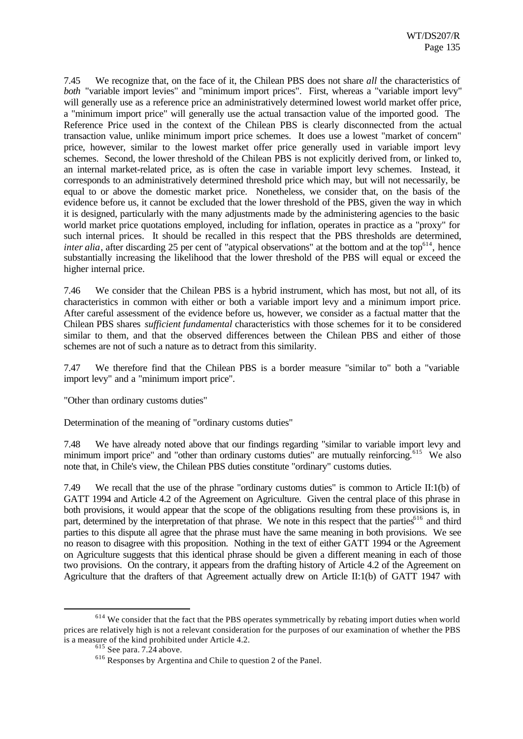7.45 We recognize that, on the face of it, the Chilean PBS does not share *all* the characteristics of *both* "variable import levies" and "minimum import prices". First, whereas a "variable import levy" will generally use as a reference price an administratively determined lowest world market offer price, a "minimum import price" will generally use the actual transaction value of the imported good. The Reference Price used in the context of the Chilean PBS is clearly disconnected from the actual transaction value, unlike minimum import price schemes. It does use a lowest "market of concern" price, however, similar to the lowest market offer price generally used in variable import levy schemes. Second, the lower threshold of the Chilean PBS is not explicitly derived from, or linked to, an internal market-related price, as is often the case in variable import levy schemes. Instead, it corresponds to an administratively determined threshold price which may, but will not necessarily, be equal to or above the domestic market price. Nonetheless, we consider that, on the basis of the evidence before us, it cannot be excluded that the lower threshold of the PBS, given the way in which it is designed, particularly with the many adjustments made by the administering agencies to the basic world market price quotations employed, including for inflation, operates in practice as a "proxy" for such internal prices. It should be recalled in this respect that the PBS thresholds are determined. *inter alia*, after discarding 25 per cent of "atypical observations" at the bottom and at the top<sup>614</sup>, hence substantially increasing the likelihood that the lower threshold of the PBS will equal or exceed the higher internal price.

7.46 We consider that the Chilean PBS is a hybrid instrument, which has most, but not all, of its characteristics in common with either or both a variable import levy and a minimum import price. After careful assessment of the evidence before us, however, we consider as a factual matter that the Chilean PBS shares *sufficient fundamental* characteristics with those schemes for it to be considered similar to them, and that the observed differences between the Chilean PBS and either of those schemes are not of such a nature as to detract from this similarity.

7.47 We therefore find that the Chilean PBS is a border measure "similar to" both a "variable import levy" and a "minimum import price".

"Other than ordinary customs duties"

Determination of the meaning of "ordinary customs duties"

7.48 We have already noted above that our findings regarding "similar to variable import levy and minimum import price" and "other than ordinary customs duties" are mutually reinforcing.<sup>615</sup> We also note that, in Chile's view, the Chilean PBS duties constitute "ordinary" customs duties.

7.49 We recall that the use of the phrase "ordinary customs duties" is common to Article II:1(b) of GATT 1994 and Article 4.2 of the Agreement on Agriculture. Given the central place of this phrase in both provisions, it would appear that the scope of the obligations resulting from these provisions is, in part, determined by the interpretation of that phrase. We note in this respect that the parties<sup>616</sup> and third parties to this dispute all agree that the phrase must have the same meaning in both provisions. We see no reason to disagree with this proposition. Nothing in the text of either GATT 1994 or the Agreement on Agriculture suggests that this identical phrase should be given a different meaning in each of those two provisions. On the contrary, it appears from the drafting history of Article 4.2 of the Agreement on Agriculture that the drafters of that Agreement actually drew on Article II:1(b) of GATT 1947 with

<sup>&</sup>lt;sup>614</sup> We consider that the fact that the PBS operates symmetrically by rebating import duties when world prices are relatively high is not a relevant consideration for the purposes of our examination of whether the PBS is a measure of the kind prohibited under Article 4.2.

 $615$  See para. 7.24 above.

<sup>616</sup> Responses by Argentina and Chile to question 2 of the Panel.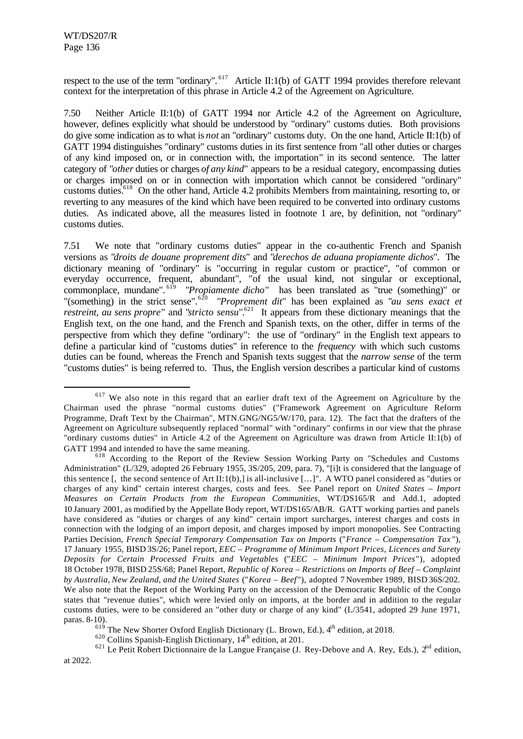l

respect to the use of the term "ordinary". <sup>617</sup> Article II:1(b) of GATT 1994 provides therefore relevant context for the interpretation of this phrase in Article 4.2 of the Agreement on Agriculture.

7.50 Neither Article II:1(b) of GATT 1994 nor Article 4.2 of the Agreement on Agriculture, however, defines explicitly what should be understood by "ordinary" customs duties. Both provisions do give some indication as to what is *not* an "ordinary" customs duty. On the one hand, Article II:1(b) of GATT 1994 distinguishes "ordinary" customs duties in its first sentence from "all other duties or charges of any kind imposed on, or in connection with, the importation" in its second sentence. The latter category of "*other* duties or charges *of any kind*" appears to be a residual category, encompassing duties or charges imposed on or in connection with importation which cannot be considered "ordinary" customs duties.<sup>618</sup> On the other hand, Article 4.2 prohibits Members from maintaining, resorting to, or reverting to any measures of the kind which have been required to be converted into ordinary customs duties. As indicated above, all the measures listed in footnote 1 are, by definition, not "ordinary" customs duties.

7.51 We note that "ordinary customs duties" appear in the co-authentic French and Spanish versions as "*droits de douane proprement dits*" and "*derechos de aduana propiamente dichos*". The dictionary meaning of "ordinary" is "occurring in regular custom or practice", "of common or everyday occurrence, frequent, abundant", "of the usual kind, not singular or exceptional, commonplace, mundane". <sup>619</sup> "*Propiamente dicho*" has been translated as "true (something)" or "(something) in the strict sense".<sup>620</sup> "*Proprement dit*" has been explained as "*au sens exact et*" *restreint, au sens propre*" and "*stricto sensu*".<sup>621</sup> It appears from these dictionary meanings that the English text, on the one hand, and the French and Spanish texts, on the other, differ in terms of the perspective from which they define "ordinary": the use of "ordinary" in the English text appears to define a particular kind of "customs duties" in reference to the *frequency* with which such customs duties can be found, whereas the French and Spanish texts suggest that the *narrow sense* of the term "customs duties" is being referred to. Thus, the English version describes a particular kind of customs

 $619$  The New Shorter Oxford English Dictionary (L. Brown, Ed.),  $4<sup>th</sup>$  edition, at 2018.

 $620$  Collins Spanish-English Dictionary,  $14<sup>th</sup>$  edition, at 201.

 $621$  Le Petit Robert Dictionnaire de la Langue Française (J. Rey-Debove and A. Rey, Eds.),  $2^{nd}$  edition, at 2022.

<sup>&</sup>lt;sup>617</sup> We also note in this regard that an earlier draft text of the Agreement on Agriculture by the Chairman used the phrase "normal customs duties" ("Framework Agreement on Agriculture Reform Programme, Draft Text by the Chairman", MTN.GNG/NG5/W/170, para. 12). The fact that the drafters of the Agreement on Agriculture subsequently replaced "normal" with "ordinary" confirms in our view that the phrase "ordinary customs duties" in Article 4.2 of the Agreement on Agriculture was drawn from Article II:1(b) of GATT 1994 and intended to have the same meaning.

<sup>618</sup> According to the Report of the Review Session Working Party on "Schedules and Customs Administration" (L/329, adopted 26 February 1955, 3S/205, 209, para. 7), "[i]t is considered that the language of this sentence [, the second sentence of Art II:1(b),] is all-inclusive […]". A WTO panel considered as "duties or charges of any kind" certain interest charges, costs and fees. See Panel report on *United States – Import Measures on Certain Products from the European Communities*, WT/DS165/R and Add.1, adopted 10 January 2001, as modified by the Appellate Body report, WT/DS165/AB/R. GATT working parties and panels have considered as "duties or charges of any kind" certain import surcharges, interest charges and costs in connection with the lodging of an import deposit, and charges imposed by import monopolies. See Contracting Parties Decision, *French Special Temporary Compensation Tax on Imports* ("*France – Compensation Tax* "), 17 January 1955, BISD 3S/26; Panel report, *EEC – Programme of Minimum Import Prices, Licences and Surety Deposits for Certain Processed Fruits and Vegetables* ("*EEC – Minimum Import Prices*"), adopted 18 October 1978, BISD 25S/68; Panel Report, *Republic of Korea – Restrictions on Imports of Beef – Complaint by Australia*, *New Zealand, and the United States* ("*Korea – Beef*"), adopted 7 November 1989, BISD 36S/202. We also note that the Report of the Working Party on the accession of the Democratic Republic of the Congo states that "revenue duties", which were levied only on imports, at the border and in addition to the regular customs duties, were to be considered an "other duty or charge of any kind" (L/3541, adopted 29 June 1971, paras. 8-10).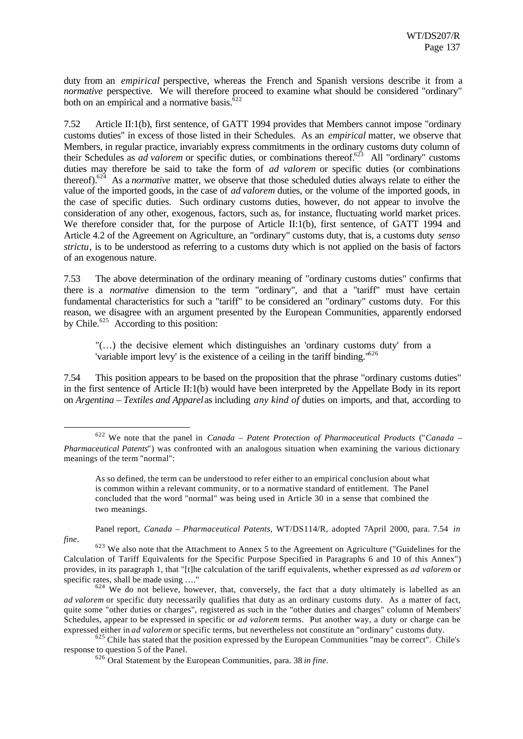duty from an *empirical* perspective, whereas the French and Spanish versions describe it from a *normative* perspective. We will therefore proceed to examine what should be considered "ordinary" both on an empirical and a normative basis. ${}^{522}$ 

7.52 Article II:1(b), first sentence, of GATT 1994 provides that Members cannot impose "ordinary customs duties" in excess of those listed in their Schedules. As an *empirical* matter, we observe that Members, in regular practice, invariably express commitments in the ordinary customs duty column of their Schedules as *ad valorem* or specific duties, or combinations thereof.<sup>623</sup> All "ordinary" customs duties may therefore be said to take the form of *ad valorem* or specific duties (or combinations thereof).<sup>624</sup> As a *normative* matter, we observe that those scheduled duties always relate to either the value of the imported goods, in the case of *ad valorem* duties, or the volume of the imported goods, in the case of specific duties. Such ordinary customs duties, however, do not appear to involve the consideration of any other, exogenous, factors, such as, for instance, fluctuating world market prices. We therefore consider that, for the purpose of Article II:1(b), first sentence, of GATT 1994 and Article 4.2 of the Agreement on Agriculture, an "ordinary" customs duty, that is, a customs duty *senso strictu*, is to be understood as referring to a customs duty which is not applied on the basis of factors of an exogenous nature.

7.53 The above determination of the ordinary meaning of "ordinary customs duties" confirms that there is a *normative* dimension to the term "ordinary", and that a "tariff" must have certain fundamental characteristics for such a "tariff" to be considered an "ordinary" customs duty. For this reason, we disagree with an argument presented by the European Communities, apparently endorsed by Chile.<sup>625</sup> According to this position:

"(…) the decisive element which distinguishes an 'ordinary customs duty' from a 'variable import levy' is the existence of a ceiling in the tariff binding."<sup>626</sup>

7.54 This position appears to be based on the proposition that the phrase "ordinary customs duties" in the first sentence of Article II:1(b) would have been interpreted by the Appellate Body in its report on *Argentina – Textiles and Apparel* as including *any kind of* duties on imports, and that, according to

Panel report, *Canada - Pharmaceutical Patents*, WT/DS114/R, adopted 7April 2000, para. 7.54 *in fine*.

<sup>625</sup> Chile has stated that the position expressed by the European Communities "may be correct". Chile's response to question 5 of the Panel.

<sup>622</sup> We note that the panel in *Canada – Patent Protection of Pharmaceutical Products* ("*Canada – Pharmaceutical Patents*") was confronted with an analogous situation when examining the various dictionary meanings of the term "normal":

As so defined, the term can be understood to refer either to an empirical conclusion about what is common within a relevant community, or to a normative standard of entitlement. The Panel concluded that the word "normal" was being used in Article 30 in a sense that combined the two meanings.

<sup>&</sup>lt;sup>623</sup> We also note that the Attachment to Annex 5 to the Agreement on Agriculture ("Guidelines for the Calculation of Tariff Equivalents for the Specific Purpose Specified in Paragraphs 6 and 10 of this Annex") provides, in its paragraph 1, that "[t]he calculation of the tariff equivalents, whether expressed as *ad valorem* or specific rates, shall be made using …."

 $624$  We do not believe, however, that, conversely, the fact that a duty ultimately is labelled as an *ad valorem* or specific duty necessarily qualifies that duty as an ordinary customs duty. As a matter of fact, quite some "other duties or charges", registered as such in the "other duties and charges" column of Members' Schedules, appear to be expressed in specific or *ad valorem* terms. Put another way, a duty or charge can be expressed either in *ad valorem* or specific terms, but nevertheless not constitute an "ordinary" customs duty.

<sup>626</sup> Oral Statement by the European Communities, para. 38 *in fine*.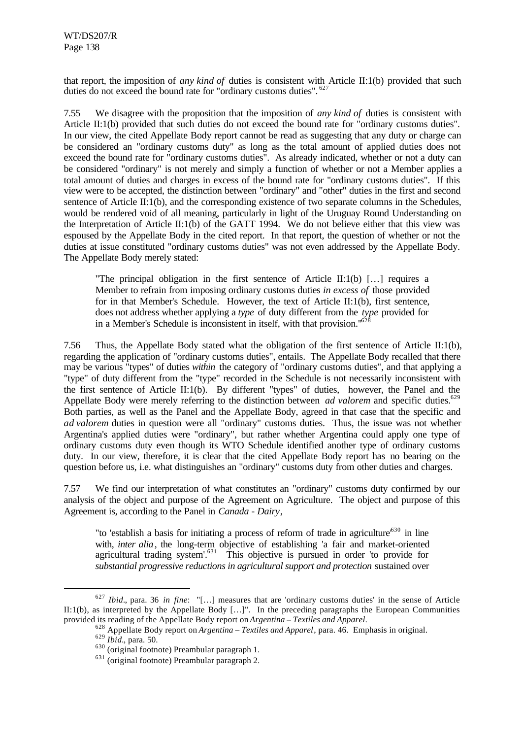that report, the imposition of *any kind of* duties is consistent with Article II:1(b) provided that such duties do not exceed the bound rate for "ordinary customs duties". <sup>627</sup>

7.55 We disagree with the proposition that the imposition of *any kind of* duties is consistent with Article II:1(b) provided that such duties do not exceed the bound rate for "ordinary customs duties". In our view, the cited Appellate Body report cannot be read as suggesting that any duty or charge can be considered an "ordinary customs duty" as long as the total amount of applied duties does not exceed the bound rate for "ordinary customs duties". As already indicated, whether or not a duty can be considered "ordinary" is not merely and simply a function of whether or not a Member applies a total amount of duties and charges in excess of the bound rate for "ordinary customs duties". If this view were to be accepted, the distinction between "ordinary" and "other" duties in the first and second sentence of Article II:1(b), and the corresponding existence of two separate columns in the Schedules, would be rendered void of all meaning, particularly in light of the Uruguay Round Understanding on the Interpretation of Article II:1(b) of the GATT 1994. We do not believe either that this view was espoused by the Appellate Body in the cited report. In that report, the question of whether or not the duties at issue constituted "ordinary customs duties" was not even addressed by the Appellate Body. The Appellate Body merely stated:

"The principal obligation in the first sentence of Article II:1(b) […] requires a Member to refrain from imposing ordinary customs duties *in excess of* those provided for in that Member's Schedule. However, the text of Article II:1(b), first sentence, does not address whether applying a *type* of duty different from the *type* provided for in a Member's Schedule is inconsistent in itself, with that provision." $628$ 

7.56 Thus, the Appellate Body stated what the obligation of the first sentence of Article II:1(b), regarding the application of "ordinary customs duties", entails. The Appellate Body recalled that there may be various "types" of duties *within* the category of "ordinary customs duties", and that applying a "type" of duty different from the "type" recorded in the Schedule is not necessarily inconsistent with the first sentence of Article II:1(b). By different "types" of duties, however, the Panel and the Appellate Body were merely referring to the distinction between *ad valorem* and specific duties.<sup>629</sup> Both parties, as well as the Panel and the Appellate Body, agreed in that case that the specific and *ad valorem* duties in question were all "ordinary" customs duties. Thus, the issue was not whether Argentina's applied duties were "ordinary", but rather whether Argentina could apply one type of ordinary customs duty even though its WTO Schedule identified another type of ordinary customs duty. In our view, therefore, it is clear that the cited Appellate Body report has no bearing on the question before us, i.e. what distinguishes an "ordinary" customs duty from other duties and charges.

7.57 We find our interpretation of what constitutes an "ordinary" customs duty confirmed by our analysis of the object and purpose of the Agreement on Agriculture. The object and purpose of this Agreement is, according to the Panel in *Canada - Dairy*,

"to 'establish a basis for initiating a process of reform of trade in agriculture<sup>630</sup> in line with, *inter alia*, the long-term objective of establishing 'a fair and market-oriented agricultural trading system'.<sup>631</sup> This objective is pursued in order 'to provide for *substantial progressive reductions in agricultural support and protection* sustained over

<sup>627</sup> *Ibid.*, para. 36 *in fine*: "[…] measures that are 'ordinary customs duties' in the sense of Article II:1(b), as interpreted by the Appellate Body […]". In the preceding paragraphs the European Communities provided its reading of the Appellate Body report on *Argentina – Textiles and Apparel*.

<sup>628</sup> Appellate Body report on *Argentina – Textiles and Apparel*, para. 46. Emphasis in original.

<sup>629</sup> *Ibid.*, para. 50.

<sup>630</sup> (original footnote) Preambular paragraph 1.

<sup>631</sup> (original footnote) Preambular paragraph 2.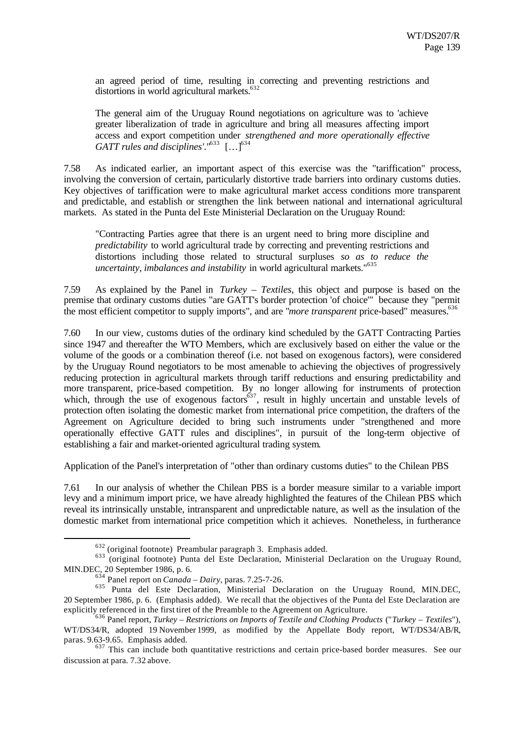an agreed period of time, resulting in correcting and preventing restrictions and distortions in world agricultural markets. 632

The general aim of the Uruguay Round negotiations on agriculture was to 'achieve greater liberalization of trade in agriculture and bring all measures affecting import access and export competition under *strengthened and more operationally effective GATT rules and disciplines'*."<sup>633</sup> […]<sup>634</sup>

7.58 As indicated earlier, an important aspect of this exercise was the "tariffication" process, involving the conversion of certain, particularly distortive trade barriers into ordinary customs duties. Key objectives of tariffication were to make agricultural market access conditions more transparent and predictable, and establish or strengthen the link between national and international agricultural markets. As stated in the Punta del Este Ministerial Declaration on the Uruguay Round:

"Contracting Parties agree that there is an urgent need to bring more discipline and *predictability* to world agricultural trade by correcting and preventing restrictions and distortions including those related to structural surpluses *so as to reduce the uncertainty, imbalances and instability* in world agricultural markets."<sup>635</sup>

7.59 As explained by the Panel in *Turkey – Textiles*, this object and purpose is based on the premise that ordinary customs duties "are GATT's border protection 'of choice'" because they "permit the most efficient competitor to supply imports", and are "*more transparent* price-based" measures.<sup>636</sup>

7.60 In our view, customs duties of the ordinary kind scheduled by the GATT Contracting Parties since 1947 and thereafter the WTO Members, which are exclusively based on either the value or the volume of the goods or a combination thereof (i.e. not based on exogenous factors), were considered by the Uruguay Round negotiators to be most amenable to achieving the objectives of progressively reducing protection in agricultural markets through tariff reductions and ensuring predictability and more transparent, price-based competition. By no longer allowing for instruments of protection which, through the use of exogenous factors $637$ , result in highly uncertain and unstable levels of protection often isolating the domestic market from international price competition, the drafters of the Agreement on Agriculture decided to bring such instruments under "strengthened and more operationally effective GATT rules and disciplines", in pursuit of the long-term objective of establishing a fair and market-oriented agricultural trading system.

Application of the Panel's interpretation of "other than ordinary customs duties" to the Chilean PBS

7.61 In our analysis of whether the Chilean PBS is a border measure similar to a variable import levy and a minimum import price, we have already highlighted the features of the Chilean PBS which reveal its intrinsically unstable, intransparent and unpredictable nature, as well as the insulation of the domestic market from international price competition which it achieves. Nonetheless, in furtherance

<sup>632</sup> (original footnote) Preambular paragraph 3. Emphasis added.

<sup>&</sup>lt;sup>633</sup> (original footnote) Punta del Este Declaration, Ministerial Declaration on the Uruguay Round, MIN.DEC, 20 September 1986, p. 6.

<sup>634</sup> Panel report on *Canada – Dairy*, paras. 7.25-7-26.

<sup>&</sup>lt;sup>635</sup> Punta del Este Declaration, Ministerial Declaration on the Uruguay Round, MIN.DEC, 20 September 1986, p. 6. (Emphasis added). We recall that the objectives of the Punta del Este Declaration are explicitly referenced in the first tiret of the Preamble to the Agreement on Agriculture.

<sup>636</sup> Panel report, *Turkey – Restrictions on Imports of Textile and Clothing Products* ("*Turkey – Textiles*"), WT/DS34/R, adopted 19 November 1999, as modified by the Appellate Body report, WT/DS34/AB/R, paras. 9.63-9.65. Emphasis added.

 $637$  This can include both quantitative restrictions and certain price-based border measures. See our discussion at para. 7.32 above.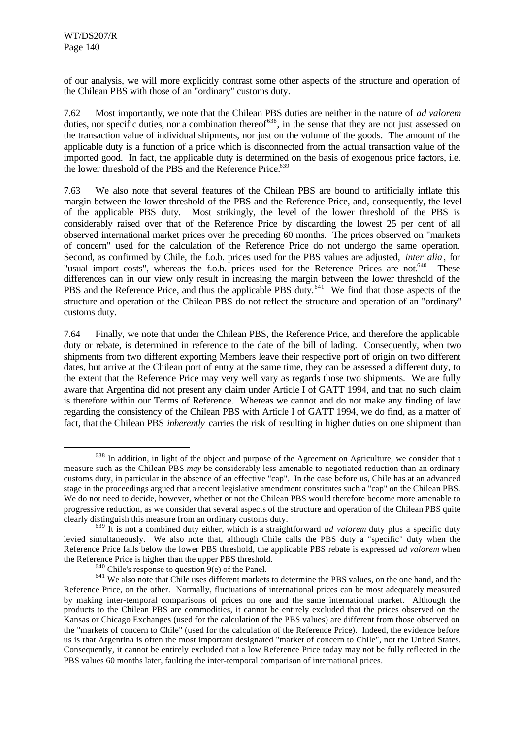l

of our analysis, we will more explicitly contrast some other aspects of the structure and operation of the Chilean PBS with those of an "ordinary" customs duty.

7.62 Most importantly, we note that the Chilean PBS duties are neither in the nature of *ad valorem* duties, nor specific duties, nor a combination thereof<sup>638</sup>, in the sense that they are not just assessed on the transaction value of individual shipments, nor just on the volume of the goods. The amount of the applicable duty is a function of a price which is disconnected from the actual transaction value of the imported good. In fact, the applicable duty is determined on the basis of exogenous price factors, i.e. the lower threshold of the PBS and the Reference Price.<sup>639</sup>

7.63 We also note that several features of the Chilean PBS are bound to artificially inflate this margin between the lower threshold of the PBS and the Reference Price, and, consequently, the level of the applicable PBS duty. Most strikingly, the level of the lower threshold of the PBS is considerably raised over that of the Reference Price by discarding the lowest 25 per cent of all observed international market prices over the preceding 60 months. The prices observed on "markets of concern" used for the calculation of the Reference Price do not undergo the same operation. Second, as confirmed by Chile, the f.o.b. prices used for the PBS values are adjusted, *inter alia*, for "usual import costs", whereas the f.o.b. prices used for the Reference Prices are not.<sup>640</sup> These differences can in our view only result in increasing the margin between the lower threshold of the PBS and the Reference Price, and thus the applicable PBS duty.<sup>641</sup> We find that those aspects of the structure and operation of the Chilean PBS do not reflect the structure and operation of an "ordinary" customs duty.

7.64 Finally, we note that under the Chilean PBS, the Reference Price, and therefore the applicable duty or rebate, is determined in reference to the date of the bill of lading. Consequently, when two shipments from two different exporting Members leave their respective port of origin on two different dates, but arrive at the Chilean port of entry at the same time, they can be assessed a different duty, to the extent that the Reference Price may very well vary as regards those two shipments. We are fully aware that Argentina did not present any claim under Article I of GATT 1994, and that no such claim is therefore within our Terms of Reference. Whereas we cannot and do not make any finding of law regarding the consistency of the Chilean PBS with Article I of GATT 1994, we do find, as a matter of fact, that the Chilean PBS *inherently* carries the risk of resulting in higher duties on one shipment than

<sup>&</sup>lt;sup>638</sup> In addition, in light of the object and purpose of the Agreement on Agriculture, we consider that a measure such as the Chilean PBS *may* be considerably less amenable to negotiated reduction than an ordinary customs duty, in particular in the absence of an effective "cap". In the case before us, Chile has at an advanced stage in the proceedings argued that a recent legislative amendment constitutes such a "cap" on the Chilean PBS. We do not need to decide, however, whether or not the Chilean PBS would therefore become more amenable to progressive reduction, as we consider that several aspects of the structure and operation of the Chilean PBS quite clearly distinguish this measure from an ordinary customs duty.

<sup>639</sup> It is not a combined duty either, which is a straightforward *ad valorem* duty plus a specific duty levied simultaneously. We also note that, although Chile calls the PBS duty a "specific" duty when the Reference Price falls below the lower PBS threshold, the applicable PBS rebate is expressed *ad valorem* when the Reference Price is higher than the upper PBS threshold.

 $640$  Chile's response to question  $9(e)$  of the Panel.

<sup>&</sup>lt;sup>641</sup> We also note that Chile uses different markets to determine the PBS values, on the one hand, and the Reference Price, on the other. Normally, fluctuations of international prices can be most adequately measured by making inter-temporal comparisons of prices on one and the same international market. Although the products to the Chilean PBS are commodities, it cannot be entirely excluded that the prices observed on the Kansas or Chicago Exchanges (used for the calculation of the PBS values) are different from those observed on the "markets of concern to Chile" (used for the calculation of the Reference Price). Indeed, the evidence before us is that Argentina is often the most important designated "market of concern to Chile", not the United States. Consequently, it cannot be entirely excluded that a low Reference Price today may not be fully reflected in the PBS values 60 months later, faulting the inter-temporal comparison of international prices.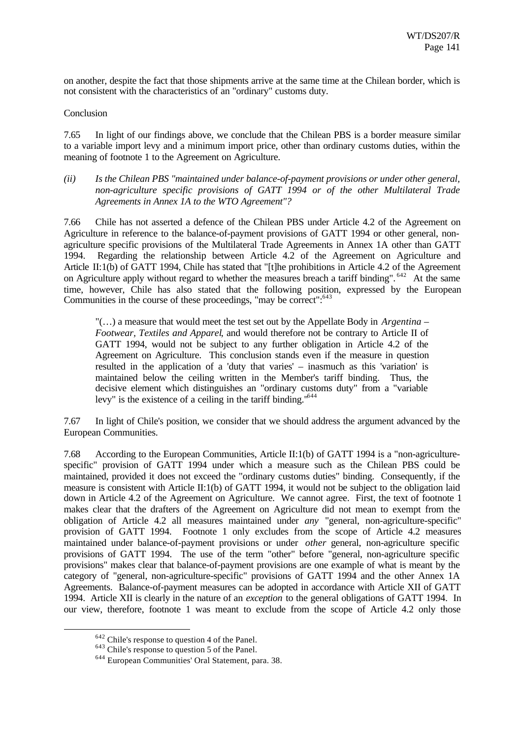on another, despite the fact that those shipments arrive at the same time at the Chilean border, which is not consistent with the characteristics of an "ordinary" customs duty.

#### Conclusion

7.65 In light of our findings above, we conclude that the Chilean PBS is a border measure similar to a variable import levy and a minimum import price, other than ordinary customs duties, within the meaning of footnote 1 to the Agreement on Agriculture.

*(ii) Is the Chilean PBS "maintained under balance-of-payment provisions or under other general, non-agriculture specific provisions of GATT 1994 or of the other Multilateral Trade Agreements in Annex 1A to the WTO Agreement"?*

7.66 Chile has not asserted a defence of the Chilean PBS under Article 4.2 of the Agreement on Agriculture in reference to the balance-of-payment provisions of GATT 1994 or other general, nonagriculture specific provisions of the Multilateral Trade Agreements in Annex 1A other than GATT 1994. Regarding the relationship between Article 4.2 of the Agreement on Agriculture and Article II:1(b) of GATT 1994, Chile has stated that "[t]he prohibitions in Article 4.2 of the Agreement on Agriculture apply without regard to whether the measures breach a tariff binding". <sup>642</sup> At the same time, however, Chile has also stated that the following position, expressed by the European Communities in the course of these proceedings, "may be correct":<sup>643</sup>

"(…) a measure that would meet the test set out by the Appellate Body in *Argentina – Footwear, Textiles and Apparel*, and would therefore not be contrary to Article II of GATT 1994, would not be subject to any further obligation in Article 4.2 of the Agreement on Agriculture. This conclusion stands even if the measure in question resulted in the application of a 'duty that varies' – inasmuch as this 'variation' is maintained below the ceiling written in the Member's tariff binding. Thus, the decisive element which distinguishes an "ordinary customs duty" from a "variable levy" is the existence of a ceiling in the tariff binding."<sup>644</sup>

7.67 In light of Chile's position, we consider that we should address the argument advanced by the European Communities.

7.68 According to the European Communities, Article II:1(b) of GATT 1994 is a "non-agriculturespecific" provision of GATT 1994 under which a measure such as the Chilean PBS could be maintained, provided it does not exceed the "ordinary customs duties" binding. Consequently, if the measure is consistent with Article II:1(b) of GATT 1994, it would not be subject to the obligation laid down in Article 4.2 of the Agreement on Agriculture. We cannot agree. First, the text of footnote 1 makes clear that the drafters of the Agreement on Agriculture did not mean to exempt from the obligation of Article 4.2 all measures maintained under *any* "general, non-agriculture-specific" provision of GATT 1994. Footnote 1 only excludes from the scope of Article 4.2 measures maintained under balance-of-payment provisions or under *other* general, non-agriculture specific provisions of GATT 1994. The use of the term "other" before "general, non-agriculture specific provisions" makes clear that balance-of-payment provisions are one example of what is meant by the category of "general, non-agriculture-specific" provisions of GATT 1994 and the other Annex 1A Agreements. Balance-of-payment measures can be adopted in accordance with Article XII of GATT 1994. Article XII is clearly in the nature of an *exception* to the general obligations of GATT 1994. In our view, therefore, footnote 1 was meant to exclude from the scope of Article 4.2 only those

<sup>642</sup> Chile's response to question 4 of the Panel.

<sup>643</sup> Chile's response to question 5 of the Panel.

<sup>644</sup> European Communities' Oral Statement, para. 38.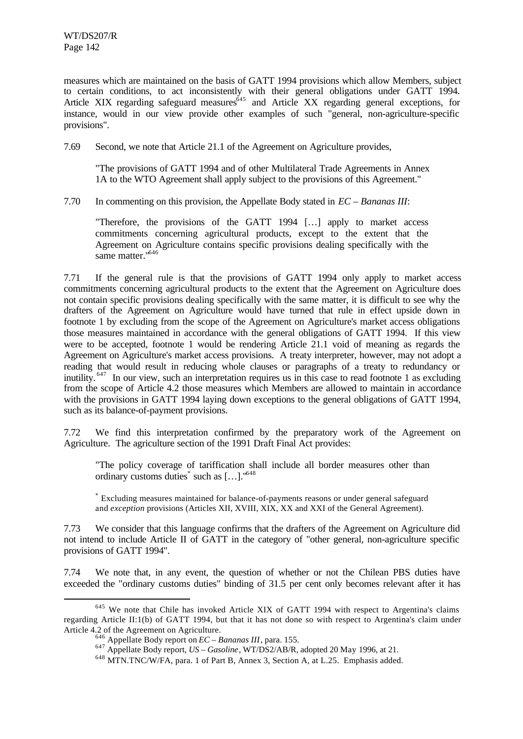l

measures which are maintained on the basis of GATT 1994 provisions which allow Members, subject to certain conditions, to act inconsistently with their general obligations under GATT 1994. Article XIX regarding safeguard measures<sup>645</sup> and Article XX regarding general exceptions, for instance, would in our view provide other examples of such "general, non-agriculture-specific provisions".

7.69 Second, we note that Article 21.1 of the Agreement on Agriculture provides,

"The provisions of GATT 1994 and of other Multilateral Trade Agreements in Annex 1A to the WTO Agreement shall apply subject to the provisions of this Agreement."

7.70 In commenting on this provision, the Appellate Body stated in *EC – Bananas III*:

"Therefore, the provisions of the GATT 1994 […] apply to market access commitments concerning agricultural products, except to the extent that the Agreement on Agriculture contains specific provisions dealing specifically with the same matter."<sup>646</sup>

7.71 If the general rule is that the provisions of GATT 1994 only apply to market access commitments concerning agricultural products to the extent that the Agreement on Agriculture does not contain specific provisions dealing specifically with the same matter, it is difficult to see why the drafters of the Agreement on Agriculture would have turned that rule in effect upside down in footnote 1 by excluding from the scope of the Agreement on Agriculture's market access obligations those measures maintained in accordance with the general obligations of GATT 1994. If this view were to be accepted, footnote 1 would be rendering Article 21.1 void of meaning as regards the Agreement on Agriculture's market access provisions. A treaty interpreter, however, may not adopt a reading that would result in reducing whole clauses or paragraphs of a treaty to redundancy or inutility. <sup>647</sup> In our view, such an interpretation requires us in this case to read footnote 1 as excluding from the scope of Article 4.2 those measures which Members are allowed to maintain in accordance with the provisions in GATT 1994 laying down exceptions to the general obligations of GATT 1994, such as its balance-of-payment provisions.

7.72 We find this interpretation confirmed by the preparatory work of the Agreement on Agriculture. The agriculture section of the 1991 Draft Final Act provides:

"The policy coverage of tariffication shall include all border measures other than ordinary customs duties<sup>\*</sup> such as [...]."<sup>648</sup>

\* Excluding measures maintained for balance-of-payments reasons or under general safeguard and *exception* provisions (Articles XII, XVIII, XIX, XX and XXI of the General Agreement).

7.73 We consider that this language confirms that the drafters of the Agreement on Agriculture did not intend to include Article II of GATT in the category of "other general, non-agriculture specific provisions of GATT 1994".

7.74 We note that, in any event, the question of whether or not the Chilean PBS duties have exceeded the "ordinary customs duties" binding of 31.5 per cent only becomes relevant after it has

<sup>&</sup>lt;sup>645</sup> We note that Chile has invoked Article XIX of GATT 1994 with respect to Argentina's claims regarding Article II:1(b) of GATT 1994, but that it has not done so with respect to Argentina's claim under Article 4.2 of the Agreement on Agriculture.

 $\frac{646}{646}$  Appellate Body report on *EC – Bananas III*, para. 155.

<sup>647</sup> Appellate Body report, *US – Gasoline*, WT/DS2/AB/R, adopted 20 May 1996, at 21.

<sup>&</sup>lt;sup>648</sup> MTN.TNC/W/FA, para. 1 of Part B, Annex 3, Section A, at L.25. Emphasis added.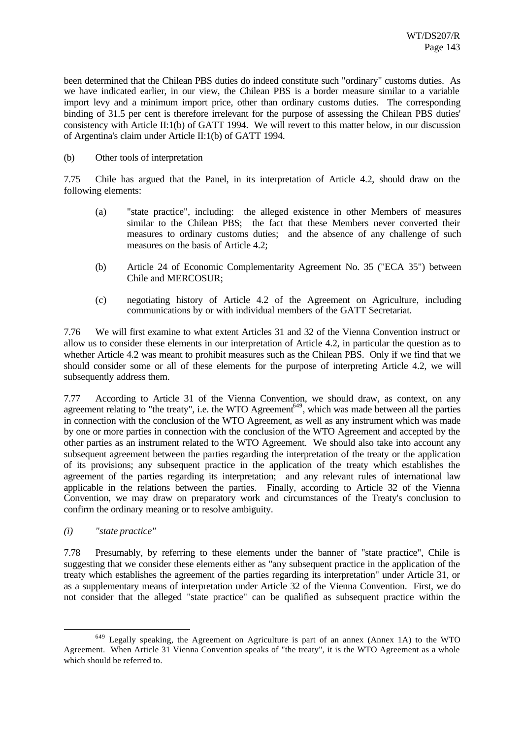been determined that the Chilean PBS duties do indeed constitute such "ordinary" customs duties. As we have indicated earlier, in our view, the Chilean PBS is a border measure similar to a variable import levy and a minimum import price, other than ordinary customs duties. The corresponding binding of 31.5 per cent is therefore irrelevant for the purpose of assessing the Chilean PBS duties' consistency with Article II:1(b) of GATT 1994. We will revert to this matter below, in our discussion of Argentina's claim under Article II:1(b) of GATT 1994.

(b) Other tools of interpretation

7.75 Chile has argued that the Panel, in its interpretation of Article 4.2, should draw on the following elements:

- (a) "state practice", including: the alleged existence in other Members of measures similar to the Chilean PBS; the fact that these Members never converted their measures to ordinary customs duties; and the absence of any challenge of such measures on the basis of Article 4.2;
- (b) Article 24 of Economic Complementarity Agreement No. 35 ("ECA 35") between Chile and MERCOSUR;
- (c) negotiating history of Article 4.2 of the Agreement on Agriculture, including communications by or with individual members of the GATT Secretariat.

7.76 We will first examine to what extent Articles 31 and 32 of the Vienna Convention instruct or allow us to consider these elements in our interpretation of Article 4.2, in particular the question as to whether Article 4.2 was meant to prohibit measures such as the Chilean PBS. Only if we find that we should consider some or all of these elements for the purpose of interpreting Article 4.2, we will subsequently address them.

7.77 According to Article 31 of the Vienna Convention, we should draw, as context, on any agreement relating to "the treaty", i.e. the WTO Agreement<sup>649</sup>, which was made between all the parties in connection with the conclusion of the WTO Agreement, as well as any instrument which was made by one or more parties in connection with the conclusion of the WTO Agreement and accepted by the other parties as an instrument related to the WTO Agreement. We should also take into account any subsequent agreement between the parties regarding the interpretation of the treaty or the application of its provisions; any subsequent practice in the application of the treaty which establishes the agreement of the parties regarding its interpretation; and any relevant rules of international law applicable in the relations between the parties. Finally, according to Article 32 of the Vienna Convention, we may draw on preparatory work and circumstances of the Treaty's conclusion to confirm the ordinary meaning or to resolve ambiguity.

*(i) "state practice"*

l

7.78 Presumably, by referring to these elements under the banner of "state practice", Chile is suggesting that we consider these elements either as "any subsequent practice in the application of the treaty which establishes the agreement of the parties regarding its interpretation" under Article 31, or as a supplementary means of interpretation under Article 32 of the Vienna Convention. First, we do not consider that the alleged "state practice" can be qualified as subsequent practice within the

<sup>649</sup> Legally speaking, the Agreement on Agriculture is part of an annex (Annex 1A) to the WTO Agreement. When Article 31 Vienna Convention speaks of "the treaty", it is the WTO Agreement as a whole which should be referred to.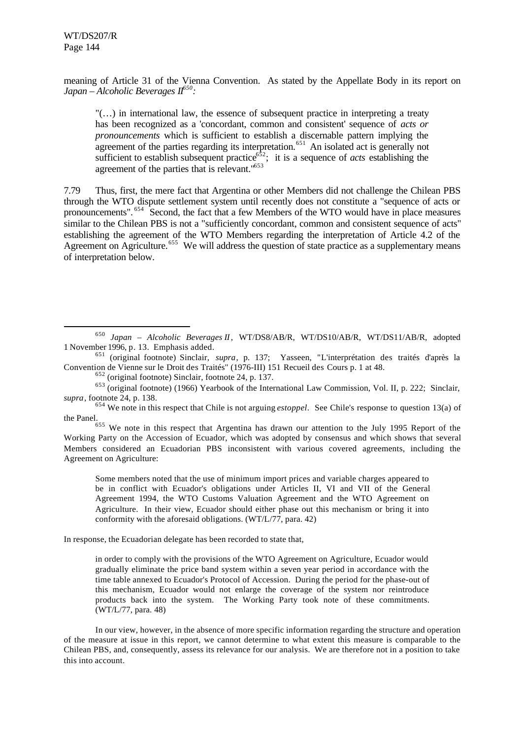l

meaning of Article 31 of the Vienna Convention. As stated by the Appellate Body in its report on *Japan – Alcoholic Beverages II<sup>650</sup> :*

"(…) in international law, the essence of subsequent practice in interpreting a treaty has been recognized as a 'concordant, common and consistent' sequence of *acts or pronouncements* which is sufficient to establish a discernable pattern implying the agreement of the parties regarding its interpretation.<sup>651</sup> An isolated act is generally not sufficient to establish subsequent practice<sup> $652$ </sup>; it is a sequence of *acts* establishing the agreement of the parties that is relevant."<sup>653</sup>

7.79 Thus, first, the mere fact that Argentina or other Members did not challenge the Chilean PBS through the WTO dispute settlement system until recently does not constitute a "sequence of acts or pronouncements". <sup>654</sup> Second, the fact that a few Members of the WTO would have in place measures similar to the Chilean PBS is not a "sufficiently concordant, common and consistent sequence of acts" establishing the agreement of the WTO Members regarding the interpretation of Article 4.2 of the Agreement on Agriculture.<sup>655</sup> We will address the question of state practice as a supplementary means of interpretation below.

 $655$  We note in this respect that Argentina has drawn our attention to the July 1995 Report of the Working Party on the Accession of Ecuador, which was adopted by consensus and which shows that several Members considered an Ecuadorian PBS inconsistent with various covered agreements, including the Agreement on Agriculture:

Some members noted that the use of minimum import prices and variable charges appeared to be in conflict with Ecuador's obligations under Articles II, VI and VII of the General Agreement 1994, the WTO Customs Valuation Agreement and the WTO Agreement on Agriculture. In their view, Ecuador should either phase out this mechanism or bring it into conformity with the aforesaid obligations. (WT/L/77, para. 42)

In response, the Ecuadorian delegate has been recorded to state that,

in order to comply with the provisions of the WTO Agreement on Agriculture, Ecuador would gradually eliminate the price band system within a seven year period in accordance with the time table annexed to Ecuador's Protocol of Accession. During the period for the phase-out of this mechanism, Ecuador would not enlarge the coverage of the system nor reintroduce products back into the system. The Working Party took note of these commitments. (WT/L/77, para. 48)

In our view, however, in the absence of more specific information regarding the structure and operation of the measure at issue in this report, we cannot determine to what extent this measure is comparable to the Chilean PBS, and, consequently, assess its relevance for our analysis. We are therefore not in a position to take this into account.

<sup>650</sup> *Japan – Alcoholic Beverages II*, WT/DS8/AB/R, WT/DS10/AB/R, WT/DS11/AB/R, adopted 1 November 1996, p. 13. Emphasis added.

<sup>651</sup> (original footnote) Sinclair, *supra*, p. 137; Yasseen, "L'interprétation des traités d'après la Convention de Vienne sur le Droit des Traités" (1976-III) 151 Recueil des Cours p. 1 at 48.

<sup>652</sup> (original footnote) Sinclair, footnote 24, p. 137.

<sup>653</sup> (original footnote) (1966) Yearbook of the International Law Commission, Vol. II, p. 222; Sinclair, *supra*, footnote 24, p. 138.

<sup>654</sup> We note in this respect that Chile is not arguing *estoppel*. See Chile's response to question 13(a) of the Panel.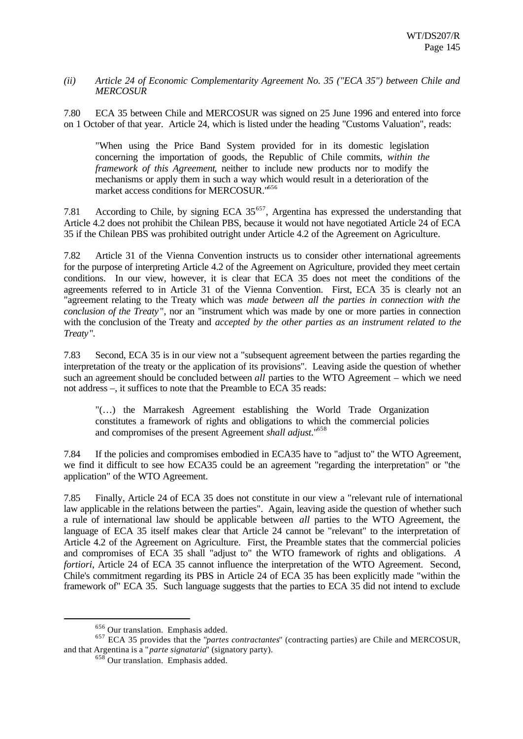#### *(ii) Article 24 of Economic Complementarity Agreement No. 35 ("ECA 35") between Chile and MERCOSUR*

7.80 ECA 35 between Chile and MERCOSUR was signed on 25 June 1996 and entered into force on 1 October of that year. Article 24, which is listed under the heading "Customs Valuation", reads:

"When using the Price Band System provided for in its domestic legislation concerning the importation of goods, the Republic of Chile commits, *within the framework of this Agreement*, neither to include new products nor to modify the mechanisms or apply them in such a way which would result in a deterioration of the market access conditions for MERCOSUR."<sup>656</sup>

7.81 According to Chile, by signing ECA  $35<sup>657</sup>$ , Argentina has expressed the understanding that Article 4.2 does not prohibit the Chilean PBS, because it would not have negotiated Article 24 of ECA 35 if the Chilean PBS was prohibited outright under Article 4.2 of the Agreement on Agriculture.

7.82 Article 31 of the Vienna Convention instructs us to consider other international agreements for the purpose of interpreting Article 4.2 of the Agreement on Agriculture, provided they meet certain conditions. In our view, however, it is clear that ECA 35 does not meet the conditions of the agreements referred to in Article 31 of the Vienna Convention. First, ECA 35 is clearly not an "agreement relating to the Treaty which was *made between all the parties in connection with the conclusion of the Treaty* ", nor an "instrument which was made by one or more parties in connection with the conclusion of the Treaty and *accepted by the other parties as an instrument related to the Treaty*".

7.83 Second, ECA 35 is in our view not a "subsequent agreement between the parties regarding the interpretation of the treaty or the application of its provisions". Leaving aside the question of whether such an agreement should be concluded between *all* parties to the WTO Agreement – which we need not address –, it suffices to note that the Preamble to ECA 35 reads:

"(…) the Marrakesh Agreement establishing the World Trade Organization constitutes a framework of rights and obligations to which the commercial policies and compromises of the present Agreement *shall adjust*."<sup>658</sup>

7.84 If the policies and compromises embodied in ECA35 have to "adjust to" the WTO Agreement, we find it difficult to see how ECA35 could be an agreement "regarding the interpretation" or "the application" of the WTO Agreement.

7.85 Finally, Article 24 of ECA 35 does not constitute in our view a "relevant rule of international law applicable in the relations between the parties". Again, leaving aside the question of whether such a rule of international law should be applicable between *all* parties to the WTO Agreement, the language of ECA 35 itself makes clear that Article 24 cannot be "relevant" to the interpretation of Article 4.2 of the Agreement on Agriculture. First, the Preamble states that the commercial policies and compromises of ECA 35 shall "adjust to" the WTO framework of rights and obligations. *A fortiori*, Article 24 of ECA 35 cannot influence the interpretation of the WTO Agreement. Second, Chile's commitment regarding its PBS in Article 24 of ECA 35 has been explicitly made "within the framework of" ECA 35. Such language suggests that the parties to ECA 35 did not intend to exclude

<sup>656</sup> Our translation. Emphasis added.

<sup>657</sup> ECA 35 provides that the "*partes contractantes*" (contracting parties) are Chile and MERCOSUR, and that Argentina is a "*parte signataria*" (signatory party).

 $658$  Our translation. Emphasis added.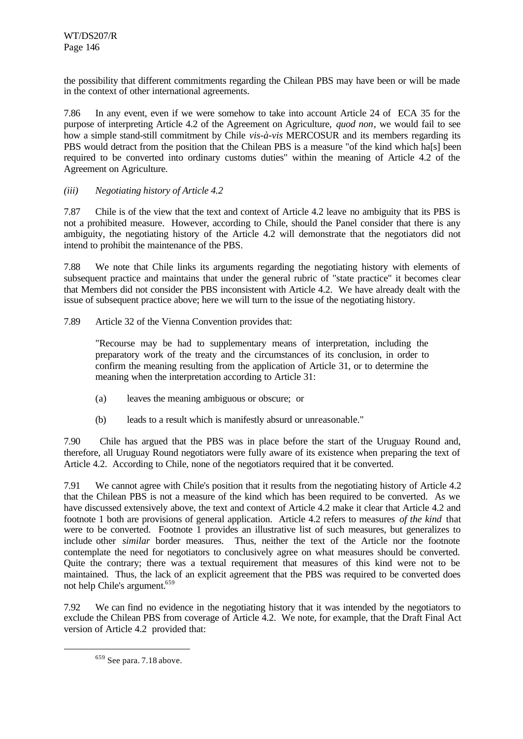the possibility that different commitments regarding the Chilean PBS may have been or will be made in the context of other international agreements.

7.86 In any event, even if we were somehow to take into account Article 24 of ECA 35 for the purpose of interpreting Article 4.2 of the Agreement on Agriculture, *quod non*, we would fail to see how a simple stand-still commitment by Chile *vis-à-vis* MERCOSUR and its members regarding its PBS would detract from the position that the Chilean PBS is a measure "of the kind which ha[s] been required to be converted into ordinary customs duties" within the meaning of Article 4.2 of the Agreement on Agriculture.

## *(iii) Negotiating history of Article 4.2*

7.87 Chile is of the view that the text and context of Article 4.2 leave no ambiguity that its PBS is not a prohibited measure. However, according to Chile, should the Panel consider that there is any ambiguity, the negotiating history of the Article 4.2 will demonstrate that the negotiators did not intend to prohibit the maintenance of the PBS.

7.88 We note that Chile links its arguments regarding the negotiating history with elements of subsequent practice and maintains that under the general rubric of "state practice" it becomes clear that Members did not consider the PBS inconsistent with Article 4.2. We have already dealt with the issue of subsequent practice above; here we will turn to the issue of the negotiating history.

7.89 Article 32 of the Vienna Convention provides that:

"Recourse may be had to supplementary means of interpretation, including the preparatory work of the treaty and the circumstances of its conclusion, in order to confirm the meaning resulting from the application of Article 31, or to determine the meaning when the interpretation according to Article 31:

- (a) leaves the meaning ambiguous or obscure; or
- (b) leads to a result which is manifestly absurd or unreasonable."

7.90 Chile has argued that the PBS was in place before the start of the Uruguay Round and, therefore, all Uruguay Round negotiators were fully aware of its existence when preparing the text of Article 4.2. According to Chile, none of the negotiators required that it be converted.

7.91 We cannot agree with Chile's position that it results from the negotiating history of Article 4.2 that the Chilean PBS is not a measure of the kind which has been required to be converted. As we have discussed extensively above, the text and context of Article 4.2 make it clear that Article 4.2 and footnote 1 both are provisions of general application. Article 4.2 refers to measures *of the kind* that were to be converted. Footnote 1 provides an illustrative list of such measures, but generalizes to include other *similar* border measures. Thus, neither the text of the Article nor the footnote contemplate the need for negotiators to conclusively agree on what measures should be converted. Quite the contrary; there was a textual requirement that measures of this kind were not to be maintained. Thus, the lack of an explicit agreement that the PBS was required to be converted does not help Chile's argument.<sup>659</sup>

7.92 We can find no evidence in the negotiating history that it was intended by the negotiators to exclude the Chilean PBS from coverage of Article 4.2. We note, for example, that the Draft Final Act version of Article 4.2 provided that:

<sup>659</sup> See para. 7.18 above.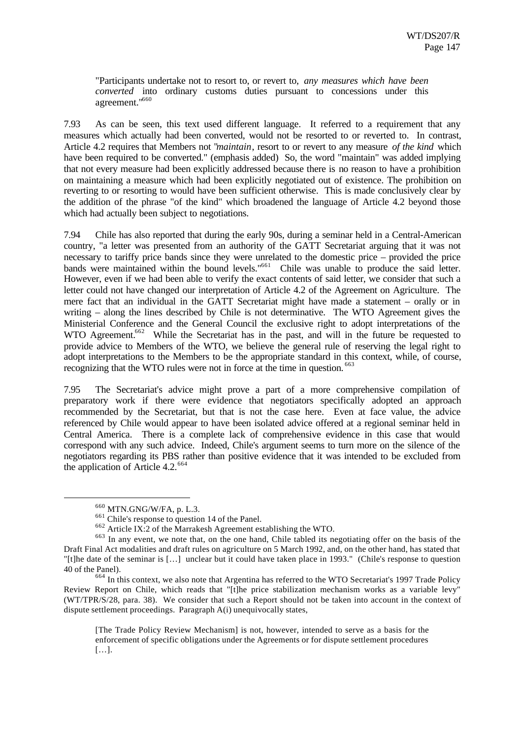"Participants undertake not to resort to, or revert to, *any measures which have been converted* into ordinary customs duties pursuant to concessions under this agreement."<sup>660</sup>

7.93 As can be seen, this text used different language. It referred to a requirement that any measures which actually had been converted, would not be resorted to or reverted to. In contrast, Article 4.2 requires that Members not "*maintain*, resort to or revert to any measure *of the kind* which have been required to be converted." (emphasis added) So, the word "maintain" was added implying that not every measure had been explicitly addressed because there is no reason to have a prohibition on maintaining a measure which had been explicitly negotiated out of existence. The prohibition on reverting to or resorting to would have been sufficient otherwise. This is made conclusively clear by the addition of the phrase "of the kind" which broadened the language of Article 4.2 beyond those which had actually been subject to negotiations.

7.94 Chile has also reported that during the early 90s, during a seminar held in a Central-American country, "a letter was presented from an authority of the GATT Secretariat arguing that it was not necessary to tariffy price bands since they were unrelated to the domestic price – provided the price bands were maintained within the bound levels."<sup>661</sup> Chile was unable to produce the said letter. However, even if we had been able to verify the exact contents of said letter, we consider that such a letter could not have changed our interpretation of Article 4.2 of the Agreement on Agriculture. The mere fact that an individual in the GATT Secretariat might have made a statement – orally or in writing – along the lines described by Chile is not determinative. The WTO Agreement gives the Ministerial Conference and the General Council the exclusive right to adopt interpretations of the WTO Agreement.<sup>662</sup> While the Secretariat has in the past, and will in the future be requested to provide advice to Members of the WTO, we believe the general rule of reserving the legal right to adopt interpretations to the Members to be the appropriate standard in this context, while, of course, recognizing that the WTO rules were not in force at the time in question. <sup>663</sup>

7.95 The Secretariat's advice might prove a part of a more comprehensive compilation of preparatory work if there were evidence that negotiators specifically adopted an approach recommended by the Secretariat, but that is not the case here. Even at face value, the advice referenced by Chile would appear to have been isolated advice offered at a regional seminar held in Central America. There is a complete lack of comprehensive evidence in this case that would correspond with any such advice. Indeed, Chile's argument seems to turn more on the silence of the negotiators regarding its PBS rather than positive evidence that it was intended to be excluded from the application of Article 4.2.<sup>664</sup>

<sup>660</sup> MTN.GNG/W/FA, p. L.3.

<sup>661</sup> Chile's response to question 14 of the Panel.

<sup>662</sup> Article IX:2 of the Marrakesh Agreement establishing the WTO.

<sup>663</sup> In any event, we note that, on the one hand, Chile tabled its negotiating offer on the basis of the Draft Final Act modalities and draft rules on agriculture on 5 March 1992, and, on the other hand, has stated that "[t]he date of the seminar is […] unclear but it could have taken place in 1993." (Chile's response to question 40 of the Panel).

<sup>&</sup>lt;sup>664</sup> In this context, we also note that Argentina has referred to the WTO Secretariat's 1997 Trade Policy Review Report on Chile, which reads that "[t]he price stabilization mechanism works as a variable levy" (WT/TPR/S/28, para. 38). We consider that such a Report should not be taken into account in the context of dispute settlement proceedings. Paragraph A(i) unequivocally states,

<sup>[</sup>The Trade Policy Review Mechanism] is not, however, intended to serve as a basis for the enforcement of specific obligations under the Agreements or for dispute settlement procedures […].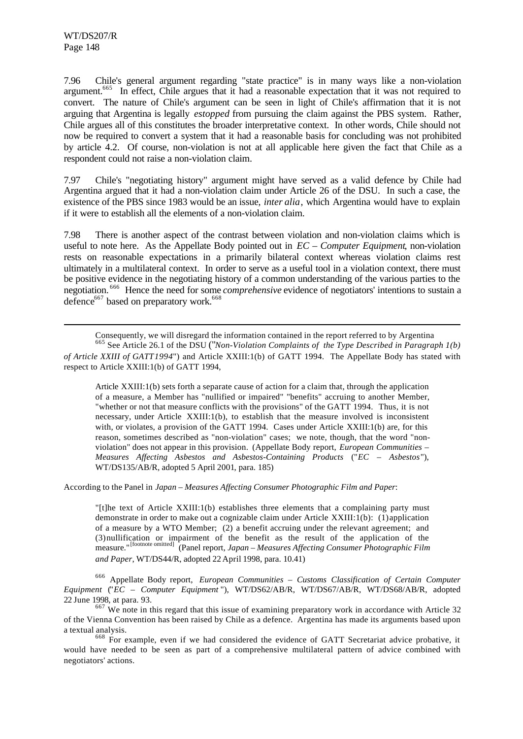l

7.96 Chile's general argument regarding "state practice" is in many ways like a non-violation argument.<sup>665</sup> In effect, Chile argues that it had a reasonable expectation that it was not required to convert. The nature of Chile's argument can be seen in light of Chile's affirmation that it is not arguing that Argentina is legally *estopped* from pursuing the claim against the PBS system. Rather, Chile argues all of this constitutes the broader interpretative context. In other words, Chile should not now be required to convert a system that it had a reasonable basis for concluding was not prohibited by article 4.2. Of course, non-violation is not at all applicable here given the fact that Chile as a respondent could not raise a non-violation claim.

7.97 Chile's "negotiating history" argument might have served as a valid defence by Chile had Argentina argued that it had a non-violation claim under Article 26 of the DSU. In such a case, the existence of the PBS since 1983 would be an issue, *inter alia*, which Argentina would have to explain if it were to establish all the elements of a non-violation claim.

7.98 There is another aspect of the contrast between violation and non-violation claims which is useful to note here. As the Appellate Body pointed out in *EC – Computer Equipment*, non-violation rests on reasonable expectations in a primarily bilateral context whereas violation claims rest ultimately in a multilateral context. In order to serve as a useful tool in a violation context, there must be positive evidence in the negotiating history of a common understanding of the various parties to the negotiation. <sup>666</sup> Hence the need for some *comprehensive* evidence of negotiators' intentions to sustain a defence<sup>667</sup> based on preparatory work.<sup>668</sup>

Consequently, we will disregard the information contained in the report referred to by Argentina <sup>665</sup> See Article 26.1 of the DSU ("*Non-Violation Complaints of the Type Described in Paragraph 1(b) of Article XXIII of GATT 1994*") and Article XXIII:1(b) of GATT 1994. The Appellate Body has stated with respect to Article XXIII:1(b) of GATT 1994,

Article XXIII:1(b) sets forth a separate cause of action for a claim that, through the application of a measure, a Member has "nullified or impaired" "benefits" accruing to another Member, "whether or not that measure conflicts with the provisions" of the GATT 1994. Thus, it is not necessary, under Article XXIII:1(b), to establish that the measure involved is inconsistent with, or violates, a provision of the GATT 1994. Cases under Article XXIII:1(b) are, for this reason, sometimes described as "non-violation" cases; we note, though, that the word "nonviolation" does not appear in this provision. (Appellate Body report, *European Communities – Measures Affecting Asbestos and Asbestos-Containing Products* ("*EC – Asbestos*"), WT/DS135/AB/R, adopted 5 April 2001, para. 185)

According to the Panel in *Japan – Measures Affecting Consumer Photographic Film and Paper*:

"[t]he text of Article XXIII:1(b) establishes three elements that a complaining party must demonstrate in order to make out a cognizable claim under Article XXIII:1(b): (1) application of a measure by a WTO Member; (2) a benefit accruing under the relevant agreement; and (3) nullification or impairment of the benefit as the result of the application of the measure."[footnote omitted] (Panel report, *Japan – Measures Affecting Consumer Photographic Film and Paper*, WT/DS44/R, adopted 22 April 1998, para. 10.41)

<sup>666</sup> Appellate Body report, *European Communities – Customs Classification of Certain Computer Equipment* ("*EC – Computer Equipment* "), WT/DS62/AB/R, WT/DS67/AB/R, WT/DS68/AB/R, adopted 22 June 1998, at para. 93.

<sup>667</sup> We note in this regard that this issue of examining preparatory work in accordance with Article 32 of the Vienna Convention has been raised by Chile as a defence. Argentina has made its arguments based upon a textual analysis.

<sup>668</sup> For example, even if we had considered the evidence of GATT Secretariat advice probative, it would have needed to be seen as part of a comprehensive multilateral pattern of advice combined with negotiators' actions.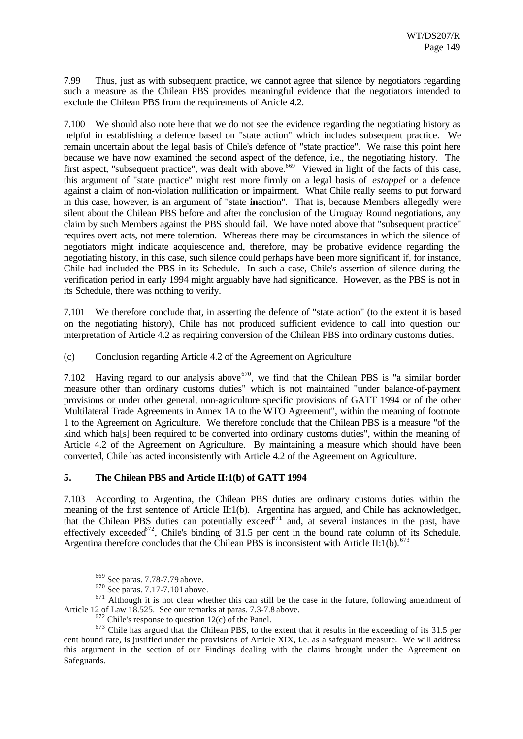7.99 Thus, just as with subsequent practice, we cannot agree that silence by negotiators regarding such a measure as the Chilean PBS provides meaningful evidence that the negotiators intended to exclude the Chilean PBS from the requirements of Article 4.2.

7.100 We should also note here that we do not see the evidence regarding the negotiating history as helpful in establishing a defence based on "state action" which includes subsequent practice. We remain uncertain about the legal basis of Chile's defence of "state practice". We raise this point here because we have now examined the second aspect of the defence, i.e., the negotiating history. The first aspect, "subsequent practice", was dealt with above.<sup>669</sup> Viewed in light of the facts of this case, this argument of "state practice" might rest more firmly on a legal basis of *estoppel* or a defence against a claim of non-violation nullification or impairment. What Chile really seems to put forward in this case, however, is an argument of "state **in**action". That is, because Members allegedly were silent about the Chilean PBS before and after the conclusion of the Uruguay Round negotiations, any claim by such Members against the PBS should fail. We have noted above that "subsequent practice" requires overt acts, not mere toleration. Whereas there may be circumstances in which the silence of negotiators might indicate acquiescence and, therefore, may be probative evidence regarding the negotiating history, in this case, such silence could perhaps have been more significant if, for instance, Chile had included the PBS in its Schedule. In such a case, Chile's assertion of silence during the verification period in early 1994 might arguably have had significance. However, as the PBS is not in its Schedule, there was nothing to verify.

7.101 We therefore conclude that, in asserting the defence of "state action" (to the extent it is based on the negotiating history), Chile has not produced sufficient evidence to call into question our interpretation of Article 4.2 as requiring conversion of the Chilean PBS into ordinary customs duties.

(c) Conclusion regarding Article 4.2 of the Agreement on Agriculture

7.102 Having regard to our analysis above  $670$ , we find that the Chilean PBS is "a similar border measure other than ordinary customs duties" which is not maintained "under balance-of-payment provisions or under other general, non-agriculture specific provisions of GATT 1994 or of the other Multilateral Trade Agreements in Annex 1A to the WTO Agreement", within the meaning of footnote 1 to the Agreement on Agriculture. We therefore conclude that the Chilean PBS is a measure "of the kind which ha<sup>[s]</sup> been required to be converted into ordinary customs duties", within the meaning of Article 4.2 of the Agreement on Agriculture. By maintaining a measure which should have been converted, Chile has acted inconsistently with Article 4.2 of the Agreement on Agriculture.

# **5. The Chilean PBS and Article II:1(b) of GATT 1994**

7.103 According to Argentina, the Chilean PBS duties are ordinary customs duties within the meaning of the first sentence of Article II:1(b). Argentina has argued, and Chile has acknowledged, that the Chilean PBS duties can potentially exceed<sup>671</sup> and, at several instances in the past, have effectively exceeded<sup>672</sup>, Chile's binding of 31.5 per cent in the bound rate column of its Schedule. Argentina therefore concludes that the Chilean PBS is inconsistent with Article II:1(b).<sup>673</sup>

<sup>669</sup> See paras. 7.78-7.79 above.

<sup>670</sup> See paras. 7.17-7.101 above.

 $671$  Although it is not clear whether this can still be the case in the future, following amendment of Article 12 of Law 18.525. See our remarks at paras. 7.3-7.8 above.

 $672$  Chile's response to question 12(c) of the Panel.

<sup>&</sup>lt;sup>673</sup> Chile has argued that the Chilean PBS, to the extent that it results in the exceeding of its 31.5 per cent bound rate, is justified under the provisions of Article XIX, i.e. as a safeguard measure. We will address this argument in the section of our Findings dealing with the claims brought under the Agreement on Safeguards.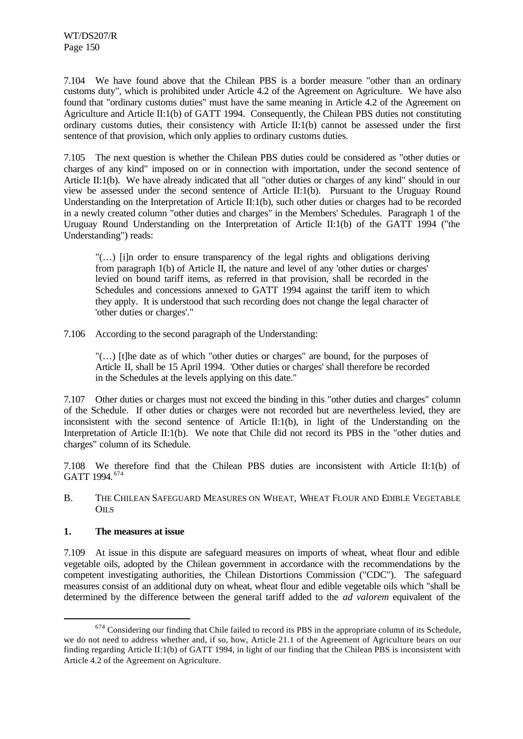7.104 We have found above that the Chilean PBS is a border measure "other than an ordinary customs duty", which is prohibited under Article 4.2 of the Agreement on Agriculture. We have also found that "ordinary customs duties" must have the same meaning in Article 4.2 of the Agreement on Agriculture and Article II:1(b) of GATT 1994. Consequently, the Chilean PBS duties not constituting ordinary customs duties, their consistency with Article II:1(b) cannot be assessed under the first sentence of that provision, which only applies to ordinary customs duties.

7.105 The next question is whether the Chilean PBS duties could be considered as "other duties or charges of any kind" imposed on or in connection with importation, under the second sentence of Article II:1(b). We have already indicated that all "other duties or charges of any kind" should in our view be assessed under the second sentence of Article II:1(b). Pursuant to the Uruguay Round Understanding on the Interpretation of Article II:1(b), such other duties or charges had to be recorded in a newly created column "other duties and charges" in the Members' Schedules. Paragraph 1 of the Uruguay Round Understanding on the Interpretation of Article II:1(b) of the GATT 1994 ("the Understanding") reads:

"(…) [i]n order to ensure transparency of the legal rights and obligations deriving from paragraph 1(b) of Article II, the nature and level of any 'other duties or charges' levied on bound tariff items, as referred in that provision, shall be recorded in the Schedules and concessions annexed to GATT 1994 against the tariff item to which they apply. It is understood that such recording does not change the legal character of 'other duties or charges'."

7.106 According to the second paragraph of the Understanding:

"(…) [t]he date as of which "other duties or charges" are bound, for the purposes of Article II, shall be 15 April 1994. 'Other duties or charges' shall therefore be recorded in the Schedules at the levels applying on this date."

7.107 Other duties or charges must not exceed the binding in this "other duties and charges" column of the Schedule. If other duties or charges were not recorded but are nevertheless levied, they are inconsistent with the second sentence of Article II:1(b), in light of the Understanding on the Interpretation of Article II:1(b). We note that Chile did not record its PBS in the "other duties and charges" column of its Schedule.

7.108 We therefore find that the Chilean PBS duties are inconsistent with Article II:1(b) of GATT 1994. <sup>674</sup>

B. THE CHILEAN SAFEGUARD MEASURES ON WHEAT, WHEAT FLOUR AND EDIBLE VEGETABLE  $O<sub>II</sub>$ 

## **1. The measures at issue**

l

7.109 At issue in this dispute are safeguard measures on imports of wheat, wheat flour and edible vegetable oils, adopted by the Chilean government in accordance with the recommendations by the competent investigating authorities, the Chilean Distortions Commission ("CDC"). The safeguard measures consist of an additional duty on wheat, wheat flour and edible vegetable oils which "shall be determined by the difference between the general tariff added to the *ad valorem* equivalent of the

<sup>&</sup>lt;sup>674</sup> Considering our finding that Chile failed to record its PBS in the appropriate column of its Schedule, we do not need to address whether and, if so, how, Article 21.1 of the Agreement of Agriculture bears on our finding regarding Article II:1(b) of GATT 1994, in light of our finding that the Chilean PBS is inconsistent with Article 4.2 of the Agreement on Agriculture.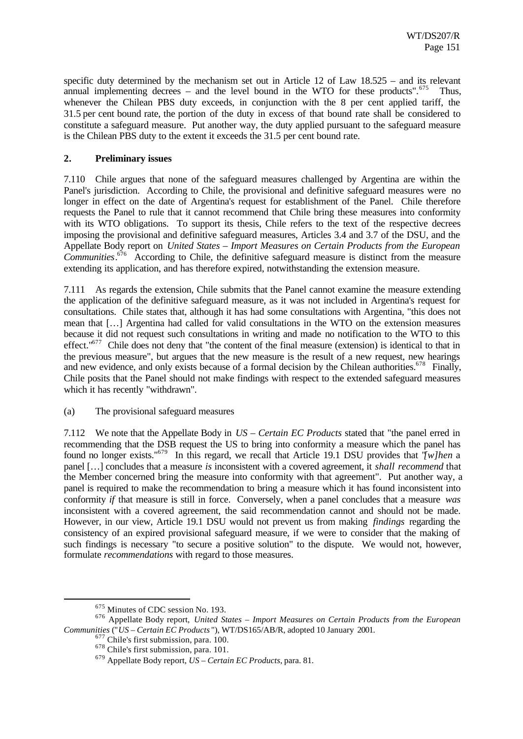specific duty determined by the mechanism set out in Article 12 of Law 18.525 – and its relevant annual implementing decrees – and the level bound in the WTO for these products". $675$  Thus, whenever the Chilean PBS duty exceeds, in conjunction with the 8 per cent applied tariff, the 31.5 per cent bound rate, the portion of the duty in excess of that bound rate shall be considered to constitute a safeguard measure. Put another way, the duty applied pursuant to the safeguard measure is the Chilean PBS duty to the extent it exceeds the 31.5 per cent bound rate.

#### **2. Preliminary issues**

7.110 Chile argues that none of the safeguard measures challenged by Argentina are within the Panel's jurisdiction. According to Chile, the provisional and definitive safeguard measures were no longer in effect on the date of Argentina's request for establishment of the Panel. Chile therefore requests the Panel to rule that it cannot recommend that Chile bring these measures into conformity with its WTO obligations. To support its thesis, Chile refers to the text of the respective decrees imposing the provisional and definitive safeguard measures, Articles 3.4 and 3.7 of the DSU, and the Appellate Body report on *United States – Import Measures on Certain Products from the European Communities*. <sup>676</sup> According to Chile, the definitive safeguard measure is distinct from the measure extending its application, and has therefore expired, notwithstanding the extension measure.

7.111 As regards the extension, Chile submits that the Panel cannot examine the measure extending the application of the definitive safeguard measure, as it was not included in Argentina's request for consultations. Chile states that, although it has had some consultations with Argentina, "this does not mean that […] Argentina had called for valid consultations in the WTO on the extension measures because it did not request such consultations in writing and made no notification to the WTO to this effect."<sup>677</sup> Chile does not deny that "the content of the final measure (extension) is identical to that in the previous measure", but argues that the new measure is the result of a new request, new hearings and new evidence, and only exists because of a formal decision by the Chilean authorities.<sup>678</sup> Finally, Chile posits that the Panel should not make findings with respect to the extended safeguard measures which it has recently "withdrawn".

(a) The provisional safeguard measures

7.112 We note that the Appellate Body in *US – Certain EC Products* stated that "the panel erred in recommending that the DSB request the US to bring into conformity a measure which the panel has found no longer exists."<sup>679</sup> In this regard, we recall that Article 19.1 DSU provides that "*[w]hen* a panel […] concludes that a measure *is* inconsistent with a covered agreement, it *shall recommend* that the Member concerned bring the measure into conformity with that agreement". Put another way, a panel is required to make the recommendation to bring a measure which it has found inconsistent into conformity *if* that measure is still in force. Conversely, when a panel concludes that a measure *was* inconsistent with a covered agreement, the said recommendation cannot and should not be made. However, in our view, Article 19.1 DSU would not prevent us from making *findings* regarding the consistency of an expired provisional safeguard measure, if we were to consider that the making of such findings is necessary "to secure a positive solution" to the dispute. We would not, however, formulate *recommendations* with regard to those measures.

<sup>675</sup> Minutes of CDC session No. 193.

<sup>676</sup> Appellate Body report, *United States – Import Measures on Certain Products from the European Communities* ("*US – Certain EC Products* "), WT/DS165/AB/R, adopted 10 January 2001.

<sup>677</sup> Chile's first submission, para. 100.

<sup>678</sup> Chile's first submission, para. 101.

<sup>679</sup> Appellate Body report, *US – Certain EC Products*, para. 81.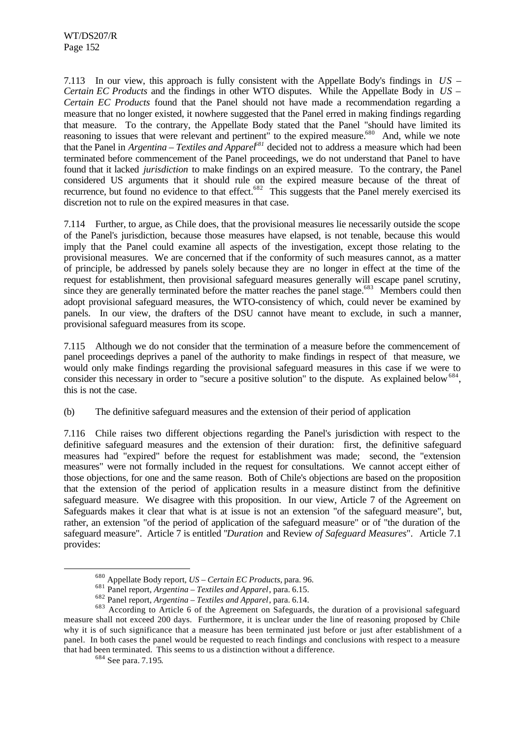7.113 In our view, this approach is fully consistent with the Appellate Body's findings in *US – Certain EC Products* and the findings in other WTO disputes. While the Appellate Body in *US – Certain EC Products* found that the Panel should not have made a recommendation regarding a measure that no longer existed, it nowhere suggested that the Panel erred in making findings regarding that measure. To the contrary, the Appellate Body stated that the Panel "should have limited its reasoning to issues that were relevant and pertinent" to the expired measure.<sup>680</sup> And, while we note that the Panel in *Argentina – Textiles and Apparel<sup>681</sup>* decided not to address a measure which had been terminated before commencement of the Panel proceedings, we do not understand that Panel to have found that it lacked *jurisdiction* to make findings on an expired measure. To the contrary, the Panel considered US arguments that it should rule on the expired measure because of the threat of recurrence, but found no evidence to that effect.<sup>682</sup> This suggests that the Panel merely exercised its discretion not to rule on the expired measures in that case.

7.114 Further, to argue, as Chile does, that the provisional measures lie necessarily outside the scope of the Panel's jurisdiction, because those measures have elapsed, is not tenable, because this would imply that the Panel could examine all aspects of the investigation, except those relating to the provisional measures. We are concerned that if the conformity of such measures cannot, as a matter of principle, be addressed by panels solely because they are no longer in effect at the time of the request for establishment, then provisional safeguard measures generally will escape panel scrutiny, since they are generally terminated before the matter reaches the panel stage.<sup>683</sup> Members could then adopt provisional safeguard measures, the WTO-consistency of which, could never be examined by panels. In our view, the drafters of the DSU cannot have meant to exclude, in such a manner, provisional safeguard measures from its scope.

7.115 Although we do not consider that the termination of a measure before the commencement of panel proceedings deprives a panel of the authority to make findings in respect of that measure, we would only make findings regarding the provisional safeguard measures in this case if we were to consider this necessary in order to "secure a positive solution" to the dispute. As explained below  $684$ , this is not the case.

(b) The definitive safeguard measures and the extension of their period of application

7.116 Chile raises two different objections regarding the Panel's jurisdiction with respect to the definitive safeguard measures and the extension of their duration: first, the definitive safeguard measures had "expired" before the request for establishment was made; second, the "extension measures" were not formally included in the request for consultations. We cannot accept either of those objections, for one and the same reason. Both of Chile's objections are based on the proposition that the extension of the period of application results in a measure distinct from the definitive safeguard measure. We disagree with this proposition. In our view, Article 7 of the Agreement on Safeguards makes it clear that what is at issue is not an extension "of the safeguard measure", but, rather, an extension "of the period of application of the safeguard measure" or of "the duration of the safeguard measure". Article 7 is entitled "*Duration* and Review *of Safeguard Measures*". Article 7.1 provides:

<sup>680</sup> Appellate Body report, *US – Certain EC Products*, para. 96.

<sup>681</sup> Panel report, *Argentina – Textiles and Apparel*, para. 6.15.

<sup>682</sup> Panel report, *Argentina – Textiles and Apparel*, para. 6.14.

<sup>&</sup>lt;sup>683</sup> According to Article 6 of the Agreement on Safeguards, the duration of a provisional safeguard measure shall not exceed 200 days. Furthermore, it is unclear under the line of reasoning proposed by Chile why it is of such significance that a measure has been terminated just before or just after establishment of a panel. In both cases the panel would be requested to reach findings and conclusions with respect to a measure that had been terminated. This seems to us a distinction without a difference.

<sup>684</sup> See para. 7.195.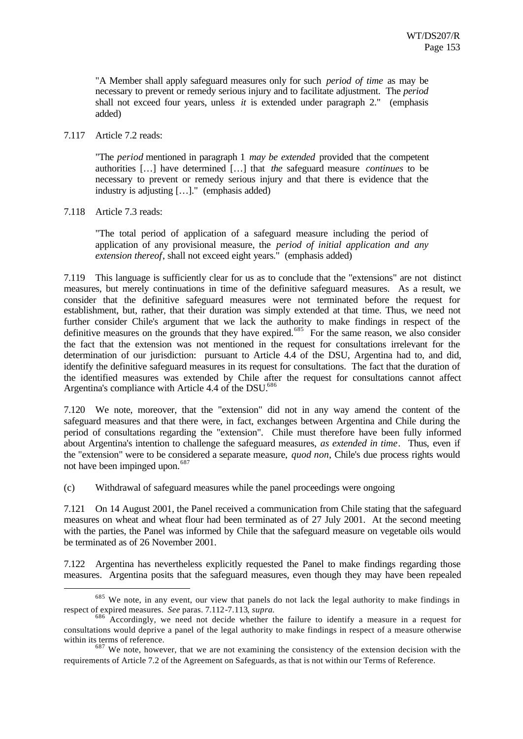"A Member shall apply safeguard measures only for such *period of time* as may be necessary to prevent or remedy serious injury and to facilitate adjustment. The *period* shall not exceed four years, unless *it* is extended under paragraph 2." (emphasis added)

#### 7.117 Article 7.2 reads:

"The *period* mentioned in paragraph 1 *may be extended* provided that the competent authorities […] have determined […] that *the* safeguard measure *continues* to be necessary to prevent or remedy serious injury and that there is evidence that the industry is adjusting […]." (emphasis added)

#### 7.118 Article 7.3 reads:

l

"The total period of application of a safeguard measure including the period of application of any provisional measure, the *period of initial application and any extension thereof*, shall not exceed eight years." (emphasis added)

7.119 This language is sufficiently clear for us as to conclude that the "extensions" are not distinct measures, but merely continuations in time of the definitive safeguard measures. As a result, we consider that the definitive safeguard measures were not terminated before the request for establishment, but, rather, that their duration was simply extended at that time. Thus, we need not further consider Chile's argument that we lack the authority to make findings in respect of the definitive measures on the grounds that they have expired.<sup>685</sup> For the same reason, we also consider the fact that the extension was not mentioned in the request for consultations irrelevant for the determination of our jurisdiction: pursuant to Article 4.4 of the DSU, Argentina had to, and did, identify the definitive safeguard measures in its request for consultations. The fact that the duration of the identified measures was extended by Chile after the request for consultations cannot affect Argentina's compliance with Article 4.4 of the DSU.<sup>686</sup>

7.120 We note, moreover, that the "extension" did not in any way amend the content of the safeguard measures and that there were, in fact, exchanges between Argentina and Chile during the period of consultations regarding the "extension". Chile must therefore have been fully informed about Argentina's intention to challenge the safeguard measures, *as extended in time*. Thus, even if the "extension" were to be considered a separate measure, *quod non*, Chile's due process rights would not have been impinged upon.<sup>687</sup>

(c) Withdrawal of safeguard measures while the panel proceedings were ongoing

7.121 On 14 August 2001, the Panel received a communication from Chile stating that the safeguard measures on wheat and wheat flour had been terminated as of 27 July 2001. At the second meeting with the parties, the Panel was informed by Chile that the safeguard measure on vegetable oils would be terminated as of 26 November 2001.

7.122 Argentina has nevertheless explicitly requested the Panel to make findings regarding those measures. Argentina posits that the safeguard measures, even though they may have been repealed

<sup>&</sup>lt;sup>685</sup> We note, in any event, our view that panels do not lack the legal authority to make findings in respect of expired measures. *See* paras. 7.112-7.113, *supra.*

 $686$  Accordingly, we need not decide whether the failure to identify a measure in a request for consultations would deprive a panel of the legal authority to make findings in respect of a measure otherwise within its terms of reference.

 $687$  We note, however, that we are not examining the consistency of the extension decision with the requirements of Article 7.2 of the Agreement on Safeguards, as that is not within our Terms of Reference.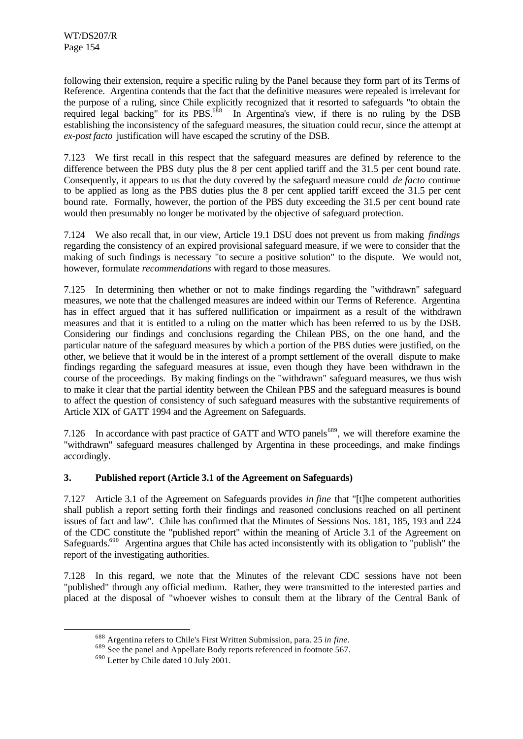following their extension, require a specific ruling by the Panel because they form part of its Terms of Reference. Argentina contends that the fact that the definitive measures were repealed is irrelevant for the purpose of a ruling, since Chile explicitly recognized that it resorted to safeguards "to obtain the required legal backing" for its PBS.<sup>688</sup> In Argentina's view, if there is no ruling by the DSB establishing the inconsistency of the safeguard measures, the situation could recur, since the attempt at *ex-post facto* justification will have escaped the scrutiny of the DSB.

7.123 We first recall in this respect that the safeguard measures are defined by reference to the difference between the PBS duty plus the 8 per cent applied tariff and the 31.5 per cent bound rate. Consequently, it appears to us that the duty covered by the safeguard measure could *de facto* continue to be applied as long as the PBS duties plus the 8 per cent applied tariff exceed the 31.5 per cent bound rate. Formally, however, the portion of the PBS duty exceeding the 31.5 per cent bound rate would then presumably no longer be motivated by the objective of safeguard protection.

7.124 We also recall that, in our view, Article 19.1 DSU does not prevent us from making *findings* regarding the consistency of an expired provisional safeguard measure, if we were to consider that the making of such findings is necessary "to secure a positive solution" to the dispute. We would not, however, formulate *recommendations* with regard to those measures.

7.125 In determining then whether or not to make findings regarding the "withdrawn" safeguard measures, we note that the challenged measures are indeed within our Terms of Reference. Argentina has in effect argued that it has suffered nullification or impairment as a result of the withdrawn measures and that it is entitled to a ruling on the matter which has been referred to us by the DSB. Considering our findings and conclusions regarding the Chilean PBS, on the one hand, and the particular nature of the safeguard measures by which a portion of the PBS duties were justified, on the other, we believe that it would be in the interest of a prompt settlement of the overall dispute to make findings regarding the safeguard measures at issue, even though they have been withdrawn in the course of the proceedings. By making findings on the "withdrawn" safeguard measures, we thus wish to make it clear that the partial identity between the Chilean PBS and the safeguard measures is bound to affect the question of consistency of such safeguard measures with the substantive requirements of Article XIX of GATT 1994 and the Agreement on Safeguards.

7.126 In accordance with past practice of GATT and WTO panels<sup>689</sup>, we will therefore examine the "withdrawn" safeguard measures challenged by Argentina in these proceedings, and make findings accordingly.

## **3. Published report (Article 3.1 of the Agreement on Safeguards)**

7.127 Article 3.1 of the Agreement on Safeguards provides *in fine* that "[t]he competent authorities shall publish a report setting forth their findings and reasoned conclusions reached on all pertinent issues of fact and law". Chile has confirmed that the Minutes of Sessions Nos. 181, 185, 193 and 224 of the CDC constitute the "published report" within the meaning of Article 3.1 of the Agreement on Safeguards.<sup>690</sup> Argentina argues that Chile has acted inconsistently with its obligation to "publish" the report of the investigating authorities.

7.128 In this regard, we note that the Minutes of the relevant CDC sessions have not been "published" through any official medium. Rather, they were transmitted to the interested parties and placed at the disposal of "whoever wishes to consult them at the library of the Central Bank of

<sup>688</sup> Argentina refers to Chile's First Written Submission, para. 25 *in fine*.

<sup>&</sup>lt;sup>689</sup> See the panel and Appellate Body reports referenced in footnote 567.

<sup>690</sup> Letter by Chile dated 10 July 2001.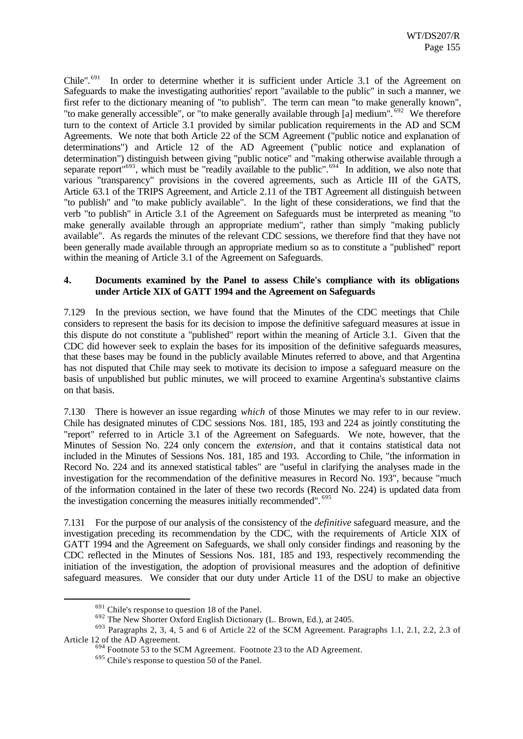Chile".<sup>691</sup> In order to determine whether it is sufficient under Article 3.1 of the Agreement on Safeguards to make the investigating authorities' report "available to the public" in such a manner, we first refer to the dictionary meaning of "to publish". The term can mean "to make generally known", "to make generally accessible", or "to make generally available through [a] medium".<sup>692</sup> We therefore turn to the context of Article 3.1 provided by similar publication requirements in the AD and SCM Agreements. We note that both Article 22 of the SCM Agreement ("public notice and explanation of determinations") and Article 12 of the AD Agreement ("public notice and explanation of determination") distinguish between giving "public notice" and "making otherwise available through a separate report<sup>"693</sup>, which must be "readily available to the public".<sup>694</sup> In addition, we also note that various "transparency" provisions in the covered agreements, such as Article III of the GATS, Article 63.1 of the TRIPS Agreement, and Article 2.11 of the TBT Agreement all distinguish between "to publish" and "to make publicly available". In the light of these considerations, we find that the verb "to publish" in Article 3.1 of the Agreement on Safeguards must be interpreted as meaning "to make generally available through an appropriate medium", rather than simply "making publicly available". As regards the minutes of the relevant CDC sessions, we therefore find that they have not been generally made available through an appropriate medium so as to constitute a "published" report within the meaning of Article 3.1 of the Agreement on Safeguards.

#### **4. Documents examined by the Panel to assess Chile's compliance with its obligations under Article XIX of GATT 1994 and the Agreement on Safeguards**

7.129 In the previous section, we have found that the Minutes of the CDC meetings that Chile considers to represent the basis for its decision to impose the definitive safeguard measures at issue in this dispute do not constitute a "published" report within the meaning of Article 3.1. Given that the CDC did however seek to explain the bases for its imposition of the definitive safeguards measures, that these bases may be found in the publicly available Minutes referred to above, and that Argentina has not disputed that Chile may seek to motivate its decision to impose a safeguard measure on the basis of unpublished but public minutes, we will proceed to examine Argentina's substantive claims on that basis.

7.130 There is however an issue regarding *which* of those Minutes we may refer to in our review. Chile has designated minutes of CDC sessions Nos. 181, 185, 193 and 224 as jointly constituting the "report" referred to in Article 3.1 of the Agreement on Safeguards. We note, however, that the Minutes of Session No. 224 only concern the *extension*, and that it contains statistical data not included in the Minutes of Sessions Nos. 181, 185 and 193. According to Chile, "the information in Record No. 224 and its annexed statistical tables" are "useful in clarifying the analyses made in the investigation for the recommendation of the definitive measures in Record No. 193", because "much of the information contained in the later of these two records (Record No. 224) is updated data from the investigation concerning the measures initially recommended". <sup>695</sup>

7.131 For the purpose of our analysis of the consistency of the *definitive* safeguard measure, and the investigation preceding its recommendation by the CDC, with the requirements of Article XIX of GATT 1994 and the Agreement on Safeguards, we shall only consider findings and reasoning by the CDC reflected in the Minutes of Sessions Nos. 181, 185 and 193, respectively recommending the initiation of the investigation, the adoption of provisional measures and the adoption of definitive safeguard measures. We consider that our duty under Article 11 of the DSU to make an objective

 $691$  Chile's response to question 18 of the Panel.

<sup>692</sup> The New Shorter Oxford English Dictionary (L. Brown, Ed.), at 2405.

<sup>693</sup> Paragraphs 2, 3, 4, 5 and 6 of Article 22 of the SCM Agreement. Paragraphs 1.1, 2.1, 2.2, 2.3 of Article 12 of the AD Agreement.

 $694$  Footnote 53 to the SCM Agreement. Footnote 23 to the AD Agreement.

<sup>695</sup> Chile's response to question 50 of the Panel.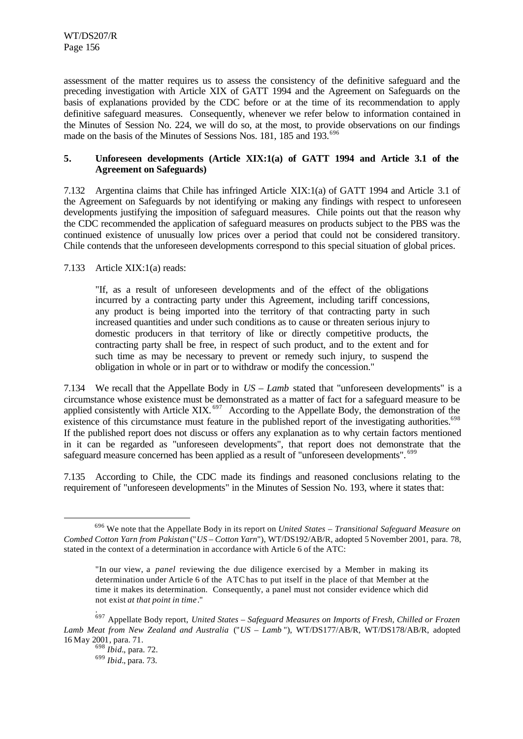assessment of the matter requires us to assess the consistency of the definitive safeguard and the preceding investigation with Article XIX of GATT 1994 and the Agreement on Safeguards on the basis of explanations provided by the CDC before or at the time of its recommendation to apply definitive safeguard measures. Consequently, whenever we refer below to information contained in the Minutes of Session No. 224, we will do so, at the most, to provide observations on our findings made on the basis of the Minutes of Sessions Nos. 181, 185 and 193.<sup>696</sup>

## **5. Unforeseen developments (Article XIX:1(a) of GATT 1994 and Article 3.1 of the Agreement on Safeguards)**

7.132 Argentina claims that Chile has infringed Article XIX:1(a) of GATT 1994 and Article 3.1 of the Agreement on Safeguards by not identifying or making any findings with respect to unforeseen developments justifying the imposition of safeguard measures. Chile points out that the reason why the CDC recommended the application of safeguard measures on products subject to the PBS was the continued existence of unusually low prices over a period that could not be considered transitory. Chile contends that the unforeseen developments correspond to this special situation of global prices.

7.133 Article XIX:1(a) reads:

"If, as a result of unforeseen developments and of the effect of the obligations incurred by a contracting party under this Agreement, including tariff concessions, any product is being imported into the territory of that contracting party in such increased quantities and under such conditions as to cause or threaten serious injury to domestic producers in that territory of like or directly competitive products, the contracting party shall be free, in respect of such product, and to the extent and for such time as may be necessary to prevent or remedy such injury, to suspend the obligation in whole or in part or to withdraw or modify the concession."

7.134 We recall that the Appellate Body in *US – Lamb* stated that "unforeseen developments" is a circumstance whose existence must be demonstrated as a matter of fact for a safeguard measure to be applied consistently with Article XIX.<sup>697</sup> According to the Appellate Body, the demonstration of the existence of this circumstance must feature in the published report of the investigating authorities.<sup>698</sup> If the published report does not discuss or offers any explanation as to why certain factors mentioned in it can be regarded as "unforeseen developments", that report does not demonstrate that the safeguard measure concerned has been applied as a result of "unforeseen developments". <sup>699</sup>

7.135 According to Chile, the CDC made its findings and reasoned conclusions relating to the requirement of "unforeseen developments" in the Minutes of Session No. 193, where it states that:

<sup>696</sup> We note that the Appellate Body in its report on *United States – Transitional Safeguard Measure on Combed Cotton Yarn from Pakistan* ("*US – Cotton Yarn*"), WT/DS192/AB/R, adopted 5 November 2001, para. 78, stated in the context of a determination in accordance with Article 6 of the ATC:

<sup>&</sup>quot;In our view, a *panel* reviewing the due diligence exercised by a Member in making its determination under Article 6 of the ATChas to put itself in the place of that Member at the time it makes its determination. Consequently, a panel must not consider evidence which did not exist *at that point in time*."

<sup>.</sup> <sup>697</sup> Appellate Body report, *United States – Safeguard Measures on Imports of Fresh, Chilled or Frozen Lamb Meat from New Zealand and Australia* ("*US – Lamb* "), WT/DS177/AB/R, WT/DS178/AB/R, adopted 16 May 2001, para. 71.

<sup>698</sup> *Ibid.*, para. 72.

<sup>699</sup> *Ibid.*, para. 73.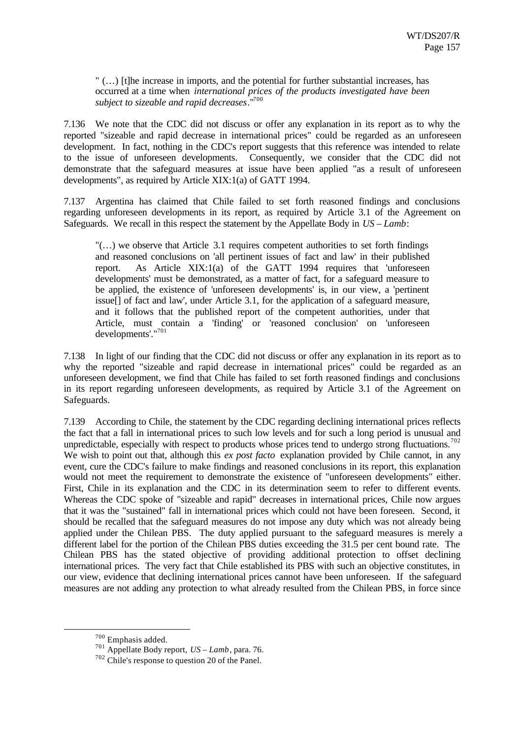" (…) [t]he increase in imports, and the potential for further substantial increases, has occurred at a time when *international prices of the products investigated have been subject to sizeable and rapid decreases*."<sup>700</sup>

7.136 We note that the CDC did not discuss or offer any explanation in its report as to why the reported "sizeable and rapid decrease in international prices" could be regarded as an unforeseen development. In fact, nothing in the CDC's report suggests that this reference was intended to relate to the issue of unforeseen developments. Consequently, we consider that the CDC did not demonstrate that the safeguard measures at issue have been applied "as a result of unforeseen developments", as required by Article XIX:1(a) of GATT 1994.

7.137 Argentina has claimed that Chile failed to set forth reasoned findings and conclusions regarding unforeseen developments in its report, as required by Article 3.1 of the Agreement on Safeguards. We recall in this respect the statement by the Appellate Body in *US – Lamb*:

 $\ldots$ ) we observe that Article 3.1 requires competent authorities to set forth findings and reasoned conclusions on 'all pertinent issues of fact and law' in their published report. As Article XIX:1(a) of the GATT 1994 requires that 'unforeseen developments' must be demonstrated, as a matter of fact, for a safeguard measure to be applied, the existence of 'unforeseen developments' is, in our view, a 'pertinent issue[] of fact and law', under Article 3.1, for the application of a safeguard measure, and it follows that the published report of the competent authorities, under that Article, must contain a 'finding' or 'reasoned conclusion' on 'unforeseen developments'."<sup>701</sup>

7.138 In light of our finding that the CDC did not discuss or offer any explanation in its report as to why the reported "sizeable and rapid decrease in international prices" could be regarded as an unforeseen development, we find that Chile has failed to set forth reasoned findings and conclusions in its report regarding unforeseen developments, as required by Article 3.1 of the Agreement on Safeguards.

7.139 According to Chile, the statement by the CDC regarding declining international prices reflects the fact that a fall in international prices to such low levels and for such a long period is unusual and unpredictable, especially with respect to products whose prices tend to undergo strong fluctuations.<sup>702</sup> We wish to point out that, although this *ex post facto* explanation provided by Chile cannot, in any event, cure the CDC's failure to make findings and reasoned conclusions in its report, this explanation would not meet the requirement to demonstrate the existence of "unforeseen developments" either. First, Chile in its explanation and the CDC in its determination seem to refer to different events. Whereas the CDC spoke of "sizeable and rapid" decreases in international prices, Chile now argues that it was the "sustained" fall in international prices which could not have been foreseen. Second, it should be recalled that the safeguard measures do not impose any duty which was not already being applied under the Chilean PBS. The duty applied pursuant to the safeguard measures is merely a different label for the portion of the Chilean PBS duties exceeding the 31.5 per cent bound rate. The Chilean PBS has the stated objective of providing additional protection to offset declining international prices. The very fact that Chile established its PBS with such an objective constitutes, in our view, evidence that declining international prices cannot have been unforeseen. If the safeguard measures are not adding any protection to what already resulted from the Chilean PBS, in force since

<sup>700</sup> Emphasis added.

<sup>701</sup> Appellate Body report, *US – Lamb*, para. 76.

<sup>702</sup> Chile's response to question 20 of the Panel.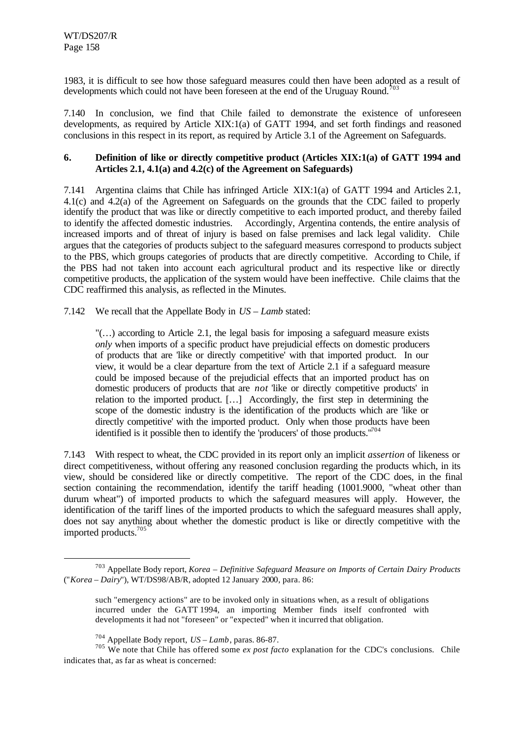l

1983, it is difficult to see how those safeguard measures could then have been adopted as a result of developments which could not have been foreseen at the end of the Uruguay Round.<sup>70</sup>

7.140 In conclusion, we find that Chile failed to demonstrate the existence of unforeseen developments, as required by Article XIX:1(a) of GATT 1994, and set forth findings and reasoned conclusions in this respect in its report, as required by Article 3.1 of the Agreement on Safeguards.

### **6. Definition of like or directly competitive product (Articles XIX:1(a) of GATT 1994 and Articles 2.1, 4.1(a) and 4.2(c) of the Agreement on Safeguards)**

7.141 Argentina claims that Chile has infringed Article XIX:1(a) of GATT 1994 and Articles 2.1, 4.1(c) and 4.2(a) of the Agreement on Safeguards on the grounds that the CDC failed to properly identify the product that was like or directly competitive to each imported product, and thereby failed to identify the affected domestic industries. Accordingly, Argentina contends, the entire analysis of increased imports and of threat of injury is based on false premises and lack legal validity. Chile argues that the categories of products subject to the safeguard measures correspond to products subject to the PBS, which groups categories of products that are directly competitive. According to Chile, if the PBS had not taken into account each agricultural product and its respective like or directly competitive products, the application of the system would have been ineffective. Chile claims that the CDC reaffirmed this analysis, as reflected in the Minutes.

## 7.142 We recall that the Appellate Body in *US – Lamb* stated:

 $\ldots$ ) according to Article 2.1, the legal basis for imposing a safeguard measure exists *only* when imports of a specific product have prejudicial effects on domestic producers of products that are 'like or directly competitive' with that imported product. In our view, it would be a clear departure from the text of Article 2.1 if a safeguard measure could be imposed because of the prejudicial effects that an imported product has on domestic producers of products that are *not* 'like or directly competitive products' in relation to the imported product. […] Accordingly, the first step in determining the scope of the domestic industry is the identification of the products which are 'like or directly competitive' with the imported product. Only when those products have been identified is it possible then to identify the 'producers' of those products." $704$ 

7.143 With respect to wheat, the CDC provided in its report only an implicit *assertion* of likeness or direct competitiveness, without offering any reasoned conclusion regarding the products which, in its view, should be considered like or directly competitive. The report of the CDC does, in the final section containing the recommendation, identify the tariff heading (1001.9000, "wheat other than durum wheat") of imported products to which the safeguard measures will apply. However, the identification of the tariff lines of the imported products to which the safeguard measures shall apply, does not say anything about whether the domestic product is like or directly competitive with the imported products.<sup>705</sup>

<sup>703</sup> Appellate Body report, *Korea – Definitive Safeguard Measure on Imports of Certain Dairy Products* ("*Korea – Dairy*"), WT/DS98/AB/R, adopted 12 January 2000, para. 86:

such "emergency actions" are to be invoked only in situations when, as a result of obligations incurred under the GATT 1994, an importing Member finds itself confronted with developments it had not "foreseen" or "expected" when it incurred that obligation.

<sup>704</sup> Appellate Body report, *US – Lamb*, paras. 86-87.

<sup>&</sup>lt;sup>705</sup> We note that Chile has offered some *ex post facto* explanation for the CDC's conclusions. Chile indicates that, as far as wheat is concerned: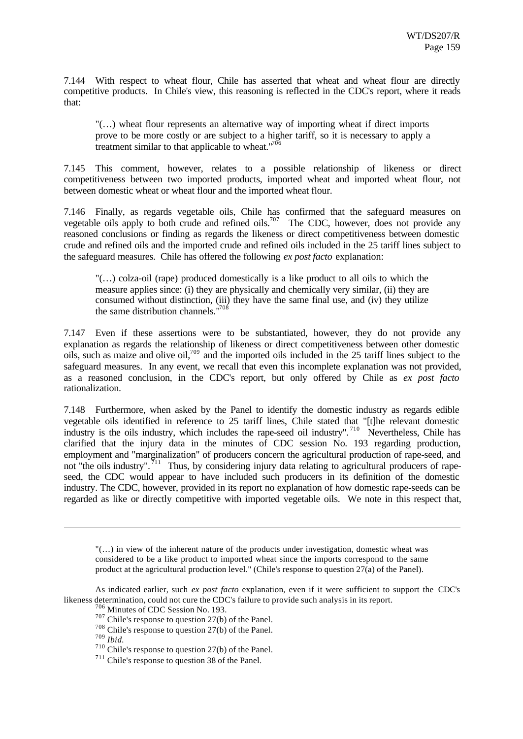7.144 With respect to wheat flour, Chile has asserted that wheat and wheat flour are directly competitive products. In Chile's view, this reasoning is reflected in the CDC's report, where it reads that:

"(…) wheat flour represents an alternative way of importing wheat if direct imports prove to be more costly or are subject to a higher tariff, so it is necessary to apply a treatment similar to that applicable to wheat. $1706$ 

7.145 This comment, however, relates to a possible relationship of likeness or direct competitiveness between two imported products, imported wheat and imported wheat flour, not between domestic wheat or wheat flour and the imported wheat flour.

7.146 Finally, as regards vegetable oils, Chile has confirmed that the safeguard measures on vegetable oils apply to both crude and refined oils.<sup>707</sup> The CDC, however, does not provide any reasoned conclusions or finding as regards the likeness or direct competitiveness between domestic crude and refined oils and the imported crude and refined oils included in the 25 tariff lines subject to the safeguard measures. Chile has offered the following *ex post facto* explanation:

"(…) colza-oil (rape) produced domestically is a like product to all oils to which the measure applies since: (i) they are physically and chemically very similar, (ii) they are consumed without distinction, (iii) they have the same final use, and (iv) they utilize the same distribution channels."<sup>708</sup>

7.147 Even if these assertions were to be substantiated, however, they do not provide any explanation as regards the relationship of likeness or direct competitiveness between other domestic oils, such as maize and olive oil,<sup>709</sup> and the imported oils included in the 25 tariff lines subject to the safeguard measures. In any event, we recall that even this incomplete explanation was not provided, as a reasoned conclusion, in the CDC's report, but only offered by Chile as *ex post facto* rationalization.

7.148 Furthermore, when asked by the Panel to identify the domestic industry as regards edible vegetable oils identified in reference to 25 tariff lines, Chile stated that "[t]he relevant domestic industry is the oils industry, which includes the rape-seed oil industry".<sup>710</sup> Nevertheless, Chile has clarified that the injury data in the minutes of CDC session No. 193 regarding production, employment and "marginalization" of producers concern the agricultural production of rape-seed, and not "the oils industry".<sup>711</sup> Thus, by considering injury data relating to agricultural producers of rapeseed, the CDC would appear to have included such producers in its definition of the domestic industry. The CDC, however, provided in its report no explanation of how domestic rape-seeds can be regarded as like or directly competitive with imported vegetable oils. We note in this respect that,

"(…) in view of the inherent nature of the products under investigation, domestic wheat was considered to be a like product to imported wheat since the imports correspond to the same product at the agricultural production level." (Chile's response to question 27(a) of the Panel).

<sup>709</sup> *Ibid.*

As indicated earlier, such *ex post facto* explanation, even if it were sufficient to support the CDC's likeness determination, could not cure the CDC's failure to provide such analysis in its report.

<sup>706</sup> Minutes of CDC Session No. 193.

<sup>707</sup> Chile's response to question 27(b) of the Panel.

<sup>708</sup> Chile's response to question 27(b) of the Panel.

<sup>710</sup> Chile's response to question 27(b) of the Panel.

<sup>711</sup> Chile's response to question 38 of the Panel.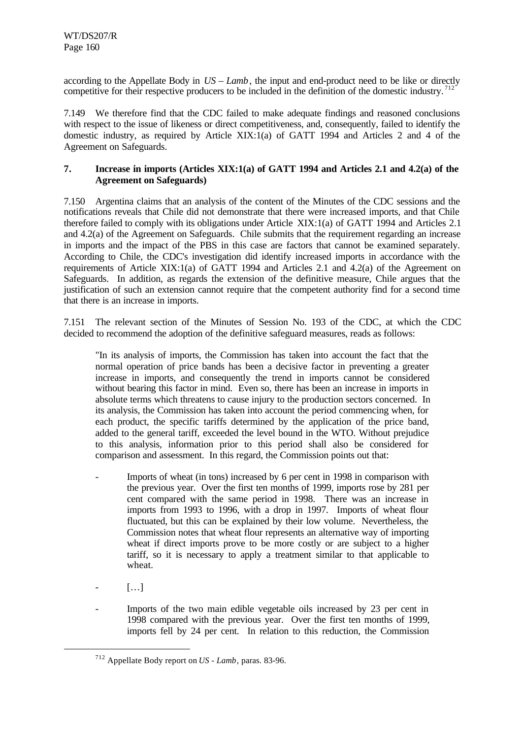according to the Appellate Body in *US – Lamb*, the input and end-product need to be like or directly competitive for their respective producers to be included in the definition of the domestic industry.<sup>712</sup>

7.149 We therefore find that the CDC failed to make adequate findings and reasoned conclusions with respect to the issue of likeness or direct competitiveness, and, consequently, failed to identify the domestic industry, as required by Article XIX:1(a) of GATT 1994 and Articles 2 and 4 of the Agreement on Safeguards.

### **7. Increase in imports (Articles XIX:1(a) of GATT 1994 and Articles 2.1 and 4.2(a) of the Agreement on Safeguards)**

7.150 Argentina claims that an analysis of the content of the Minutes of the CDC sessions and the notifications reveals that Chile did not demonstrate that there were increased imports, and that Chile therefore failed to comply with its obligations under Article XIX:1(a) of GATT 1994 and Articles 2.1 and 4.2(a) of the Agreement on Safeguards. Chile submits that the requirement regarding an increase in imports and the impact of the PBS in this case are factors that cannot be examined separately. According to Chile, the CDC's investigation did identify increased imports in accordance with the requirements of Article XIX:1(a) of GATT 1994 and Articles 2.1 and 4.2(a) of the Agreement on Safeguards. In addition, as regards the extension of the definitive measure, Chile argues that the justification of such an extension cannot require that the competent authority find for a second time that there is an increase in imports.

7.151 The relevant section of the Minutes of Session No. 193 of the CDC, at which the CDC decided to recommend the adoption of the definitive safeguard measures, reads as follows:

"In its analysis of imports, the Commission has taken into account the fact that the normal operation of price bands has been a decisive factor in preventing a greater increase in imports, and consequently the trend in imports cannot be considered without bearing this factor in mind. Even so, there has been an increase in imports in absolute terms which threatens to cause injury to the production sectors concerned. In its analysis, the Commission has taken into account the period commencing when, for each product, the specific tariffs determined by the application of the price band, added to the general tariff, exceeded the level bound in the WTO. Without prejudice to this analysis, information prior to this period shall also be considered for comparison and assessment. In this regard, the Commission points out that:

- Imports of wheat (in tons) increased by 6 per cent in 1998 in comparison with the previous year. Over the first ten months of 1999, imports rose by 281 per cent compared with the same period in 1998. There was an increase in imports from 1993 to 1996, with a drop in 1997. Imports of wheat flour fluctuated, but this can be explained by their low volume. Nevertheless, the Commission notes that wheat flour represents an alternative way of importing wheat if direct imports prove to be more costly or are subject to a higher tariff, so it is necessary to apply a treatment similar to that applicable to wheat.
- $\left[ \ldots \right]$

l

Imports of the two main edible vegetable oils increased by 23 per cent in 1998 compared with the previous year. Over the first ten months of 1999, imports fell by 24 per cent. In relation to this reduction, the Commission

<sup>712</sup> Appellate Body report on *US - Lamb*, paras. 83-96.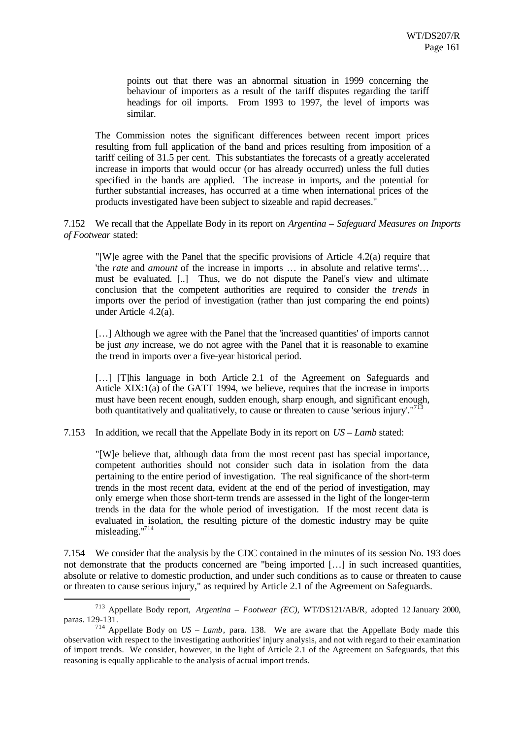points out that there was an abnormal situation in 1999 concerning the behaviour of importers as a result of the tariff disputes regarding the tariff headings for oil imports. From 1993 to 1997, the level of imports was similar.

The Commission notes the significant differences between recent import prices resulting from full application of the band and prices resulting from imposition of a tariff ceiling of 31.5 per cent. This substantiates the forecasts of a greatly accelerated increase in imports that would occur (or has already occurred) unless the full duties specified in the bands are applied. The increase in imports, and the potential for further substantial increases, has occurred at a time when international prices of the products investigated have been subject to sizeable and rapid decreases."

7.152 We recall that the Appellate Body in its report on *Argentina – Safeguard Measures on Imports of Footwear* stated:

"[W]e agree with the Panel that the specific provisions of Article 4.2(a) require that 'the *rate* and *amount* of the increase in imports … in absolute and relative terms'… must be evaluated. [..] Thus, we do not dispute the Panel's view and ultimate conclusion that the competent authorities are required to consider the *trends* in imports over the period of investigation (rather than just comparing the end points) under Article 4.2(a).

[...] Although we agree with the Panel that the 'increased quantities' of imports cannot be just *any* increase, we do not agree with the Panel that it is reasonable to examine the trend in imports over a five-year historical period.

[...] [T]his language in both Article 2.1 of the Agreement on Safeguards and Article XIX:1(a) of the GATT 1994, we believe, requires that the increase in imports must have been recent enough, sudden enough, sharp enough, and significant enough, both quantitatively and qualitatively, to cause or threaten to cause 'serious injury'."<sup>713</sup>

7.153 In addition, we recall that the Appellate Body in its report on *US – Lamb* stated:

"[W]e believe that, although data from the most recent past has special importance, competent authorities should not consider such data in isolation from the data pertaining to the entire period of investigation. The real significance of the short-term trends in the most recent data, evident at the end of the period of investigation, may only emerge when those short-term trends are assessed in the light of the longer-term trends in the data for the whole period of investigation. If the most recent data is evaluated in isolation, the resulting picture of the domestic industry may be quite misleading."<sup>714</sup>

7.154 We consider that the analysis by the CDC contained in the minutes of its session No. 193 does not demonstrate that the products concerned are "being imported […] in such increased quantities, absolute or relative to domestic production, and under such conditions as to cause or threaten to cause or threaten to cause serious injury," as required by Article 2.1 of the Agreement on Safeguards.

<sup>713</sup> Appellate Body report, *Argentina – Footwear (EC)*, WT/DS121/AB/R, adopted 12 January 2000*,* paras. 129-131.

<sup>&</sup>lt;sup>714</sup> Appellate Body on  $US - Lamb$ , para. 138. We are aware that the Appellate Body made this observation with respect to the investigating authorities' injury analysis, and not with regard to their examination of import trends. We consider, however, in the light of Article 2.1 of the Agreement on Safeguards, that this reasoning is equally applicable to the analysis of actual import trends.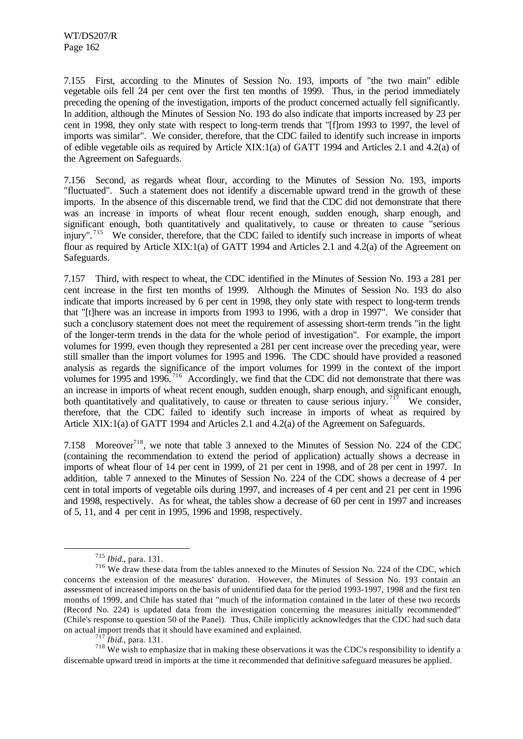7.155 First, according to the Minutes of Session No. 193, imports of "the two main" edible vegetable oils fell 24 per cent over the first ten months of 1999. Thus, in the period immediately preceding the opening of the investigation, imports of the product concerned actually fell significantly. In addition, although the Minutes of Session No. 193 do also indicate that imports increased by 23 per cent in 1998, they only state with respect to long-term trends that "[f]rom 1993 to 1997, the level of imports was similar". We consider, therefore, that the CDC failed to identify such increase in imports of edible vegetable oils as required by Article XIX:1(a) of GATT 1994 and Articles 2.1 and 4.2(a) of the Agreement on Safeguards.

7.156 Second, as regards wheat flour, according to the Minutes of Session No. 193, imports "fluctuated". Such a statement does not identify a discernable upward trend in the growth of these imports. In the absence of this discernable trend, we find that the CDC did not demonstrate that there was an increase in imports of wheat flour recent enough, sudden enough, sharp enough, and significant enough, both quantitatively and qualitatively, to cause or threaten to cause "serious injury".<sup>715</sup> We consider, therefore, that the CDC failed to identify such increase in imports of wheat flour as required by Article XIX:1(a) of GATT 1994 and Articles 2.1 and 4.2(a) of the Agreement on Safeguards.

7.157 Third, with respect to wheat, the CDC identified in the Minutes of Session No. 193 a 281 per cent increase in the first ten months of 1999. Although the Minutes of Session No. 193 do also indicate that imports increased by 6 per cent in 1998, they only state with respect to long-term trends that "[t]here was an increase in imports from 1993 to 1996, with a drop in 1997". We consider that such a conclusory statement does not meet the requirement of assessing short-term trends "in the light of the longer-term trends in the data for the whole period of investigation". For example, the import volumes for 1999, even though they represented a 281 per cent increase over the preceding year, were still smaller than the import volumes for 1995 and 1996. The CDC should have provided a reasoned analysis as regards the significance of the import volumes for 1999 in the context of the import volumes for 1995 and 1996.<sup>716</sup> Accordingly, we find that the CDC did not demonstrate that there was an increase in imports of wheat recent enough, sudden enough, sharp enough, and significant enough, both quantitatively and qualitatively, to cause or threaten to cause serious injury.<sup> $717$ </sup> We consider, therefore, that the CDC failed to identify such increase in imports of wheat as required by Article XIX:1(a) of GATT 1994 and Articles 2.1 and 4.2(a) of the Agreement on Safeguards.

7.158 Moreover<sup>718</sup>, we note that table 3 annexed to the Minutes of Session No. 224 of the CDC (containing the recommendation to extend the period of application) actually shows a decrease in imports of wheat flour of 14 per cent in 1999, of 21 per cent in 1998, and of 28 per cent in 1997. In addition, table 7 annexed to the Minutes of Session No. 224 of the CDC shows a decrease of 4 per cent in total imports of vegetable oils during 1997, and increases of 4 per cent and 21 per cent in 1996 and 1998, respectively. As for wheat, the tables show a decrease of 60 per cent in 1997 and increases of 5, 11, and 4 per cent in 1995, 1996 and 1998, respectively.

l

<sup>717</sup> *Ibid.*, para. 131.

 $718$  We wish to emphasize that in making these observations it was the CDC's responsibility to identify a discernable upward trend in imports at the time it recommended that definitive safeguard measures be applied.

<sup>715</sup> *Ibid.*, para. 131.

<sup>&</sup>lt;sup>716</sup> We draw these data from the tables annexed to the Minutes of Session No. 224 of the CDC, which concerns the extension of the measures' duration. However, the Minutes of Session No. 193 contain an assessment of increased imports on the basis of unidentified data for the period 1993-1997, 1998 and the first ten months of 1999, and Chile has stated that "much of the information contained in the later of these two records (Record No. 224) is updated data from the investigation concerning the measures initially recommended" (Chile's response to question 50 of the Panel). Thus, Chile implicitly acknowledges that the CDC had such data on actual import trends that it should have examined and explained.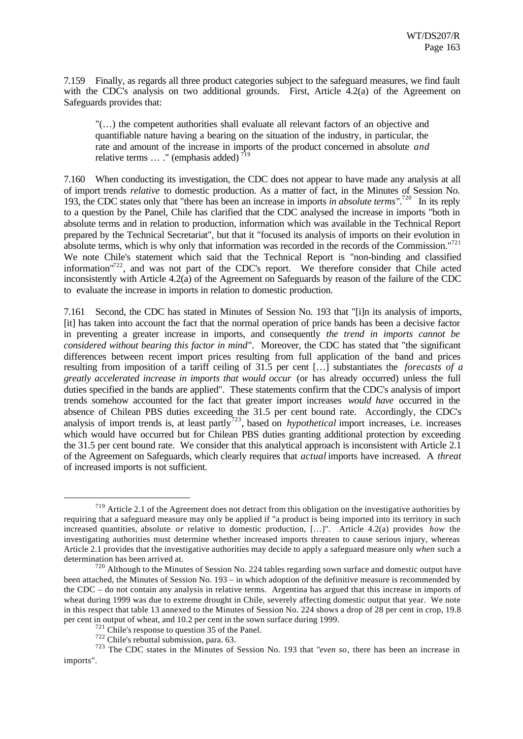7.159 Finally, as regards all three product categories subject to the safeguard measures, we find fault with the CDC's analysis on two additional grounds. First, Article 4.2(a) of the Agreement on Safeguards provides that:

"(…) the competent authorities shall evaluate all relevant factors of an objective and quantifiable nature having a bearing on the situation of the industry, in particular, the rate and amount of the increase in imports of the product concerned in absolute *and* relative terms  $\dots$  " (emphasis added)<sup>719</sup>

7.160 When conducting its investigation, the CDC does not appear to have made any analysis at all of import trends *relative* to domestic production. As a matter of fact, in the Minutes of Session No. 193, the CDC states only that "there has been an increase in imports *in absolute terms*".<sup>720</sup> In its reply to a question by the Panel, Chile has clarified that the CDC analysed the increase in imports "both in absolute terms and in relation to production, information which was available in the Technical Report prepared by the Technical Secretariat", but that it "focused its analysis of imports on their evolution in absolute terms, which is why only that information was recorded in the records of the Commission."<sup>721</sup> We note Chile's statement which said that the Technical Report is "non-binding and classified information<sup>"722</sup>, and was not part of the CDC's report. We therefore consider that Chile acted inconsistently with Article 4.2(a) of the Agreement on Safeguards by reason of the failure of the CDC to evaluate the increase in imports in relation to domestic production.

7.161 Second, the CDC has stated in Minutes of Session No. 193 that "[i]n its analysis of imports, [it] has taken into account the fact that the normal operation of price bands has been a decisive factor in preventing a greater increase in imports, and consequently *the trend in imports cannot be considered without bearing this factor in mind*". Moreover, the CDC has stated that "the significant differences between recent import prices resulting from full application of the band and prices resulting from imposition of a tariff ceiling of 31.5 per cent […] substantiates the *forecasts of a greatly accelerated increase in imports that would occur* (or has already occurred) unless the full duties specified in the bands are applied". These statements confirm that the CDC's analysis of import trends somehow accounted for the fact that greater import increases *would have* occurred in the absence of Chilean PBS duties exceeding the 31.5 per cent bound rate. Accordingly, the CDC's analysis of import trends is, at least partly<sup>723</sup>, based on *hypothetical* import increases, i.e. increases which would have occurred but for Chilean PBS duties granting additional protection by exceeding the 31.5 per cent bound rate. We consider that this analytical approach is inconsistent with Article 2.1 of the Agreement on Safeguards, which clearly requires that *actual* imports have increased. A *threat* of increased imports is not sufficient.

<sup>&</sup>lt;sup>719</sup> Article 2.1 of the Agreement does not detract from this obligation on the investigative authorities by requiring that a safeguard measure may only be applied if "a product is being imported into its territory in such increased quantities, absolute *or* relative to domestic production, […]". Article 4.2(a) provides *how* the investigating authorities must determine whether increased imports threaten to cause serious injury, whereas Article 2.1 provides that the investigative authorities may decide to apply a safeguard measure only *when* such a determination has been arrived at.

 $720$  Although to the Minutes of Session No. 224 tables regarding sown surface and domestic output have been attached, the Minutes of Session No. 193 – in which adoption of the definitive measure is recommended by the CDC – do not contain any analysis in relative terms. Argentina has argued that this increase in imports of wheat during 1999 was due to extreme drought in Chile, severely affecting domestic output that year. We note in this respect that table 13 annexed to the Minutes of Session No. 224 shows a drop of 28 per cent in crop, 19.8 per cent in output of wheat, and 10.2 per cent in the sown surface during 1999.

<sup>721</sup> Chile's response to question 35 of the Panel.

<sup>722</sup> Chile's rebuttal submission, para. 63.

<sup>723</sup> The CDC states in the Minutes of Session No. 193 that "*even so*, there has been an increase in imports".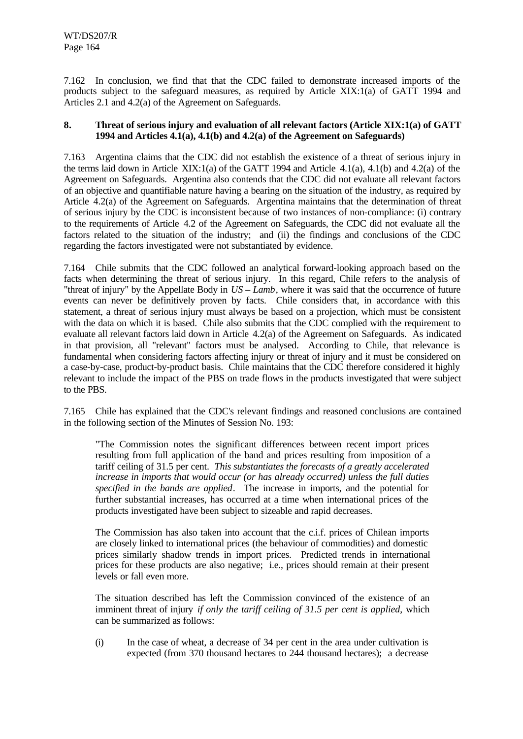7.162 In conclusion, we find that that the CDC failed to demonstrate increased imports of the products subject to the safeguard measures, as required by Article XIX:1(a) of GATT 1994 and Articles 2.1 and 4.2(a) of the Agreement on Safeguards.

## **8. Threat of serious injury and evaluation of all relevant factors (Article XIX:1(a) of GATT 1994 and Articles 4.1(a), 4.1(b) and 4.2(a) of the Agreement on Safeguards)**

7.163 Argentina claims that the CDC did not establish the existence of a threat of serious injury in the terms laid down in Article XIX:1(a) of the GATT 1994 and Article 4.1(a), 4.1(b) and 4.2(a) of the Agreement on Safeguards. Argentina also contends that the CDC did not evaluate all relevant factors of an objective and quantifiable nature having a bearing on the situation of the industry, as required by Article 4.2(a) of the Agreement on Safeguards. Argentina maintains that the determination of threat of serious injury by the CDC is inconsistent because of two instances of non-compliance: (i) contrary to the requirements of Article 4.2 of the Agreement on Safeguards, the CDC did not evaluate all the factors related to the situation of the industry; and (ii) the findings and conclusions of the CDC regarding the factors investigated were not substantiated by evidence.

7.164 Chile submits that the CDC followed an analytical forward-looking approach based on the facts when determining the threat of serious injury. In this regard, Chile refers to the analysis of "threat of injury" by the Appellate Body in *US – Lamb*, where it was said that the occurrence of future events can never be definitively proven by facts. Chile considers that, in accordance with this statement, a threat of serious injury must always be based on a projection, which must be consistent with the data on which it is based. Chile also submits that the CDC complied with the requirement to evaluate all relevant factors laid down in Article 4.2(a) of the Agreement on Safeguards. As indicated in that provision, all "relevant" factors must be analysed. According to Chile, that relevance is fundamental when considering factors affecting injury or threat of injury and it must be considered on a case-by-case, product-by-product basis. Chile maintains that the CDC therefore considered it highly relevant to include the impact of the PBS on trade flows in the products investigated that were subject to the PBS.

7.165 Chile has explained that the CDC's relevant findings and reasoned conclusions are contained in the following section of the Minutes of Session No. 193:

"The Commission notes the significant differences between recent import prices resulting from full application of the band and prices resulting from imposition of a tariff ceiling of 31.5 per cent. *This substantiates the forecasts of a greatly accelerated increase in imports that would occur (or has already occurred) unless the full duties specified in the bands are applied*. The increase in imports, and the potential for further substantial increases, has occurred at a time when international prices of the products investigated have been subject to sizeable and rapid decreases.

The Commission has also taken into account that the c.i.f. prices of Chilean imports are closely linked to international prices (the behaviour of commodities) and domestic prices similarly shadow trends in import prices. Predicted trends in international prices for these products are also negative; i.e., prices should remain at their present levels or fall even more.

The situation described has left the Commission convinced of the existence of an imminent threat of injury *if only the tariff ceiling of 31.5 per cent is applied*, which can be summarized as follows:

(i) In the case of wheat, a decrease of 34 per cent in the area under cultivation is expected (from 370 thousand hectares to 244 thousand hectares); a decrease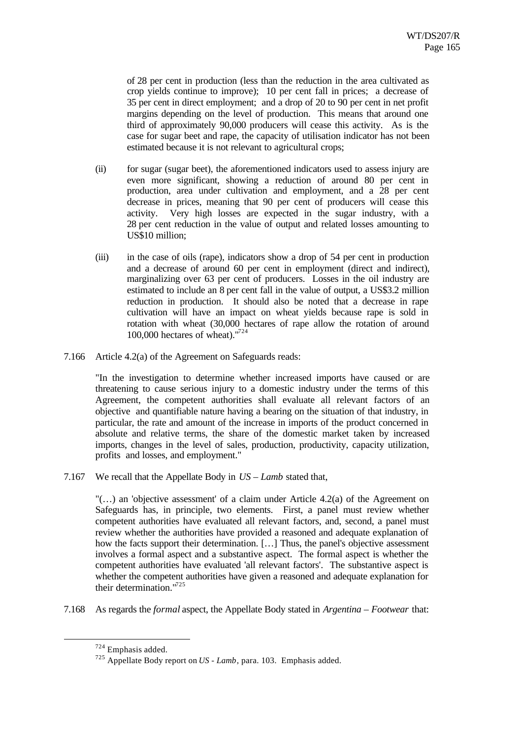of 28 per cent in production (less than the reduction in the area cultivated as crop yields continue to improve); 10 per cent fall in prices; a decrease of 35 per cent in direct employment; and a drop of 20 to 90 per cent in net profit margins depending on the level of production. This means that around one third of approximately 90,000 producers will cease this activity. As is the case for sugar beet and rape, the capacity of utilisation indicator has not been estimated because it is not relevant to agricultural crops;

- (ii) for sugar (sugar beet), the aforementioned indicators used to assess injury are even more significant, showing a reduction of around 80 per cent in production, area under cultivation and employment, and a 28 per cent decrease in prices, meaning that 90 per cent of producers will cease this activity. Very high losses are expected in the sugar industry, with a 28 per cent reduction in the value of output and related losses amounting to US\$10 million;
- (iii) in the case of oils (rape), indicators show a drop of 54 per cent in production and a decrease of around 60 per cent in employment (direct and indirect), marginalizing over 63 per cent of producers. Losses in the oil industry are estimated to include an 8 per cent fall in the value of output, a US\$3.2 million reduction in production. It should also be noted that a decrease in rape cultivation will have an impact on wheat yields because rape is sold in rotation with wheat (30,000 hectares of rape allow the rotation of around 100,000 hectares of wheat). $1724$
- 7.166 Article 4.2(a) of the Agreement on Safeguards reads:

"In the investigation to determine whether increased imports have caused or are threatening to cause serious injury to a domestic industry under the terms of this Agreement, the competent authorities shall evaluate all relevant factors of an objective and quantifiable nature having a bearing on the situation of that industry, in particular, the rate and amount of the increase in imports of the product concerned in absolute and relative terms, the share of the domestic market taken by increased imports, changes in the level of sales, production, productivity, capacity utilization, profits and losses, and employment."

7.167 We recall that the Appellate Body in *US – Lamb* stated that,

 $\ldots$ ) an 'objective assessment' of a claim under Article 4.2(a) of the Agreement on Safeguards has, in principle, two elements. First, a panel must review whether competent authorities have evaluated all relevant factors, and, second, a panel must review whether the authorities have provided a reasoned and adequate explanation of how the facts support their determination. […] Thus, the panel's objective assessment involves a formal aspect and a substantive aspect. The formal aspect is whether the competent authorities have evaluated 'all relevant factors'. The substantive aspect is whether the competent authorities have given a reasoned and adequate explanation for their determination."<sup>725</sup>

7.168 As regards the *formal* aspect, the Appellate Body stated in *Argentina – Footwear* that:

<sup>724</sup> Emphasis added.

<sup>725</sup> Appellate Body report on *US - Lamb*, para. 103. Emphasis added.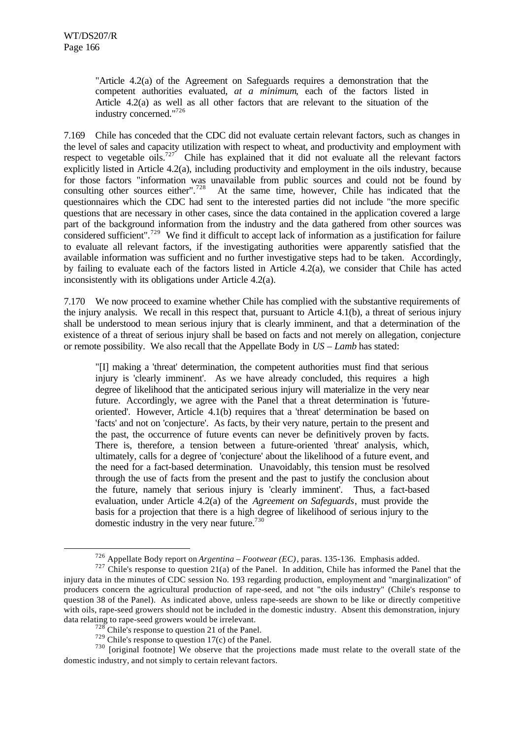l

"Article 4.2(a) of the Agreement on Safeguards requires a demonstration that the competent authorities evaluated, *at a minimum*, each of the factors listed in Article 4.2(a) as well as all other factors that are relevant to the situation of the industry concerned."<sup>726</sup>

7.169 Chile has conceded that the CDC did not evaluate certain relevant factors, such as changes in the level of sales and capacity utilization with respect to wheat, and productivity and employment with respect to vegetable oils.<sup>727</sup> Chile has explained that it did not evaluate all the relevant factors explicitly listed in Article 4.2(a), including productivity and employment in the oils industry, because for those factors "information was unavailable from public sources and could not be found by consulting other sources either".<sup>728</sup> At the same time, however, Chile has indicated that the questionnaires which the CDC had sent to the interested parties did not include "the more specific questions that are necessary in other cases, since the data contained in the application covered a large part of the background information from the industry and the data gathered from other sources was considered sufficient".<sup>729</sup> We find it difficult to accept lack of information as a justification for failure to evaluate all relevant factors, if the investigating authorities were apparently satisfied that the available information was sufficient and no further investigative steps had to be taken. Accordingly, by failing to evaluate each of the factors listed in Article 4.2(a), we consider that Chile has acted inconsistently with its obligations under Article 4.2(a).

7.170 We now proceed to examine whether Chile has complied with the substantive requirements of the injury analysis. We recall in this respect that, pursuant to Article 4.1(b), a threat of serious injury shall be understood to mean serious injury that is clearly imminent, and that a determination of the existence of a threat of serious injury shall be based on facts and not merely on allegation, conjecture or remote possibility. We also recall that the Appellate Body in *US – Lamb* has stated:

"[I] making a 'threat' determination, the competent authorities must find that serious injury is 'clearly imminent'. As we have already concluded, this requires a high degree of likelihood that the anticipated serious injury will materialize in the very near future. Accordingly, we agree with the Panel that a threat determination is 'futureoriented'. However, Article 4.1(b) requires that a 'threat' determination be based on 'facts' and not on 'conjecture'. As facts, by their very nature, pertain to the present and the past, the occurrence of future events can never be definitively proven by facts. There is, therefore, a tension between a future-oriented 'threat' analysis, which, ultimately, calls for a degree of 'conjecture' about the likelihood of a future event, and the need for a fact-based determination. Unavoidably, this tension must be resolved through the use of facts from the present and the past to justify the conclusion about the future, namely that serious injury is 'clearly imminent'. Thus, a fact-based evaluation, under Article 4.2(a) of the *Agreement on Safeguards*, must provide the basis for a projection that there is a high degree of likelihood of serious injury to the domestic industry in the very near future. $730$ 

<sup>726</sup> Appellate Body report on *Argentina – Footwear (EC)*, paras. 135-136. Emphasis added.

 $727$  Chile's response to question 21(a) of the Panel. In addition, Chile has informed the Panel that the injury data in the minutes of CDC session No. 193 regarding production, employment and "marginalization" of producers concern the agricultural production of rape-seed, and not "the oils industry" (Chile's response to question 38 of the Panel). As indicated above, unless rape-seeds are shown to be like or directly competitive with oils, rape-seed growers should not be included in the domestic industry. Absent this demonstration, injury data relating to rape-seed growers would be irrelevant.

 $728$  Chile's response to question 21 of the Panel.

 $729$  Chile's response to question 17(c) of the Panel.

 $730$  [original footnote] We observe that the projections made must relate to the overall state of the domestic industry, and not simply to certain relevant factors.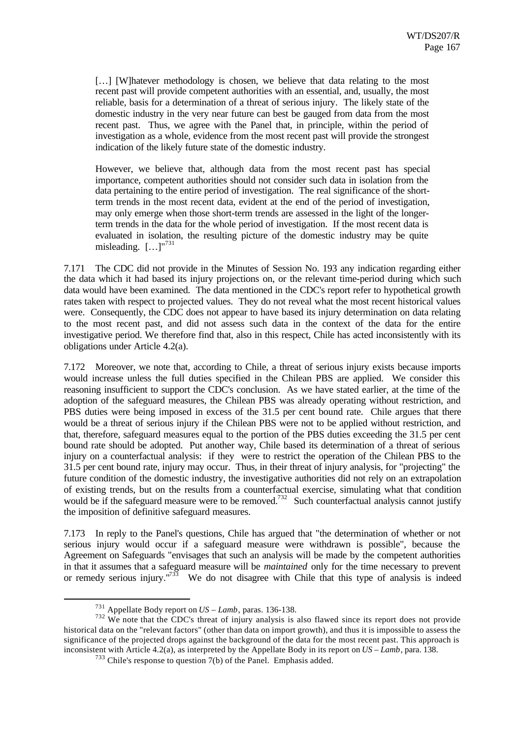[...] [W]hatever methodology is chosen, we believe that data relating to the most recent past will provide competent authorities with an essential, and, usually, the most reliable, basis for a determination of a threat of serious injury. The likely state of the domestic industry in the very near future can best be gauged from data from the most recent past. Thus, we agree with the Panel that, in principle, within the period of investigation as a whole, evidence from the most recent past will provide the strongest indication of the likely future state of the domestic industry.

However, we believe that, although data from the most recent past has special importance, competent authorities should not consider such data in isolation from the data pertaining to the entire period of investigation. The real significance of the shortterm trends in the most recent data, evident at the end of the period of investigation, may only emerge when those short-term trends are assessed in the light of the longerterm trends in the data for the whole period of investigation. If the most recent data is evaluated in isolation, the resulting picture of the domestic industry may be quite misleading. […]"<sup>731</sup>

7.171 The CDC did not provide in the Minutes of Session No. 193 any indication regarding either the data which it had based its injury projections on, or the relevant time-period during which such data would have been examined. The data mentioned in the CDC's report refer to hypothetical growth rates taken with respect to projected values. They do not reveal what the most recent historical values were. Consequently, the CDC does not appear to have based its injury determination on data relating to the most recent past, and did not assess such data in the context of the data for the entire investigative period. We therefore find that, also in this respect, Chile has acted inconsistently with its obligations under Article 4.2(a).

7.172 Moreover, we note that, according to Chile, a threat of serious injury exists because imports would increase unless the full duties specified in the Chilean PBS are applied. We consider this reasoning insufficient to support the CDC's conclusion. As we have stated earlier, at the time of the adoption of the safeguard measures, the Chilean PBS was already operating without restriction, and PBS duties were being imposed in excess of the 31.5 per cent bound rate. Chile argues that there would be a threat of serious injury if the Chilean PBS were not to be applied without restriction, and that, therefore, safeguard measures equal to the portion of the PBS duties exceeding the 31.5 per cent bound rate should be adopted. Put another way, Chile based its determination of a threat of serious injury on a counterfactual analysis: if they were to restrict the operation of the Chilean PBS to the 31.5 per cent bound rate, injury may occur. Thus, in their threat of injury analysis, for "projecting" the future condition of the domestic industry, the investigative authorities did not rely on an extrapolation of existing trends, but on the results from a counterfactual exercise, simulating what that condition would be if the safeguard measure were to be removed.<sup>732</sup> Such counterfactual analysis cannot justify the imposition of definitive safeguard measures.

7.173 In reply to the Panel's questions, Chile has argued that "the determination of whether or not serious injury would occur if a safeguard measure were withdrawn is possible", because the Agreement on Safeguards "envisages that such an analysis will be made by the competent authorities in that it assumes that a safeguard measure will be *maintained* only for the time necessary to prevent or remedy serious injury. $1733$  We do not disagree with Chile that this type of analysis is indeed

<sup>731</sup> Appellate Body report on *US – Lamb*, paras. 136-138.

 $732$  We note that the CDC's threat of injury analysis is also flawed since its report does not provide historical data on the "relevant factors" (other than data on import growth), and thus it is impossible to assess the significance of the projected drops against the background of the data for the most recent past. This approach is inconsistent with Article 4.2(a), as interpreted by the Appellate Body in its report on *US – Lamb*, para. 138.

<sup>733</sup> Chile's response to question 7(b) of the Panel. Emphasis added.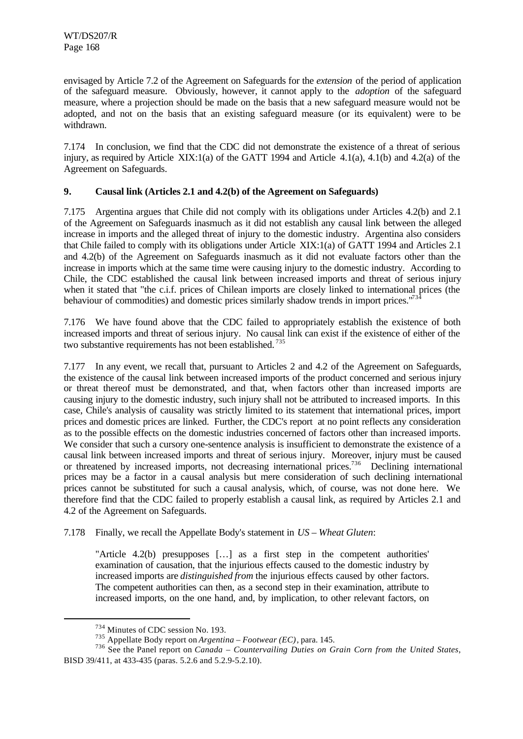envisaged by Article 7.2 of the Agreement on Safeguards for the *extension* of the period of application of the safeguard measure. Obviously, however, it cannot apply to the *adoption* of the safeguard measure, where a projection should be made on the basis that a new safeguard measure would not be adopted, and not on the basis that an existing safeguard measure (or its equivalent) were to be withdrawn.

7.174 In conclusion, we find that the CDC did not demonstrate the existence of a threat of serious injury, as required by Article XIX:1(a) of the GATT 1994 and Article 4.1(a), 4.1(b) and 4.2(a) of the Agreement on Safeguards.

## **9. Causal link (Articles 2.1 and 4.2(b) of the Agreement on Safeguards)**

7.175 Argentina argues that Chile did not comply with its obligations under Articles 4.2(b) and 2.1 of the Agreement on Safeguards inasmuch as it did not establish any causal link between the alleged increase in imports and the alleged threat of injury to the domestic industry. Argentina also considers that Chile failed to comply with its obligations under Article XIX:1(a) of GATT 1994 and Articles 2.1 and 4.2(b) of the Agreement on Safeguards inasmuch as it did not evaluate factors other than the increase in imports which at the same time were causing injury to the domestic industry. According to Chile, the CDC established the causal link between increased imports and threat of serious injury when it stated that "the c.i.f. prices of Chilean imports are closely linked to international prices (the behaviour of commodities) and domestic prices similarly shadow trends in import prices."<sup>73</sup>

7.176 We have found above that the CDC failed to appropriately establish the existence of both increased imports and threat of serious injury. No causal link can exist if the existence of either of the two substantive requirements has not been established. <sup>735</sup>

7.177 In any event, we recall that, pursuant to Articles 2 and 4.2 of the Agreement on Safeguards, the existence of the causal link between increased imports of the product concerned and serious injury or threat thereof must be demonstrated, and that, when factors other than increased imports are causing injury to the domestic industry, such injury shall not be attributed to increased imports. In this case, Chile's analysis of causality was strictly limited to its statement that international prices, import prices and domestic prices are linked. Further, the CDC's report at no point reflects any consideration as to the possible effects on the domestic industries concerned of factors other than increased imports. We consider that such a cursory one-sentence analysis is insufficient to demonstrate the existence of a causal link between increased imports and threat of serious injury. Moreover, injury must be caused or threatened by increased imports, not decreasing international prices.<sup>736</sup> Declining international prices may be a factor in a causal analysis but mere consideration of such declining international prices cannot be substituted for such a causal analysis, which, of course, was not done here. We therefore find that the CDC failed to properly establish a causal link, as required by Articles 2.1 and 4.2 of the Agreement on Safeguards.

7.178 Finally, we recall the Appellate Body's statement in *US – Wheat Gluten*:

"Article 4.2(b) presupposes […] as a first step in the competent authorities' examination of causation, that the injurious effects caused to the domestic industry by increased imports are *distinguished from* the injurious effects caused by other factors. The competent authorities can then, as a second step in their examination, attribute to increased imports, on the one hand, and, by implication, to other relevant factors, on

<sup>734</sup> Minutes of CDC session No. 193.

<sup>735</sup> Appellate Body report on *Argentina – Footwear (EC)*, para. 145.

<sup>736</sup> See the Panel report on *Canada – Countervailing Duties on Grain Corn from the United States*, BISD 39/411, at 433-435 (paras. 5.2.6 and 5.2.9-5.2.10).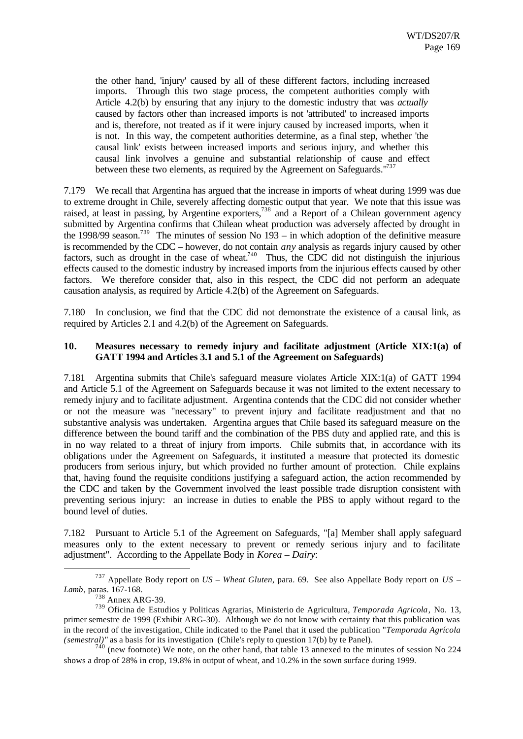the other hand, 'injury' caused by all of these different factors, including increased imports. Through this two stage process, the competent authorities comply with Article 4.2(b) by ensuring that any injury to the domestic industry that was *actually* caused by factors other than increased imports is not 'attributed' to increased imports and is, therefore, not treated as if it were injury caused by increased imports, when it is not. In this way, the competent authorities determine, as a final step, whether 'the causal link' exists between increased imports and serious injury, and whether this causal link involves a genuine and substantial relationship of cause and effect between these two elements, as required by the Agreement on Safeguards."<sup>737</sup>

7.179 We recall that Argentina has argued that the increase in imports of wheat during 1999 was due to extreme drought in Chile, severely affecting domestic output that year. We note that this issue was raised, at least in passing, by Argentine exporters,<sup>738</sup> and a Report of a Chilean government agency submitted by Argentina confirms that Chilean wheat production was adversely affected by drought in the 1998/99 season.<sup>739</sup> The minutes of session No  $193 -$  in which adoption of the definitive measure is recommended by the CDC – however, do not contain *any* analysis as regards injury caused by other factors, such as drought in the case of wheat.<sup>740</sup> Thus, the CDC did not distinguish the injurious effects caused to the domestic industry by increased imports from the injurious effects caused by other factors. We therefore consider that, also in this respect, the CDC did not perform an adequate causation analysis, as required by Article 4.2(b) of the Agreement on Safeguards.

7.180 In conclusion, we find that the CDC did not demonstrate the existence of a causal link, as required by Articles 2.1 and 4.2(b) of the Agreement on Safeguards.

#### **10. Measures necessary to remedy injury and facilitate adjustment (Article XIX:1(a) of GATT 1994 and Articles 3.1 and 5.1 of the Agreement on Safeguards)**

7.181 Argentina submits that Chile's safeguard measure violates Article XIX:1(a) of GATT 1994 and Article 5.1 of the Agreement on Safeguards because it was not limited to the extent necessary to remedy injury and to facilitate adjustment. Argentina contends that the CDC did not consider whether or not the measure was "necessary" to prevent injury and facilitate readjustment and that no substantive analysis was undertaken. Argentina argues that Chile based its safeguard measure on the difference between the bound tariff and the combination of the PBS duty and applied rate, and this is in no way related to a threat of injury from imports. Chile submits that, in accordance with its obligations under the Agreement on Safeguards, it instituted a measure that protected its domestic producers from serious injury, but which provided no further amount of protection. Chile explains that, having found the requisite conditions justifying a safeguard action, the action recommended by the CDC and taken by the Government involved the least possible trade disruption consistent with preventing serious injury: an increase in duties to enable the PBS to apply without regard to the bound level of duties.

7.182 Pursuant to Article 5.1 of the Agreement on Safeguards, "[a] Member shall apply safeguard measures only to the extent necessary to prevent or remedy serious injury and to facilitate adjustment". According to the Appellate Body in *Korea – Dairy*:

<sup>737</sup> Appellate Body report on *US – Wheat Gluten*, para. 69. See also Appellate Body report on *US – Lamb*, paras. 167-168.

<sup>738</sup> Annex ARG-39.

<sup>739</sup> Oficina de Estudios y Politicas Agrarias, Ministerio de Agricultura, *Temporada Agricola*, No. 13, primer semestre de 1999 (Exhibit ARG-30). Although we do not know with certainty that this publication was in the record of the investigation, Chile indicated to the Panel that it used the publication "*Temporada Agrícola (semestral)"* as a basis for its investigation (Chile's reply to question 17(b) by te Panel).

 $740$  (new footnote) We note, on the other hand, that table 13 annexed to the minutes of session No 224 shows a drop of 28% in crop, 19.8% in output of wheat, and 10.2% in the sown surface during 1999.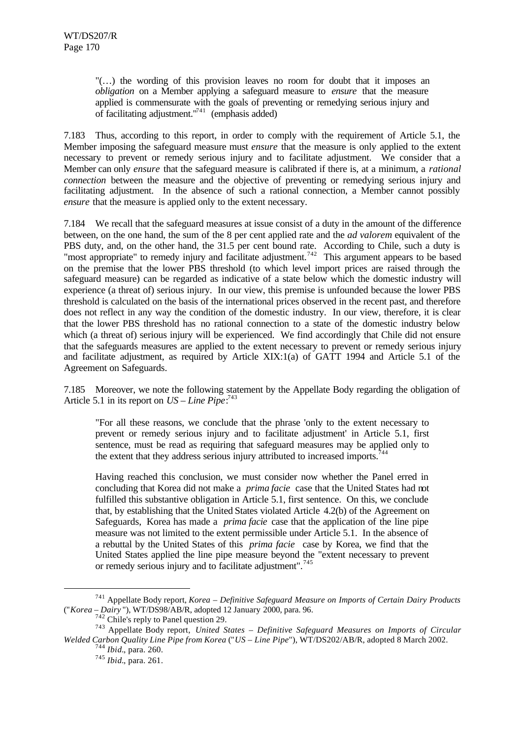"(…) the wording of this provision leaves no room for doubt that it imposes an *obligation* on a Member applying a safeguard measure to *ensure* that the measure applied is commensurate with the goals of preventing or remedying serious injury and of facilitating adjustment. $\binom{7}{4}$  (emphasis added)

7.183 Thus, according to this report, in order to comply with the requirement of Article 5.1, the Member imposing the safeguard measure must *ensure* that the measure is only applied to the extent necessary to prevent or remedy serious injury and to facilitate adjustment. We consider that a Member can only *ensure* that the safeguard measure is calibrated if there is, at a minimum, a *rational connection* between the measure and the objective of preventing or remedying serious injury and facilitating adjustment. In the absence of such a rational connection, a Member cannot possibly *ensure* that the measure is applied only to the extent necessary.

7.184 We recall that the safeguard measures at issue consist of a duty in the amount of the difference between, on the one hand, the sum of the 8 per cent applied rate and the *ad valorem* equivalent of the PBS duty, and, on the other hand, the 31.5 per cent bound rate. According to Chile, such a duty is "most appropriate" to remedy injury and facilitate adjustment.<sup>742</sup> This argument appears to be based on the premise that the lower PBS threshold (to which level import prices are raised through the safeguard measure) can be regarded as indicative of a state below which the domestic industry will experience (a threat of) serious injury. In our view, this premise is unfounded because the lower PBS threshold is calculated on the basis of the international prices observed in the recent past, and therefore does not reflect in any way the condition of the domestic industry. In our view, therefore, it is clear that the lower PBS threshold has no rational connection to a state of the domestic industry below which (a threat of) serious injury will be experienced. We find accordingly that Chile did not ensure that the safeguards measures are applied to the extent necessary to prevent or remedy serious injury and facilitate adjustment, as required by Article XIX:1(a) of GATT 1994 and Article 5.1 of the Agreement on Safeguards.

7.185 Moreover, we note the following statement by the Appellate Body regarding the obligation of Article 5.1 in its report on  $US - Line$  Pipe:<sup>743</sup>

"For all these reasons, we conclude that the phrase 'only to the extent necessary to prevent or remedy serious injury and to facilitate adjustment' in Article 5.1, first sentence, must be read as requiring that safeguard measures may be applied only to the extent that they address serious injury attributed to increased imports.<sup>744</sup>

Having reached this conclusion, we must consider now whether the Panel erred in concluding that Korea did not make a *prima facie* case that the United States had not fulfilled this substantive obligation in Article 5.1, first sentence. On this, we conclude that, by establishing that the United States violated Article 4.2(b) of the Agreement on Safeguards, Korea has made a *prima facie* case that the application of the line pipe measure was not limited to the extent permissible under Article 5.1. In the absence of a rebuttal by the United States of this *prima facie* case by Korea, we find that the United States applied the line pipe measure beyond the "extent necessary to prevent or remedy serious injury and to facilitate adjustment".<sup>745</sup>

<sup>741</sup> Appellate Body report, *Korea – Definitive Safeguard Measure on Imports of Certain Dairy Products* ("*Korea – Dairy* "), WT/DS98/AB/R, adopted 12 January 2000, para. 96.

<sup>&</sup>lt;sup>742</sup> Chile's reply to Panel question 29.

<sup>743</sup> Appellate Body report, *United States – Definitive Safeguard Measures on Imports of Circular Welded Carbon Quality Line Pipe from Korea* ("*US – Line Pipe*"), WT/DS202/AB/R, adopted 8 March 2002.

<sup>744</sup> *Ibid.*, para. 260.

<sup>745</sup> *Ibid.*, para. 261.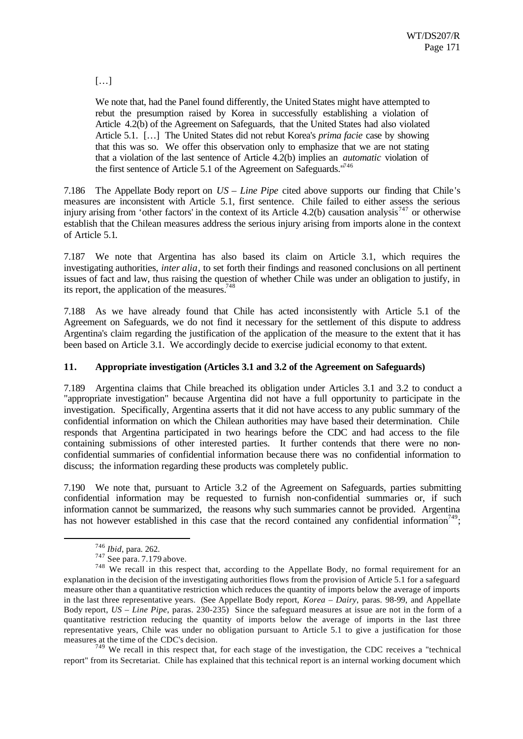[…]

We note that, had the Panel found differently, the United States might have attempted to rebut the presumption raised by Korea in successfully establishing a violation of Article 4.2(b) of the Agreement on Safeguards, that the United States had also violated Article 5.1. […] The United States did not rebut Korea's *prima facie* case by showing that this was so. We offer this observation only to emphasize that we are not stating that a violation of the last sentence of Article 4.2(b) implies an *automatic* violation of the first sentence of Article 5.1 of the Agreement on Safeguards."<sup>746</sup>

7.186 The Appellate Body report on *US – Line Pipe* cited above supports our finding that Chile 's measures are inconsistent with Article 5.1, first sentence. Chile failed to either assess the serious injury arising from 'other factors' in the context of its Article 4.2(b) causation analysis<sup>747</sup> or otherwise establish that the Chilean measures address the serious injury arising from imports alone in the context of Article 5.1.

7.187 We note that Argentina has also based its claim on Article 3.1, which requires the investigating authorities, *inter alia*, to set forth their findings and reasoned conclusions on all pertinent issues of fact and law, thus raising the question of whether Chile was under an obligation to justify, in its report, the application of the measures. $748$ 

7.188 As we have already found that Chile has acted inconsistently with Article 5.1 of the Agreement on Safeguards, we do not find it necessary for the settlement of this dispute to address Argentina's claim regarding the justification of the application of the measure to the extent that it has been based on Article 3.1. We accordingly decide to exercise judicial economy to that extent.

## **11. Appropriate investigation (Articles 3.1 and 3.2 of the Agreement on Safeguards)**

7.189 Argentina claims that Chile breached its obligation under Articles 3.1 and 3.2 to conduct a "appropriate investigation" because Argentina did not have a full opportunity to participate in the investigation. Specifically, Argentina asserts that it did not have access to any public summary of the confidential information on which the Chilean authorities may have based their determination. Chile responds that Argentina participated in two hearings before the CDC and had access to the file containing submissions of other interested parties. It further contends that there were no nonconfidential summaries of confidential information because there was no confidential information to discuss; the information regarding these products was completely public.

7.190 We note that, pursuant to Article 3.2 of the Agreement on Safeguards, parties submitting confidential information may be requested to furnish non-confidential summaries or, if such information cannot be summarized, the reasons why such summaries cannot be provided. Argentina has not however established in this case that the record contained any confidential information<sup>749</sup>;

l

 $749$  We recall in this respect that, for each stage of the investigation, the CDC receives a "technical report" from its Secretariat. Chile has explained that this technical report is an internal working document which

<sup>746</sup> *Ibid*, para. 262.

 $747$  See para. 7.179 above.

<sup>&</sup>lt;sup>748</sup> We recall in this respect that, according to the Appellate Body, no formal requirement for an explanation in the decision of the investigating authorities flows from the provision of Article 5.1 for a safeguard measure other than a quantitative restriction which reduces the quantity of imports below the average of imports in the last three representative years. (See Appellate Body report, *Korea – Dairy*, paras. 98-99, and Appellate Body report, *US – Line Pipe*, paras. 230-235) Since the safeguard measures at issue are not in the form of a quantitative restriction reducing the quantity of imports below the average of imports in the last three representative years, Chile was under no obligation pursuant to Article 5.1 to give a justification for those measures at the time of the CDC's decision.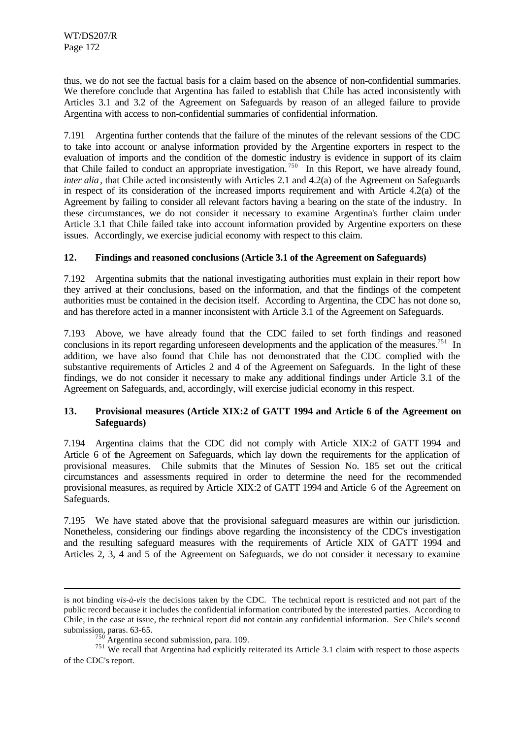thus, we do not see the factual basis for a claim based on the absence of non-confidential summaries. We therefore conclude that Argentina has failed to establish that Chile has acted inconsistently with Articles 3.1 and 3.2 of the Agreement on Safeguards by reason of an alleged failure to provide Argentina with access to non-confidential summaries of confidential information.

7.191 Argentina further contends that the failure of the minutes of the relevant sessions of the CDC to take into account or analyse information provided by the Argentine exporters in respect to the evaluation of imports and the condition of the domestic industry is evidence in support of its claim that Chile failed to conduct an appropriate investigation.<sup>750</sup> In this Report, we have already found, *inter alia*, that Chile acted inconsistently with Articles 2.1 and 4.2(a) of the Agreement on Safeguards in respect of its consideration of the increased imports requirement and with Article 4.2(a) of the Agreement by failing to consider all relevant factors having a bearing on the state of the industry. In these circumstances, we do not consider it necessary to examine Argentina's further claim under Article 3.1 that Chile failed take into account information provided by Argentine exporters on these issues. Accordingly, we exercise judicial economy with respect to this claim.

## **12. Findings and reasoned conclusions (Article 3.1 of the Agreement on Safeguards)**

7.192 Argentina submits that the national investigating authorities must explain in their report how they arrived at their conclusions, based on the information, and that the findings of the competent authorities must be contained in the decision itself. According to Argentina, the CDC has not done so, and has therefore acted in a manner inconsistent with Article 3.1 of the Agreement on Safeguards.

7.193 Above, we have already found that the CDC failed to set forth findings and reasoned conclusions in its report regarding unforeseen developments and the application of the measures.<sup>751</sup> In addition, we have also found that Chile has not demonstrated that the CDC complied with the substantive requirements of Articles 2 and 4 of the Agreement on Safeguards. In the light of these findings, we do not consider it necessary to make any additional findings under Article 3.1 of the Agreement on Safeguards, and, accordingly, will exercise judicial economy in this respect.

## **13. Provisional measures (Article XIX:2 of GATT 1994 and Article 6 of the Agreement on Safeguards)**

7.194 Argentina claims that the CDC did not comply with Article XIX:2 of GATT 1994 and Article 6 of the Agreement on Safeguards, which lay down the requirements for the application of provisional measures. Chile submits that the Minutes of Session No. 185 set out the critical circumstances and assessments required in order to determine the need for the recommended provisional measures, as required by Article XIX:2 of GATT 1994 and Article 6 of the Agreement on Safeguards.

7.195 We have stated above that the provisional safeguard measures are within our jurisdiction. Nonetheless, considering our findings above regarding the inconsistency of the CDC's investigation and the resulting safeguard measures with the requirements of Article XIX of GATT 1994 and Articles 2, 3, 4 and 5 of the Agreement on Safeguards, we do not consider it necessary to examine

is not binding *vis-à-vis* the decisions taken by the CDC. The technical report is restricted and not part of the public record because it includes the confidential information contributed by the interested parties. According to Chile, in the case at issue, the technical report did not contain any confidential information. See Chile's second submission, paras. 63-65.

 $750$  Argentina second submission, para. 109.

<sup>&</sup>lt;sup>751</sup> We recall that Argentina had explicitly reiterated its Article 3.1 claim with respect to those aspects of the CDC's report.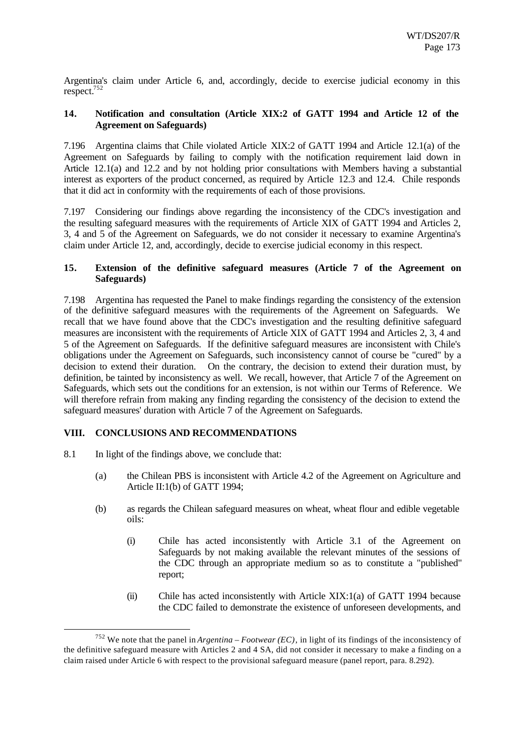Argentina's claim under Article 6, and, accordingly, decide to exercise judicial economy in this respect.<sup>752</sup>

### **14. Notification and consultation (Article XIX:2 of GATT 1994 and Article 12 of the Agreement on Safeguards)**

7.196 Argentina claims that Chile violated Article XIX:2 of GATT 1994 and Article 12.1(a) of the Agreement on Safeguards by failing to comply with the notification requirement laid down in Article 12.1(a) and 12.2 and by not holding prior consultations with Members having a substantial interest as exporters of the product concerned, as required by Article 12.3 and 12.4. Chile responds that it did act in conformity with the requirements of each of those provisions.

7.197 Considering our findings above regarding the inconsistency of the CDC's investigation and the resulting safeguard measures with the requirements of Article XIX of GATT 1994 and Articles 2, 3, 4 and 5 of the Agreement on Safeguards, we do not consider it necessary to examine Argentina's claim under Article 12, and, accordingly, decide to exercise judicial economy in this respect.

## **15. Extension of the definitive safeguard measures (Article 7 of the Agreement on Safeguards)**

7.198 Argentina has requested the Panel to make findings regarding the consistency of the extension of the definitive safeguard measures with the requirements of the Agreement on Safeguards. We recall that we have found above that the CDC's investigation and the resulting definitive safeguard measures are inconsistent with the requirements of Article XIX of GATT 1994 and Articles 2, 3, 4 and 5 of the Agreement on Safeguards. If the definitive safeguard measures are inconsistent with Chile's obligations under the Agreement on Safeguards, such inconsistency cannot of course be "cured" by a decision to extend their duration. On the contrary, the decision to extend their duration must, by definition, be tainted by inconsistency as well. We recall, however, that Article 7 of the Agreement on Safeguards, which sets out the conditions for an extension, is not within our Terms of Reference. We will therefore refrain from making any finding regarding the consistency of the decision to extend the safeguard measures' duration with Article 7 of the Agreement on Safeguards.

## **VIII. CONCLUSIONS AND RECOMMENDATIONS**

8.1 In light of the findings above, we conclude that:

- (a) the Chilean PBS is inconsistent with Article 4.2 of the Agreement on Agriculture and Article II:1(b) of GATT 1994;
- (b) as regards the Chilean safeguard measures on wheat, wheat flour and edible vegetable oils:
	- (i) Chile has acted inconsistently with Article 3.1 of the Agreement on Safeguards by not making available the relevant minutes of the sessions of the CDC through an appropriate medium so as to constitute a "published" report;
	- (ii) Chile has acted inconsistently with Article XIX:1(a) of GATT 1994 because the CDC failed to demonstrate the existence of unforeseen developments, and

<sup>752</sup> We note that the panel in *Argentina – Footwear (EC)*, in light of its findings of the inconsistency of the definitive safeguard measure with Articles 2 and 4 SA, did not consider it necessary to make a finding on a claim raised under Article 6 with respect to the provisional safeguard measure (panel report, para. 8.292).